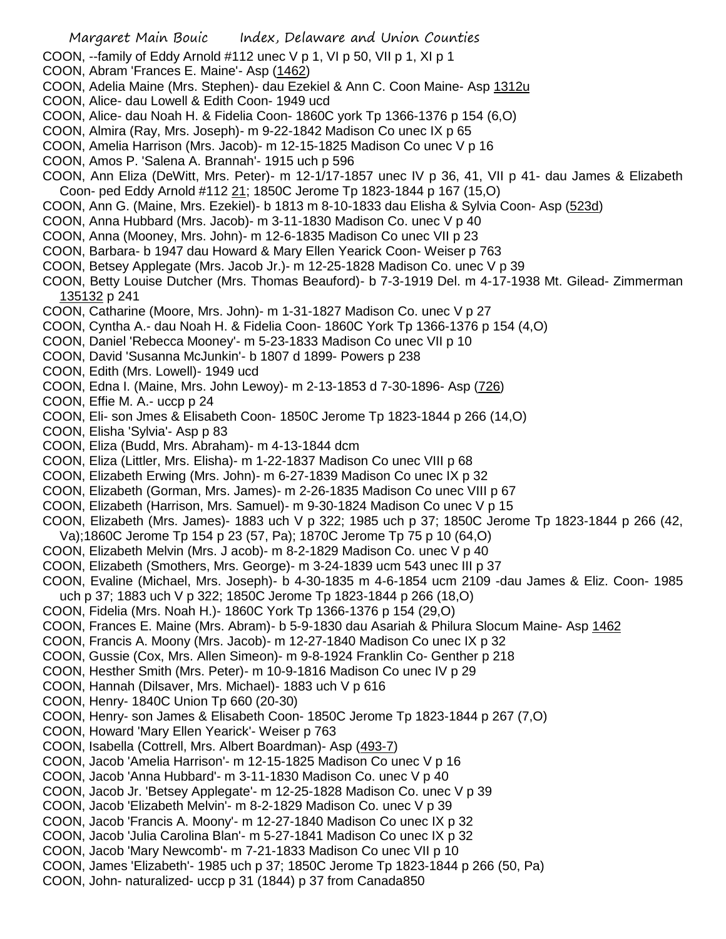- COON, --family of Eddy Arnold #112 unec V p 1, VI p 50, VII p 1, XI p 1
- COON, Abram 'Frances E. Maine'- Asp (1462)
- COON, Adelia Maine (Mrs. Stephen)- dau Ezekiel & Ann C. Coon Maine- Asp 1312u
- COON, Alice- dau Lowell & Edith Coon- 1949 ucd
- COON, Alice- dau Noah H. & Fidelia Coon- 1860C york Tp 1366-1376 p 154 (6,O)
- COON, Almira (Ray, Mrs. Joseph)- m 9-22-1842 Madison Co unec IX p 65
- COON, Amelia Harrison (Mrs. Jacob)- m 12-15-1825 Madison Co unec V p 16
- COON, Amos P. 'Salena A. Brannah'- 1915 uch p 596
- COON, Ann Eliza (DeWitt, Mrs. Peter)- m 12-1/17-1857 unec IV p 36, 41, VII p 41- dau James & Elizabeth Coon- ped Eddy Arnold #112 21; 1850C Jerome Tp 1823-1844 p 167 (15,O)
- COON, Ann G. (Maine, Mrs. Ezekiel)- b 1813 m 8-10-1833 dau Elisha & Sylvia Coon- Asp (523d)
- COON, Anna Hubbard (Mrs. Jacob)- m 3-11-1830 Madison Co. unec V p 40
- COON, Anna (Mooney, Mrs. John)- m 12-6-1835 Madison Co unec VII p 23
- COON, Barbara- b 1947 dau Howard & Mary Ellen Yearick Coon- Weiser p 763
- COON, Betsey Applegate (Mrs. Jacob Jr.)- m 12-25-1828 Madison Co. unec V p 39
- COON, Betty Louise Dutcher (Mrs. Thomas Beauford)- b 7-3-1919 Del. m 4-17-1938 Mt. Gilead- Zimmerman 135132 p 241
- COON, Catharine (Moore, Mrs. John)- m 1-31-1827 Madison Co. unec V p 27
- COON, Cyntha A.- dau Noah H. & Fidelia Coon- 1860C York Tp 1366-1376 p 154 (4,O)
- COON, Daniel 'Rebecca Mooney'- m 5-23-1833 Madison Co unec VII p 10
- COON, David 'Susanna McJunkin'- b 1807 d 1899- Powers p 238
- COON, Edith (Mrs. Lowell)- 1949 ucd
- COON, Edna I. (Maine, Mrs. John Lewoy)- m 2-13-1853 d 7-30-1896- Asp (726)
- COON, Effie M. A.- uccp p 24
- COON, Eli- son Jmes & Elisabeth Coon- 1850C Jerome Tp 1823-1844 p 266 (14,O)
- COON, Elisha 'Sylvia'- Asp p 83
- COON, Eliza (Budd, Mrs. Abraham)- m 4-13-1844 dcm
- COON, Eliza (Littler, Mrs. Elisha)- m 1-22-1837 Madison Co unec VIII p 68
- COON, Elizabeth Erwing (Mrs. John)- m 6-27-1839 Madison Co unec IX p 32
- COON, Elizabeth (Gorman, Mrs. James)- m 2-26-1835 Madison Co unec VIII p 67
- COON, Elizabeth (Harrison, Mrs. Samuel)- m 9-30-1824 Madison Co unec V p 15
- COON, Elizabeth (Mrs. James)- 1883 uch V p 322; 1985 uch p 37; 1850C Jerome Tp 1823-1844 p 266 (42,
- Va);1860C Jerome Tp 154 p 23 (57, Pa); 1870C Jerome Tp 75 p 10 (64,O)
- COON, Elizabeth Melvin (Mrs. J acob)- m 8-2-1829 Madison Co. unec V p 40
- COON, Elizabeth (Smothers, Mrs. George)- m 3-24-1839 ucm 543 unec III p 37
- COON, Evaline (Michael, Mrs. Joseph)- b 4-30-1835 m 4-6-1854 ucm 2109 -dau James & Eliz. Coon- 1985 uch p 37; 1883 uch V p 322; 1850C Jerome Tp 1823-1844 p 266 (18,O)
- COON, Fidelia (Mrs. Noah H.)- 1860C York Tp 1366-1376 p 154 (29,O)
- COON, Frances E. Maine (Mrs. Abram)- b 5-9-1830 dau Asariah & Philura Slocum Maine- Asp 1462
- COON, Francis A. Moony (Mrs. Jacob)- m 12-27-1840 Madison Co unec IX p 32
- COON, Gussie (Cox, Mrs. Allen Simeon)- m 9-8-1924 Franklin Co- Genther p 218
- COON, Hesther Smith (Mrs. Peter)- m 10-9-1816 Madison Co unec IV p 29
- COON, Hannah (Dilsaver, Mrs. Michael)- 1883 uch V p 616
- COON, Henry- 1840C Union Tp 660 (20-30)
- COON, Henry- son James & Elisabeth Coon- 1850C Jerome Tp 1823-1844 p 267 (7,O)
- COON, Howard 'Mary Ellen Yearick'- Weiser p 763
- COON, Isabella (Cottrell, Mrs. Albert Boardman)- Asp (493-7)
- COON, Jacob 'Amelia Harrison'- m 12-15-1825 Madison Co unec V p 16
- COON, Jacob 'Anna Hubbard'- m 3-11-1830 Madison Co. unec V p 40
- COON, Jacob Jr. 'Betsey Applegate'- m 12-25-1828 Madison Co. unec V p 39
- COON, Jacob 'Elizabeth Melvin'- m 8-2-1829 Madison Co. unec V p 39
- COON, Jacob 'Francis A. Moony'- m 12-27-1840 Madison Co unec IX p 32
- COON, Jacob 'Julia Carolina Blan'- m 5-27-1841 Madison Co unec IX p 32
- COON, Jacob 'Mary Newcomb'- m 7-21-1833 Madison Co unec VII p 10
- COON, James 'Elizabeth'- 1985 uch p 37; 1850C Jerome Tp 1823-1844 p 266 (50, Pa)
- COON, John- naturalized- uccp p 31 (1844) p 37 from Canada850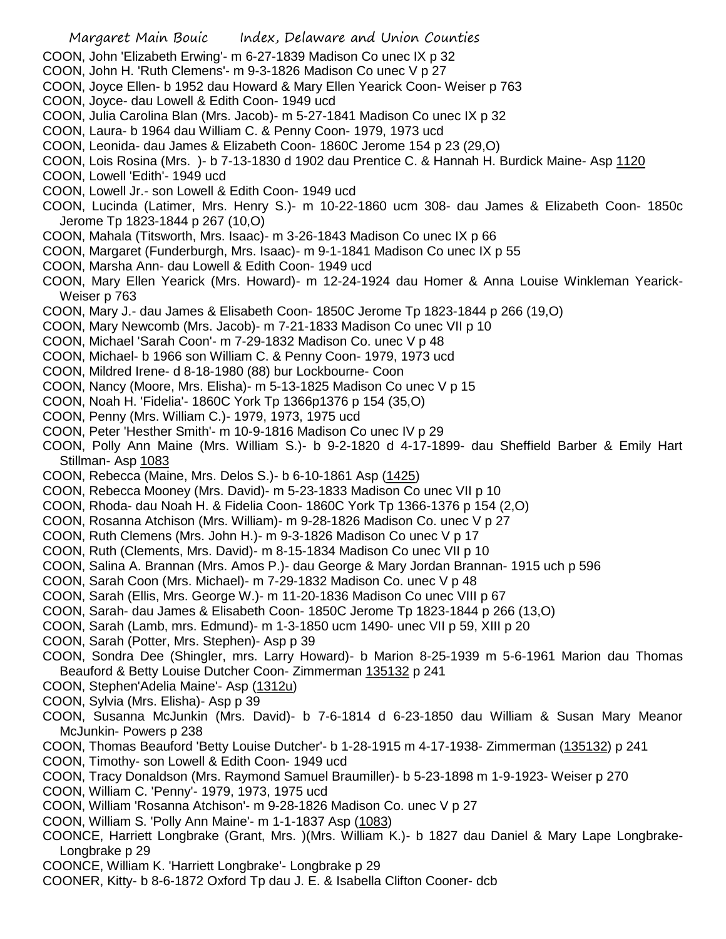- COON, John 'Elizabeth Erwing'- m 6-27-1839 Madison Co unec IX p 32
- COON, John H. 'Ruth Clemens'- m 9-3-1826 Madison Co unec V p 27
- COON, Joyce Ellen- b 1952 dau Howard & Mary Ellen Yearick Coon- Weiser p 763
- COON, Joyce- dau Lowell & Edith Coon- 1949 ucd
- COON, Julia Carolina Blan (Mrs. Jacob)- m 5-27-1841 Madison Co unec IX p 32
- COON, Laura- b 1964 dau William C. & Penny Coon- 1979, 1973 ucd
- COON, Leonida- dau James & Elizabeth Coon- 1860C Jerome 154 p 23 (29,O)
- COON, Lois Rosina (Mrs. )- b 7-13-1830 d 1902 dau Prentice C. & Hannah H. Burdick Maine- Asp 1120
- COON, Lowell 'Edith'- 1949 ucd
- COON, Lowell Jr.- son Lowell & Edith Coon- 1949 ucd
- COON, Lucinda (Latimer, Mrs. Henry S.)- m 10-22-1860 ucm 308- dau James & Elizabeth Coon- 1850c Jerome Tp 1823-1844 p 267 (10,O)
- COON, Mahala (Titsworth, Mrs. Isaac)- m 3-26-1843 Madison Co unec IX p 66
- COON, Margaret (Funderburgh, Mrs. Isaac)- m 9-1-1841 Madison Co unec IX p 55
- COON, Marsha Ann- dau Lowell & Edith Coon- 1949 ucd
- COON, Mary Ellen Yearick (Mrs. Howard)- m 12-24-1924 dau Homer & Anna Louise Winkleman Yearick-Weiser p 763
- COON, Mary J.- dau James & Elisabeth Coon- 1850C Jerome Tp 1823-1844 p 266 (19,O)
- COON, Mary Newcomb (Mrs. Jacob)- m 7-21-1833 Madison Co unec VII p 10
- COON, Michael 'Sarah Coon'- m 7-29-1832 Madison Co. unec V p 48
- COON, Michael- b 1966 son William C. & Penny Coon- 1979, 1973 ucd
- COON, Mildred Irene- d 8-18-1980 (88) bur Lockbourne- Coon
- COON, Nancy (Moore, Mrs. Elisha)- m 5-13-1825 Madison Co unec V p 15
- COON, Noah H. 'Fidelia'- 1860C York Tp 1366p1376 p 154 (35,O)
- COON, Penny (Mrs. William C.)- 1979, 1973, 1975 ucd
- COON, Peter 'Hesther Smith'- m 10-9-1816 Madison Co unec IV p 29
- COON, Polly Ann Maine (Mrs. William S.)- b 9-2-1820 d 4-17-1899- dau Sheffield Barber & Emily Hart Stillman- Asp 1083
- COON, Rebecca (Maine, Mrs. Delos S.)- b 6-10-1861 Asp (1425)
- COON, Rebecca Mooney (Mrs. David)- m 5-23-1833 Madison Co unec VII p 10
- COON, Rhoda- dau Noah H. & Fidelia Coon- 1860C York Tp 1366-1376 p 154 (2,O)
- COON, Rosanna Atchison (Mrs. William)- m 9-28-1826 Madison Co. unec V p 27
- COON, Ruth Clemens (Mrs. John H.)- m 9-3-1826 Madison Co unec V p 17
- COON, Ruth (Clements, Mrs. David)- m 8-15-1834 Madison Co unec VII p 10
- COON, Salina A. Brannan (Mrs. Amos P.)- dau George & Mary Jordan Brannan- 1915 uch p 596
- COON, Sarah Coon (Mrs. Michael)- m 7-29-1832 Madison Co. unec V p 48
- COON, Sarah (Ellis, Mrs. George W.)- m 11-20-1836 Madison Co unec VIII p 67
- COON, Sarah- dau James & Elisabeth Coon- 1850C Jerome Tp 1823-1844 p 266 (13,O)
- COON, Sarah (Lamb, mrs. Edmund)- m 1-3-1850 ucm 1490- unec VII p 59, XIII p 20
- COON, Sarah (Potter, Mrs. Stephen)- Asp p 39
- COON, Sondra Dee (Shingler, mrs. Larry Howard)- b Marion 8-25-1939 m 5-6-1961 Marion dau Thomas Beauford & Betty Louise Dutcher Coon- Zimmerman 135132 p 241
- COON, Stephen'Adelia Maine'- Asp (1312u)
- COON, Sylvia (Mrs. Elisha)- Asp p 39
- COON, Susanna McJunkin (Mrs. David)- b 7-6-1814 d 6-23-1850 dau William & Susan Mary Meanor McJunkin- Powers p 238
- COON, Thomas Beauford 'Betty Louise Dutcher'- b 1-28-1915 m 4-17-1938- Zimmerman (135132) p 241
- COON, Timothy- son Lowell & Edith Coon- 1949 ucd
- COON, Tracy Donaldson (Mrs. Raymond Samuel Braumiller)- b 5-23-1898 m 1-9-1923- Weiser p 270
- COON, William C. 'Penny'- 1979, 1973, 1975 ucd
- COON, William 'Rosanna Atchison'- m 9-28-1826 Madison Co. unec V p 27
- COON, William S. 'Polly Ann Maine'- m 1-1-1837 Asp (1083)
- COONCE, Harriett Longbrake (Grant, Mrs. )(Mrs. William K.)- b 1827 dau Daniel & Mary Lape Longbrake-Longbrake p 29
- COONCE, William K. 'Harriett Longbrake'- Longbrake p 29
- COONER, Kitty- b 8-6-1872 Oxford Tp dau J. E. & Isabella Clifton Cooner- dcb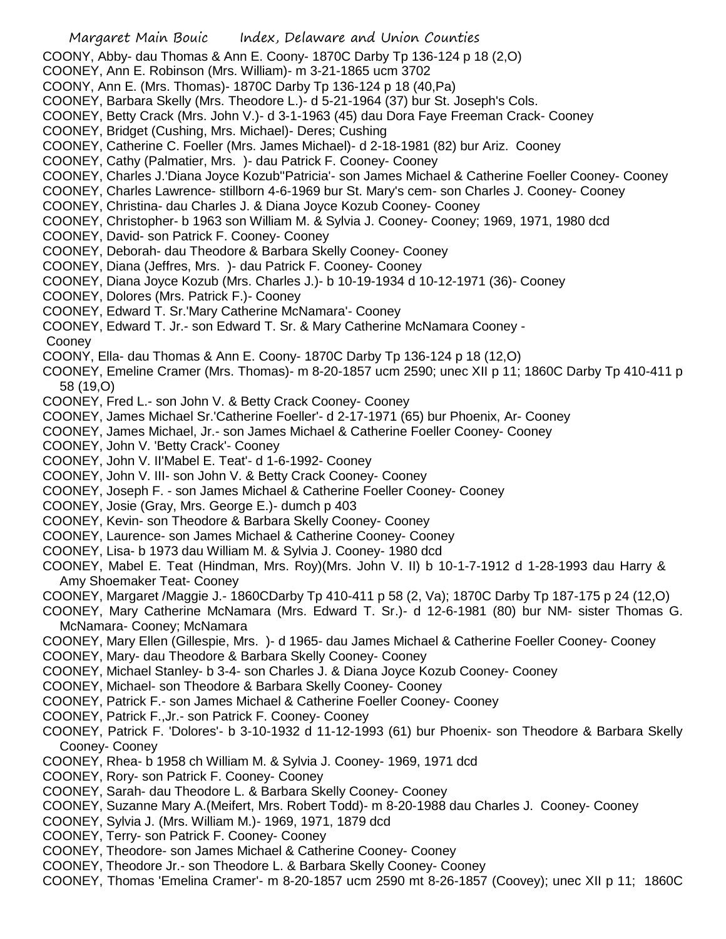- Margaret Main Bouic Index, Delaware and Union Counties
- COONY, Abby- dau Thomas & Ann E. Coony- 1870C Darby Tp 136-124 p 18 (2,O)
- COONEY, Ann E. Robinson (Mrs. William)- m 3-21-1865 ucm 3702
- COONY, Ann E. (Mrs. Thomas)- 1870C Darby Tp 136-124 p 18 (40,Pa)
- COONEY, Barbara Skelly (Mrs. Theodore L.)- d 5-21-1964 (37) bur St. Joseph's Cols.
- COONEY, Betty Crack (Mrs. John V.)- d 3-1-1963 (45) dau Dora Faye Freeman Crack- Cooney
- COONEY, Bridget (Cushing, Mrs. Michael)- Deres; Cushing
- COONEY, Catherine C. Foeller (Mrs. James Michael)- d 2-18-1981 (82) bur Ariz. Cooney
- COONEY, Cathy (Palmatier, Mrs. )- dau Patrick F. Cooney- Cooney
- COONEY, Charles J.'Diana Joyce Kozub''Patricia'- son James Michael & Catherine Foeller Cooney- Cooney
- COONEY, Charles Lawrence- stillborn 4-6-1969 bur St. Mary's cem- son Charles J. Cooney- Cooney
- COONEY, Christina- dau Charles J. & Diana Joyce Kozub Cooney- Cooney
- COONEY, Christopher- b 1963 son William M. & Sylvia J. Cooney- Cooney; 1969, 1971, 1980 dcd
- COONEY, David- son Patrick F. Cooney- Cooney
- COONEY, Deborah- dau Theodore & Barbara Skelly Cooney- Cooney
- COONEY, Diana (Jeffres, Mrs. )- dau Patrick F. Cooney- Cooney
- COONEY, Diana Joyce Kozub (Mrs. Charles J.)- b 10-19-1934 d 10-12-1971 (36)- Cooney
- COONEY, Dolores (Mrs. Patrick F.)- Cooney
- COONEY, Edward T. Sr.'Mary Catherine McNamara'- Cooney
- COONEY, Edward T. Jr.- son Edward T. Sr. & Mary Catherine McNamara Cooney -
- Cooney
- COONY, Ella- dau Thomas & Ann E. Coony- 1870C Darby Tp 136-124 p 18 (12,O)
- COONEY, Emeline Cramer (Mrs. Thomas)- m 8-20-1857 ucm 2590; unec XII p 11; 1860C Darby Tp 410-411 p 58 (19,O)
- COONEY, Fred L.- son John V. & Betty Crack Cooney- Cooney
- COONEY, James Michael Sr.'Catherine Foeller'- d 2-17-1971 (65) bur Phoenix, Ar- Cooney
- COONEY, James Michael, Jr.- son James Michael & Catherine Foeller Cooney- Cooney
- COONEY, John V. 'Betty Crack'- Cooney
- COONEY, John V. II'Mabel E. Teat'- d 1-6-1992- Cooney
- COONEY, John V. III- son John V. & Betty Crack Cooney- Cooney
- COONEY, Joseph F. son James Michael & Catherine Foeller Cooney- Cooney
- COONEY, Josie (Gray, Mrs. George E.)- dumch p 403
- COONEY, Kevin- son Theodore & Barbara Skelly Cooney- Cooney
- COONEY, Laurence- son James Michael & Catherine Cooney- Cooney
- COONEY, Lisa- b 1973 dau William M. & Sylvia J. Cooney- 1980 dcd
- COONEY, Mabel E. Teat (Hindman, Mrs. Roy)(Mrs. John V. II) b 10-1-7-1912 d 1-28-1993 dau Harry & Amy Shoemaker Teat- Cooney
- COONEY, Margaret /Maggie J.- 1860CDarby Tp 410-411 p 58 (2, Va); 1870C Darby Tp 187-175 p 24 (12,O)
- COONEY, Mary Catherine McNamara (Mrs. Edward T. Sr.)- d 12-6-1981 (80) bur NM- sister Thomas G. McNamara- Cooney; McNamara
- COONEY, Mary Ellen (Gillespie, Mrs. )- d 1965- dau James Michael & Catherine Foeller Cooney- Cooney
- COONEY, Mary- dau Theodore & Barbara Skelly Cooney- Cooney
- COONEY, Michael Stanley- b 3-4- son Charles J. & Diana Joyce Kozub Cooney- Cooney
- COONEY, Michael- son Theodore & Barbara Skelly Cooney- Cooney
- COONEY, Patrick F.- son James Michael & Catherine Foeller Cooney- Cooney
- COONEY, Patrick F.,Jr.- son Patrick F. Cooney- Cooney
- COONEY, Patrick F. 'Dolores'- b 3-10-1932 d 11-12-1993 (61) bur Phoenix- son Theodore & Barbara Skelly Cooney- Cooney
- COONEY, Rhea- b 1958 ch William M. & Sylvia J. Cooney- 1969, 1971 dcd
- COONEY, Rory- son Patrick F. Cooney- Cooney
- COONEY, Sarah- dau Theodore L. & Barbara Skelly Cooney- Cooney
- COONEY, Suzanne Mary A.(Meifert, Mrs. Robert Todd)- m 8-20-1988 dau Charles J. Cooney- Cooney
- COONEY, Sylvia J. (Mrs. William M.)- 1969, 1971, 1879 dcd
- COONEY, Terry- son Patrick F. Cooney- Cooney
- COONEY, Theodore- son James Michael & Catherine Cooney- Cooney
- COONEY, Theodore Jr.- son Theodore L. & Barbara Skelly Cooney- Cooney
- COONEY, Thomas 'Emelina Cramer'- m 8-20-1857 ucm 2590 mt 8-26-1857 (Coovey); unec XII p 11; 1860C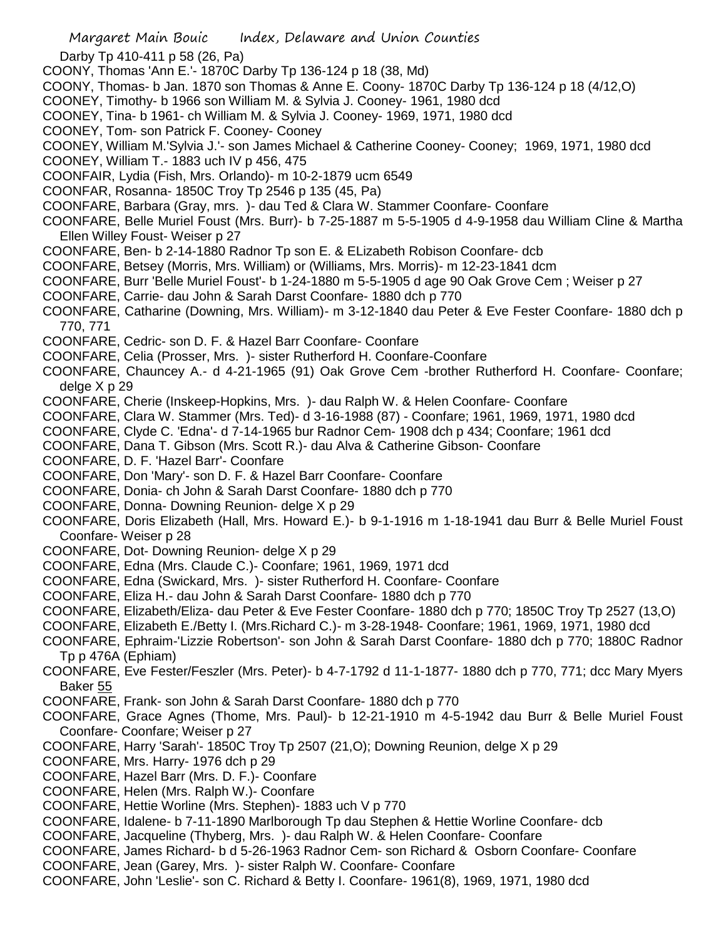Margaret Main Bouic Index, Delaware and Union Counties Darby Tp 410-411 p 58 (26, Pa) COONY, Thomas 'Ann E.'- 1870C Darby Tp 136-124 p 18 (38, Md) COONY, Thomas- b Jan. 1870 son Thomas & Anne E. Coony- 1870C Darby Tp 136-124 p 18 (4/12,O) COONEY, Timothy- b 1966 son William M. & Sylvia J. Cooney- 1961, 1980 dcd COONEY, Tina- b 1961- ch William M. & Sylvia J. Cooney- 1969, 1971, 1980 dcd COONEY, Tom- son Patrick F. Cooney- Cooney COONEY, William M.'Sylvia J.'- son James Michael & Catherine Cooney- Cooney; 1969, 1971, 1980 dcd COONEY, William T.- 1883 uch IV p 456, 475 COONFAIR, Lydia (Fish, Mrs. Orlando)- m 10-2-1879 ucm 6549 COONFAR, Rosanna- 1850C Troy Tp 2546 p 135 (45, Pa) COONFARE, Barbara (Gray, mrs. )- dau Ted & Clara W. Stammer Coonfare- Coonfare COONFARE, Belle Muriel Foust (Mrs. Burr)- b 7-25-1887 m 5-5-1905 d 4-9-1958 dau William Cline & Martha Ellen Willey Foust- Weiser p 27 COONFARE, Ben- b 2-14-1880 Radnor Tp son E. & ELizabeth Robison Coonfare- dcb COONFARE, Betsey (Morris, Mrs. William) or (Williams, Mrs. Morris)- m 12-23-1841 dcm COONFARE, Burr 'Belle Muriel Foust'- b 1-24-1880 m 5-5-1905 d age 90 Oak Grove Cem ; Weiser p 27 COONFARE, Carrie- dau John & Sarah Darst Coonfare- 1880 dch p 770 COONFARE, Catharine (Downing, Mrs. William)- m 3-12-1840 dau Peter & Eve Fester Coonfare- 1880 dch p 770, 771 COONFARE, Cedric- son D. F. & Hazel Barr Coonfare- Coonfare COONFARE, Celia (Prosser, Mrs. )- sister Rutherford H. Coonfare-Coonfare COONFARE, Chauncey A.- d 4-21-1965 (91) Oak Grove Cem -brother Rutherford H. Coonfare- Coonfare; delge X p 29 COONFARE, Cherie (Inskeep-Hopkins, Mrs. )- dau Ralph W. & Helen Coonfare- Coonfare COONFARE, Clara W. Stammer (Mrs. Ted)- d 3-16-1988 (87) - Coonfare; 1961, 1969, 1971, 1980 dcd COONFARE, Clyde C. 'Edna'- d 7-14-1965 bur Radnor Cem- 1908 dch p 434; Coonfare; 1961 dcd COONFARE, Dana T. Gibson (Mrs. Scott R.)- dau Alva & Catherine Gibson- Coonfare COONFARE, D. F. 'Hazel Barr'- Coonfare COONFARE, Don 'Mary'- son D. F. & Hazel Barr Coonfare- Coonfare COONFARE, Donia- ch John & Sarah Darst Coonfare- 1880 dch p 770 COONFARE, Donna- Downing Reunion- delge X p 29 COONFARE, Doris Elizabeth (Hall, Mrs. Howard E.)- b 9-1-1916 m 1-18-1941 dau Burr & Belle Muriel Foust Coonfare- Weiser p 28 COONFARE, Dot- Downing Reunion- delge X p 29 COONFARE, Edna (Mrs. Claude C.)- Coonfare; 1961, 1969, 1971 dcd COONFARE, Edna (Swickard, Mrs. )- sister Rutherford H. Coonfare- Coonfare COONFARE, Eliza H.- dau John & Sarah Darst Coonfare- 1880 dch p 770 COONFARE, Elizabeth/Eliza- dau Peter & Eve Fester Coonfare- 1880 dch p 770; 1850C Troy Tp 2527 (13,O) COONFARE, Elizabeth E./Betty I. (Mrs.Richard C.)- m 3-28-1948- Coonfare; 1961, 1969, 1971, 1980 dcd COONFARE, Ephraim-'Lizzie Robertson'- son John & Sarah Darst Coonfare- 1880 dch p 770; 1880C Radnor Tp p 476A (Ephiam) COONFARE, Eve Fester/Feszler (Mrs. Peter)- b 4-7-1792 d 11-1-1877- 1880 dch p 770, 771; dcc Mary Myers Baker 55 COONFARE, Frank- son John & Sarah Darst Coonfare- 1880 dch p 770 COONFARE, Grace Agnes (Thome, Mrs. Paul)- b 12-21-1910 m 4-5-1942 dau Burr & Belle Muriel Foust Coonfare- Coonfare; Weiser p 27 COONFARE, Harry 'Sarah'- 1850C Troy Tp 2507 (21,O); Downing Reunion, delge X p 29 COONFARE, Mrs. Harry- 1976 dch p 29 COONFARE, Hazel Barr (Mrs. D. F.)- Coonfare COONFARE, Helen (Mrs. Ralph W.)- Coonfare COONFARE, Hettie Worline (Mrs. Stephen)- 1883 uch V p 770 COONFARE, Idalene- b 7-11-1890 Marlborough Tp dau Stephen & Hettie Worline Coonfare- dcb COONFARE, Jacqueline (Thyberg, Mrs. )- dau Ralph W. & Helen Coonfare- Coonfare COONFARE, James Richard- b d 5-26-1963 Radnor Cem- son Richard & Osborn Coonfare- Coonfare COONFARE, Jean (Garey, Mrs. )- sister Ralph W. Coonfare- Coonfare COONFARE, John 'Leslie'- son C. Richard & Betty I. Coonfare- 1961(8), 1969, 1971, 1980 dcd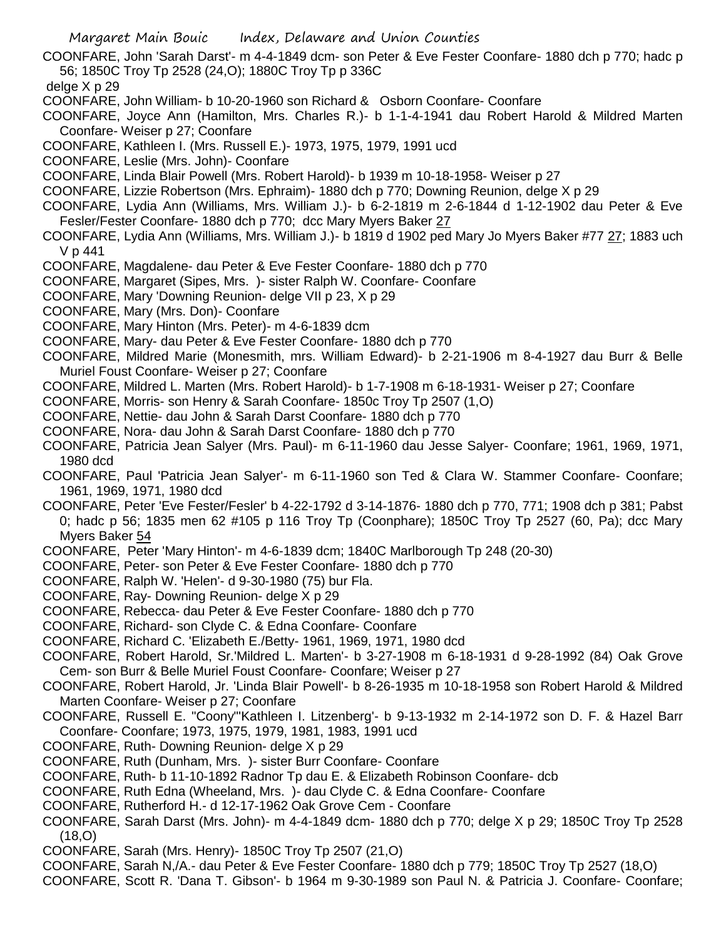COONFARE, John 'Sarah Darst'- m 4-4-1849 dcm- son Peter & Eve Fester Coonfare- 1880 dch p 770; hadc p 56; 1850C Troy Tp 2528 (24,O); 1880C Troy Tp p 336C

delge  $X$  p 29

- COONFARE, John William- b 10-20-1960 son Richard & Osborn Coonfare- Coonfare
- COONFARE, Joyce Ann (Hamilton, Mrs. Charles R.)- b 1-1-4-1941 dau Robert Harold & Mildred Marten Coonfare- Weiser p 27; Coonfare
- COONFARE, Kathleen I. (Mrs. Russell E.)- 1973, 1975, 1979, 1991 ucd
- COONFARE, Leslie (Mrs. John)- Coonfare
- COONFARE, Linda Blair Powell (Mrs. Robert Harold)- b 1939 m 10-18-1958- Weiser p 27
- COONFARE, Lizzie Robertson (Mrs. Ephraim)- 1880 dch p 770; Downing Reunion, delge X p 29
- COONFARE, Lydia Ann (Williams, Mrs. William J.)- b 6-2-1819 m 2-6-1844 d 1-12-1902 dau Peter & Eve Fesler/Fester Coonfare- 1880 dch p 770; dcc Mary Myers Baker 27
- COONFARE, Lydia Ann (Williams, Mrs. William J.)- b 1819 d 1902 ped Mary Jo Myers Baker #77 27; 1883 uch V p 441
- COONFARE, Magdalene- dau Peter & Eve Fester Coonfare- 1880 dch p 770
- COONFARE, Margaret (Sipes, Mrs. )- sister Ralph W. Coonfare- Coonfare
- COONFARE, Mary 'Downing Reunion- delge VII p 23, X p 29
- COONFARE, Mary (Mrs. Don)- Coonfare
- COONFARE, Mary Hinton (Mrs. Peter)- m 4-6-1839 dcm
- COONFARE, Mary- dau Peter & Eve Fester Coonfare- 1880 dch p 770
- COONFARE, Mildred Marie (Monesmith, mrs. William Edward)- b 2-21-1906 m 8-4-1927 dau Burr & Belle Muriel Foust Coonfare- Weiser p 27; Coonfare
- COONFARE, Mildred L. Marten (Mrs. Robert Harold)- b 1-7-1908 m 6-18-1931- Weiser p 27; Coonfare
- COONFARE, Morris- son Henry & Sarah Coonfare- 1850c Troy Tp 2507 (1,O)
- COONFARE, Nettie- dau John & Sarah Darst Coonfare- 1880 dch p 770
- COONFARE, Nora- dau John & Sarah Darst Coonfare- 1880 dch p 770
- COONFARE, Patricia Jean Salyer (Mrs. Paul)- m 6-11-1960 dau Jesse Salyer- Coonfare; 1961, 1969, 1971, 1980 dcd
- COONFARE, Paul 'Patricia Jean Salyer'- m 6-11-1960 son Ted & Clara W. Stammer Coonfare- Coonfare; 1961, 1969, 1971, 1980 dcd
- COONFARE, Peter 'Eve Fester/Fesler' b 4-22-1792 d 3-14-1876- 1880 dch p 770, 771; 1908 dch p 381; Pabst 0; hadc p 56; 1835 men 62 #105 p 116 Troy Tp (Coonphare); 1850C Troy Tp 2527 (60, Pa); dcc Mary Myers Baker 54
- COONFARE, Peter 'Mary Hinton'- m 4-6-1839 dcm; 1840C Marlborough Tp 248 (20-30)
- COONFARE, Peter- son Peter & Eve Fester Coonfare- 1880 dch p 770
- COONFARE, Ralph W. 'Helen'- d 9-30-1980 (75) bur Fla.
- COONFARE, Ray- Downing Reunion- delge X p 29
- COONFARE, Rebecca- dau Peter & Eve Fester Coonfare- 1880 dch p 770
- COONFARE, Richard- son Clyde C. & Edna Coonfare- Coonfare
- COONFARE, Richard C. 'Elizabeth E./Betty- 1961, 1969, 1971, 1980 dcd
- COONFARE, Robert Harold, Sr.'Mildred L. Marten'- b 3-27-1908 m 6-18-1931 d 9-28-1992 (84) Oak Grove Cem- son Burr & Belle Muriel Foust Coonfare- Coonfare; Weiser p 27
- COONFARE, Robert Harold, Jr. 'Linda Blair Powell'- b 8-26-1935 m 10-18-1958 son Robert Harold & Mildred Marten Coonfare- Weiser p 27; Coonfare
- COONFARE, Russell E. "Coony"'Kathleen I. Litzenberg'- b 9-13-1932 m 2-14-1972 son D. F. & Hazel Barr Coonfare- Coonfare; 1973, 1975, 1979, 1981, 1983, 1991 ucd
- COONFARE, Ruth- Downing Reunion- delge X p 29
- COONFARE, Ruth (Dunham, Mrs. )- sister Burr Coonfare- Coonfare
- COONFARE, Ruth- b 11-10-1892 Radnor Tp dau E. & Elizabeth Robinson Coonfare- dcb
- COONFARE, Ruth Edna (Wheeland, Mrs. )- dau Clyde C. & Edna Coonfare- Coonfare
- COONFARE, Rutherford H.- d 12-17-1962 Oak Grove Cem Coonfare
- COONFARE, Sarah Darst (Mrs. John)- m 4-4-1849 dcm- 1880 dch p 770; delge X p 29; 1850C Troy Tp 2528 (18,O)
- COONFARE, Sarah (Mrs. Henry)- 1850C Troy Tp 2507 (21,O)
- COONFARE, Sarah N,/A.- dau Peter & Eve Fester Coonfare- 1880 dch p 779; 1850C Troy Tp 2527 (18,O)
- COONFARE, Scott R. 'Dana T. Gibson'- b 1964 m 9-30-1989 son Paul N. & Patricia J. Coonfare- Coonfare;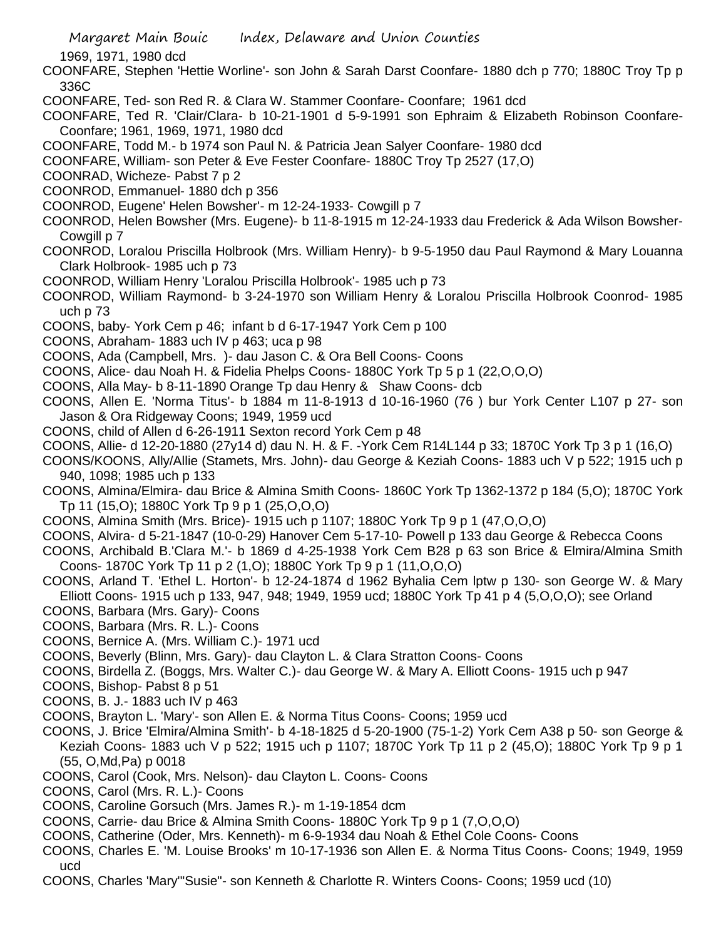1969, 1971, 1980 dcd

COONFARE, Stephen 'Hettie Worline'- son John & Sarah Darst Coonfare- 1880 dch p 770; 1880C Troy Tp p 336C

- COONFARE, Ted- son Red R. & Clara W. Stammer Coonfare- Coonfare; 1961 dcd
- COONFARE, Ted R. 'Clair/Clara- b 10-21-1901 d 5-9-1991 son Ephraim & Elizabeth Robinson Coonfare-Coonfare; 1961, 1969, 1971, 1980 dcd
- COONFARE, Todd M.- b 1974 son Paul N. & Patricia Jean Salyer Coonfare- 1980 dcd
- COONFARE, William- son Peter & Eve Fester Coonfare- 1880C Troy Tp 2527 (17,O)
- COONRAD, Wicheze- Pabst 7 p 2
- COONROD, Emmanuel- 1880 dch p 356
- COONROD, Eugene' Helen Bowsher'- m 12-24-1933- Cowgill p 7
- COONROD, Helen Bowsher (Mrs. Eugene)- b 11-8-1915 m 12-24-1933 dau Frederick & Ada Wilson Bowsher-Cowgill p 7
- COONROD, Loralou Priscilla Holbrook (Mrs. William Henry)- b 9-5-1950 dau Paul Raymond & Mary Louanna Clark Holbrook- 1985 uch p 73
- COONROD, William Henry 'Loralou Priscilla Holbrook'- 1985 uch p 73
- COONROD, William Raymond- b 3-24-1970 son William Henry & Loralou Priscilla Holbrook Coonrod- 1985 uch p 73
- COONS, baby- York Cem p 46; infant b d 6-17-1947 York Cem p 100
- COONS, Abraham- 1883 uch IV p 463; uca p 98
- COONS, Ada (Campbell, Mrs. )- dau Jason C. & Ora Bell Coons- Coons
- COONS, Alice- dau Noah H. & Fidelia Phelps Coons- 1880C York Tp 5 p 1 (22,O,O,O)
- COONS, Alla May- b 8-11-1890 Orange Tp dau Henry & Shaw Coons- dcb
- COONS, Allen E. 'Norma Titus'- b 1884 m 11-8-1913 d 10-16-1960 (76 ) bur York Center L107 p 27- son Jason & Ora Ridgeway Coons; 1949, 1959 ucd
- COONS, child of Allen d 6-26-1911 Sexton record York Cem p 48
- COONS, Allie- d 12-20-1880 (27y14 d) dau N. H. & F. -York Cem R14L144 p 33; 1870C York Tp 3 p 1 (16,O)
- COONS/KOONS, Ally/Allie (Stamets, Mrs. John)- dau George & Keziah Coons- 1883 uch V p 522; 1915 uch p 940, 1098; 1985 uch p 133
- COONS, Almina/Elmira- dau Brice & Almina Smith Coons- 1860C York Tp 1362-1372 p 184 (5,O); 1870C York Tp 11 (15,O); 1880C York Tp 9 p 1 (25,O,O,O)
- COONS, Almina Smith (Mrs. Brice)- 1915 uch p 1107; 1880C York Tp 9 p 1 (47,O,O,O)
- COONS, Alvira- d 5-21-1847 (10-0-29) Hanover Cem 5-17-10- Powell p 133 dau George & Rebecca Coons
- COONS, Archibald B.'Clara M.'- b 1869 d 4-25-1938 York Cem B28 p 63 son Brice & Elmira/Almina Smith Coons- 1870C York Tp 11 p 2 (1,O); 1880C York Tp 9 p 1 (11,O,O,O)
- COONS, Arland T. 'Ethel L. Horton'- b 12-24-1874 d 1962 Byhalia Cem lptw p 130- son George W. & Mary Elliott Coons- 1915 uch p 133, 947, 948; 1949, 1959 ucd; 1880C York Tp 41 p 4 (5,O,O,O); see Orland
- COONS, Barbara (Mrs. Gary)- Coons
- COONS, Barbara (Mrs. R. L.)- Coons
- COONS, Bernice A. (Mrs. William C.)- 1971 ucd
- COONS, Beverly (Blinn, Mrs. Gary)- dau Clayton L. & Clara Stratton Coons- Coons
- COONS, Birdella Z. (Boggs, Mrs. Walter C.)- dau George W. & Mary A. Elliott Coons- 1915 uch p 947
- COONS, Bishop- Pabst 8 p 51
- COONS, B. J.- 1883 uch IV p 463
- COONS, Brayton L. 'Mary'- son Allen E. & Norma Titus Coons- Coons; 1959 ucd
- COONS, J. Brice 'Elmira/Almina Smith'- b 4-18-1825 d 5-20-1900 (75-1-2) York Cem A38 p 50- son George & Keziah Coons- 1883 uch V p 522; 1915 uch p 1107; 1870C York Tp 11 p 2 (45,O); 1880C York Tp 9 p 1 (55, O,Md,Pa) p 0018
- COONS, Carol (Cook, Mrs. Nelson)- dau Clayton L. Coons- Coons
- COONS, Carol (Mrs. R. L.)- Coons
- COONS, Caroline Gorsuch (Mrs. James R.)- m 1-19-1854 dcm
- COONS, Carrie- dau Brice & Almina Smith Coons- 1880C York Tp 9 p 1 (7,O,O,O)
- COONS, Catherine (Oder, Mrs. Kenneth)- m 6-9-1934 dau Noah & Ethel Cole Coons- Coons
- COONS, Charles E. 'M. Louise Brooks' m 10-17-1936 son Allen E. & Norma Titus Coons- Coons; 1949, 1959 ucd
- COONS, Charles 'Mary'"Susie"- son Kenneth & Charlotte R. Winters Coons- Coons; 1959 ucd (10)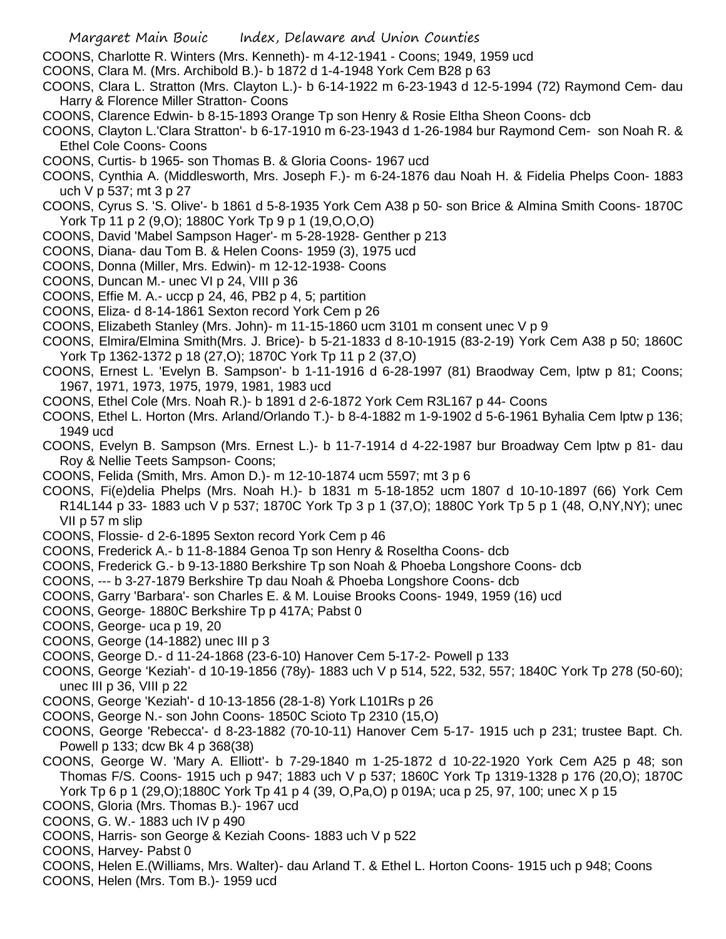- COONS, Charlotte R. Winters (Mrs. Kenneth)- m 4-12-1941 Coons; 1949, 1959 ucd
- COONS, Clara M. (Mrs. Archibold B.)- b 1872 d 1-4-1948 York Cem B28 p 63
- COONS, Clara L. Stratton (Mrs. Clayton L.)- b 6-14-1922 m 6-23-1943 d 12-5-1994 (72) Raymond Cem- dau Harry & Florence Miller Stratton- Coons
- COONS, Clarence Edwin- b 8-15-1893 Orange Tp son Henry & Rosie Eltha Sheon Coons- dcb
- COONS, Clayton L.'Clara Stratton'- b 6-17-1910 m 6-23-1943 d 1-26-1984 bur Raymond Cem- son Noah R. & Ethel Cole Coons- Coons
- COONS, Curtis- b 1965- son Thomas B. & Gloria Coons- 1967 ucd
- COONS, Cynthia A. (Middlesworth, Mrs. Joseph F.)- m 6-24-1876 dau Noah H. & Fidelia Phelps Coon- 1883 uch V p 537; mt 3 p 27
- COONS, Cyrus S. 'S. Olive'- b 1861 d 5-8-1935 York Cem A38 p 50- son Brice & Almina Smith Coons- 1870C York Tp 11 p 2 (9,O); 1880C York Tp 9 p 1 (19,O,O,O)
- COONS, David 'Mabel Sampson Hager'- m 5-28-1928- Genther p 213
- COONS, Diana- dau Tom B. & Helen Coons- 1959 (3), 1975 ucd
- COONS, Donna (Miller, Mrs. Edwin)- m 12-12-1938- Coons
- COONS, Duncan M.- unec VI p 24, VIII p 36
- COONS, Effie M. A.- uccp p 24, 46, PB2 p 4, 5; partition
- COONS, Eliza- d 8-14-1861 Sexton record York Cem p 26
- COONS, Elizabeth Stanley (Mrs. John)- m 11-15-1860 ucm 3101 m consent unec V p 9
- COONS, Elmira/Elmina Smith(Mrs. J. Brice)- b 5-21-1833 d 8-10-1915 (83-2-19) York Cem A38 p 50; 1860C York Tp 1362-1372 p 18 (27,O); 1870C York Tp 11 p 2 (37,O)
- COONS, Ernest L. 'Evelyn B. Sampson'- b 1-11-1916 d 6-28-1997 (81) Braodway Cem, lptw p 81; Coons; 1967, 1971, 1973, 1975, 1979, 1981, 1983 ucd
- COONS, Ethel Cole (Mrs. Noah R.)- b 1891 d 2-6-1872 York Cem R3L167 p 44- Coons
- COONS, Ethel L. Horton (Mrs. Arland/Orlando T.)- b 8-4-1882 m 1-9-1902 d 5-6-1961 Byhalia Cem lptw p 136; 1949 ucd
- COONS, Evelyn B. Sampson (Mrs. Ernest L.)- b 11-7-1914 d 4-22-1987 bur Broadway Cem lptw p 81- dau Roy & Nellie Teets Sampson- Coons;
- COONS, Felida (Smith, Mrs. Amon D.)- m 12-10-1874 ucm 5597; mt 3 p 6
- COONS, Fi(e)delia Phelps (Mrs. Noah H.)- b 1831 m 5-18-1852 ucm 1807 d 10-10-1897 (66) York Cem R14L144 p 33- 1883 uch V p 537; 1870C York Tp 3 p 1 (37,O); 1880C York Tp 5 p 1 (48, O,NY,NY); unec VII p 57 m slip
- COONS, Flossie- d 2-6-1895 Sexton record York Cem p 46
- COONS, Frederick A.- b 11-8-1884 Genoa Tp son Henry & Roseltha Coons- dcb
- COONS, Frederick G.- b 9-13-1880 Berkshire Tp son Noah & Phoeba Longshore Coons- dcb
- COONS, --- b 3-27-1879 Berkshire Tp dau Noah & Phoeba Longshore Coons- dcb
- COONS, Garry 'Barbara'- son Charles E. & M. Louise Brooks Coons- 1949, 1959 (16) ucd
- COONS, George- 1880C Berkshire Tp p 417A; Pabst 0
- COONS, George- uca p 19, 20
- COONS, George (14-1882) unec III p 3
- COONS, George D.- d 11-24-1868 (23-6-10) Hanover Cem 5-17-2- Powell p 133
- COONS, George 'Keziah'- d 10-19-1856 (78y)- 1883 uch V p 514, 522, 532, 557; 1840C York Tp 278 (50-60); unec III p 36, VIII p 22
- COONS, George 'Keziah'- d 10-13-1856 (28-1-8) York L101Rs p 26
- COONS, George N.- son John Coons- 1850C Scioto Tp 2310 (15,O)
- COONS, George 'Rebecca'- d 8-23-1882 (70-10-11) Hanover Cem 5-17- 1915 uch p 231; trustee Bapt. Ch. Powell p 133; dcw Bk 4 p 368(38)
- COONS, George W. 'Mary A. Elliott'- b 7-29-1840 m 1-25-1872 d 10-22-1920 York Cem A25 p 48; son Thomas F/S. Coons- 1915 uch p 947; 1883 uch V p 537; 1860C York Tp 1319-1328 p 176 (20,O); 1870C York Tp 6 p 1 (29,O);1880C York Tp 41 p 4 (39, O,Pa,O) p 019A; uca p 25, 97, 100; unec X p 15
- COONS, Gloria (Mrs. Thomas B.)- 1967 ucd
- COONS, G. W.- 1883 uch IV p 490
- COONS, Harris- son George & Keziah Coons- 1883 uch V p 522
- COONS, Harvey- Pabst 0
- COONS, Helen E.(Williams, Mrs. Walter)- dau Arland T. & Ethel L. Horton Coons- 1915 uch p 948; Coons
- COONS, Helen (Mrs. Tom B.)- 1959 ucd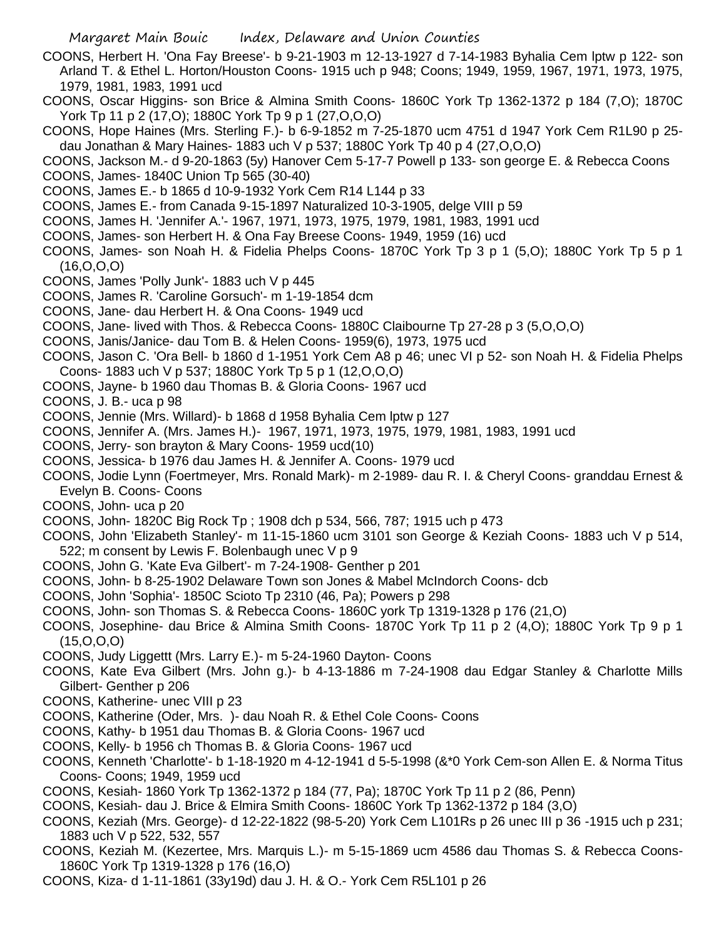- COONS, Herbert H. 'Ona Fay Breese'- b 9-21-1903 m 12-13-1927 d 7-14-1983 Byhalia Cem lptw p 122- son Arland T. & Ethel L. Horton/Houston Coons- 1915 uch p 948; Coons; 1949, 1959, 1967, 1971, 1973, 1975, 1979, 1981, 1983, 1991 ucd
- COONS, Oscar Higgins- son Brice & Almina Smith Coons- 1860C York Tp 1362-1372 p 184 (7,O); 1870C York Tp 11 p 2 (17,O); 1880C York Tp 9 p 1 (27,O,O,O)
- COONS, Hope Haines (Mrs. Sterling F.)- b 6-9-1852 m 7-25-1870 ucm 4751 d 1947 York Cem R1L90 p 25 dau Jonathan & Mary Haines- 1883 uch V p 537; 1880C York Tp 40 p 4 (27,O,O,O)
- COONS, Jackson M.- d 9-20-1863 (5y) Hanover Cem 5-17-7 Powell p 133- son george E. & Rebecca Coons
- COONS, James- 1840C Union Tp 565 (30-40)
- COONS, James E.- b 1865 d 10-9-1932 York Cem R14 L144 p 33
- COONS, James E.- from Canada 9-15-1897 Naturalized 10-3-1905, delge VIII p 59
- COONS, James H. 'Jennifer A.'- 1967, 1971, 1973, 1975, 1979, 1981, 1983, 1991 ucd
- COONS, James- son Herbert H. & Ona Fay Breese Coons- 1949, 1959 (16) ucd
- COONS, James- son Noah H. & Fidelia Phelps Coons- 1870C York Tp 3 p 1 (5,O); 1880C York Tp 5 p 1 (16,O,O,O)
- COONS, James 'Polly Junk'- 1883 uch V p 445
- COONS, James R. 'Caroline Gorsuch'- m 1-19-1854 dcm
- COONS, Jane- dau Herbert H. & Ona Coons- 1949 ucd
- COONS, Jane- lived with Thos. & Rebecca Coons- 1880C Claibourne Tp 27-28 p 3 (5,O,O,O)
- COONS, Janis/Janice- dau Tom B. & Helen Coons- 1959(6), 1973, 1975 ucd
- COONS, Jason C. 'Ora Bell- b 1860 d 1-1951 York Cem A8 p 46; unec VI p 52- son Noah H. & Fidelia Phelps Coons- 1883 uch V p 537; 1880C York Tp 5 p 1 (12,O,O,O)
- COONS, Jayne- b 1960 dau Thomas B. & Gloria Coons- 1967 ucd
- COONS, J. B.- uca p 98
- COONS, Jennie (Mrs. Willard)- b 1868 d 1958 Byhalia Cem lptw p 127
- COONS, Jennifer A. (Mrs. James H.)- 1967, 1971, 1973, 1975, 1979, 1981, 1983, 1991 ucd
- COONS, Jerry- son brayton & Mary Coons- 1959 ucd(10)
- COONS, Jessica- b 1976 dau James H. & Jennifer A. Coons- 1979 ucd
- COONS, Jodie Lynn (Foertmeyer, Mrs. Ronald Mark)- m 2-1989- dau R. I. & Cheryl Coons- granddau Ernest & Evelyn B. Coons- Coons
- COONS, John- uca p 20
- COONS, John- 1820C Big Rock Tp ; 1908 dch p 534, 566, 787; 1915 uch p 473
- COONS, John 'Elizabeth Stanley'- m 11-15-1860 ucm 3101 son George & Keziah Coons- 1883 uch V p 514, 522; m consent by Lewis F. Bolenbaugh unec V p 9
- COONS, John G. 'Kate Eva Gilbert'- m 7-24-1908- Genther p 201
- COONS, John- b 8-25-1902 Delaware Town son Jones & Mabel McIndorch Coons- dcb
- COONS, John 'Sophia'- 1850C Scioto Tp 2310 (46, Pa); Powers p 298
- COONS, John- son Thomas S. & Rebecca Coons- 1860C york Tp 1319-1328 p 176 (21,O)
- COONS, Josephine- dau Brice & Almina Smith Coons- 1870C York Tp 11 p 2 (4,O); 1880C York Tp 9 p 1  $(15,0,0,0)$
- COONS, Judy Liggettt (Mrs. Larry E.)- m 5-24-1960 Dayton- Coons
- COONS, Kate Eva Gilbert (Mrs. John g.)- b 4-13-1886 m 7-24-1908 dau Edgar Stanley & Charlotte Mills Gilbert- Genther p 206
- COONS, Katherine- unec VIII p 23
- COONS, Katherine (Oder, Mrs. )- dau Noah R. & Ethel Cole Coons- Coons
- COONS, Kathy- b 1951 dau Thomas B. & Gloria Coons- 1967 ucd
- COONS, Kelly- b 1956 ch Thomas B. & Gloria Coons- 1967 ucd
- COONS, Kenneth 'Charlotte'- b 1-18-1920 m 4-12-1941 d 5-5-1998 (&\*0 York Cem-son Allen E. & Norma Titus Coons- Coons; 1949, 1959 ucd
- COONS, Kesiah- 1860 York Tp 1362-1372 p 184 (77, Pa); 1870C York Tp 11 p 2 (86, Penn)
- COONS, Kesiah- dau J. Brice & Elmira Smith Coons- 1860C York Tp 1362-1372 p 184 (3,O)
- COONS, Keziah (Mrs. George)- d 12-22-1822 (98-5-20) York Cem L101Rs p 26 unec III p 36 -1915 uch p 231; 1883 uch V p 522, 532, 557
- COONS, Keziah M. (Kezertee, Mrs. Marquis L.)- m 5-15-1869 ucm 4586 dau Thomas S. & Rebecca Coons-1860C York Tp 1319-1328 p 176 (16,O)
- COONS, Kiza- d 1-11-1861 (33y19d) dau J. H. & O.- York Cem R5L101 p 26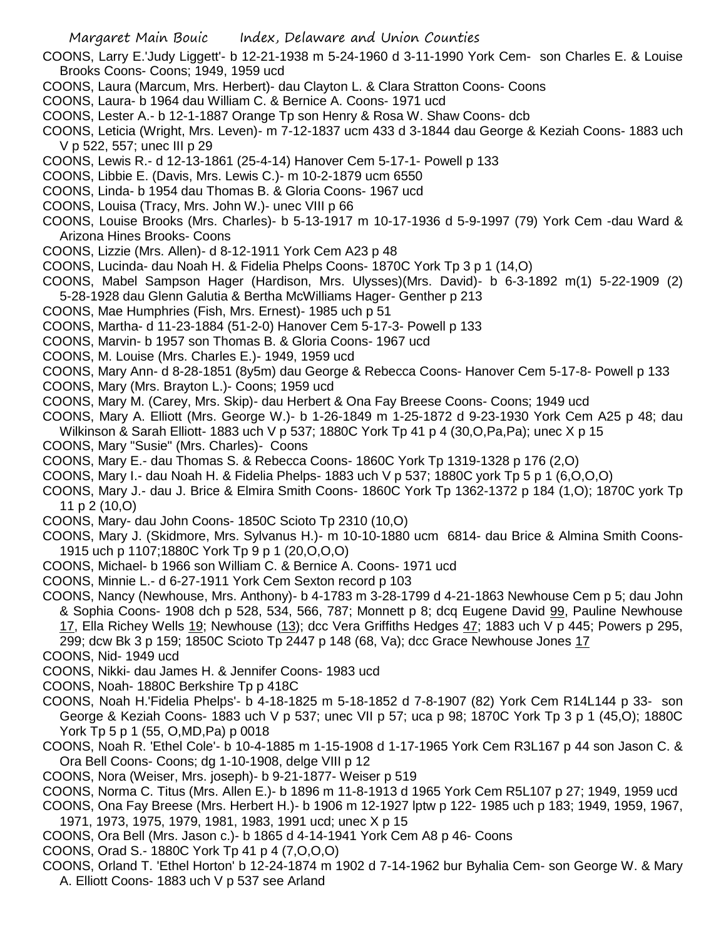- COONS, Larry E.'Judy Liggett'- b 12-21-1938 m 5-24-1960 d 3-11-1990 York Cem- son Charles E. & Louise Brooks Coons- Coons; 1949, 1959 ucd
- COONS, Laura (Marcum, Mrs. Herbert)- dau Clayton L. & Clara Stratton Coons- Coons
- COONS, Laura- b 1964 dau William C. & Bernice A. Coons- 1971 ucd
- COONS, Lester A.- b 12-1-1887 Orange Tp son Henry & Rosa W. Shaw Coons- dcb
- COONS, Leticia (Wright, Mrs. Leven)- m 7-12-1837 ucm 433 d 3-1844 dau George & Keziah Coons- 1883 uch V p 522, 557; unec III p 29
- COONS, Lewis R.- d 12-13-1861 (25-4-14) Hanover Cem 5-17-1- Powell p 133
- COONS, Libbie E. (Davis, Mrs. Lewis C.)- m 10-2-1879 ucm 6550
- COONS, Linda- b 1954 dau Thomas B. & Gloria Coons- 1967 ucd
- COONS, Louisa (Tracy, Mrs. John W.)- unec VIII p 66
- COONS, Louise Brooks (Mrs. Charles)- b 5-13-1917 m 10-17-1936 d 5-9-1997 (79) York Cem -dau Ward & Arizona Hines Brooks- Coons
- COONS, Lizzie (Mrs. Allen)- d 8-12-1911 York Cem A23 p 48
- COONS, Lucinda- dau Noah H. & Fidelia Phelps Coons- 1870C York Tp 3 p 1 (14,O)
- COONS, Mabel Sampson Hager (Hardison, Mrs. Ulysses)(Mrs. David)- b 6-3-1892 m(1) 5-22-1909 (2) 5-28-1928 dau Glenn Galutia & Bertha McWilliams Hager- Genther p 213
- COONS, Mae Humphries (Fish, Mrs. Ernest)- 1985 uch p 51
- COONS, Martha- d 11-23-1884 (51-2-0) Hanover Cem 5-17-3- Powell p 133
- COONS, Marvin- b 1957 son Thomas B. & Gloria Coons- 1967 ucd
- COONS, M. Louise (Mrs. Charles E.)- 1949, 1959 ucd
- COONS, Mary Ann- d 8-28-1851 (8y5m) dau George & Rebecca Coons- Hanover Cem 5-17-8- Powell p 133
- COONS, Mary (Mrs. Brayton L.)- Coons; 1959 ucd
- COONS, Mary M. (Carey, Mrs. Skip)- dau Herbert & Ona Fay Breese Coons- Coons; 1949 ucd
- COONS, Mary A. Elliott (Mrs. George W.)- b 1-26-1849 m 1-25-1872 d 9-23-1930 York Cem A25 p 48; dau
- Wilkinson & Sarah Elliott- 1883 uch V p 537; 1880C York Tp 41 p 4 (30,O,Pa,Pa); unec X p 15
- COONS, Mary "Susie" (Mrs. Charles)- Coons
- COONS, Mary E.- dau Thomas S. & Rebecca Coons- 1860C York Tp 1319-1328 p 176 (2,O)
- COONS, Mary I.- dau Noah H. & Fidelia Phelps- 1883 uch V p 537; 1880C york Tp 5 p 1 (6,O,O,O)
- COONS, Mary J.- dau J. Brice & Elmira Smith Coons- 1860C York Tp 1362-1372 p 184 (1,O); 1870C york Tp 11 p 2 (10,O)
- COONS, Mary- dau John Coons- 1850C Scioto Tp 2310 (10,O)
- COONS, Mary J. (Skidmore, Mrs. Sylvanus H.)- m 10-10-1880 ucm 6814- dau Brice & Almina Smith Coons-1915 uch p 1107;1880C York Tp 9 p 1 (20,O,O,O)
- COONS, Michael- b 1966 son William C. & Bernice A. Coons- 1971 ucd
- COONS, Minnie L.- d 6-27-1911 York Cem Sexton record p 103
- COONS, Nancy (Newhouse, Mrs. Anthony)- b 4-1783 m 3-28-1799 d 4-21-1863 Newhouse Cem p 5; dau John & Sophia Coons- 1908 dch p 528, 534, 566, 787; Monnett p 8; dcq Eugene David 99, Pauline Newhouse 17, Ella Richey Wells 19; Newhouse (13); dcc Vera Griffiths Hedges 47; 1883 uch V p 445; Powers p 295,

299; dcw Bk 3 p 159; 1850C Scioto Tp 2447 p 148 (68, Va); dcc Grace Newhouse Jones 17

- COONS, Nid- 1949 ucd
- COONS, Nikki- dau James H. & Jennifer Coons- 1983 ucd
- COONS, Noah- 1880C Berkshire Tp p 418C
- COONS, Noah H.'Fidelia Phelps'- b 4-18-1825 m 5-18-1852 d 7-8-1907 (82) York Cem R14L144 p 33- son George & Keziah Coons- 1883 uch V p 537; unec VII p 57; uca p 98; 1870C York Tp 3 p 1 (45,O); 1880C York Tp 5 p 1 (55, O,MD,Pa) p 0018
- COONS, Noah R. 'Ethel Cole'- b 10-4-1885 m 1-15-1908 d 1-17-1965 York Cem R3L167 p 44 son Jason C. & Ora Bell Coons- Coons; dg 1-10-1908, delge VIII p 12
- COONS, Nora (Weiser, Mrs. joseph)- b 9-21-1877- Weiser p 519
- COONS, Norma C. Titus (Mrs. Allen E.)- b 1896 m 11-8-1913 d 1965 York Cem R5L107 p 27; 1949, 1959 ucd
- COONS, Ona Fay Breese (Mrs. Herbert H.)- b 1906 m 12-1927 lptw p 122- 1985 uch p 183; 1949, 1959, 1967, 1971, 1973, 1975, 1979, 1981, 1983, 1991 ucd; unec X p 15
- COONS, Ora Bell (Mrs. Jason c.)- b 1865 d 4-14-1941 York Cem A8 p 46- Coons
- COONS, Orad S.- 1880C York Tp 41 p 4 (7,O,O,O)
- COONS, Orland T. 'Ethel Horton' b 12-24-1874 m 1902 d 7-14-1962 bur Byhalia Cem- son George W. & Mary A. Elliott Coons- 1883 uch V p 537 see Arland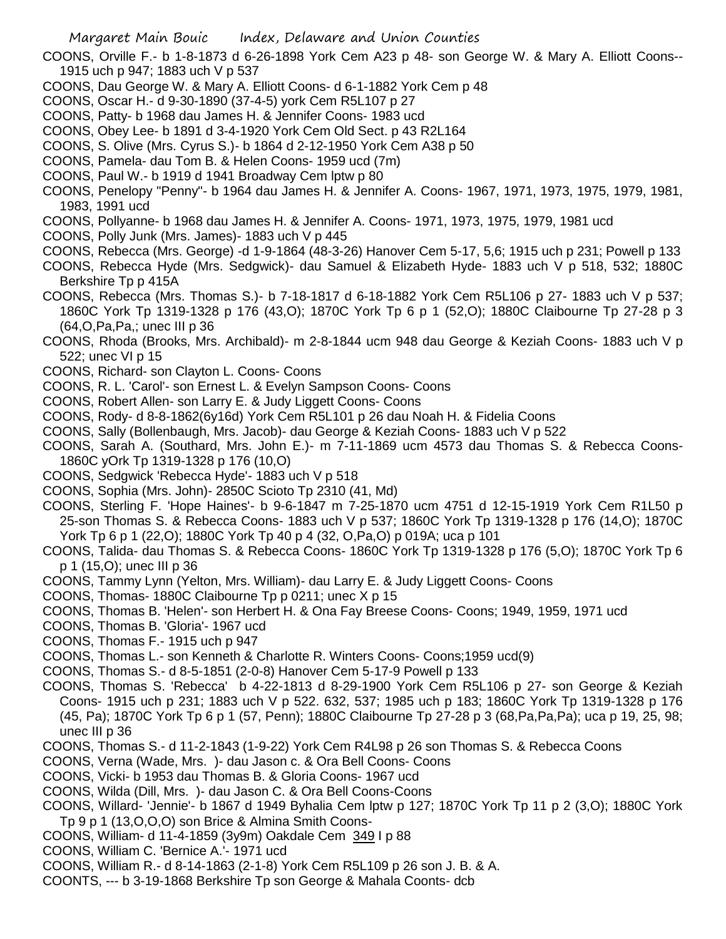COONS, Orville F.- b 1-8-1873 d 6-26-1898 York Cem A23 p 48- son George W. & Mary A. Elliott Coons-- 1915 uch p 947; 1883 uch V p 537

- COONS, Dau George W. & Mary A. Elliott Coons- d 6-1-1882 York Cem p 48
- COONS, Oscar H.- d 9-30-1890 (37-4-5) york Cem R5L107 p 27
- COONS, Patty- b 1968 dau James H. & Jennifer Coons- 1983 ucd
- COONS, Obey Lee- b 1891 d 3-4-1920 York Cem Old Sect. p 43 R2L164
- COONS, S. Olive (Mrs. Cyrus S.)- b 1864 d 2-12-1950 York Cem A38 p 50
- COONS, Pamela- dau Tom B. & Helen Coons- 1959 ucd (7m)
- COONS, Paul W.- b 1919 d 1941 Broadway Cem lptw p 80
- COONS, Penelopy "Penny"- b 1964 dau James H. & Jennifer A. Coons- 1967, 1971, 1973, 1975, 1979, 1981, 1983, 1991 ucd
- COONS, Pollyanne- b 1968 dau James H. & Jennifer A. Coons- 1971, 1973, 1975, 1979, 1981 ucd
- COONS, Polly Junk (Mrs. James)- 1883 uch V p 445
- COONS, Rebecca (Mrs. George) -d 1-9-1864 (48-3-26) Hanover Cem 5-17, 5,6; 1915 uch p 231; Powell p 133
- COONS, Rebecca Hyde (Mrs. Sedgwick)- dau Samuel & Elizabeth Hyde- 1883 uch V p 518, 532; 1880C Berkshire Tp p 415A
- COONS, Rebecca (Mrs. Thomas S.)- b 7-18-1817 d 6-18-1882 York Cem R5L106 p 27- 1883 uch V p 537; 1860C York Tp 1319-1328 p 176 (43,O); 1870C York Tp 6 p 1 (52,O); 1880C Claibourne Tp 27-28 p 3 (64,O,Pa,Pa,; unec III p 36
- COONS, Rhoda (Brooks, Mrs. Archibald)- m 2-8-1844 ucm 948 dau George & Keziah Coons- 1883 uch V p 522; unec VI p 15
- COONS, Richard- son Clayton L. Coons- Coons
- COONS, R. L. 'Carol'- son Ernest L. & Evelyn Sampson Coons- Coons
- COONS, Robert Allen- son Larry E. & Judy Liggett Coons- Coons
- COONS, Rody- d 8-8-1862(6y16d) York Cem R5L101 p 26 dau Noah H. & Fidelia Coons
- COONS, Sally (Bollenbaugh, Mrs. Jacob)- dau George & Keziah Coons- 1883 uch V p 522
- COONS, Sarah A. (Southard, Mrs. John E.)- m 7-11-1869 ucm 4573 dau Thomas S. & Rebecca Coons-1860C yOrk Tp 1319-1328 p 176 (10,O)
- COONS, Sedgwick 'Rebecca Hyde'- 1883 uch V p 518
- COONS, Sophia (Mrs. John)- 2850C Scioto Tp 2310 (41, Md)
- COONS, Sterling F. 'Hope Haines'- b 9-6-1847 m 7-25-1870 ucm 4751 d 12-15-1919 York Cem R1L50 p 25-son Thomas S. & Rebecca Coons- 1883 uch V p 537; 1860C York Tp 1319-1328 p 176 (14,O); 1870C York Tp 6 p 1 (22,O); 1880C York Tp 40 p 4 (32, O,Pa,O) p 019A; uca p 101
- COONS, Talida- dau Thomas S. & Rebecca Coons- 1860C York Tp 1319-1328 p 176 (5,O); 1870C York Tp 6 p 1 (15,O); unec III p 36
- COONS, Tammy Lynn (Yelton, Mrs. William)- dau Larry E. & Judy Liggett Coons- Coons
- COONS, Thomas- 1880C Claibourne Tp p 0211; unec X p 15
- COONS, Thomas B. 'Helen'- son Herbert H. & Ona Fay Breese Coons- Coons; 1949, 1959, 1971 ucd
- COONS, Thomas B. 'Gloria'- 1967 ucd
- COONS, Thomas F.- 1915 uch p 947
- COONS, Thomas L.- son Kenneth & Charlotte R. Winters Coons- Coons;1959 ucd(9)
- COONS, Thomas S.- d 8-5-1851 (2-0-8) Hanover Cem 5-17-9 Powell p 133
- COONS, Thomas S. 'Rebecca' b 4-22-1813 d 8-29-1900 York Cem R5L106 p 27- son George & Keziah Coons- 1915 uch p 231; 1883 uch V p 522. 632, 537; 1985 uch p 183; 1860C York Tp 1319-1328 p 176 (45, Pa); 1870C York Tp 6 p 1 (57, Penn); 1880C Claibourne Tp 27-28 p 3 (68,Pa,Pa,Pa); uca p 19, 25, 98; unec III p 36
- COONS, Thomas S.- d 11-2-1843 (1-9-22) York Cem R4L98 p 26 son Thomas S. & Rebecca Coons
- COONS, Verna (Wade, Mrs. )- dau Jason c. & Ora Bell Coons- Coons
- COONS, Vicki- b 1953 dau Thomas B. & Gloria Coons- 1967 ucd
- COONS, Wilda (Dill, Mrs. )- dau Jason C. & Ora Bell Coons-Coons
- COONS, Willard- 'Jennie'- b 1867 d 1949 Byhalia Cem lptw p 127; 1870C York Tp 11 p 2 (3,O); 1880C York Tp 9 p 1 (13,O,O,O) son Brice & Almina Smith Coons-
- COONS, William- d 11-4-1859 (3y9m) Oakdale Cem 349 I p 88
- COONS, William C. 'Bernice A.'- 1971 ucd
- COONS, William R.- d 8-14-1863 (2-1-8) York Cem R5L109 p 26 son J. B. & A.
- COONTS, --- b 3-19-1868 Berkshire Tp son George & Mahala Coonts- dcb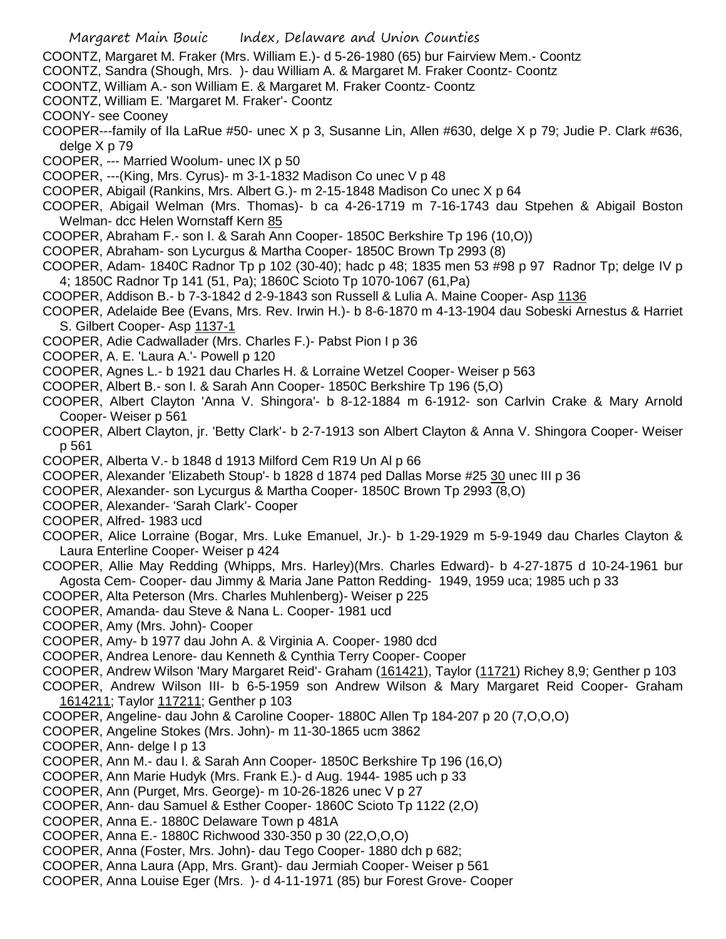- COONTZ, Margaret M. Fraker (Mrs. William E.)- d 5-26-1980 (65) bur Fairview Mem.- Coontz
- COONTZ, Sandra (Shough, Mrs. )- dau William A. & Margaret M. Fraker Coontz- Coontz
- COONTZ, William A.- son William E. & Margaret M. Fraker Coontz- Coontz
- COONTZ, William E. 'Margaret M. Fraker'- Coontz
- COONY- see Cooney
- COOPER---family of Ila LaRue #50- unec X p 3, Susanne Lin, Allen #630, delge X p 79; Judie P. Clark #636, delge X p 79
- COOPER, --- Married Woolum- unec IX p 50
- COOPER, ---(King, Mrs. Cyrus)- m 3-1-1832 Madison Co unec V p 48
- COOPER, Abigail (Rankins, Mrs. Albert G.)- m 2-15-1848 Madison Co unec X p 64
- COOPER, Abigail Welman (Mrs. Thomas)- b ca 4-26-1719 m 7-16-1743 dau Stpehen & Abigail Boston Welman- dcc Helen Wornstaff Kern 85
- COOPER, Abraham F.- son I. & Sarah Ann Cooper- 1850C Berkshire Tp 196 (10,O))
- COOPER, Abraham- son Lycurgus & Martha Cooper- 1850C Brown Tp 2993 (8)
- COOPER, Adam- 1840C Radnor Tp p 102 (30-40); hadc p 48; 1835 men 53 #98 p 97 Radnor Tp; delge IV p 4; 1850C Radnor Tp 141 (51, Pa); 1860C Scioto Tp 1070-1067 (61,Pa)
- COOPER, Addison B.- b 7-3-1842 d 2-9-1843 son Russell & Lulia A. Maine Cooper- Asp 1136
- COOPER, Adelaide Bee (Evans, Mrs. Rev. Irwin H.)- b 8-6-1870 m 4-13-1904 dau Sobeski Arnestus & Harriet S. Gilbert Cooper- Asp 1137-1
- COOPER, Adie Cadwallader (Mrs. Charles F.)- Pabst Pion I p 36
- COOPER, A. E. 'Laura A.'- Powell p 120
- COOPER, Agnes L.- b 1921 dau Charles H. & Lorraine Wetzel Cooper- Weiser p 563
- COOPER, Albert B.- son I. & Sarah Ann Cooper- 1850C Berkshire Tp 196 (5,O)
- COOPER, Albert Clayton 'Anna V. Shingora'- b 8-12-1884 m 6-1912- son Carlvin Crake & Mary Arnold Cooper- Weiser p 561
- COOPER, Albert Clayton, jr. 'Betty Clark'- b 2-7-1913 son Albert Clayton & Anna V. Shingora Cooper- Weiser p 561
- COOPER, Alberta V.- b 1848 d 1913 Milford Cem R19 Un Al p 66
- COOPER, Alexander 'Elizabeth Stoup'- b 1828 d 1874 ped Dallas Morse #25 30 unec III p 36
- COOPER, Alexander- son Lycurgus & Martha Cooper- 1850C Brown Tp 2993 (8,O)
- COOPER, Alexander- 'Sarah Clark'- Cooper
- COOPER, Alfred- 1983 ucd
- COOPER, Alice Lorraine (Bogar, Mrs. Luke Emanuel, Jr.)- b 1-29-1929 m 5-9-1949 dau Charles Clayton & Laura Enterline Cooper- Weiser p 424
- COOPER, Allie May Redding (Whipps, Mrs. Harley)(Mrs. Charles Edward)- b 4-27-1875 d 10-24-1961 bur Agosta Cem- Cooper- dau Jimmy & Maria Jane Patton Redding- 1949, 1959 uca; 1985 uch p 33
- COOPER, Alta Peterson (Mrs. Charles Muhlenberg)- Weiser p 225
- COOPER, Amanda- dau Steve & Nana L. Cooper- 1981 ucd
- COOPER, Amy (Mrs. John)- Cooper
- COOPER, Amy- b 1977 dau John A. & Virginia A. Cooper- 1980 dcd
- COOPER, Andrea Lenore- dau Kenneth & Cynthia Terry Cooper- Cooper
- COOPER, Andrew Wilson 'Mary Margaret Reid'- Graham (161421), Taylor (11721) Richey 8,9; Genther p 103
- COOPER, Andrew Wilson III- b 6-5-1959 son Andrew Wilson & Mary Margaret Reid Cooper- Graham 1614211; Taylor 117211; Genther p 103
- COOPER, Angeline- dau John & Caroline Cooper- 1880C Allen Tp 184-207 p 20 (7,O,O,O)
- COOPER, Angeline Stokes (Mrs. John)- m 11-30-1865 ucm 3862
- COOPER, Ann- delge I p 13
- COOPER, Ann M.- dau I. & Sarah Ann Cooper- 1850C Berkshire Tp 196 (16,O)
- COOPER, Ann Marie Hudyk (Mrs. Frank E.)- d Aug. 1944- 1985 uch p 33
- COOPER, Ann (Purget, Mrs. George)- m 10-26-1826 unec V p 27
- COOPER, Ann- dau Samuel & Esther Cooper- 1860C Scioto Tp 1122 (2,O)
- COOPER, Anna E.- 1880C Delaware Town p 481A
- COOPER, Anna E.- 1880C Richwood 330-350 p 30 (22,O,O,O)
- COOPER, Anna (Foster, Mrs. John)- dau Tego Cooper- 1880 dch p 682;
- COOPER, Anna Laura (App, Mrs. Grant)- dau Jermiah Cooper- Weiser p 561
- COOPER, Anna Louise Eger (Mrs. )- d 4-11-1971 (85) bur Forest Grove- Cooper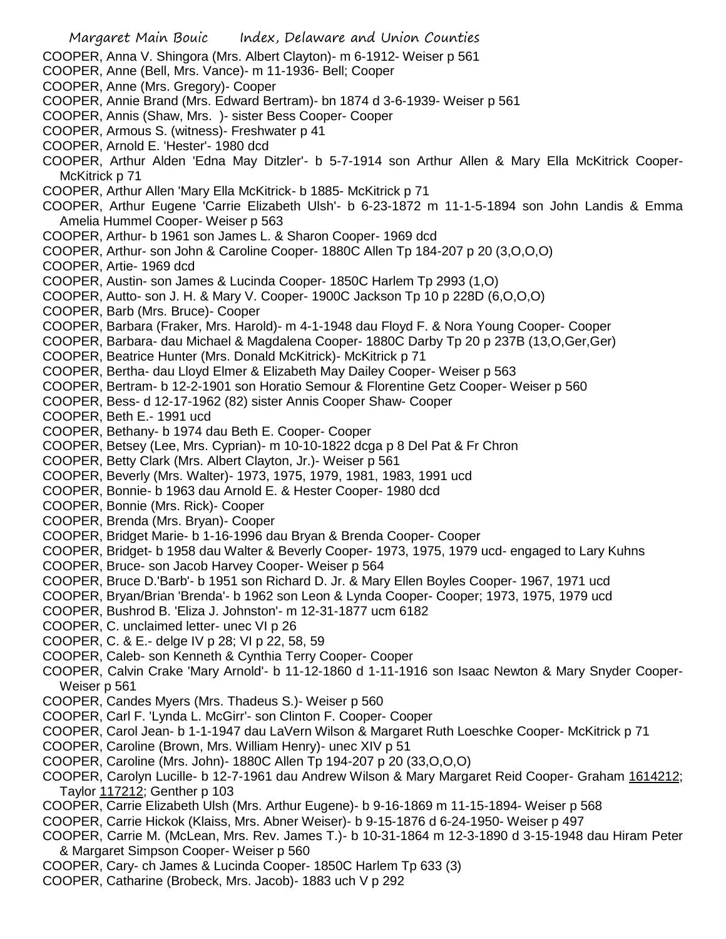- Margaret Main Bouic Index, Delaware and Union Counties COOPER, Anna V. Shingora (Mrs. Albert Clayton)- m 6-1912- Weiser p 561 COOPER, Anne (Bell, Mrs. Vance)- m 11-1936- Bell; Cooper COOPER, Anne (Mrs. Gregory)- Cooper COOPER, Annie Brand (Mrs. Edward Bertram)- bn 1874 d 3-6-1939- Weiser p 561 COOPER, Annis (Shaw, Mrs. )- sister Bess Cooper- Cooper COOPER, Armous S. (witness)- Freshwater p 41 COOPER, Arnold E. 'Hester'- 1980 dcd COOPER, Arthur Alden 'Edna May Ditzler'- b 5-7-1914 son Arthur Allen & Mary Ella McKitrick Cooper-McKitrick p 71 COOPER, Arthur Allen 'Mary Ella McKitrick- b 1885- McKitrick p 71 COOPER, Arthur Eugene 'Carrie Elizabeth Ulsh'- b 6-23-1872 m 11-1-5-1894 son John Landis & Emma Amelia Hummel Cooper- Weiser p 563 COOPER, Arthur- b 1961 son James L. & Sharon Cooper- 1969 dcd COOPER, Arthur- son John & Caroline Cooper- 1880C Allen Tp 184-207 p 20 (3,O,O,O) COOPER, Artie- 1969 dcd COOPER, Austin- son James & Lucinda Cooper- 1850C Harlem Tp 2993 (1,O) COOPER, Autto- son J. H. & Mary V. Cooper- 1900C Jackson Tp 10 p 228D (6,O,O,O) COOPER, Barb (Mrs. Bruce)- Cooper COOPER, Barbara (Fraker, Mrs. Harold)- m 4-1-1948 dau Floyd F. & Nora Young Cooper- Cooper COOPER, Barbara- dau Michael & Magdalena Cooper- 1880C Darby Tp 20 p 237B (13,O,Ger,Ger) COOPER, Beatrice Hunter (Mrs. Donald McKitrick)- McKitrick p 71 COOPER, Bertha- dau Lloyd Elmer & Elizabeth May Dailey Cooper- Weiser p 563 COOPER, Bertram- b 12-2-1901 son Horatio Semour & Florentine Getz Cooper- Weiser p 560 COOPER, Bess- d 12-17-1962 (82) sister Annis Cooper Shaw- Cooper COOPER, Beth E.- 1991 ucd COOPER, Bethany- b 1974 dau Beth E. Cooper- Cooper COOPER, Betsey (Lee, Mrs. Cyprian)- m 10-10-1822 dcga p 8 Del Pat & Fr Chron COOPER, Betty Clark (Mrs. Albert Clayton, Jr.)- Weiser p 561 COOPER, Beverly (Mrs. Walter)- 1973, 1975, 1979, 1981, 1983, 1991 ucd COOPER, Bonnie- b 1963 dau Arnold E. & Hester Cooper- 1980 dcd COOPER, Bonnie (Mrs. Rick)- Cooper COOPER, Brenda (Mrs. Bryan)- Cooper COOPER, Bridget Marie- b 1-16-1996 dau Bryan & Brenda Cooper- Cooper COOPER, Bridget- b 1958 dau Walter & Beverly Cooper- 1973, 1975, 1979 ucd- engaged to Lary Kuhns COOPER, Bruce- son Jacob Harvey Cooper- Weiser p 564 COOPER, Bruce D.'Barb'- b 1951 son Richard D. Jr. & Mary Ellen Boyles Cooper- 1967, 1971 ucd COOPER, Bryan/Brian 'Brenda'- b 1962 son Leon & Lynda Cooper- Cooper; 1973, 1975, 1979 ucd COOPER, Bushrod B. 'Eliza J. Johnston'- m 12-31-1877 ucm 6182 COOPER, C. unclaimed letter- unec VI p 26 COOPER, C. & E.- delge IV p 28; VI p 22, 58, 59 COOPER, Caleb- son Kenneth & Cynthia Terry Cooper- Cooper COOPER, Calvin Crake 'Mary Arnold'- b 11-12-1860 d 1-11-1916 son Isaac Newton & Mary Snyder Cooper-Weiser p 561 COOPER, Candes Myers (Mrs. Thadeus S.)- Weiser p 560 COOPER, Carl F. 'Lynda L. McGirr'- son Clinton F. Cooper- Cooper COOPER, Carol Jean- b 1-1-1947 dau LaVern Wilson & Margaret Ruth Loeschke Cooper- McKitrick p 71 COOPER, Caroline (Brown, Mrs. William Henry)- unec XIV p 51 COOPER, Caroline (Mrs. John)- 1880C Allen Tp 194-207 p 20 (33,O,O,O) COOPER, Carolyn Lucille- b 12-7-1961 dau Andrew Wilson & Mary Margaret Reid Cooper- Graham 1614212; Taylor 117212; Genther p 103 COOPER, Carrie Elizabeth Ulsh (Mrs. Arthur Eugene)- b 9-16-1869 m 11-15-1894- Weiser p 568 COOPER, Carrie Hickok (Klaiss, Mrs. Abner Weiser)- b 9-15-1876 d 6-24-1950- Weiser p 497 COOPER, Carrie M. (McLean, Mrs. Rev. James T.)- b 10-31-1864 m 12-3-1890 d 3-15-1948 dau Hiram Peter & Margaret Simpson Cooper- Weiser p 560
- COOPER, Cary- ch James & Lucinda Cooper- 1850C Harlem Tp 633 (3)
- COOPER, Catharine (Brobeck, Mrs. Jacob)- 1883 uch V p 292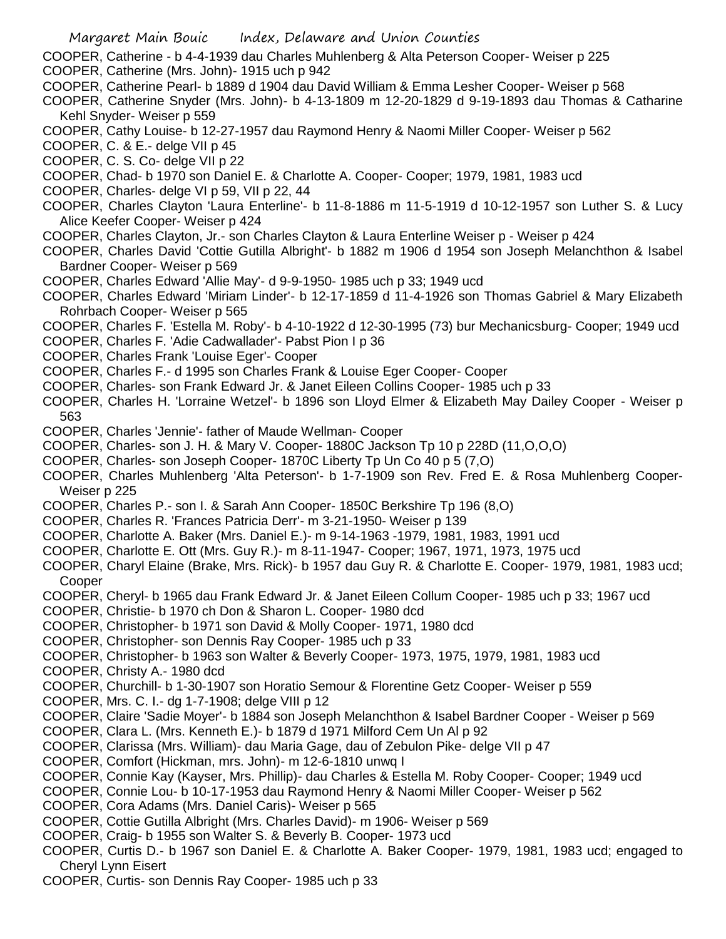COOPER, Catherine - b 4-4-1939 dau Charles Muhlenberg & Alta Peterson Cooper- Weiser p 225 COOPER, Catherine (Mrs. John)- 1915 uch p 942

- COOPER, Catherine Pearl- b 1889 d 1904 dau David William & Emma Lesher Cooper- Weiser p 568
- COOPER, Catherine Snyder (Mrs. John)- b 4-13-1809 m 12-20-1829 d 9-19-1893 dau Thomas & Catharine Kehl Snyder- Weiser p 559
- COOPER, Cathy Louise- b 12-27-1957 dau Raymond Henry & Naomi Miller Cooper- Weiser p 562
- COOPER, C. & E.- delge VII p 45
- COOPER, C. S. Co- delge VII p 22
- COOPER, Chad- b 1970 son Daniel E. & Charlotte A. Cooper- Cooper; 1979, 1981, 1983 ucd
- COOPER, Charles- delge VI p 59, VII p 22, 44
- COOPER, Charles Clayton 'Laura Enterline'- b 11-8-1886 m 11-5-1919 d 10-12-1957 son Luther S. & Lucy Alice Keefer Cooper- Weiser p 424
- COOPER, Charles Clayton, Jr.- son Charles Clayton & Laura Enterline Weiser p Weiser p 424
- COOPER, Charles David 'Cottie Gutilla Albright'- b 1882 m 1906 d 1954 son Joseph Melanchthon & Isabel Bardner Cooper- Weiser p 569
- COOPER, Charles Edward 'Allie May'- d 9-9-1950- 1985 uch p 33; 1949 ucd
- COOPER, Charles Edward 'Miriam Linder'- b 12-17-1859 d 11-4-1926 son Thomas Gabriel & Mary Elizabeth Rohrbach Cooper- Weiser p 565
- COOPER, Charles F. 'Estella M. Roby'- b 4-10-1922 d 12-30-1995 (73) bur Mechanicsburg- Cooper; 1949 ucd
- COOPER, Charles F. 'Adie Cadwallader'- Pabst Pion I p 36
- COOPER, Charles Frank 'Louise Eger'- Cooper
- COOPER, Charles F.- d 1995 son Charles Frank & Louise Eger Cooper- Cooper
- COOPER, Charles- son Frank Edward Jr. & Janet Eileen Collins Cooper- 1985 uch p 33
- COOPER, Charles H. 'Lorraine Wetzel'- b 1896 son Lloyd Elmer & Elizabeth May Dailey Cooper Weiser p 563
- COOPER, Charles 'Jennie'- father of Maude Wellman- Cooper
- COOPER, Charles- son J. H. & Mary V. Cooper- 1880C Jackson Tp 10 p 228D (11,O,O,O)
- COOPER, Charles- son Joseph Cooper- 1870C Liberty Tp Un Co 40 p 5 (7,O)
- COOPER, Charles Muhlenberg 'Alta Peterson'- b 1-7-1909 son Rev. Fred E. & Rosa Muhlenberg Cooper-Weiser p 225
- COOPER, Charles P.- son I. & Sarah Ann Cooper- 1850C Berkshire Tp 196 (8,O)
- COOPER, Charles R. 'Frances Patricia Derr'- m 3-21-1950- Weiser p 139
- COOPER, Charlotte A. Baker (Mrs. Daniel E.)- m 9-14-1963 -1979, 1981, 1983, 1991 ucd
- COOPER, Charlotte E. Ott (Mrs. Guy R.)- m 8-11-1947- Cooper; 1967, 1971, 1973, 1975 ucd
- COOPER, Charyl Elaine (Brake, Mrs. Rick)- b 1957 dau Guy R. & Charlotte E. Cooper- 1979, 1981, 1983 ucd; Cooper
- COOPER, Cheryl- b 1965 dau Frank Edward Jr. & Janet Eileen Collum Cooper- 1985 uch p 33; 1967 ucd
- COOPER, Christie- b 1970 ch Don & Sharon L. Cooper- 1980 dcd
- COOPER, Christopher- b 1971 son David & Molly Cooper- 1971, 1980 dcd
- COOPER, Christopher- son Dennis Ray Cooper- 1985 uch p 33
- COOPER, Christopher- b 1963 son Walter & Beverly Cooper- 1973, 1975, 1979, 1981, 1983 ucd
- COOPER, Christy A.- 1980 dcd
- COOPER, Churchill- b 1-30-1907 son Horatio Semour & Florentine Getz Cooper- Weiser p 559
- COOPER, Mrs. C. I.- dg 1-7-1908; delge VIII p 12
- COOPER, Claire 'Sadie Moyer'- b 1884 son Joseph Melanchthon & Isabel Bardner Cooper Weiser p 569
- COOPER, Clara L. (Mrs. Kenneth E.)- b 1879 d 1971 Milford Cem Un Al p 92
- COOPER, Clarissa (Mrs. William)- dau Maria Gage, dau of Zebulon Pike- delge VII p 47
- COOPER, Comfort (Hickman, mrs. John)- m 12-6-1810 unwq I
- COOPER, Connie Kay (Kayser, Mrs. Phillip)- dau Charles & Estella M. Roby Cooper- Cooper; 1949 ucd
- COOPER, Connie Lou- b 10-17-1953 dau Raymond Henry & Naomi Miller Cooper- Weiser p 562
- COOPER, Cora Adams (Mrs. Daniel Caris)- Weiser p 565
- COOPER, Cottie Gutilla Albright (Mrs. Charles David)- m 1906- Weiser p 569
- COOPER, Craig- b 1955 son Walter S. & Beverly B. Cooper- 1973 ucd
- COOPER, Curtis D.- b 1967 son Daniel E. & Charlotte A. Baker Cooper- 1979, 1981, 1983 ucd; engaged to Cheryl Lynn Eisert
- COOPER, Curtis- son Dennis Ray Cooper- 1985 uch p 33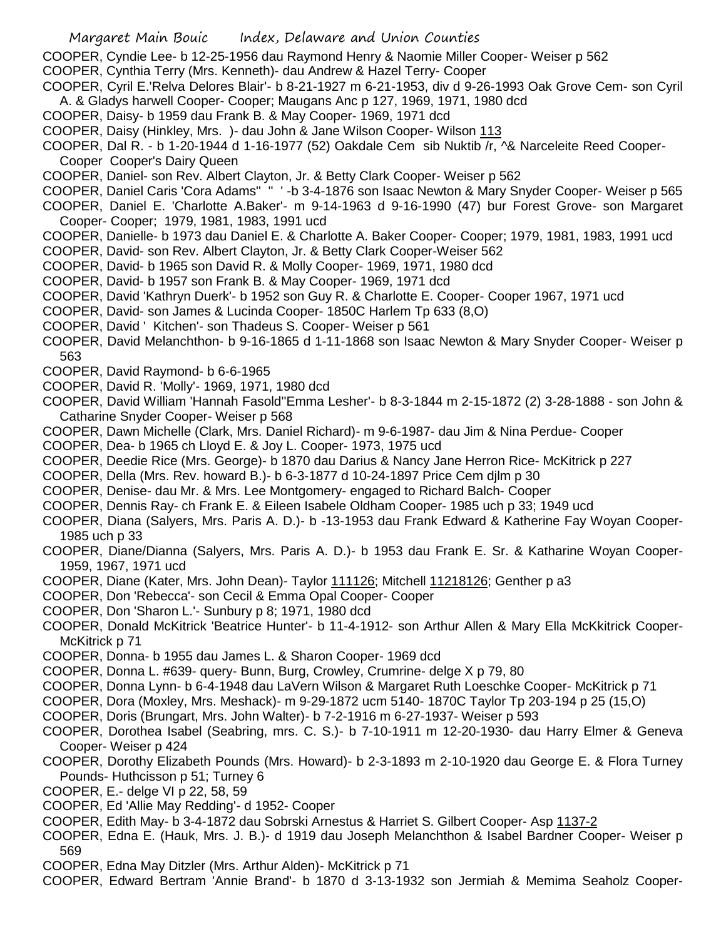- Margaret Main Bouic Index, Delaware and Union Counties
- COOPER, Cyndie Lee- b 12-25-1956 dau Raymond Henry & Naomie Miller Cooper- Weiser p 562
- COOPER, Cynthia Terry (Mrs. Kenneth)- dau Andrew & Hazel Terry- Cooper
- COOPER, Cyril E.'Relva Delores Blair'- b 8-21-1927 m 6-21-1953, div d 9-26-1993 Oak Grove Cem- son Cyril A. & Gladys harwell Cooper- Cooper; Maugans Anc p 127, 1969, 1971, 1980 dcd
- COOPER, Daisy- b 1959 dau Frank B. & May Cooper- 1969, 1971 dcd
- COOPER, Daisy (Hinkley, Mrs. )- dau John & Jane Wilson Cooper- Wilson 113
- COOPER, Dal R. b 1-20-1944 d 1-16-1977 (52) Oakdale Cem sib Nuktib /r, ^& Narceleite Reed Cooper-Cooper Cooper's Dairy Queen
- COOPER, Daniel- son Rev. Albert Clayton, Jr. & Betty Clark Cooper- Weiser p 562
- COOPER, Daniel Caris 'Cora Adams'' '' ' -b 3-4-1876 son Isaac Newton & Mary Snyder Cooper- Weiser p 565
- COOPER, Daniel E. 'Charlotte A.Baker'- m 9-14-1963 d 9-16-1990 (47) bur Forest Grove- son Margaret Cooper- Cooper; 1979, 1981, 1983, 1991 ucd
- COOPER, Danielle- b 1973 dau Daniel E. & Charlotte A. Baker Cooper- Cooper; 1979, 1981, 1983, 1991 ucd COOPER, David- son Rev. Albert Clayton, Jr. & Betty Clark Cooper-Weiser 562
- COOPER, David- b 1965 son David R. & Molly Cooper- 1969, 1971, 1980 dcd
- COOPER, David- b 1957 son Frank B. & May Cooper- 1969, 1971 dcd
- COOPER, David 'Kathryn Duerk'- b 1952 son Guy R. & Charlotte E. Cooper- Cooper 1967, 1971 ucd
- COOPER, David- son James & Lucinda Cooper- 1850C Harlem Tp 633 (8,O)
- COOPER, David ' Kitchen'- son Thadeus S. Cooper- Weiser p 561
- COOPER, David Melanchthon- b 9-16-1865 d 1-11-1868 son Isaac Newton & Mary Snyder Cooper- Weiser p 563
- COOPER, David Raymond- b 6-6-1965
- COOPER, David R. 'Molly'- 1969, 1971, 1980 dcd
- COOPER, David William 'Hannah Fasold''Emma Lesher'- b 8-3-1844 m 2-15-1872 (2) 3-28-1888 son John & Catharine Snyder Cooper- Weiser p 568
- COOPER, Dawn Michelle (Clark, Mrs. Daniel Richard)- m 9-6-1987- dau Jim & Nina Perdue- Cooper
- COOPER, Dea- b 1965 ch Lloyd E. & Joy L. Cooper- 1973, 1975 ucd
- COOPER, Deedie Rice (Mrs. George)- b 1870 dau Darius & Nancy Jane Herron Rice- McKitrick p 227
- COOPER, Della (Mrs. Rev. howard B.)- b 6-3-1877 d 10-24-1897 Price Cem djlm p 30
- COOPER, Denise- dau Mr. & Mrs. Lee Montgomery- engaged to Richard Balch- Cooper
- COOPER, Dennis Ray- ch Frank E. & Eileen Isabele Oldham Cooper- 1985 uch p 33; 1949 ucd
- COOPER, Diana (Salyers, Mrs. Paris A. D.)- b -13-1953 dau Frank Edward & Katherine Fay Woyan Cooper-1985 uch p 33
- COOPER, Diane/Dianna (Salyers, Mrs. Paris A. D.)- b 1953 dau Frank E. Sr. & Katharine Woyan Cooper-1959, 1967, 1971 ucd
- COOPER, Diane (Kater, Mrs. John Dean)- Taylor 111126; Mitchell 11218126; Genther p a3
- COOPER, Don 'Rebecca'- son Cecil & Emma Opal Cooper- Cooper
- COOPER, Don 'Sharon L.'- Sunbury p 8; 1971, 1980 dcd
- COOPER, Donald McKitrick 'Beatrice Hunter'- b 11-4-1912- son Arthur Allen & Mary Ella McKkitrick Cooper-McKitrick p 71
- COOPER, Donna- b 1955 dau James L. & Sharon Cooper- 1969 dcd
- COOPER, Donna L. #639- query- Bunn, Burg, Crowley, Crumrine- delge X p 79, 80
- COOPER, Donna Lynn- b 6-4-1948 dau LaVern Wilson & Margaret Ruth Loeschke Cooper- McKitrick p 71
- COOPER, Dora (Moxley, Mrs. Meshack)- m 9-29-1872 ucm 5140- 1870C Taylor Tp 203-194 p 25 (15,O)
- COOPER, Doris (Brungart, Mrs. John Walter)- b 7-2-1916 m 6-27-1937- Weiser p 593
- COOPER, Dorothea Isabel (Seabring, mrs. C. S.)- b 7-10-1911 m 12-20-1930- dau Harry Elmer & Geneva Cooper- Weiser p 424
- COOPER, Dorothy Elizabeth Pounds (Mrs. Howard)- b 2-3-1893 m 2-10-1920 dau George E. & Flora Turney Pounds- Huthcisson p 51; Turney 6
- COOPER, E.- delge VI p 22, 58, 59
- COOPER, Ed 'Allie May Redding'- d 1952- Cooper
- COOPER, Edith May- b 3-4-1872 dau Sobrski Arnestus & Harriet S. Gilbert Cooper- Asp 1137-2
- COOPER, Edna E. (Hauk, Mrs. J. B.)- d 1919 dau Joseph Melanchthon & Isabel Bardner Cooper- Weiser p 569
- COOPER, Edna May Ditzler (Mrs. Arthur Alden)- McKitrick p 71
- COOPER, Edward Bertram 'Annie Brand'- b 1870 d 3-13-1932 son Jermiah & Memima Seaholz Cooper-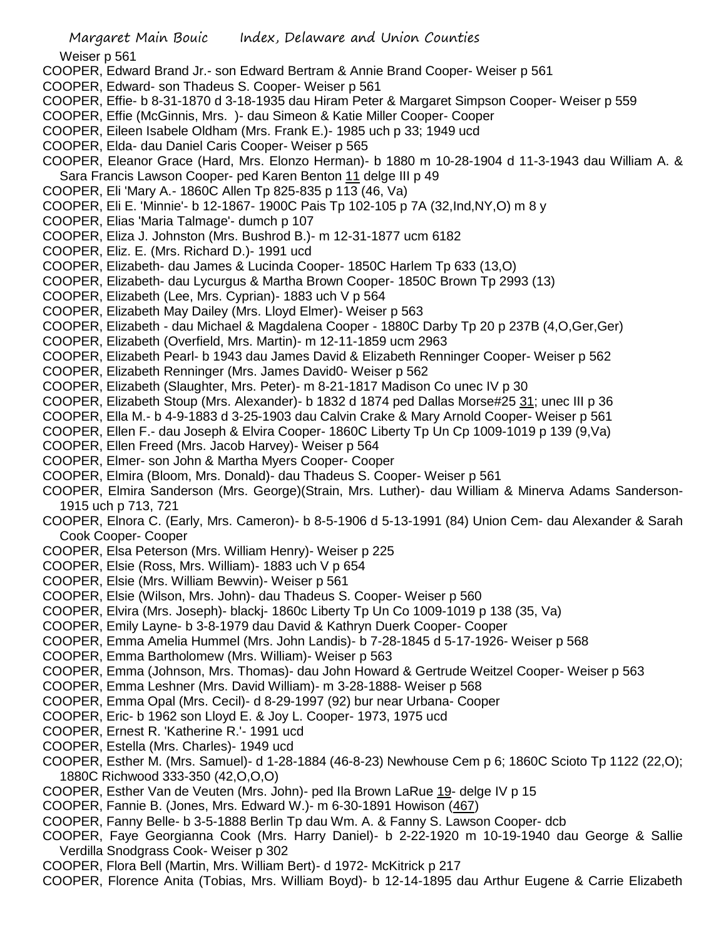Weiser p 561

- COOPER, Edward Brand Jr.- son Edward Bertram & Annie Brand Cooper- Weiser p 561
- COOPER, Edward- son Thadeus S. Cooper- Weiser p 561
- COOPER, Effie- b 8-31-1870 d 3-18-1935 dau Hiram Peter & Margaret Simpson Cooper- Weiser p 559
- COOPER, Effie (McGinnis, Mrs. )- dau Simeon & Katie Miller Cooper- Cooper
- COOPER, Eileen Isabele Oldham (Mrs. Frank E.)- 1985 uch p 33; 1949 ucd
- COOPER, Elda- dau Daniel Caris Cooper- Weiser p 565
- COOPER, Eleanor Grace (Hard, Mrs. Elonzo Herman)- b 1880 m 10-28-1904 d 11-3-1943 dau William A. & Sara Francis Lawson Cooper- ped Karen Benton 11 delge III p 49
- COOPER, Eli 'Mary A.- 1860C Allen Tp 825-835 p 113 (46, Va)
- COOPER, Eli E. 'Minnie'- b 12-1867- 1900C Pais Tp 102-105 p 7A (32,Ind,NY,O) m 8 y
- COOPER, Elias 'Maria Talmage'- dumch p 107
- COOPER, Eliza J. Johnston (Mrs. Bushrod B.)- m 12-31-1877 ucm 6182
- COOPER, Eliz. E. (Mrs. Richard D.)- 1991 ucd
- COOPER, Elizabeth- dau James & Lucinda Cooper- 1850C Harlem Tp 633 (13,O)
- COOPER, Elizabeth- dau Lycurgus & Martha Brown Cooper- 1850C Brown Tp 2993 (13)
- COOPER, Elizabeth (Lee, Mrs. Cyprian)- 1883 uch V p 564
- COOPER, Elizabeth May Dailey (Mrs. Lloyd Elmer)- Weiser p 563
- COOPER, Elizabeth dau Michael & Magdalena Cooper 1880C Darby Tp 20 p 237B (4,O,Ger,Ger)
- COOPER, Elizabeth (Overfield, Mrs. Martin)- m 12-11-1859 ucm 2963
- COOPER, Elizabeth Pearl- b 1943 dau James David & Elizabeth Renninger Cooper- Weiser p 562
- COOPER, Elizabeth Renninger (Mrs. James David0- Weiser p 562
- COOPER, Elizabeth (Slaughter, Mrs. Peter)- m 8-21-1817 Madison Co unec IV p 30
- COOPER, Elizabeth Stoup (Mrs. Alexander)- b 1832 d 1874 ped Dallas Morse#25 31; unec III p 36
- COOPER, Ella M.- b 4-9-1883 d 3-25-1903 dau Calvin Crake & Mary Arnold Cooper- Weiser p 561
- COOPER, Ellen F.- dau Joseph & Elvira Cooper- 1860C Liberty Tp Un Cp 1009-1019 p 139 (9,Va)
- COOPER, Ellen Freed (Mrs. Jacob Harvey)- Weiser p 564
- COOPER, Elmer- son John & Martha Myers Cooper- Cooper
- COOPER, Elmira (Bloom, Mrs. Donald)- dau Thadeus S. Cooper- Weiser p 561
- COOPER, Elmira Sanderson (Mrs. George)(Strain, Mrs. Luther)- dau William & Minerva Adams Sanderson-1915 uch p 713, 721
- COOPER, Elnora C. (Early, Mrs. Cameron)- b 8-5-1906 d 5-13-1991 (84) Union Cem- dau Alexander & Sarah Cook Cooper- Cooper
- COOPER, Elsa Peterson (Mrs. William Henry)- Weiser p 225
- COOPER, Elsie (Ross, Mrs. William)- 1883 uch V p 654
- COOPER, Elsie (Mrs. William Bewvin)- Weiser p 561
- COOPER, Elsie (Wilson, Mrs. John)- dau Thadeus S. Cooper- Weiser p 560
- COOPER, Elvira (Mrs. Joseph)- blackj- 1860c Liberty Tp Un Co 1009-1019 p 138 (35, Va)
- COOPER, Emily Layne- b 3-8-1979 dau David & Kathryn Duerk Cooper- Cooper
- COOPER, Emma Amelia Hummel (Mrs. John Landis)- b 7-28-1845 d 5-17-1926- Weiser p 568
- COOPER, Emma Bartholomew (Mrs. William)- Weiser p 563
- COOPER, Emma (Johnson, Mrs. Thomas)- dau John Howard & Gertrude Weitzel Cooper- Weiser p 563
- COOPER, Emma Leshner (Mrs. David William)- m 3-28-1888- Weiser p 568
- COOPER, Emma Opal (Mrs. Cecil)- d 8-29-1997 (92) bur near Urbana- Cooper
- COOPER, Eric- b 1962 son Lloyd E. & Joy L. Cooper- 1973, 1975 ucd
- COOPER, Ernest R. 'Katherine R.'- 1991 ucd
- COOPER, Estella (Mrs. Charles)- 1949 ucd
- COOPER, Esther M. (Mrs. Samuel)- d 1-28-1884 (46-8-23) Newhouse Cem p 6; 1860C Scioto Tp 1122 (22,O); 1880C Richwood 333-350 (42,O,O,O)
- COOPER, Esther Van de Veuten (Mrs. John)- ped Ila Brown LaRue 19- delge IV p 15
- COOPER, Fannie B. (Jones, Mrs. Edward W.)- m 6-30-1891 Howison (467)
- COOPER, Fanny Belle- b 3-5-1888 Berlin Tp dau Wm. A. & Fanny S. Lawson Cooper- dcb
- COOPER, Faye Georgianna Cook (Mrs. Harry Daniel)- b 2-22-1920 m 10-19-1940 dau George & Sallie Verdilla Snodgrass Cook- Weiser p 302
- COOPER, Flora Bell (Martin, Mrs. William Bert)- d 1972- McKitrick p 217
- COOPER, Florence Anita (Tobias, Mrs. William Boyd)- b 12-14-1895 dau Arthur Eugene & Carrie Elizabeth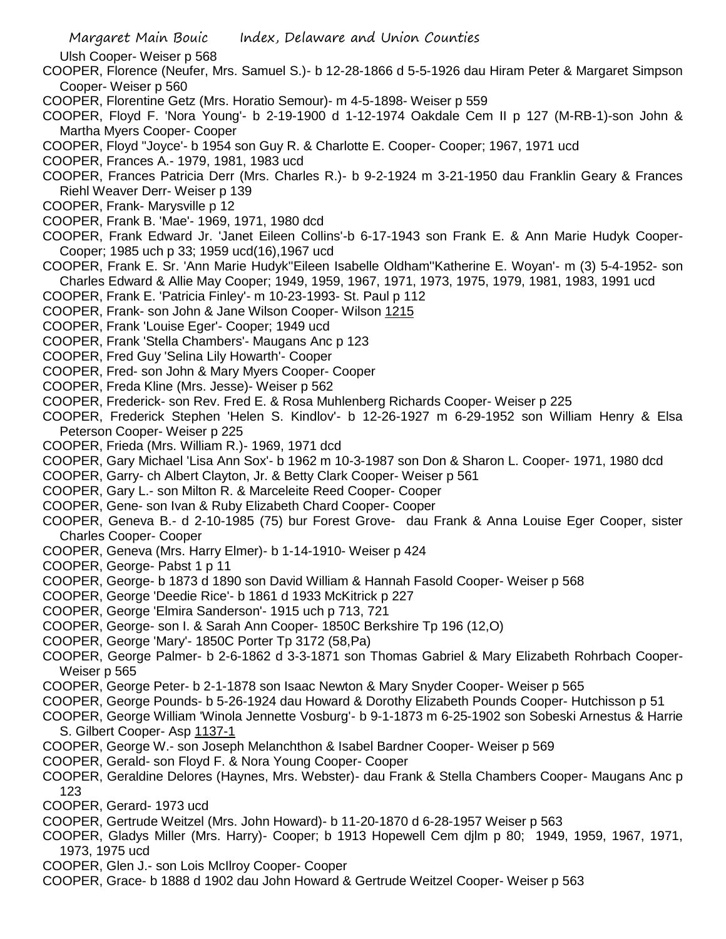Ulsh Cooper- Weiser p 568

- COOPER, Florence (Neufer, Mrs. Samuel S.)- b 12-28-1866 d 5-5-1926 dau Hiram Peter & Margaret Simpson Cooper- Weiser p 560
- COOPER, Florentine Getz (Mrs. Horatio Semour)- m 4-5-1898- Weiser p 559
- COOPER, Floyd F. 'Nora Young'- b 2-19-1900 d 1-12-1974 Oakdale Cem II p 127 (M-RB-1)-son John & Martha Myers Cooper- Cooper
- COOPER, Floyd "Joyce'- b 1954 son Guy R. & Charlotte E. Cooper- Cooper; 1967, 1971 ucd
- COOPER, Frances A.- 1979, 1981, 1983 ucd
- COOPER, Frances Patricia Derr (Mrs. Charles R.)- b 9-2-1924 m 3-21-1950 dau Franklin Geary & Frances Riehl Weaver Derr- Weiser p 139
- COOPER, Frank- Marysville p 12
- COOPER, Frank B. 'Mae'- 1969, 1971, 1980 dcd
- COOPER, Frank Edward Jr. 'Janet Eileen Collins'-b 6-17-1943 son Frank E. & Ann Marie Hudyk Cooper-Cooper; 1985 uch p 33; 1959 ucd(16),1967 ucd
- COOPER, Frank E. Sr. 'Ann Marie Hudyk''Eileen Isabelle Oldham''Katherine E. Woyan'- m (3) 5-4-1952- son Charles Edward & Allie May Cooper; 1949, 1959, 1967, 1971, 1973, 1975, 1979, 1981, 1983, 1991 ucd
- COOPER, Frank E. 'Patricia Finley'- m 10-23-1993- St. Paul p 112
- COOPER, Frank- son John & Jane Wilson Cooper- Wilson 1215
- COOPER, Frank 'Louise Eger'- Cooper; 1949 ucd
- COOPER, Frank 'Stella Chambers'- Maugans Anc p 123
- COOPER, Fred Guy 'Selina Lily Howarth'- Cooper
- COOPER, Fred- son John & Mary Myers Cooper- Cooper
- COOPER, Freda Kline (Mrs. Jesse)- Weiser p 562
- COOPER, Frederick- son Rev. Fred E. & Rosa Muhlenberg Richards Cooper- Weiser p 225
- COOPER, Frederick Stephen 'Helen S. Kindlov'- b 12-26-1927 m 6-29-1952 son William Henry & Elsa Peterson Cooper- Weiser p 225
- COOPER, Frieda (Mrs. William R.)- 1969, 1971 dcd
- COOPER, Gary Michael 'Lisa Ann Sox'- b 1962 m 10-3-1987 son Don & Sharon L. Cooper- 1971, 1980 dcd
- COOPER, Garry- ch Albert Clayton, Jr. & Betty Clark Cooper- Weiser p 561
- COOPER, Gary L.- son Milton R. & Marceleite Reed Cooper- Cooper
- COOPER, Gene- son Ivan & Ruby Elizabeth Chard Cooper- Cooper
- COOPER, Geneva B.- d 2-10-1985 (75) bur Forest Grove- dau Frank & Anna Louise Eger Cooper, sister Charles Cooper- Cooper
- COOPER, Geneva (Mrs. Harry Elmer)- b 1-14-1910- Weiser p 424
- COOPER, George- Pabst 1 p 11
- COOPER, George- b 1873 d 1890 son David William & Hannah Fasold Cooper- Weiser p 568
- COOPER, George 'Deedie Rice'- b 1861 d 1933 McKitrick p 227
- COOPER, George 'Elmira Sanderson'- 1915 uch p 713, 721
- COOPER, George- son I. & Sarah Ann Cooper- 1850C Berkshire Tp 196 (12,O)
- COOPER, George 'Mary'- 1850C Porter Tp 3172 (58,Pa)
- COOPER, George Palmer- b 2-6-1862 d 3-3-1871 son Thomas Gabriel & Mary Elizabeth Rohrbach Cooper-Weiser p 565
- COOPER, George Peter- b 2-1-1878 son Isaac Newton & Mary Snyder Cooper- Weiser p 565
- COOPER, George Pounds- b 5-26-1924 dau Howard & Dorothy Elizabeth Pounds Cooper- Hutchisson p 51
- COOPER, George William 'Winola Jennette Vosburg'- b 9-1-1873 m 6-25-1902 son Sobeski Arnestus & Harrie S. Gilbert Cooper- Asp 1137-1
- COOPER, George W.- son Joseph Melanchthon & Isabel Bardner Cooper- Weiser p 569
- COOPER, Gerald- son Floyd F. & Nora Young Cooper- Cooper
- COOPER, Geraldine Delores (Haynes, Mrs. Webster)- dau Frank & Stella Chambers Cooper- Maugans Anc p 123
- COOPER, Gerard- 1973 ucd
- COOPER, Gertrude Weitzel (Mrs. John Howard)- b 11-20-1870 d 6-28-1957 Weiser p 563
- COOPER, Gladys Miller (Mrs. Harry)- Cooper; b 1913 Hopewell Cem djlm p 80; 1949, 1959, 1967, 1971, 1973, 1975 ucd
- COOPER, Glen J.- son Lois McIlroy Cooper- Cooper
- COOPER, Grace- b 1888 d 1902 dau John Howard & Gertrude Weitzel Cooper- Weiser p 563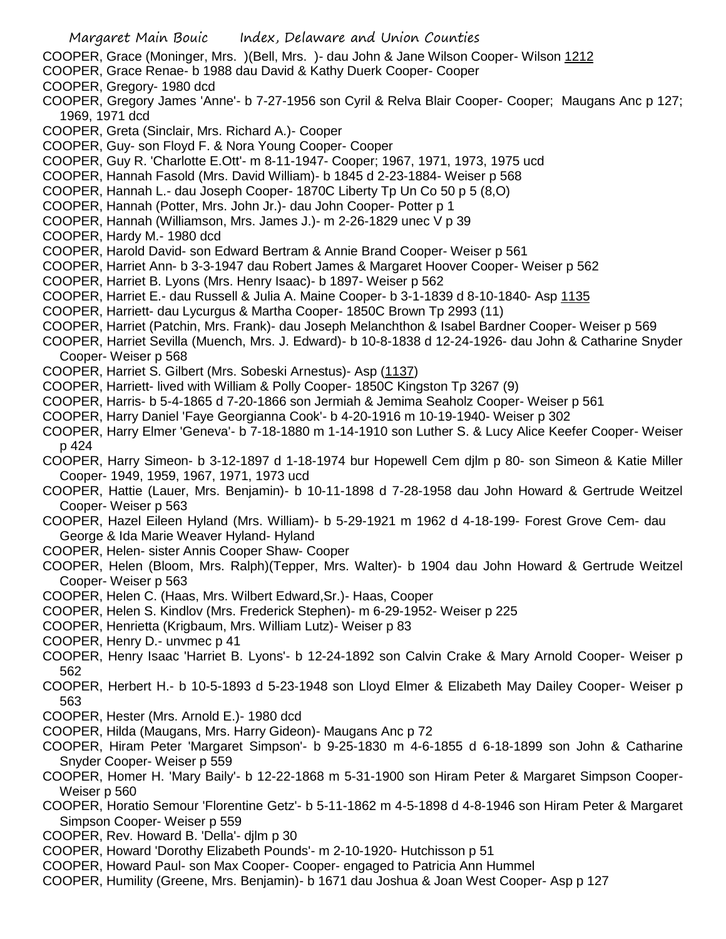- Margaret Main Bouic Index, Delaware and Union Counties COOPER, Grace (Moninger, Mrs. )(Bell, Mrs. )- dau John & Jane Wilson Cooper- Wilson 1212 COOPER, Grace Renae- b 1988 dau David & Kathy Duerk Cooper- Cooper COOPER, Gregory- 1980 dcd COOPER, Gregory James 'Anne'- b 7-27-1956 son Cyril & Relva Blair Cooper- Cooper; Maugans Anc p 127; 1969, 1971 dcd COOPER, Greta (Sinclair, Mrs. Richard A.)- Cooper COOPER, Guy- son Floyd F. & Nora Young Cooper- Cooper COOPER, Guy R. 'Charlotte E.Ott'- m 8-11-1947- Cooper; 1967, 1971, 1973, 1975 ucd COOPER, Hannah Fasold (Mrs. David William)- b 1845 d 2-23-1884- Weiser p 568 COOPER, Hannah L.- dau Joseph Cooper- 1870C Liberty Tp Un Co 50 p 5 (8,O) COOPER, Hannah (Potter, Mrs. John Jr.)- dau John Cooper- Potter p 1 COOPER, Hannah (Williamson, Mrs. James J.)- m 2-26-1829 unec V p 39 COOPER, Hardy M.- 1980 dcd COOPER, Harold David- son Edward Bertram & Annie Brand Cooper- Weiser p 561 COOPER, Harriet Ann- b 3-3-1947 dau Robert James & Margaret Hoover Cooper- Weiser p 562 COOPER, Harriet B. Lyons (Mrs. Henry Isaac)- b 1897- Weiser p 562 COOPER, Harriet E.- dau Russell & Julia A. Maine Cooper- b 3-1-1839 d 8-10-1840- Asp 1135 COOPER, Harriett- dau Lycurgus & Martha Cooper- 1850C Brown Tp 2993 (11) COOPER, Harriet (Patchin, Mrs. Frank)- dau Joseph Melanchthon & Isabel Bardner Cooper- Weiser p 569 COOPER, Harriet Sevilla (Muench, Mrs. J. Edward)- b 10-8-1838 d 12-24-1926- dau John & Catharine Snyder Cooper- Weiser p 568
	- COOPER, Harriet S. Gilbert (Mrs. Sobeski Arnestus)- Asp (1137)
	- COOPER, Harriett- lived with William & Polly Cooper- 1850C Kingston Tp 3267 (9)
	- COOPER, Harris- b 5-4-1865 d 7-20-1866 son Jermiah & Jemima Seaholz Cooper- Weiser p 561
	- COOPER, Harry Daniel 'Faye Georgianna Cook'- b 4-20-1916 m 10-19-1940- Weiser p 302
	- COOPER, Harry Elmer 'Geneva'- b 7-18-1880 m 1-14-1910 son Luther S. & Lucy Alice Keefer Cooper- Weiser p 424
	- COOPER, Harry Simeon- b 3-12-1897 d 1-18-1974 bur Hopewell Cem djlm p 80- son Simeon & Katie Miller Cooper- 1949, 1959, 1967, 1971, 1973 ucd
	- COOPER, Hattie (Lauer, Mrs. Benjamin)- b 10-11-1898 d 7-28-1958 dau John Howard & Gertrude Weitzel Cooper- Weiser p 563
	- COOPER, Hazel Eileen Hyland (Mrs. William)- b 5-29-1921 m 1962 d 4-18-199- Forest Grove Cem- dau George & Ida Marie Weaver Hyland- Hyland
	- COOPER, Helen- sister Annis Cooper Shaw- Cooper
	- COOPER, Helen (Bloom, Mrs. Ralph)(Tepper, Mrs. Walter)- b 1904 dau John Howard & Gertrude Weitzel Cooper- Weiser p 563
	- COOPER, Helen C. (Haas, Mrs. Wilbert Edward,Sr.)- Haas, Cooper
	- COOPER, Helen S. Kindlov (Mrs. Frederick Stephen)- m 6-29-1952- Weiser p 225
	- COOPER, Henrietta (Krigbaum, Mrs. William Lutz)- Weiser p 83
	- COOPER, Henry D.- unvmec p 41
	- COOPER, Henry Isaac 'Harriet B. Lyons'- b 12-24-1892 son Calvin Crake & Mary Arnold Cooper- Weiser p 562
	- COOPER, Herbert H.- b 10-5-1893 d 5-23-1948 son Lloyd Elmer & Elizabeth May Dailey Cooper- Weiser p 563
	- COOPER, Hester (Mrs. Arnold E.)- 1980 dcd
	- COOPER, Hilda (Maugans, Mrs. Harry Gideon)- Maugans Anc p 72
	- COOPER, Hiram Peter 'Margaret Simpson'- b 9-25-1830 m 4-6-1855 d 6-18-1899 son John & Catharine Snyder Cooper- Weiser p 559
	- COOPER, Homer H. 'Mary Baily'- b 12-22-1868 m 5-31-1900 son Hiram Peter & Margaret Simpson Cooper-Weiser p 560
	- COOPER, Horatio Semour 'Florentine Getz'- b 5-11-1862 m 4-5-1898 d 4-8-1946 son Hiram Peter & Margaret Simpson Cooper- Weiser p 559
	- COOPER, Rev. Howard B. 'Della'- djlm p 30
	- COOPER, Howard 'Dorothy Elizabeth Pounds'- m 2-10-1920- Hutchisson p 51
	- COOPER, Howard Paul- son Max Cooper- Cooper- engaged to Patricia Ann Hummel
	- COOPER, Humility (Greene, Mrs. Benjamin)- b 1671 dau Joshua & Joan West Cooper- Asp p 127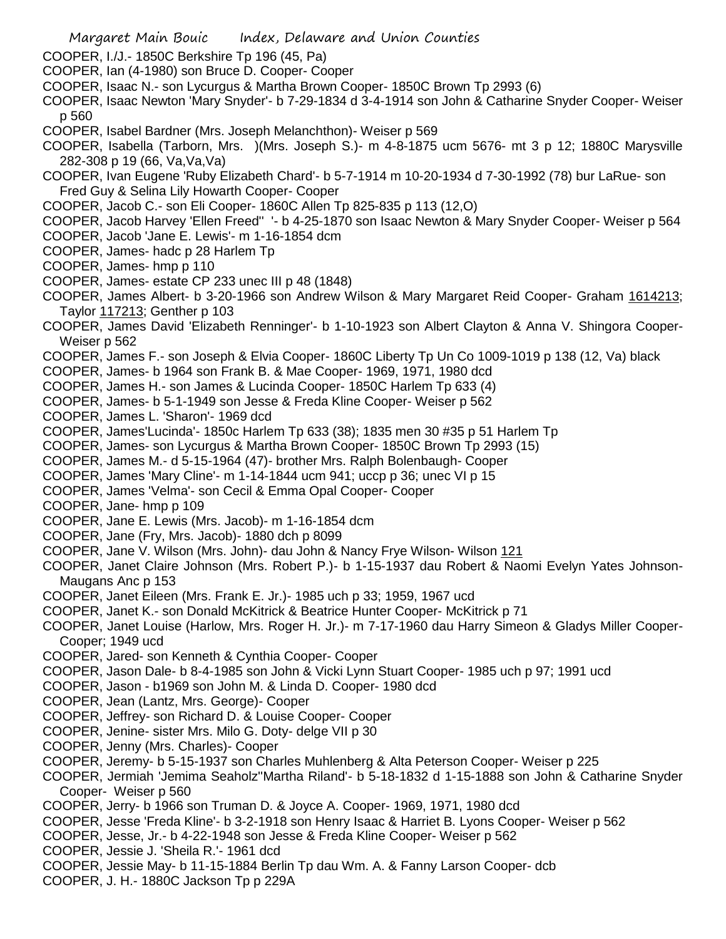- Margaret Main Bouic Index, Delaware and Union Counties
- COOPER, I./J.- 1850C Berkshire Tp 196 (45, Pa)
- COOPER, Ian (4-1980) son Bruce D. Cooper- Cooper
- COOPER, Isaac N.- son Lycurgus & Martha Brown Cooper- 1850C Brown Tp 2993 (6)
- COOPER, Isaac Newton 'Mary Snyder'- b 7-29-1834 d 3-4-1914 son John & Catharine Snyder Cooper- Weiser p 560
- COOPER, Isabel Bardner (Mrs. Joseph Melanchthon)- Weiser p 569
- COOPER, Isabella (Tarborn, Mrs. )(Mrs. Joseph S.)- m 4-8-1875 ucm 5676- mt 3 p 12; 1880C Marysville 282-308 p 19 (66, Va,Va,Va)
- COOPER, Ivan Eugene 'Ruby Elizabeth Chard'- b 5-7-1914 m 10-20-1934 d 7-30-1992 (78) bur LaRue- son Fred Guy & Selina Lily Howarth Cooper- Cooper
- COOPER, Jacob C.- son Eli Cooper- 1860C Allen Tp 825-835 p 113 (12,O)
- COOPER, Jacob Harvey 'Ellen Freed'' '- b 4-25-1870 son Isaac Newton & Mary Snyder Cooper- Weiser p 564
- COOPER, Jacob 'Jane E. Lewis'- m 1-16-1854 dcm
- COOPER, James- hadc p 28 Harlem Tp
- COOPER, James- hmp p 110
- COOPER, James- estate CP 233 unec III p 48 (1848)
- COOPER, James Albert- b 3-20-1966 son Andrew Wilson & Mary Margaret Reid Cooper- Graham 1614213; Taylor 117213; Genther p 103
- COOPER, James David 'Elizabeth Renninger'- b 1-10-1923 son Albert Clayton & Anna V. Shingora Cooper-Weiser p 562
- COOPER, James F.- son Joseph & Elvia Cooper- 1860C Liberty Tp Un Co 1009-1019 p 138 (12, Va) black
- COOPER, James- b 1964 son Frank B. & Mae Cooper- 1969, 1971, 1980 dcd
- COOPER, James H.- son James & Lucinda Cooper- 1850C Harlem Tp 633 (4)
- COOPER, James- b 5-1-1949 son Jesse & Freda Kline Cooper- Weiser p 562
- COOPER, James L. 'Sharon'- 1969 dcd
- COOPER, James'Lucinda'- 1850c Harlem Tp 633 (38); 1835 men 30 #35 p 51 Harlem Tp
- COOPER, James- son Lycurgus & Martha Brown Cooper- 1850C Brown Tp 2993 (15)
- COOPER, James M.- d 5-15-1964 (47)- brother Mrs. Ralph Bolenbaugh- Cooper
- COOPER, James 'Mary Cline'- m 1-14-1844 ucm 941; uccp p 36; unec VI p 15
- COOPER, James 'Velma'- son Cecil & Emma Opal Cooper- Cooper
- COOPER, Jane- hmp p 109
- COOPER, Jane E. Lewis (Mrs. Jacob)- m 1-16-1854 dcm
- COOPER, Jane (Fry, Mrs. Jacob)- 1880 dch p 8099
- COOPER, Jane V. Wilson (Mrs. John)- dau John & Nancy Frye Wilson- Wilson 121
- COOPER, Janet Claire Johnson (Mrs. Robert P.)- b 1-15-1937 dau Robert & Naomi Evelyn Yates Johnson-Maugans Anc p 153
- COOPER, Janet Eileen (Mrs. Frank E. Jr.)- 1985 uch p 33; 1959, 1967 ucd
- COOPER, Janet K.- son Donald McKitrick & Beatrice Hunter Cooper- McKitrick p 71
- COOPER, Janet Louise (Harlow, Mrs. Roger H. Jr.)- m 7-17-1960 dau Harry Simeon & Gladys Miller Cooper-Cooper; 1949 ucd
- COOPER, Jared- son Kenneth & Cynthia Cooper- Cooper
- COOPER, Jason Dale- b 8-4-1985 son John & Vicki Lynn Stuart Cooper- 1985 uch p 97; 1991 ucd
- COOPER, Jason b1969 son John M. & Linda D. Cooper- 1980 dcd
- COOPER, Jean (Lantz, Mrs. George)- Cooper
- COOPER, Jeffrey- son Richard D. & Louise Cooper- Cooper
- COOPER, Jenine- sister Mrs. Milo G. Doty- delge VII p 30
- COOPER, Jenny (Mrs. Charles)- Cooper
- COOPER, Jeremy- b 5-15-1937 son Charles Muhlenberg & Alta Peterson Cooper- Weiser p 225
- COOPER, Jermiah 'Jemima Seaholz''Martha Riland'- b 5-18-1832 d 1-15-1888 son John & Catharine Snyder Cooper- Weiser p 560
- COOPER, Jerry- b 1966 son Truman D. & Joyce A. Cooper- 1969, 1971, 1980 dcd
- COOPER, Jesse 'Freda Kline'- b 3-2-1918 son Henry Isaac & Harriet B. Lyons Cooper- Weiser p 562
- COOPER, Jesse, Jr.- b 4-22-1948 son Jesse & Freda Kline Cooper- Weiser p 562
- COOPER, Jessie J. 'Sheila R.'- 1961 dcd
- COOPER, Jessie May- b 11-15-1884 Berlin Tp dau Wm. A. & Fanny Larson Cooper- dcb
- COOPER, J. H.- 1880C Jackson Tp p 229A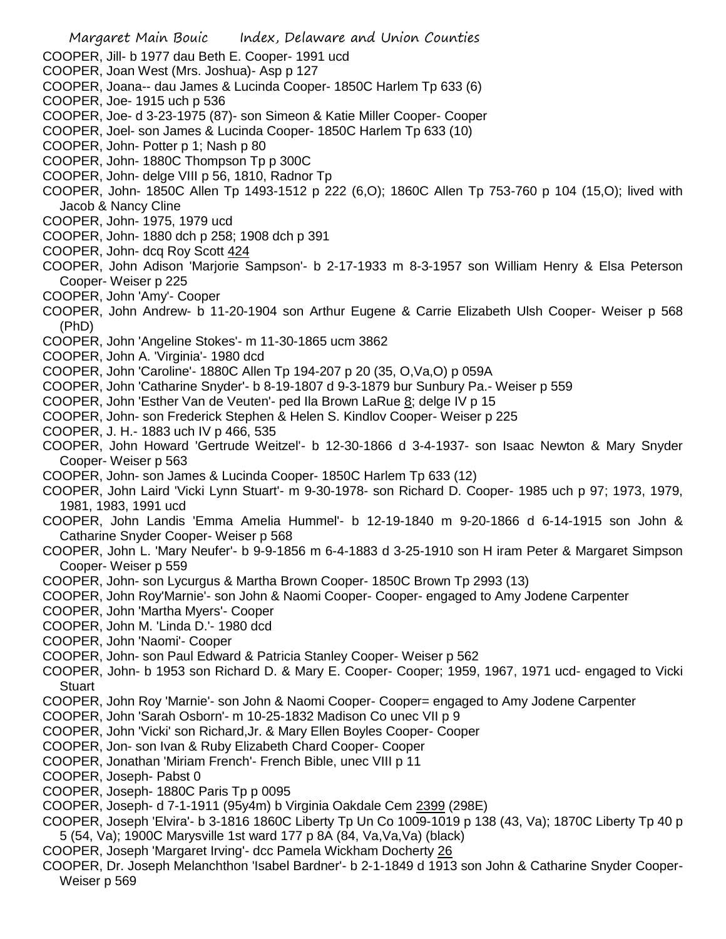- COOPER, Jill- b 1977 dau Beth E. Cooper- 1991 ucd
- COOPER, Joan West (Mrs. Joshua)- Asp p 127
- COOPER, Joana-- dau James & Lucinda Cooper- 1850C Harlem Tp 633 (6)
- COOPER, Joe- 1915 uch p 536
- COOPER, Joe- d 3-23-1975 (87)- son Simeon & Katie Miller Cooper- Cooper
- COOPER, Joel- son James & Lucinda Cooper- 1850C Harlem Tp 633 (10)
- COOPER, John- Potter p 1; Nash p 80
- COOPER, John- 1880C Thompson Tp p 300C
- COOPER, John- delge VIII p 56, 1810, Radnor Tp
- COOPER, John- 1850C Allen Tp 1493-1512 p 222 (6,O); 1860C Allen Tp 753-760 p 104 (15,O); lived with Jacob & Nancy Cline
- COOPER, John- 1975, 1979 ucd
- COOPER, John- 1880 dch p 258; 1908 dch p 391
- COOPER, John- dcq Roy Scott 424
- COOPER, John Adison 'Marjorie Sampson'- b 2-17-1933 m 8-3-1957 son William Henry & Elsa Peterson Cooper- Weiser p 225
- COOPER, John 'Amy'- Cooper
- COOPER, John Andrew- b 11-20-1904 son Arthur Eugene & Carrie Elizabeth Ulsh Cooper- Weiser p 568 (PhD)
- COOPER, John 'Angeline Stokes'- m 11-30-1865 ucm 3862
- COOPER, John A. 'Virginia'- 1980 dcd
- COOPER, John 'Caroline'- 1880C Allen Tp 194-207 p 20 (35, O,Va,O) p 059A
- COOPER, John 'Catharine Snyder'- b 8-19-1807 d 9-3-1879 bur Sunbury Pa.- Weiser p 559
- COOPER, John 'Esther Van de Veuten'- ped Ila Brown LaRue 8; delge IV p 15
- COOPER, John- son Frederick Stephen & Helen S. Kindlov Cooper- Weiser p 225
- COOPER, J. H.- 1883 uch IV p 466, 535
- COOPER, John Howard 'Gertrude Weitzel'- b 12-30-1866 d 3-4-1937- son Isaac Newton & Mary Snyder Cooper- Weiser p 563
- COOPER, John- son James & Lucinda Cooper- 1850C Harlem Tp 633 (12)
- COOPER, John Laird 'Vicki Lynn Stuart'- m 9-30-1978- son Richard D. Cooper- 1985 uch p 97; 1973, 1979, 1981, 1983, 1991 ucd
- COOPER, John Landis 'Emma Amelia Hummel'- b 12-19-1840 m 9-20-1866 d 6-14-1915 son John & Catharine Snyder Cooper- Weiser p 568
- COOPER, John L. 'Mary Neufer'- b 9-9-1856 m 6-4-1883 d 3-25-1910 son H iram Peter & Margaret Simpson Cooper- Weiser p 559
- COOPER, John- son Lycurgus & Martha Brown Cooper- 1850C Brown Tp 2993 (13)
- COOPER, John Roy'Marnie'- son John & Naomi Cooper- Cooper- engaged to Amy Jodene Carpenter
- COOPER, John 'Martha Myers'- Cooper
- COOPER, John M. 'Linda D.'- 1980 dcd
- COOPER, John 'Naomi'- Cooper
- COOPER, John- son Paul Edward & Patricia Stanley Cooper- Weiser p 562
- COOPER, John- b 1953 son Richard D. & Mary E. Cooper- Cooper; 1959, 1967, 1971 ucd- engaged to Vicki **Stuart**
- COOPER, John Roy 'Marnie'- son John & Naomi Cooper- Cooper= engaged to Amy Jodene Carpenter
- COOPER, John 'Sarah Osborn'- m 10-25-1832 Madison Co unec VII p 9
- COOPER, John 'Vicki' son Richard,Jr. & Mary Ellen Boyles Cooper- Cooper
- COOPER, Jon- son Ivan & Ruby Elizabeth Chard Cooper- Cooper
- COOPER, Jonathan 'Miriam French'- French Bible, unec VIII p 11
- COOPER, Joseph- Pabst 0
- COOPER, Joseph- 1880C Paris Tp p 0095
- COOPER, Joseph- d 7-1-1911 (95y4m) b Virginia Oakdale Cem 2399 (298E)
- COOPER, Joseph 'Elvira'- b 3-1816 1860C Liberty Tp Un Co 1009-1019 p 138 (43, Va); 1870C Liberty Tp 40 p 5 (54, Va); 1900C Marysville 1st ward 177 p 8A (84, Va,Va,Va) (black)
- COOPER, Joseph 'Margaret Irving'- dcc Pamela Wickham Docherty 26
- COOPER, Dr. Joseph Melanchthon 'Isabel Bardner'- b 2-1-1849 d 1913 son John & Catharine Snyder Cooper-Weiser p 569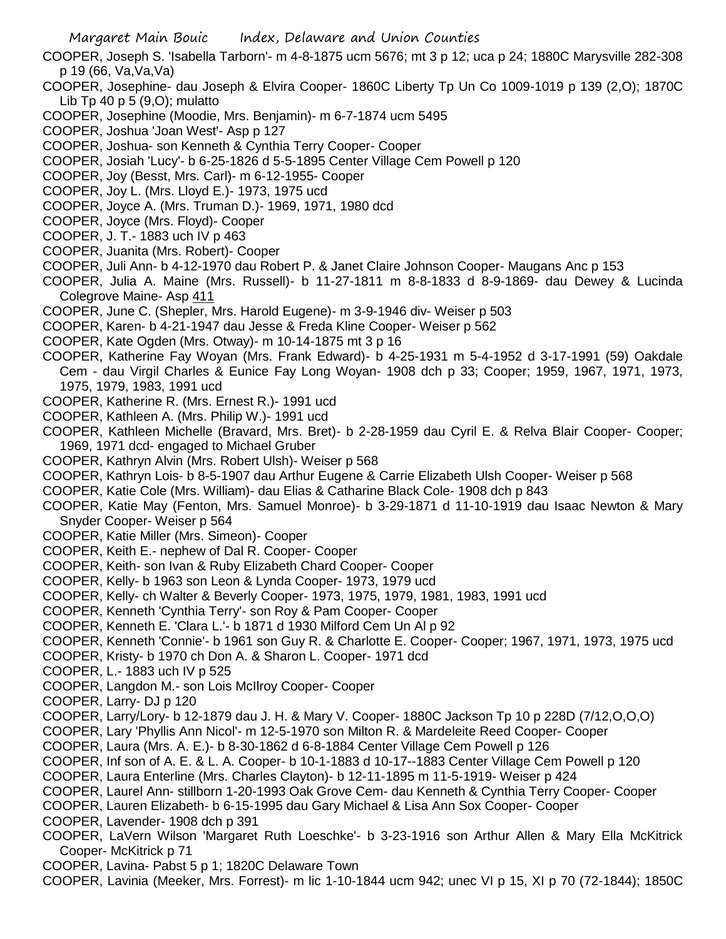COOPER, Joseph S. 'Isabella Tarborn'- m 4-8-1875 ucm 5676; mt 3 p 12; uca p 24; 1880C Marysville 282-308 p 19 (66, Va,Va,Va)

- COOPER, Josephine- dau Joseph & Elvira Cooper- 1860C Liberty Tp Un Co 1009-1019 p 139 (2,O); 1870C Lib Tp 40 p 5 (9,O); mulatto
- COOPER, Josephine (Moodie, Mrs. Benjamin)- m 6-7-1874 ucm 5495
- COOPER, Joshua 'Joan West'- Asp p 127
- COOPER, Joshua- son Kenneth & Cynthia Terry Cooper- Cooper
- COOPER, Josiah 'Lucy'- b 6-25-1826 d 5-5-1895 Center Village Cem Powell p 120
- COOPER, Joy (Besst, Mrs. Carl)- m 6-12-1955- Cooper
- COOPER, Joy L. (Mrs. Lloyd E.)- 1973, 1975 ucd
- COOPER, Joyce A. (Mrs. Truman D.)- 1969, 1971, 1980 dcd
- COOPER, Joyce (Mrs. Floyd)- Cooper
- COOPER, J. T.- 1883 uch IV p 463
- COOPER, Juanita (Mrs. Robert)- Cooper
- COOPER, Juli Ann- b 4-12-1970 dau Robert P. & Janet Claire Johnson Cooper- Maugans Anc p 153
- COOPER, Julia A. Maine (Mrs. Russell)- b 11-27-1811 m 8-8-1833 d 8-9-1869- dau Dewey & Lucinda Colegrove Maine- Asp 411
- COOPER, June C. (Shepler, Mrs. Harold Eugene)- m 3-9-1946 div- Weiser p 503
- COOPER, Karen- b 4-21-1947 dau Jesse & Freda Kline Cooper- Weiser p 562
- COOPER, Kate Ogden (Mrs. Otway)- m 10-14-1875 mt 3 p 16
- COOPER, Katherine Fay Woyan (Mrs. Frank Edward)- b 4-25-1931 m 5-4-1952 d 3-17-1991 (59) Oakdale Cem - dau Virgil Charles & Eunice Fay Long Woyan- 1908 dch p 33; Cooper; 1959, 1967, 1971, 1973, 1975, 1979, 1983, 1991 ucd
- COOPER, Katherine R. (Mrs. Ernest R.)- 1991 ucd
- COOPER, Kathleen A. (Mrs. Philip W.)- 1991 ucd
- COOPER, Kathleen Michelle (Bravard, Mrs. Bret)- b 2-28-1959 dau Cyril E. & Relva Blair Cooper- Cooper; 1969, 1971 dcd- engaged to Michael Gruber
- COOPER, Kathryn Alvin (Mrs. Robert Ulsh)- Weiser p 568
- COOPER, Kathryn Lois- b 8-5-1907 dau Arthur Eugene & Carrie Elizabeth Ulsh Cooper- Weiser p 568
- COOPER, Katie Cole (Mrs. William)- dau Elias & Catharine Black Cole- 1908 dch p 843
- COOPER, Katie May (Fenton, Mrs. Samuel Monroe)- b 3-29-1871 d 11-10-1919 dau Isaac Newton & Mary Snyder Cooper- Weiser p 564
- COOPER, Katie Miller (Mrs. Simeon)- Cooper
- COOPER, Keith E.- nephew of Dal R. Cooper- Cooper
- COOPER, Keith- son Ivan & Ruby Elizabeth Chard Cooper- Cooper
- COOPER, Kelly- b 1963 son Leon & Lynda Cooper- 1973, 1979 ucd
- COOPER, Kelly- ch Walter & Beverly Cooper- 1973, 1975, 1979, 1981, 1983, 1991 ucd
- COOPER, Kenneth 'Cynthia Terry'- son Roy & Pam Cooper- Cooper
- COOPER, Kenneth E. 'Clara L.'- b 1871 d 1930 Milford Cem Un Al p 92
- COOPER, Kenneth 'Connie'- b 1961 son Guy R. & Charlotte E. Cooper- Cooper; 1967, 1971, 1973, 1975 ucd
- COOPER, Kristy- b 1970 ch Don A. & Sharon L. Cooper- 1971 dcd
- COOPER, L.- 1883 uch IV p 525
- COOPER, Langdon M.- son Lois McIlroy Cooper- Cooper
- COOPER, Larry- DJ p 120
- COOPER, Larry/Lory- b 12-1879 dau J. H. & Mary V. Cooper- 1880C Jackson Tp 10 p 228D (7/12,O,O,O)
- COOPER, Lary 'Phyllis Ann Nicol'- m 12-5-1970 son Milton R. & Mardeleite Reed Cooper- Cooper
- COOPER, Laura (Mrs. A. E.)- b 8-30-1862 d 6-8-1884 Center Village Cem Powell p 126
- COOPER, Inf son of A. E. & L. A. Cooper- b 10-1-1883 d 10-17--1883 Center Village Cem Powell p 120
- COOPER, Laura Enterline (Mrs. Charles Clayton)- b 12-11-1895 m 11-5-1919- Weiser p 424
- COOPER, Laurel Ann- stillborn 1-20-1993 Oak Grove Cem- dau Kenneth & Cynthia Terry Cooper- Cooper
- COOPER, Lauren Elizabeth- b 6-15-1995 dau Gary Michael & Lisa Ann Sox Cooper- Cooper
- COOPER, Lavender- 1908 dch p 391
- COOPER, LaVern Wilson 'Margaret Ruth Loeschke'- b 3-23-1916 son Arthur Allen & Mary Ella McKitrick Cooper- McKitrick p 71
- COOPER, Lavina- Pabst 5 p 1; 1820C Delaware Town
- COOPER, Lavinia (Meeker, Mrs. Forrest)- m lic 1-10-1844 ucm 942; unec VI p 15, XI p 70 (72-1844); 1850C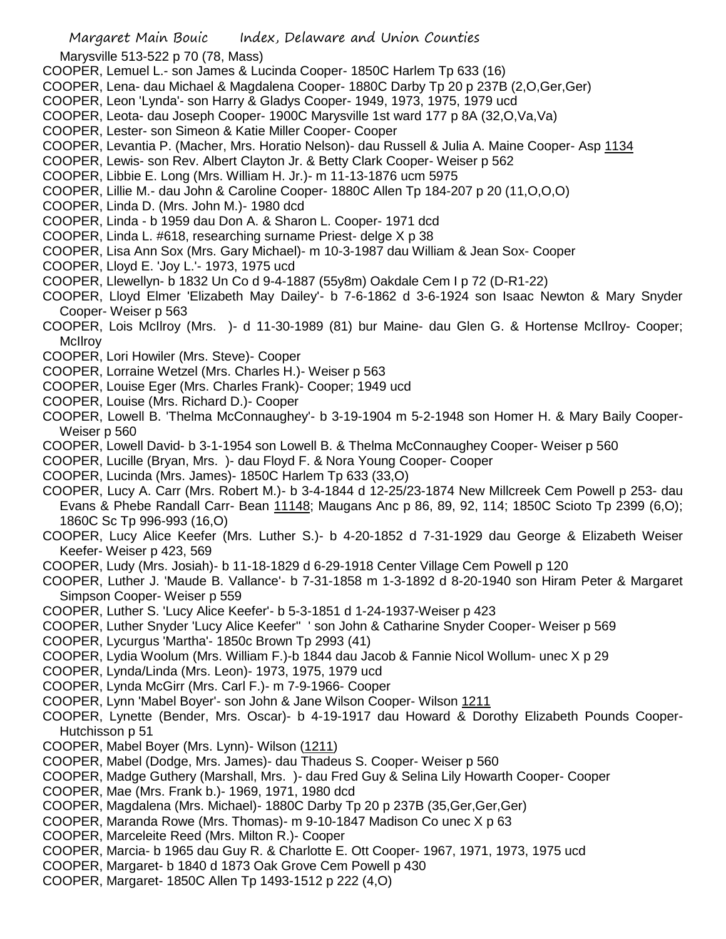Marysville 513-522 p 70 (78, Mass)

- COOPER, Lemuel L.- son James & Lucinda Cooper- 1850C Harlem Tp 633 (16)
- COOPER, Lena- dau Michael & Magdalena Cooper- 1880C Darby Tp 20 p 237B (2,O,Ger,Ger)
- COOPER, Leon 'Lynda'- son Harry & Gladys Cooper- 1949, 1973, 1975, 1979 ucd
- COOPER, Leota- dau Joseph Cooper- 1900C Marysville 1st ward 177 p 8A (32,O,Va,Va)
- COOPER, Lester- son Simeon & Katie Miller Cooper- Cooper
- COOPER, Levantia P. (Macher, Mrs. Horatio Nelson)- dau Russell & Julia A. Maine Cooper- Asp 1134
- COOPER, Lewis- son Rev. Albert Clayton Jr. & Betty Clark Cooper- Weiser p 562
- COOPER, Libbie E. Long (Mrs. William H. Jr.)- m 11-13-1876 ucm 5975
- COOPER, Lillie M.- dau John & Caroline Cooper- 1880C Allen Tp 184-207 p 20 (11,O,O,O)
- COOPER, Linda D. (Mrs. John M.)- 1980 dcd
- COOPER, Linda b 1959 dau Don A. & Sharon L. Cooper- 1971 dcd
- COOPER, Linda L. #618, researching surname Priest- delge X p 38
- COOPER, Lisa Ann Sox (Mrs. Gary Michael)- m 10-3-1987 dau William & Jean Sox- Cooper
- COOPER, Lloyd E. 'Joy L.'- 1973, 1975 ucd
- COOPER, Llewellyn- b 1832 Un Co d 9-4-1887 (55y8m) Oakdale Cem I p 72 (D-R1-22)
- COOPER, Lloyd Elmer 'Elizabeth May Dailey'- b 7-6-1862 d 3-6-1924 son Isaac Newton & Mary Snyder Cooper- Weiser p 563
- COOPER, Lois McIlroy (Mrs. )- d 11-30-1989 (81) bur Maine- dau Glen G. & Hortense McIlroy- Cooper; **McIlrov**
- COOPER, Lori Howiler (Mrs. Steve)- Cooper
- COOPER, Lorraine Wetzel (Mrs. Charles H.)- Weiser p 563
- COOPER, Louise Eger (Mrs. Charles Frank)- Cooper; 1949 ucd
- COOPER, Louise (Mrs. Richard D.)- Cooper
- COOPER, Lowell B. 'Thelma McConnaughey'- b 3-19-1904 m 5-2-1948 son Homer H. & Mary Baily Cooper-Weiser p 560
- COOPER, Lowell David- b 3-1-1954 son Lowell B. & Thelma McConnaughey Cooper- Weiser p 560
- COOPER, Lucille (Bryan, Mrs. )- dau Floyd F. & Nora Young Cooper- Cooper
- COOPER, Lucinda (Mrs. James)- 1850C Harlem Tp 633 (33,O)
- COOPER, Lucy A. Carr (Mrs. Robert M.)- b 3-4-1844 d 12-25/23-1874 New Millcreek Cem Powell p 253- dau Evans & Phebe Randall Carr- Bean 11148; Maugans Anc p 86, 89, 92, 114; 1850C Scioto Tp 2399 (6,O); 1860C Sc Tp 996-993 (16,O)
- COOPER, Lucy Alice Keefer (Mrs. Luther S.)- b 4-20-1852 d 7-31-1929 dau George & Elizabeth Weiser Keefer- Weiser p 423, 569
- COOPER, Ludy (Mrs. Josiah)- b 11-18-1829 d 6-29-1918 Center Village Cem Powell p 120
- COOPER, Luther J. 'Maude B. Vallance'- b 7-31-1858 m 1-3-1892 d 8-20-1940 son Hiram Peter & Margaret Simpson Cooper- Weiser p 559
- COOPER, Luther S. 'Lucy Alice Keefer'- b 5-3-1851 d 1-24-1937-Weiser p 423
- COOPER, Luther Snyder 'Lucy Alice Keefer'' ' son John & Catharine Snyder Cooper- Weiser p 569
- COOPER, Lycurgus 'Martha'- 1850c Brown Tp 2993 (41)
- COOPER, Lydia Woolum (Mrs. William F.)-b 1844 dau Jacob & Fannie Nicol Wollum- unec X p 29
- COOPER, Lynda/Linda (Mrs. Leon)- 1973, 1975, 1979 ucd
- COOPER, Lynda McGirr (Mrs. Carl F.)- m 7-9-1966- Cooper
- COOPER, Lynn 'Mabel Boyer'- son John & Jane Wilson Cooper- Wilson 1211
- COOPER, Lynette (Bender, Mrs. Oscar)- b 4-19-1917 dau Howard & Dorothy Elizabeth Pounds Cooper-Hutchisson p 51
- COOPER, Mabel Boyer (Mrs. Lynn)- Wilson (1211)
- COOPER, Mabel (Dodge, Mrs. James)- dau Thadeus S. Cooper- Weiser p 560
- COOPER, Madge Guthery (Marshall, Mrs. )- dau Fred Guy & Selina Lily Howarth Cooper- Cooper
- COOPER, Mae (Mrs. Frank b.)- 1969, 1971, 1980 dcd
- COOPER, Magdalena (Mrs. Michael)- 1880C Darby Tp 20 p 237B (35,Ger,Ger,Ger)
- COOPER, Maranda Rowe (Mrs. Thomas)- m 9-10-1847 Madison Co unec X p 63
- COOPER, Marceleite Reed (Mrs. Milton R.)- Cooper
- COOPER, Marcia- b 1965 dau Guy R. & Charlotte E. Ott Cooper- 1967, 1971, 1973, 1975 ucd
- COOPER, Margaret- b 1840 d 1873 Oak Grove Cem Powell p 430
- COOPER, Margaret- 1850C Allen Tp 1493-1512 p 222 (4,O)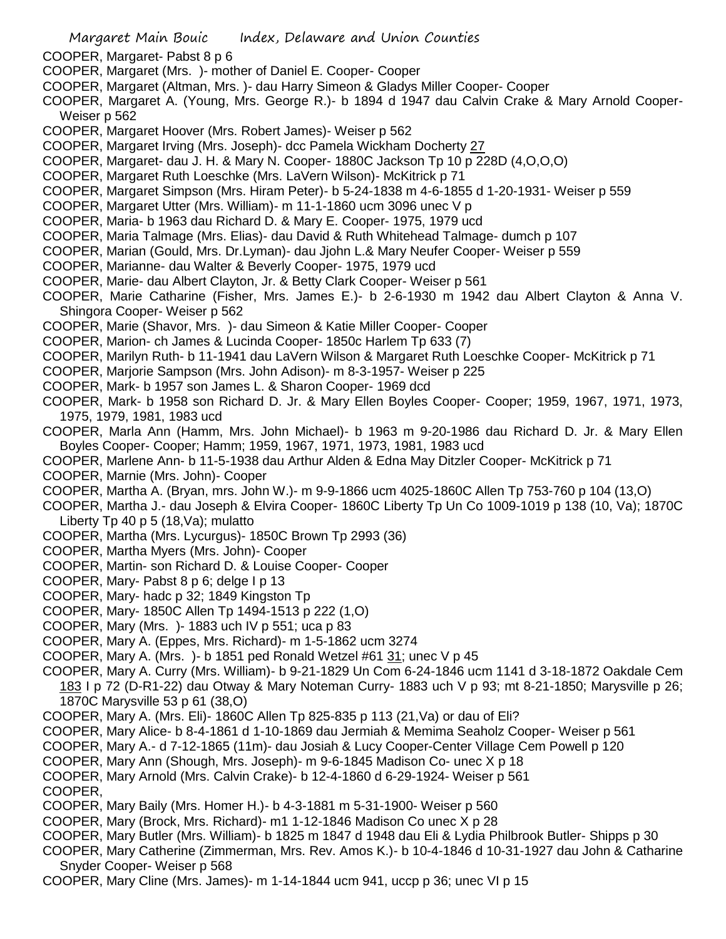- COOPER, Margaret- Pabst 8 p 6
- COOPER, Margaret (Mrs. )- mother of Daniel E. Cooper- Cooper
- COOPER, Margaret (Altman, Mrs. )- dau Harry Simeon & Gladys Miller Cooper- Cooper
- COOPER, Margaret A. (Young, Mrs. George R.)- b 1894 d 1947 dau Calvin Crake & Mary Arnold Cooper-Weiser p 562
- COOPER, Margaret Hoover (Mrs. Robert James)- Weiser p 562
- COOPER, Margaret Irving (Mrs. Joseph)- dcc Pamela Wickham Docherty 27
- COOPER, Margaret- dau J. H. & Mary N. Cooper- 1880C Jackson Tp 10 p 228D (4,O,O,O)
- COOPER, Margaret Ruth Loeschke (Mrs. LaVern Wilson)- McKitrick p 71
- COOPER, Margaret Simpson (Mrs. Hiram Peter)- b 5-24-1838 m 4-6-1855 d 1-20-1931- Weiser p 559
- COOPER, Margaret Utter (Mrs. William)- m 11-1-1860 ucm 3096 unec V p
- COOPER, Maria- b 1963 dau Richard D. & Mary E. Cooper- 1975, 1979 ucd
- COOPER, Maria Talmage (Mrs. Elias)- dau David & Ruth Whitehead Talmage- dumch p 107
- COOPER, Marian (Gould, Mrs. Dr.Lyman)- dau Jjohn L.& Mary Neufer Cooper- Weiser p 559
- COOPER, Marianne- dau Walter & Beverly Cooper- 1975, 1979 ucd
- COOPER, Marie- dau Albert Clayton, Jr. & Betty Clark Cooper- Weiser p 561
- COOPER, Marie Catharine (Fisher, Mrs. James E.)- b 2-6-1930 m 1942 dau Albert Clayton & Anna V. Shingora Cooper- Weiser p 562
- COOPER, Marie (Shavor, Mrs. )- dau Simeon & Katie Miller Cooper- Cooper
- COOPER, Marion- ch James & Lucinda Cooper- 1850c Harlem Tp 633 (7)
- COOPER, Marilyn Ruth- b 11-1941 dau LaVern Wilson & Margaret Ruth Loeschke Cooper- McKitrick p 71
- COOPER, Marjorie Sampson (Mrs. John Adison)- m 8-3-1957- Weiser p 225
- COOPER, Mark- b 1957 son James L. & Sharon Cooper- 1969 dcd
- COOPER, Mark- b 1958 son Richard D. Jr. & Mary Ellen Boyles Cooper- Cooper; 1959, 1967, 1971, 1973, 1975, 1979, 1981, 1983 ucd
- COOPER, Marla Ann (Hamm, Mrs. John Michael)- b 1963 m 9-20-1986 dau Richard D. Jr. & Mary Ellen Boyles Cooper- Cooper; Hamm; 1959, 1967, 1971, 1973, 1981, 1983 ucd
- COOPER, Marlene Ann- b 11-5-1938 dau Arthur Alden & Edna May Ditzler Cooper- McKitrick p 71
- COOPER, Marnie (Mrs. John)- Cooper
- COOPER, Martha A. (Bryan, mrs. John W.)- m 9-9-1866 ucm 4025-1860C Allen Tp 753-760 p 104 (13,O)
- COOPER, Martha J.- dau Joseph & Elvira Cooper- 1860C Liberty Tp Un Co 1009-1019 p 138 (10, Va); 1870C Liberty Tp 40 p 5 (18,Va); mulatto
- COOPER, Martha (Mrs. Lycurgus)- 1850C Brown Tp 2993 (36)
- COOPER, Martha Myers (Mrs. John)- Cooper
- COOPER, Martin- son Richard D. & Louise Cooper- Cooper
- COOPER, Mary- Pabst 8 p 6; delge I p 13
- COOPER, Mary- hadc p 32; 1849 Kingston Tp
- COOPER, Mary- 1850C Allen Tp 1494-1513 p 222 (1,O)
- COOPER, Mary (Mrs. )- 1883 uch IV p 551; uca p 83
- COOPER, Mary A. (Eppes, Mrs. Richard)- m 1-5-1862 ucm 3274
- COOPER, Mary A. (Mrs. )- b 1851 ped Ronald Wetzel #61 31; unec V p 45
- COOPER, Mary A. Curry (Mrs. William)- b 9-21-1829 Un Com 6-24-1846 ucm 1141 d 3-18-1872 Oakdale Cem 183 I p 72 (D-R1-22) dau Otway & Mary Noteman Curry- 1883 uch V p 93; mt 8-21-1850; Marysville p 26; 1870C Marysville 53 p 61 (38,O)
- COOPER, Mary A. (Mrs. Eli)- 1860C Allen Tp 825-835 p 113 (21,Va) or dau of Eli?
- COOPER, Mary Alice- b 8-4-1861 d 1-10-1869 dau Jermiah & Memima Seaholz Cooper- Weiser p 561
- COOPER, Mary A.- d 7-12-1865 (11m)- dau Josiah & Lucy Cooper-Center Village Cem Powell p 120
- COOPER, Mary Ann (Shough, Mrs. Joseph)- m 9-6-1845 Madison Co- unec X p 18
- COOPER, Mary Arnold (Mrs. Calvin Crake)- b 12-4-1860 d 6-29-1924- Weiser p 561
- COOPER,
- COOPER, Mary Baily (Mrs. Homer H.)- b 4-3-1881 m 5-31-1900- Weiser p 560
- COOPER, Mary (Brock, Mrs. Richard)- m1 1-12-1846 Madison Co unec X p 28
- COOPER, Mary Butler (Mrs. William)- b 1825 m 1847 d 1948 dau Eli & Lydia Philbrook Butler- Shipps p 30
- COOPER, Mary Catherine (Zimmerman, Mrs. Rev. Amos K.)- b 10-4-1846 d 10-31-1927 dau John & Catharine Snyder Cooper- Weiser p 568
- COOPER, Mary Cline (Mrs. James)- m 1-14-1844 ucm 941, uccp p 36; unec VI p 15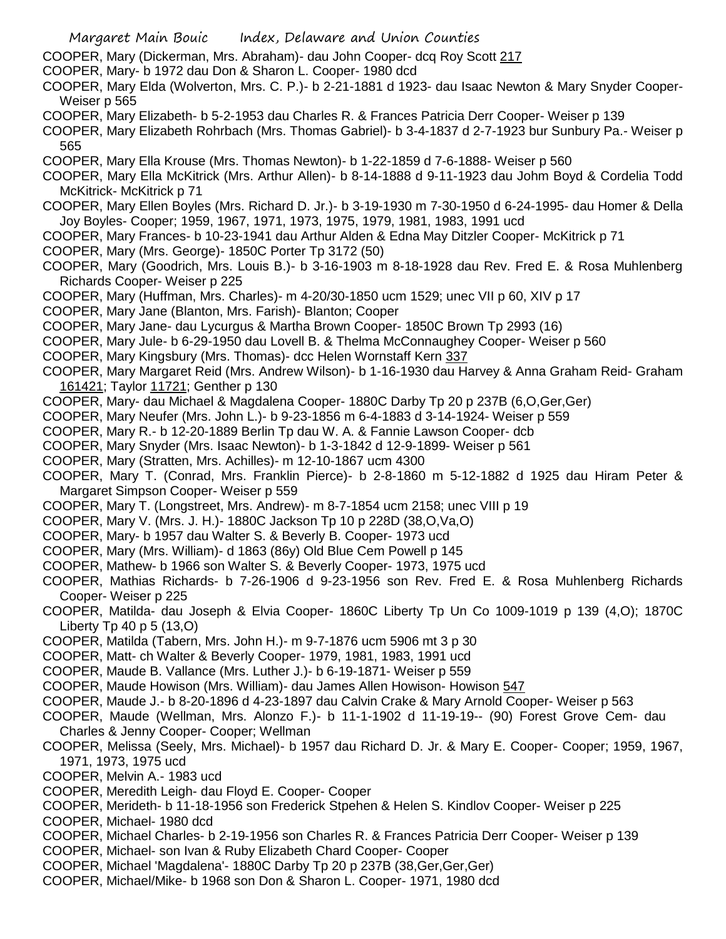COOPER, Mary (Dickerman, Mrs. Abraham)- dau John Cooper- dcq Roy Scott 217

- COOPER, Mary- b 1972 dau Don & Sharon L. Cooper- 1980 dcd
- COOPER, Mary Elda (Wolverton, Mrs. C. P.)- b 2-21-1881 d 1923- dau Isaac Newton & Mary Snyder Cooper-Weiser p 565
- COOPER, Mary Elizabeth- b 5-2-1953 dau Charles R. & Frances Patricia Derr Cooper- Weiser p 139
- COOPER, Mary Elizabeth Rohrbach (Mrs. Thomas Gabriel)- b 3-4-1837 d 2-7-1923 bur Sunbury Pa.- Weiser p 565
- COOPER, Mary Ella Krouse (Mrs. Thomas Newton)- b 1-22-1859 d 7-6-1888- Weiser p 560
- COOPER, Mary Ella McKitrick (Mrs. Arthur Allen)- b 8-14-1888 d 9-11-1923 dau Johm Boyd & Cordelia Todd McKitrick- McKitrick p 71
- COOPER, Mary Ellen Boyles (Mrs. Richard D. Jr.)- b 3-19-1930 m 7-30-1950 d 6-24-1995- dau Homer & Della Joy Boyles- Cooper; 1959, 1967, 1971, 1973, 1975, 1979, 1981, 1983, 1991 ucd
- COOPER, Mary Frances- b 10-23-1941 dau Arthur Alden & Edna May Ditzler Cooper- McKitrick p 71
- COOPER, Mary (Mrs. George)- 1850C Porter Tp 3172 (50)
- COOPER, Mary (Goodrich, Mrs. Louis B.)- b 3-16-1903 m 8-18-1928 dau Rev. Fred E. & Rosa Muhlenberg Richards Cooper- Weiser p 225
- COOPER, Mary (Huffman, Mrs. Charles)- m 4-20/30-1850 ucm 1529; unec VII p 60, XIV p 17
- COOPER, Mary Jane (Blanton, Mrs. Farish)- Blanton; Cooper
- COOPER, Mary Jane- dau Lycurgus & Martha Brown Cooper- 1850C Brown Tp 2993 (16)
- COOPER, Mary Jule- b 6-29-1950 dau Lovell B. & Thelma McConnaughey Cooper- Weiser p 560
- COOPER, Mary Kingsbury (Mrs. Thomas)- dcc Helen Wornstaff Kern 337
- COOPER, Mary Margaret Reid (Mrs. Andrew Wilson)- b 1-16-1930 dau Harvey & Anna Graham Reid- Graham 161421; Taylor 11721; Genther p 130
- COOPER, Mary- dau Michael & Magdalena Cooper- 1880C Darby Tp 20 p 237B (6,O,Ger,Ger)
- COOPER, Mary Neufer (Mrs. John L.)- b 9-23-1856 m 6-4-1883 d 3-14-1924- Weiser p 559
- COOPER, Mary R.- b 12-20-1889 Berlin Tp dau W. A. & Fannie Lawson Cooper- dcb
- COOPER, Mary Snyder (Mrs. Isaac Newton)- b 1-3-1842 d 12-9-1899- Weiser p 561
- COOPER, Mary (Stratten, Mrs. Achilles)- m 12-10-1867 ucm 4300
- COOPER, Mary T. (Conrad, Mrs. Franklin Pierce)- b 2-8-1860 m 5-12-1882 d 1925 dau Hiram Peter & Margaret Simpson Cooper- Weiser p 559
- COOPER, Mary T. (Longstreet, Mrs. Andrew)- m 8-7-1854 ucm 2158; unec VIII p 19
- COOPER, Mary V. (Mrs. J. H.)- 1880C Jackson Tp 10 p 228D (38,O,Va,O)
- COOPER, Mary- b 1957 dau Walter S. & Beverly B. Cooper- 1973 ucd
- COOPER, Mary (Mrs. William)- d 1863 (86y) Old Blue Cem Powell p 145
- COOPER, Mathew- b 1966 son Walter S. & Beverly Cooper- 1973, 1975 ucd
- COOPER, Mathias Richards- b 7-26-1906 d 9-23-1956 son Rev. Fred E. & Rosa Muhlenberg Richards Cooper- Weiser p 225
- COOPER, Matilda- dau Joseph & Elvia Cooper- 1860C Liberty Tp Un Co 1009-1019 p 139 (4,O); 1870C Liberty Tp 40 p 5 (13,O)
- COOPER, Matilda (Tabern, Mrs. John H.)- m 9-7-1876 ucm 5906 mt 3 p 30
- COOPER, Matt- ch Walter & Beverly Cooper- 1979, 1981, 1983, 1991 ucd
- COOPER, Maude B. Vallance (Mrs. Luther J.)- b 6-19-1871- Weiser p 559
- COOPER, Maude Howison (Mrs. William)- dau James Allen Howison- Howison 547
- COOPER, Maude J.- b 8-20-1896 d 4-23-1897 dau Calvin Crake & Mary Arnold Cooper- Weiser p 563
- COOPER, Maude (Wellman, Mrs. Alonzo F.)- b 11-1-1902 d 11-19-19-- (90) Forest Grove Cem- dau Charles & Jenny Cooper- Cooper; Wellman
- COOPER, Melissa (Seely, Mrs. Michael)- b 1957 dau Richard D. Jr. & Mary E. Cooper- Cooper; 1959, 1967, 1971, 1973, 1975 ucd
- COOPER, Melvin A.- 1983 ucd
- COOPER, Meredith Leigh- dau Floyd E. Cooper- Cooper
- COOPER, Merideth- b 11-18-1956 son Frederick Stpehen & Helen S. Kindlov Cooper- Weiser p 225
- COOPER, Michael- 1980 dcd
- COOPER, Michael Charles- b 2-19-1956 son Charles R. & Frances Patricia Derr Cooper- Weiser p 139
- COOPER, Michael- son Ivan & Ruby Elizabeth Chard Cooper- Cooper
- COOPER, Michael 'Magdalena'- 1880C Darby Tp 20 p 237B (38,Ger,Ger,Ger)
- COOPER, Michael/Mike- b 1968 son Don & Sharon L. Cooper- 1971, 1980 dcd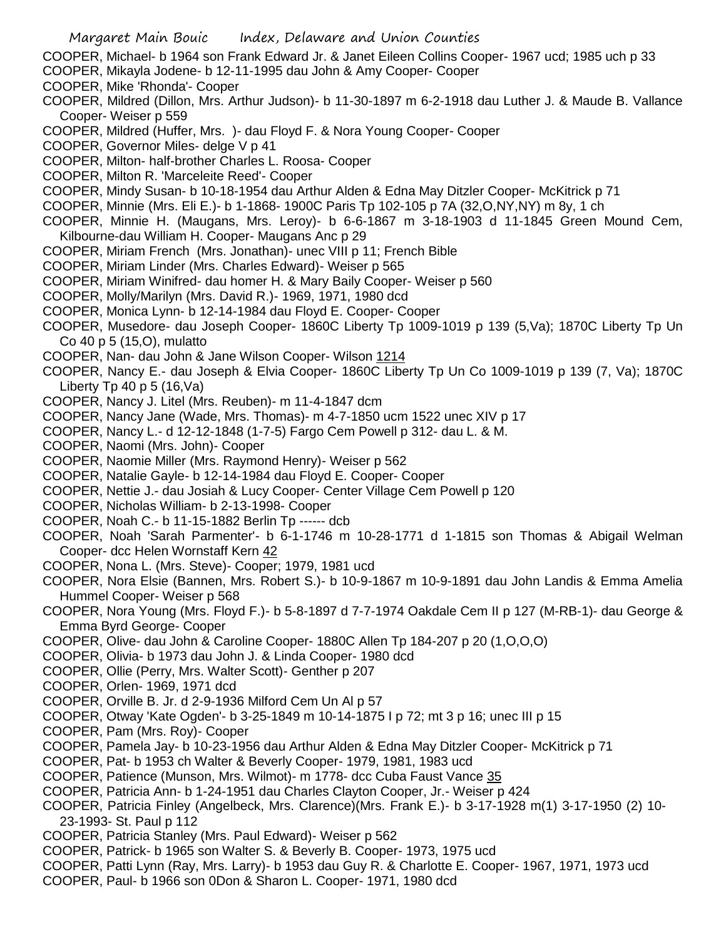- COOPER, Michael- b 1964 son Frank Edward Jr. & Janet Eileen Collins Cooper- 1967 ucd; 1985 uch p 33
- COOPER, Mikayla Jodene- b 12-11-1995 dau John & Amy Cooper- Cooper
- COOPER, Mike 'Rhonda'- Cooper
- COOPER, Mildred (Dillon, Mrs. Arthur Judson)- b 11-30-1897 m 6-2-1918 dau Luther J. & Maude B. Vallance Cooper- Weiser p 559
- COOPER, Mildred (Huffer, Mrs. )- dau Floyd F. & Nora Young Cooper- Cooper
- COOPER, Governor Miles- delge V p 41
- COOPER, Milton- half-brother Charles L. Roosa- Cooper
- COOPER, Milton R. 'Marceleite Reed'- Cooper
- COOPER, Mindy Susan- b 10-18-1954 dau Arthur Alden & Edna May Ditzler Cooper- McKitrick p 71
- COOPER, Minnie (Mrs. Eli E.)- b 1-1868- 1900C Paris Tp 102-105 p 7A (32,O,NY,NY) m 8y, 1 ch
- COOPER, Minnie H. (Maugans, Mrs. Leroy)- b 6-6-1867 m 3-18-1903 d 11-1845 Green Mound Cem, Kilbourne-dau William H. Cooper- Maugans Anc p 29
- COOPER, Miriam French (Mrs. Jonathan)- unec VIII p 11; French Bible
- COOPER, Miriam Linder (Mrs. Charles Edward)- Weiser p 565
- COOPER, Miriam Winifred- dau homer H. & Mary Baily Cooper- Weiser p 560
- COOPER, Molly/Marilyn (Mrs. David R.)- 1969, 1971, 1980 dcd
- COOPER, Monica Lynn- b 12-14-1984 dau Floyd E. Cooper- Cooper
- COOPER, Musedore- dau Joseph Cooper- 1860C Liberty Tp 1009-1019 p 139 (5,Va); 1870C Liberty Tp Un Co 40 p 5 (15,O), mulatto
- COOPER, Nan- dau John & Jane Wilson Cooper- Wilson 1214
- COOPER, Nancy E.- dau Joseph & Elvia Cooper- 1860C Liberty Tp Un Co 1009-1019 p 139 (7, Va); 1870C Liberty Tp 40 p  $5(16, Va)$
- COOPER, Nancy J. Litel (Mrs. Reuben)- m 11-4-1847 dcm
- COOPER, Nancy Jane (Wade, Mrs. Thomas)- m 4-7-1850 ucm 1522 unec XIV p 17
- COOPER, Nancy L.- d 12-12-1848 (1-7-5) Fargo Cem Powell p 312- dau L. & M.
- COOPER, Naomi (Mrs. John)- Cooper
- COOPER, Naomie Miller (Mrs. Raymond Henry)- Weiser p 562
- COOPER, Natalie Gayle- b 12-14-1984 dau Floyd E. Cooper- Cooper
- COOPER, Nettie J.- dau Josiah & Lucy Cooper- Center Village Cem Powell p 120
- COOPER, Nicholas William- b 2-13-1998- Cooper
- COOPER, Noah C.- b 11-15-1882 Berlin Tp ------ dcb
- COOPER, Noah 'Sarah Parmenter'- b 6-1-1746 m 10-28-1771 d 1-1815 son Thomas & Abigail Welman Cooper- dcc Helen Wornstaff Kern 42
- COOPER, Nona L. (Mrs. Steve)- Cooper; 1979, 1981 ucd
- COOPER, Nora Elsie (Bannen, Mrs. Robert S.)- b 10-9-1867 m 10-9-1891 dau John Landis & Emma Amelia Hummel Cooper- Weiser p 568
- COOPER, Nora Young (Mrs. Floyd F.)- b 5-8-1897 d 7-7-1974 Oakdale Cem II p 127 (M-RB-1)- dau George & Emma Byrd George- Cooper
- COOPER, Olive- dau John & Caroline Cooper- 1880C Allen Tp 184-207 p 20 (1,O,O,O)
- COOPER, Olivia- b 1973 dau John J. & Linda Cooper- 1980 dcd
- COOPER, Ollie (Perry, Mrs. Walter Scott)- Genther p 207
- COOPER, Orlen- 1969, 1971 dcd
- COOPER, Orville B. Jr. d 2-9-1936 Milford Cem Un Al p 57
- COOPER, Otway 'Kate Ogden'- b 3-25-1849 m 10-14-1875 I p 72; mt 3 p 16; unec III p 15
- COOPER, Pam (Mrs. Roy)- Cooper
- COOPER, Pamela Jay- b 10-23-1956 dau Arthur Alden & Edna May Ditzler Cooper- McKitrick p 71
- COOPER, Pat- b 1953 ch Walter & Beverly Cooper- 1979, 1981, 1983 ucd
- COOPER, Patience (Munson, Mrs. Wilmot)- m 1778- dcc Cuba Faust Vance 35
- COOPER, Patricia Ann- b 1-24-1951 dau Charles Clayton Cooper, Jr.- Weiser p 424
- COOPER, Patricia Finley (Angelbeck, Mrs. Clarence)(Mrs. Frank E.)- b 3-17-1928 m(1) 3-17-1950 (2) 10- 23-1993- St. Paul p 112
- COOPER, Patricia Stanley (Mrs. Paul Edward)- Weiser p 562
- COOPER, Patrick- b 1965 son Walter S. & Beverly B. Cooper- 1973, 1975 ucd
- COOPER, Patti Lynn (Ray, Mrs. Larry)- b 1953 dau Guy R. & Charlotte E. Cooper- 1967, 1971, 1973 ucd
- COOPER, Paul- b 1966 son 0Don & Sharon L. Cooper- 1971, 1980 dcd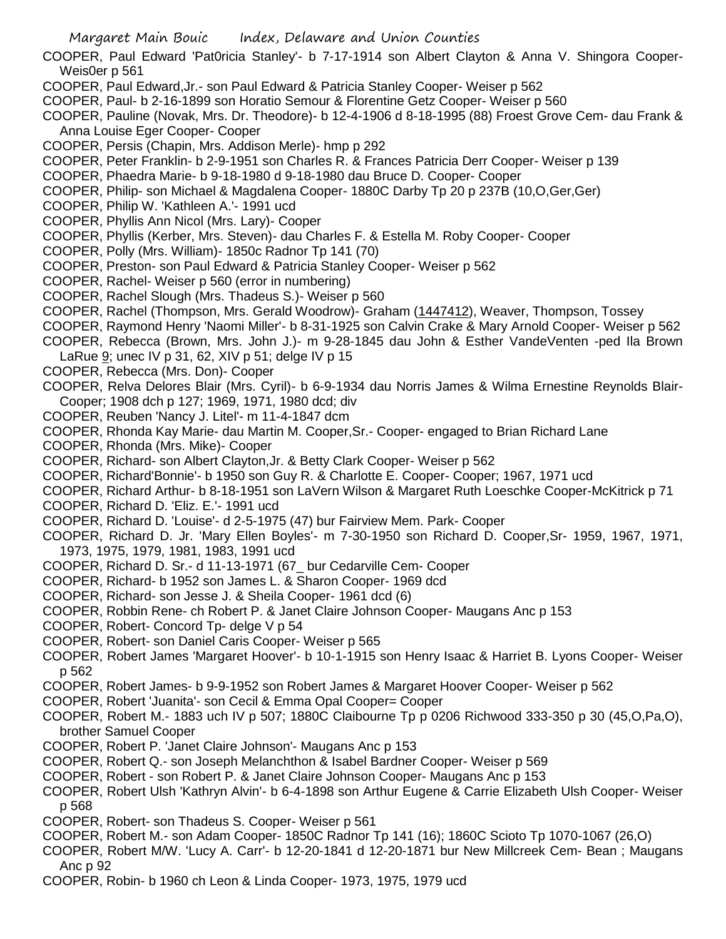- COOPER, Paul Edward 'Pat0ricia Stanley'- b 7-17-1914 son Albert Clayton & Anna V. Shingora Cooper-Weis0er p 561
- COOPER, Paul Edward,Jr.- son Paul Edward & Patricia Stanley Cooper- Weiser p 562
- COOPER, Paul- b 2-16-1899 son Horatio Semour & Florentine Getz Cooper- Weiser p 560
- COOPER, Pauline (Novak, Mrs. Dr. Theodore)- b 12-4-1906 d 8-18-1995 (88) Froest Grove Cem- dau Frank & Anna Louise Eger Cooper- Cooper
- COOPER, Persis (Chapin, Mrs. Addison Merle)- hmp p 292
- COOPER, Peter Franklin- b 2-9-1951 son Charles R. & Frances Patricia Derr Cooper- Weiser p 139
- COOPER, Phaedra Marie- b 9-18-1980 d 9-18-1980 dau Bruce D. Cooper- Cooper
- COOPER, Philip- son Michael & Magdalena Cooper- 1880C Darby Tp 20 p 237B (10,O,Ger,Ger)
- COOPER, Philip W. 'Kathleen A.'- 1991 ucd
- COOPER, Phyllis Ann Nicol (Mrs. Lary)- Cooper
- COOPER, Phyllis (Kerber, Mrs. Steven)- dau Charles F. & Estella M. Roby Cooper- Cooper
- COOPER, Polly (Mrs. William)- 1850c Radnor Tp 141 (70)
- COOPER, Preston- son Paul Edward & Patricia Stanley Cooper- Weiser p 562
- COOPER, Rachel- Weiser p 560 (error in numbering)
- COOPER, Rachel Slough (Mrs. Thadeus S.)- Weiser p 560
- COOPER, Rachel (Thompson, Mrs. Gerald Woodrow)- Graham (1447412), Weaver, Thompson, Tossey
- COOPER, Raymond Henry 'Naomi Miller'- b 8-31-1925 son Calvin Crake & Mary Arnold Cooper- Weiser p 562
- COOPER, Rebecca (Brown, Mrs. John J.)- m 9-28-1845 dau John & Esther VandeVenten -ped Ila Brown
- LaRue 9; unec IV p 31, 62, XIV p 51; delge IV p 15
- COOPER, Rebecca (Mrs. Don)- Cooper
- COOPER, Relva Delores Blair (Mrs. Cyril)- b 6-9-1934 dau Norris James & Wilma Ernestine Reynolds Blair-Cooper; 1908 dch p 127; 1969, 1971, 1980 dcd; div
- COOPER, Reuben 'Nancy J. Litel'- m 11-4-1847 dcm
- COOPER, Rhonda Kay Marie- dau Martin M. Cooper,Sr.- Cooper- engaged to Brian Richard Lane
- COOPER, Rhonda (Mrs. Mike)- Cooper
- COOPER, Richard- son Albert Clayton,Jr. & Betty Clark Cooper- Weiser p 562
- COOPER, Richard'Bonnie'- b 1950 son Guy R. & Charlotte E. Cooper- Cooper; 1967, 1971 ucd
- COOPER, Richard Arthur- b 8-18-1951 son LaVern Wilson & Margaret Ruth Loeschke Cooper-McKitrick p 71
- COOPER, Richard D. 'Eliz. E.'- 1991 ucd
- COOPER, Richard D. 'Louise'- d 2-5-1975 (47) bur Fairview Mem. Park- Cooper
- COOPER, Richard D. Jr. 'Mary Ellen Boyles'- m 7-30-1950 son Richard D. Cooper,Sr- 1959, 1967, 1971, 1973, 1975, 1979, 1981, 1983, 1991 ucd
- COOPER, Richard D. Sr.- d 11-13-1971 (67\_ bur Cedarville Cem- Cooper
- COOPER, Richard- b 1952 son James L. & Sharon Cooper- 1969 dcd
- COOPER, Richard- son Jesse J. & Sheila Cooper- 1961 dcd (6)
- COOPER, Robbin Rene- ch Robert P. & Janet Claire Johnson Cooper- Maugans Anc p 153
- COOPER, Robert- Concord Tp- delge V p 54
- COOPER, Robert- son Daniel Caris Cooper- Weiser p 565
- COOPER, Robert James 'Margaret Hoover'- b 10-1-1915 son Henry Isaac & Harriet B. Lyons Cooper- Weiser p 562
- COOPER, Robert James- b 9-9-1952 son Robert James & Margaret Hoover Cooper- Weiser p 562
- COOPER, Robert 'Juanita'- son Cecil & Emma Opal Cooper= Cooper
- COOPER, Robert M.- 1883 uch IV p 507; 1880C Claibourne Tp p 0206 Richwood 333-350 p 30 (45,O,Pa,O), brother Samuel Cooper
- COOPER, Robert P. 'Janet Claire Johnson'- Maugans Anc p 153
- COOPER, Robert Q.- son Joseph Melanchthon & Isabel Bardner Cooper- Weiser p 569
- COOPER, Robert son Robert P. & Janet Claire Johnson Cooper- Maugans Anc p 153
- COOPER, Robert Ulsh 'Kathryn Alvin'- b 6-4-1898 son Arthur Eugene & Carrie Elizabeth Ulsh Cooper- Weiser p 568
- COOPER, Robert- son Thadeus S. Cooper- Weiser p 561
- COOPER, Robert M.- son Adam Cooper- 1850C Radnor Tp 141 (16); 1860C Scioto Tp 1070-1067 (26,O)
- COOPER, Robert M/W. 'Lucy A. Carr'- b 12-20-1841 d 12-20-1871 bur New Millcreek Cem- Bean ; Maugans Anc p 92
- COOPER, Robin- b 1960 ch Leon & Linda Cooper- 1973, 1975, 1979 ucd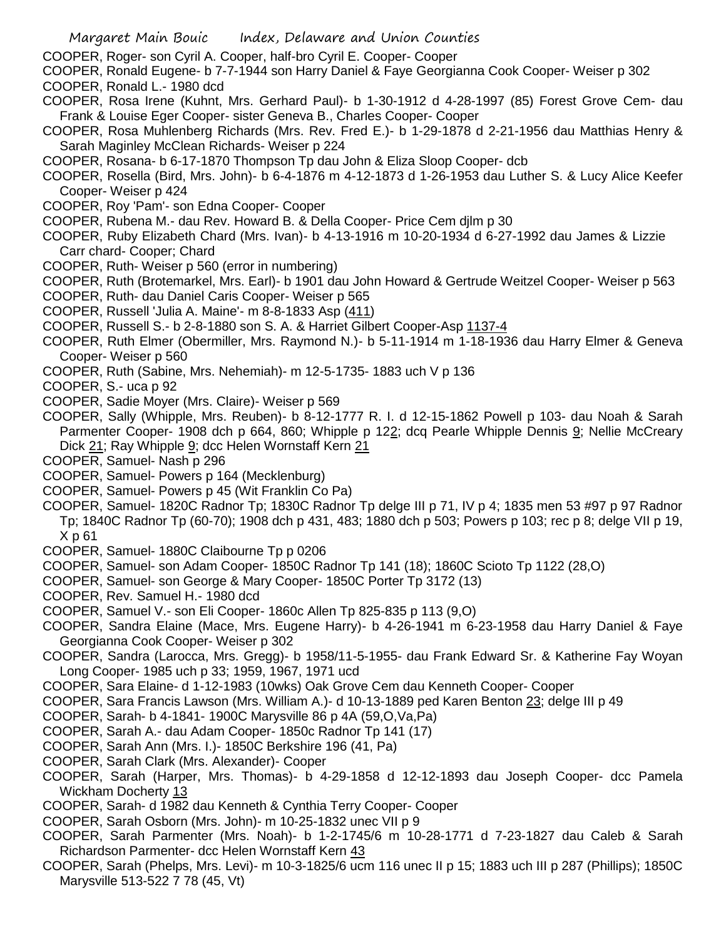- COOPER, Roger- son Cyril A. Cooper, half-bro Cyril E. Cooper- Cooper
- COOPER, Ronald Eugene- b 7-7-1944 son Harry Daniel & Faye Georgianna Cook Cooper- Weiser p 302 COOPER, Ronald L.- 1980 dcd
- COOPER, Rosa Irene (Kuhnt, Mrs. Gerhard Paul)- b 1-30-1912 d 4-28-1997 (85) Forest Grove Cem- dau Frank & Louise Eger Cooper- sister Geneva B., Charles Cooper- Cooper
- COOPER, Rosa Muhlenberg Richards (Mrs. Rev. Fred E.)- b 1-29-1878 d 2-21-1956 dau Matthias Henry & Sarah Maginley McClean Richards- Weiser p 224
- COOPER, Rosana- b 6-17-1870 Thompson Tp dau John & Eliza Sloop Cooper- dcb
- COOPER, Rosella (Bird, Mrs. John)- b 6-4-1876 m 4-12-1873 d 1-26-1953 dau Luther S. & Lucy Alice Keefer Cooper- Weiser p 424
- COOPER, Roy 'Pam'- son Edna Cooper- Cooper
- COOPER, Rubena M.- dau Rev. Howard B. & Della Cooper- Price Cem djlm p 30
- COOPER, Ruby Elizabeth Chard (Mrs. Ivan)- b 4-13-1916 m 10-20-1934 d 6-27-1992 dau James & Lizzie Carr chard- Cooper; Chard
- COOPER, Ruth- Weiser p 560 (error in numbering)
- COOPER, Ruth (Brotemarkel, Mrs. Earl)- b 1901 dau John Howard & Gertrude Weitzel Cooper- Weiser p 563
- COOPER, Ruth- dau Daniel Caris Cooper- Weiser p 565
- COOPER, Russell 'Julia A. Maine'- m 8-8-1833 Asp (411)
- COOPER, Russell S.- b 2-8-1880 son S. A. & Harriet Gilbert Cooper-Asp 1137-4
- COOPER, Ruth Elmer (Obermiller, Mrs. Raymond N.)- b 5-11-1914 m 1-18-1936 dau Harry Elmer & Geneva Cooper- Weiser p 560
- COOPER, Ruth (Sabine, Mrs. Nehemiah)- m 12-5-1735- 1883 uch V p 136
- COOPER, S.- uca p 92
- COOPER, Sadie Moyer (Mrs. Claire)- Weiser p 569
- COOPER, Sally (Whipple, Mrs. Reuben)- b 8-12-1777 R. I. d 12-15-1862 Powell p 103- dau Noah & Sarah Parmenter Cooper- 1908 dch p 664, 860; Whipple p 122; dcq Pearle Whipple Dennis 9; Nellie McCreary Dick 21; Ray Whipple 9; dcc Helen Wornstaff Kern 21
- COOPER, Samuel- Nash p 296
- COOPER, Samuel- Powers p 164 (Mecklenburg)
- COOPER, Samuel- Powers p 45 (Wit Franklin Co Pa)
- COOPER, Samuel- 1820C Radnor Tp; 1830C Radnor Tp delge III p 71, IV p 4; 1835 men 53 #97 p 97 Radnor Tp; 1840C Radnor Tp (60-70); 1908 dch p 431, 483; 1880 dch p 503; Powers p 103; rec p 8; delge VII p 19, X p 61
- COOPER, Samuel- 1880C Claibourne Tp p 0206
- COOPER, Samuel- son Adam Cooper- 1850C Radnor Tp 141 (18); 1860C Scioto Tp 1122 (28,O)
- COOPER, Samuel- son George & Mary Cooper- 1850C Porter Tp 3172 (13)
- COOPER, Rev. Samuel H.- 1980 dcd
- COOPER, Samuel V.- son Eli Cooper- 1860c Allen Tp 825-835 p 113 (9,O)
- COOPER, Sandra Elaine (Mace, Mrs. Eugene Harry)- b 4-26-1941 m 6-23-1958 dau Harry Daniel & Faye Georgianna Cook Cooper- Weiser p 302
- COOPER, Sandra (Larocca, Mrs. Gregg)- b 1958/11-5-1955- dau Frank Edward Sr. & Katherine Fay Woyan Long Cooper- 1985 uch p 33; 1959, 1967, 1971 ucd
- COOPER, Sara Elaine- d 1-12-1983 (10wks) Oak Grove Cem dau Kenneth Cooper- Cooper
- COOPER, Sara Francis Lawson (Mrs. William A.)- d 10-13-1889 ped Karen Benton 23; delge III p 49
- COOPER, Sarah- b 4-1841- 1900C Marysville 86 p 4A (59,O,Va,Pa)
- COOPER, Sarah A.- dau Adam Cooper- 1850c Radnor Tp 141 (17)
- COOPER, Sarah Ann (Mrs. I.)- 1850C Berkshire 196 (41, Pa)
- COOPER, Sarah Clark (Mrs. Alexander)- Cooper
- COOPER, Sarah (Harper, Mrs. Thomas)- b 4-29-1858 d 12-12-1893 dau Joseph Cooper- dcc Pamela Wickham Docherty 13
- COOPER, Sarah- d 1982 dau Kenneth & Cynthia Terry Cooper- Cooper
- COOPER, Sarah Osborn (Mrs. John)- m 10-25-1832 unec VII p 9
- COOPER, Sarah Parmenter (Mrs. Noah)- b 1-2-1745/6 m 10-28-1771 d 7-23-1827 dau Caleb & Sarah Richardson Parmenter- dcc Helen Wornstaff Kern 43
- COOPER, Sarah (Phelps, Mrs. Levi)- m 10-3-1825/6 ucm 116 unec II p 15; 1883 uch III p 287 (Phillips); 1850C Marysville 513-522 7 78 (45, Vt)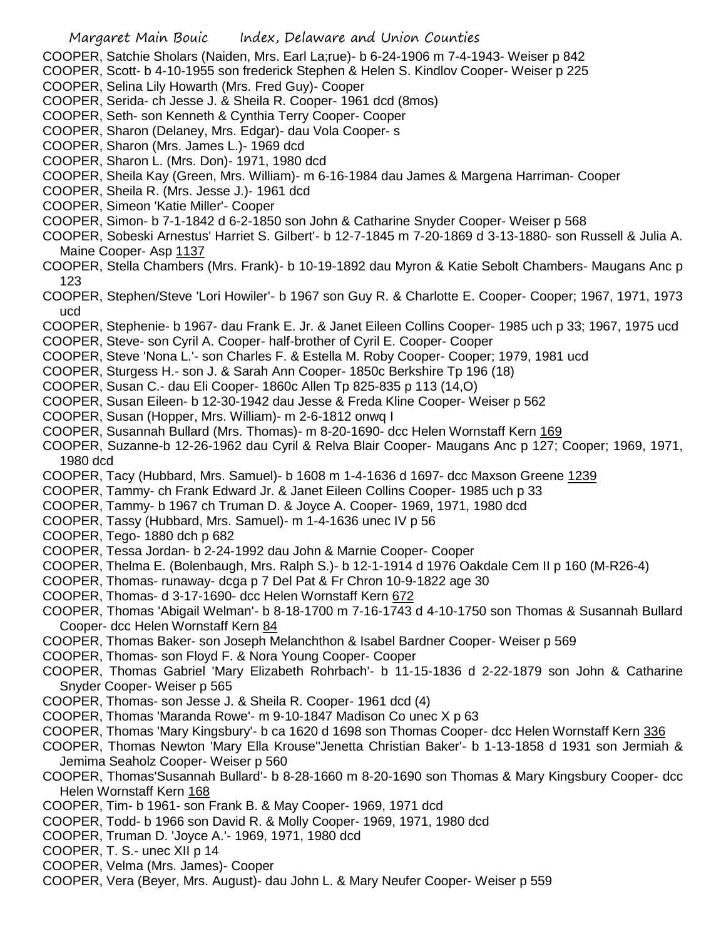- COOPER, Satchie Sholars (Naiden, Mrs. Earl La;rue)- b 6-24-1906 m 7-4-1943- Weiser p 842
- COOPER, Scott- b 4-10-1955 son frederick Stephen & Helen S. Kindlov Cooper- Weiser p 225
- COOPER, Selina Lily Howarth (Mrs. Fred Guy)- Cooper
- COOPER, Serida- ch Jesse J. & Sheila R. Cooper- 1961 dcd (8mos)
- COOPER, Seth- son Kenneth & Cynthia Terry Cooper- Cooper
- COOPER, Sharon (Delaney, Mrs. Edgar)- dau Vola Cooper- s
- COOPER, Sharon (Mrs. James L.)- 1969 dcd
- COOPER, Sharon L. (Mrs. Don)- 1971, 1980 dcd
- COOPER, Sheila Kay (Green, Mrs. William)- m 6-16-1984 dau James & Margena Harriman- Cooper
- COOPER, Sheila R. (Mrs. Jesse J.)- 1961 dcd
- COOPER, Simeon 'Katie Miller'- Cooper
- COOPER, Simon- b 7-1-1842 d 6-2-1850 son John & Catharine Snyder Cooper- Weiser p 568
- COOPER, Sobeski Arnestus' Harriet S. Gilbert'- b 12-7-1845 m 7-20-1869 d 3-13-1880- son Russell & Julia A. Maine Cooper- Asp 1137
- COOPER, Stella Chambers (Mrs. Frank)- b 10-19-1892 dau Myron & Katie Sebolt Chambers- Maugans Anc p 123
- COOPER, Stephen/Steve 'Lori Howiler'- b 1967 son Guy R. & Charlotte E. Cooper- Cooper; 1967, 1971, 1973 ucd
- COOPER, Stephenie- b 1967- dau Frank E. Jr. & Janet Eileen Collins Cooper- 1985 uch p 33; 1967, 1975 ucd COOPER, Steve- son Cyril A. Cooper- half-brother of Cyril E. Cooper- Cooper
- COOPER, Steve 'Nona L.'- son Charles F. & Estella M. Roby Cooper- Cooper; 1979, 1981 ucd
- COOPER, Sturgess H.- son J. & Sarah Ann Cooper- 1850c Berkshire Tp 196 (18)
- COOPER, Susan C.- dau Eli Cooper- 1860c Allen Tp 825-835 p 113 (14,O)
- COOPER, Susan Eileen- b 12-30-1942 dau Jesse & Freda Kline Cooper- Weiser p 562
- COOPER, Susan (Hopper, Mrs. William)- m 2-6-1812 onwq I
- COOPER, Susannah Bullard (Mrs. Thomas)- m 8-20-1690- dcc Helen Wornstaff Kern 169
- COOPER, Suzanne-b 12-26-1962 dau Cyril & Relva Blair Cooper- Maugans Anc p 127; Cooper; 1969, 1971, 1980 dcd
- COOPER, Tacy (Hubbard, Mrs. Samuel)- b 1608 m 1-4-1636 d 1697- dcc Maxson Greene 1239
- COOPER, Tammy- ch Frank Edward Jr. & Janet Eileen Collins Cooper- 1985 uch p 33
- COOPER, Tammy- b 1967 ch Truman D. & Joyce A. Cooper- 1969, 1971, 1980 dcd
- COOPER, Tassy (Hubbard, Mrs. Samuel)- m 1-4-1636 unec IV p 56
- COOPER, Tego- 1880 dch p 682
- COOPER, Tessa Jordan- b 2-24-1992 dau John & Marnie Cooper- Cooper
- COOPER, Thelma E. (Bolenbaugh, Mrs. Ralph S.)- b 12-1-1914 d 1976 Oakdale Cem II p 160 (M-R26-4)
- COOPER, Thomas- runaway- dcga p 7 Del Pat & Fr Chron 10-9-1822 age 30
- COOPER, Thomas- d 3-17-1690- dcc Helen Wornstaff Kern 672
- COOPER, Thomas 'Abigail Welman'- b 8-18-1700 m 7-16-1743 d 4-10-1750 son Thomas & Susannah Bullard Cooper- dcc Helen Wornstaff Kern 84
- COOPER, Thomas Baker- son Joseph Melanchthon & Isabel Bardner Cooper- Weiser p 569
- COOPER, Thomas- son Floyd F. & Nora Young Cooper- Cooper
- COOPER, Thomas Gabriel 'Mary Elizabeth Rohrbach'- b 11-15-1836 d 2-22-1879 son John & Catharine Snyder Cooper- Weiser p 565
- COOPER, Thomas- son Jesse J. & Sheila R. Cooper- 1961 dcd (4)
- COOPER, Thomas 'Maranda Rowe'- m 9-10-1847 Madison Co unec X p 63
- COOPER, Thomas 'Mary Kingsbury'- b ca 1620 d 1698 son Thomas Cooper- dcc Helen Wornstaff Kern 336
- COOPER, Thomas Newton 'Mary Ella Krouse''Jenetta Christian Baker'- b 1-13-1858 d 1931 son Jermiah & Jemima Seaholz Cooper- Weiser p 560
- COOPER, Thomas'Susannah Bullard'- b 8-28-1660 m 8-20-1690 son Thomas & Mary Kingsbury Cooper- dcc Helen Wornstaff Kern 168
- COOPER, Tim- b 1961- son Frank B. & May Cooper- 1969, 1971 dcd
- COOPER, Todd- b 1966 son David R. & Molly Cooper- 1969, 1971, 1980 dcd
- COOPER, Truman D. 'Joyce A.'- 1969, 1971, 1980 dcd
- COOPER, T. S.- unec XII p 14
- COOPER, Velma (Mrs. James)- Cooper
- COOPER, Vera (Beyer, Mrs. August)- dau John L. & Mary Neufer Cooper- Weiser p 559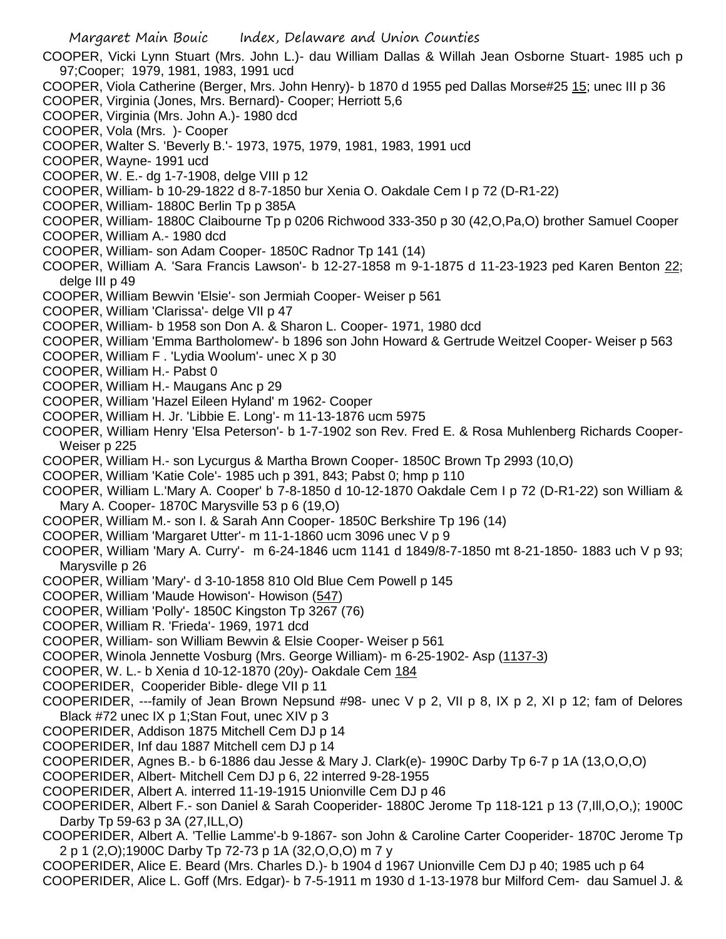Margaret Main Bouic Index, Delaware and Union Counties COOPER, Vicki Lynn Stuart (Mrs. John L.)- dau William Dallas & Willah Jean Osborne Stuart- 1985 uch p 97;Cooper; 1979, 1981, 1983, 1991 ucd COOPER, Viola Catherine (Berger, Mrs. John Henry)- b 1870 d 1955 ped Dallas Morse#25 15; unec III p 36 COOPER, Virginia (Jones, Mrs. Bernard)- Cooper; Herriott 5,6 COOPER, Virginia (Mrs. John A.)- 1980 dcd COOPER, Vola (Mrs. )- Cooper COOPER, Walter S. 'Beverly B.'- 1973, 1975, 1979, 1981, 1983, 1991 ucd COOPER, Wayne- 1991 ucd COOPER, W. E.- dg 1-7-1908, delge VIII p 12 COOPER, William- b 10-29-1822 d 8-7-1850 bur Xenia O. Oakdale Cem I p 72 (D-R1-22) COOPER, William- 1880C Berlin Tp p 385A COOPER, William- 1880C Claibourne Tp p 0206 Richwood 333-350 p 30 (42,O,Pa,O) brother Samuel Cooper COOPER, William A.- 1980 dcd COOPER, William- son Adam Cooper- 1850C Radnor Tp 141 (14) COOPER, William A. 'Sara Francis Lawson'- b 12-27-1858 m 9-1-1875 d 11-23-1923 ped Karen Benton 22; delge III p 49 COOPER, William Bewvin 'Elsie'- son Jermiah Cooper- Weiser p 561 COOPER, William 'Clarissa'- delge VII p 47 COOPER, William- b 1958 son Don A. & Sharon L. Cooper- 1971, 1980 dcd COOPER, William 'Emma Bartholomew'- b 1896 son John Howard & Gertrude Weitzel Cooper- Weiser p 563 COOPER, William F . 'Lydia Woolum'- unec X p 30 COOPER, William H.- Pabst 0 COOPER, William H.- Maugans Anc p 29 COOPER, William 'Hazel Eileen Hyland' m 1962- Cooper COOPER, William H. Jr. 'Libbie E. Long'- m 11-13-1876 ucm 5975 COOPER, William Henry 'Elsa Peterson'- b 1-7-1902 son Rev. Fred E. & Rosa Muhlenberg Richards Cooper-Weiser p 225 COOPER, William H.- son Lycurgus & Martha Brown Cooper- 1850C Brown Tp 2993 (10,O) COOPER, William 'Katie Cole'- 1985 uch p 391, 843; Pabst 0; hmp p 110 COOPER, William L.'Mary A. Cooper' b 7-8-1850 d 10-12-1870 Oakdale Cem I p 72 (D-R1-22) son William & Mary A. Cooper- 1870C Marysville 53 p 6 (19,O) COOPER, William M.- son I. & Sarah Ann Cooper- 1850C Berkshire Tp 196 (14) COOPER, William 'Margaret Utter'- m 11-1-1860 ucm 3096 unec V p 9 COOPER, William 'Mary A. Curry'- m 6-24-1846 ucm 1141 d 1849/8-7-1850 mt 8-21-1850- 1883 uch V p 93; Marysville p 26 COOPER, William 'Mary'- d 3-10-1858 810 Old Blue Cem Powell p 145 COOPER, William 'Maude Howison'- Howison (547) COOPER, William 'Polly'- 1850C Kingston Tp 3267 (76) COOPER, William R. 'Frieda'- 1969, 1971 dcd COOPER, William- son William Bewvin & Elsie Cooper- Weiser p 561 COOPER, Winola Jennette Vosburg (Mrs. George William)- m 6-25-1902- Asp (1137-3) COOPER, W. L.- b Xenia d 10-12-1870 (20y)- Oakdale Cem 184 COOPERIDER, Cooperider Bible- dlege VII p 11 COOPERIDER, ---family of Jean Brown Nepsund #98- unec V p 2, VII p 8, IX p 2, XI p 12; fam of Delores Black #72 unec IX p 1;Stan Fout, unec XIV p 3 COOPERIDER, Addison 1875 Mitchell Cem DJ p 14 COOPERIDER, Inf dau 1887 Mitchell cem DJ p 14 COOPERIDER, Agnes B.- b 6-1886 dau Jesse & Mary J. Clark(e)- 1990C Darby Tp 6-7 p 1A (13,O,O,O) COOPERIDER, Albert- Mitchell Cem DJ p 6, 22 interred 9-28-1955 COOPERIDER, Albert A. interred 11-19-1915 Unionville Cem DJ p 46 COOPERIDER, Albert F.- son Daniel & Sarah Cooperider- 1880C Jerome Tp 118-121 p 13 (7,Ill,O,O,); 1900C Darby Tp 59-63 p 3A (27,ILL,O) COOPERIDER, Albert A. 'Tellie Lamme'-b 9-1867- son John & Caroline Carter Cooperider- 1870C Jerome Tp 2 p 1 (2,O);1900C Darby Tp 72-73 p 1A (32,O,O,O) m 7 y COOPERIDER, Alice E. Beard (Mrs. Charles D.)- b 1904 d 1967 Unionville Cem DJ p 40; 1985 uch p 64 COOPERIDER, Alice L. Goff (Mrs. Edgar)- b 7-5-1911 m 1930 d 1-13-1978 bur Milford Cem- dau Samuel J. &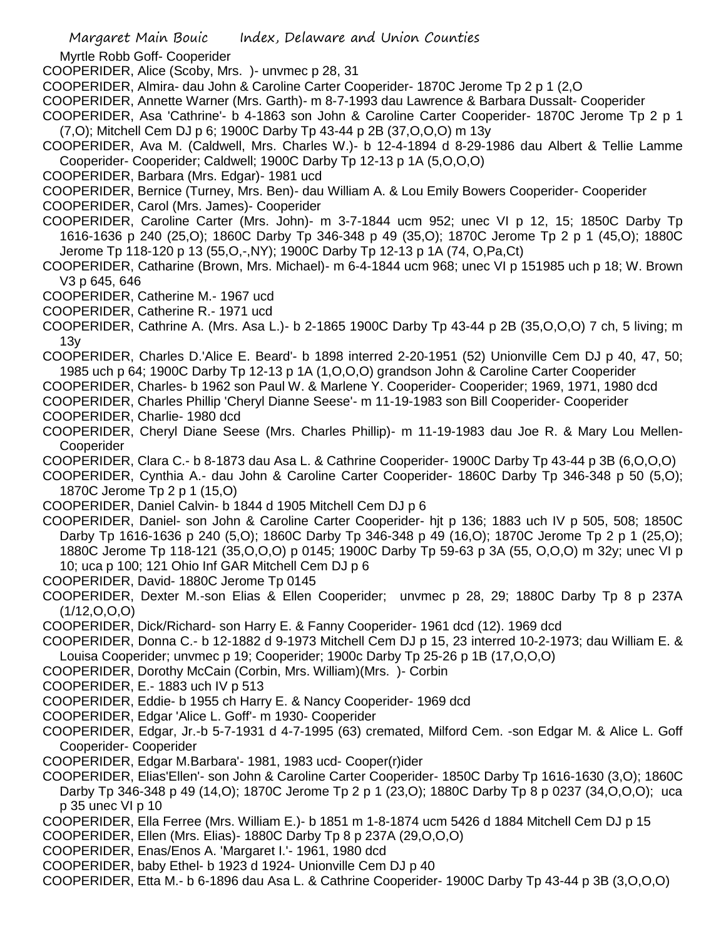Myrtle Robb Goff- Cooperider

COOPERIDER, Alice (Scoby, Mrs. )- unvmec p 28, 31

COOPERIDER, Almira- dau John & Caroline Carter Cooperider- 1870C Jerome Tp 2 p 1 (2,O

COOPERIDER, Annette Warner (Mrs. Garth)- m 8-7-1993 dau Lawrence & Barbara Dussalt- Cooperider

COOPERIDER, Asa 'Cathrine'- b 4-1863 son John & Caroline Carter Cooperider- 1870C Jerome Tp 2 p 1 (7,O); Mitchell Cem DJ p 6; 1900C Darby Tp 43-44 p 2B (37,O,O,O) m 13y

COOPERIDER, Ava M. (Caldwell, Mrs. Charles W.)- b 12-4-1894 d 8-29-1986 dau Albert & Tellie Lamme Cooperider- Cooperider; Caldwell; 1900C Darby Tp 12-13 p 1A (5,O,O,O)

COOPERIDER, Barbara (Mrs. Edgar)- 1981 ucd

COOPERIDER, Bernice (Turney, Mrs. Ben)- dau William A. & Lou Emily Bowers Cooperider- Cooperider

COOPERIDER, Carol (Mrs. James)- Cooperider

COOPERIDER, Caroline Carter (Mrs. John)- m 3-7-1844 ucm 952; unec VI p 12, 15; 1850C Darby Tp 1616-1636 p 240 (25,O); 1860C Darby Tp 346-348 p 49 (35,O); 1870C Jerome Tp 2 p 1 (45,O); 1880C Jerome Tp 118-120 p 13 (55,O,-,NY); 1900C Darby Tp 12-13 p 1A (74, O,Pa,Ct)

COOPERIDER, Catharine (Brown, Mrs. Michael)- m 6-4-1844 ucm 968; unec VI p 151985 uch p 18; W. Brown V3 p 645, 646

COOPERIDER, Catherine M.- 1967 ucd

COOPERIDER, Catherine R.- 1971 ucd

COOPERIDER, Cathrine A. (Mrs. Asa L.)- b 2-1865 1900C Darby Tp 43-44 p 2B (35,O,O,O) 7 ch, 5 living; m 13y

COOPERIDER, Charles D.'Alice E. Beard'- b 1898 interred 2-20-1951 (52) Unionville Cem DJ p 40, 47, 50; 1985 uch p 64; 1900C Darby Tp 12-13 p 1A (1,O,O,O) grandson John & Caroline Carter Cooperider

COOPERIDER, Charles- b 1962 son Paul W. & Marlene Y. Cooperider- Cooperider; 1969, 1971, 1980 dcd

COOPERIDER, Charles Phillip 'Cheryl Dianne Seese'- m 11-19-1983 son Bill Cooperider- Cooperider COOPERIDER, Charlie- 1980 dcd

COOPERIDER, Cheryl Diane Seese (Mrs. Charles Phillip)- m 11-19-1983 dau Joe R. & Mary Lou Mellen-Cooperider

COOPERIDER, Clara C.- b 8-1873 dau Asa L. & Cathrine Cooperider- 1900C Darby Tp 43-44 p 3B (6,O,O,O)

COOPERIDER, Cynthia A.- dau John & Caroline Carter Cooperider- 1860C Darby Tp 346-348 p 50 (5,O); 1870C Jerome Tp 2 p 1 (15,O)

COOPERIDER, Daniel Calvin- b 1844 d 1905 Mitchell Cem DJ p 6

COOPERIDER, Daniel- son John & Caroline Carter Cooperider- hjt p 136; 1883 uch IV p 505, 508; 1850C Darby Tp 1616-1636 p 240 (5,O); 1860C Darby Tp 346-348 p 49 (16,O); 1870C Jerome Tp 2 p 1 (25,O); 1880C Jerome Tp 118-121 (35,O,O,O) p 0145; 1900C Darby Tp 59-63 p 3A (55, O,O,O) m 32y; unec VI p 10; uca p 100; 121 Ohio Inf GAR Mitchell Cem DJ p 6

COOPERIDER, David- 1880C Jerome Tp 0145

COOPERIDER, Dexter M.-son Elias & Ellen Cooperider; unvmec p 28, 29; 1880C Darby Tp 8 p 237A  $(1/12, 0, 0, 0)$ 

COOPERIDER, Dick/Richard- son Harry E. & Fanny Cooperider- 1961 dcd (12). 1969 dcd

COOPERIDER, Donna C.- b 12-1882 d 9-1973 Mitchell Cem DJ p 15, 23 interred 10-2-1973; dau William E. & Louisa Cooperider; unvmec p 19; Cooperider; 1900c Darby Tp 25-26 p 1B (17,O,O,O)

COOPERIDER, Dorothy McCain (Corbin, Mrs. William)(Mrs. )- Corbin

COOPERIDER, E.- 1883 uch IV p 513

COOPERIDER, Eddie- b 1955 ch Harry E. & Nancy Cooperider- 1969 dcd

COOPERIDER, Edgar 'Alice L. Goff'- m 1930- Cooperider

COOPERIDER, Edgar, Jr.-b 5-7-1931 d 4-7-1995 (63) cremated, Milford Cem. -son Edgar M. & Alice L. Goff Cooperider- Cooperider

COOPERIDER, Edgar M.Barbara'- 1981, 1983 ucd- Cooper(r)ider

COOPERIDER, Elias'Ellen'- son John & Caroline Carter Cooperider- 1850C Darby Tp 1616-1630 (3,O); 1860C Darby Tp 346-348 p 49 (14,O); 1870C Jerome Tp 2 p 1 (23,O); 1880C Darby Tp 8 p 0237 (34,O,O,O); uca p 35 unec VI p 10

COOPERIDER, Ella Ferree (Mrs. William E.)- b 1851 m 1-8-1874 ucm 5426 d 1884 Mitchell Cem DJ p 15

COOPERIDER, Ellen (Mrs. Elias)- 1880C Darby Tp 8 p 237A (29,O,O,O)

COOPERIDER, Enas/Enos A. 'Margaret I.'- 1961, 1980 dcd

COOPERIDER, baby Ethel- b 1923 d 1924- Unionville Cem DJ p 40

COOPERIDER, Etta M.- b 6-1896 dau Asa L. & Cathrine Cooperider- 1900C Darby Tp 43-44 p 3B (3,O,O,O)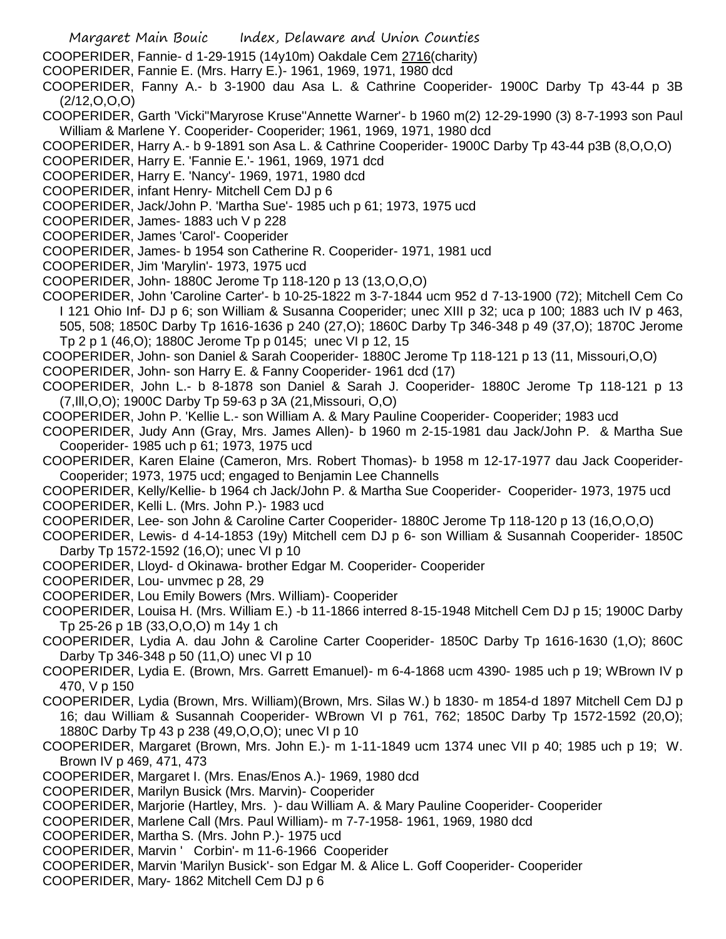- Margaret Main Bouic Index, Delaware and Union Counties
- COOPERIDER, Fannie- d 1-29-1915 (14y10m) Oakdale Cem 2716(charity)
- COOPERIDER, Fannie E. (Mrs. Harry E.)- 1961, 1969, 1971, 1980 dcd
- COOPERIDER, Fanny A.- b 3-1900 dau Asa L. & Cathrine Cooperider- 1900C Darby Tp 43-44 p 3B (2/12,O,O,O)
- COOPERIDER, Garth 'Vicki''Maryrose Kruse''Annette Warner'- b 1960 m(2) 12-29-1990 (3) 8-7-1993 son Paul William & Marlene Y. Cooperider- Cooperider; 1961, 1969, 1971, 1980 dcd
- COOPERIDER, Harry A.- b 9-1891 son Asa L. & Cathrine Cooperider- 1900C Darby Tp 43-44 p3B (8,O,O,O)
- COOPERIDER, Harry E. 'Fannie E.'- 1961, 1969, 1971 dcd
- COOPERIDER, Harry E. 'Nancy'- 1969, 1971, 1980 dcd
- COOPERIDER, infant Henry- Mitchell Cem DJ p 6
- COOPERIDER, Jack/John P. 'Martha Sue'- 1985 uch p 61; 1973, 1975 ucd
- COOPERIDER, James- 1883 uch V p 228
- COOPERIDER, James 'Carol'- Cooperider
- COOPERIDER, James- b 1954 son Catherine R. Cooperider- 1971, 1981 ucd
- COOPERIDER, Jim 'Marylin'- 1973, 1975 ucd
- COOPERIDER, John- 1880C Jerome Tp 118-120 p 13 (13,O,O,O)
- COOPERIDER, John 'Caroline Carter'- b 10-25-1822 m 3-7-1844 ucm 952 d 7-13-1900 (72); Mitchell Cem Co I 121 Ohio Inf- DJ p 6; son William & Susanna Cooperider; unec XIII p 32; uca p 100; 1883 uch IV p 463, 505, 508; 1850C Darby Tp 1616-1636 p 240 (27,O); 1860C Darby Tp 346-348 p 49 (37,O); 1870C Jerome Tp 2 p 1 (46,O); 1880C Jerome Tp p 0145; unec VI p 12, 15
- COOPERIDER, John- son Daniel & Sarah Cooperider- 1880C Jerome Tp 118-121 p 13 (11, Missouri,O,O)
- COOPERIDER, John- son Harry E. & Fanny Cooperider- 1961 dcd (17)
- COOPERIDER, John L.- b 8-1878 son Daniel & Sarah J. Cooperider- 1880C Jerome Tp 118-121 p 13 (7,Ill,O,O); 1900C Darby Tp 59-63 p 3A (21,Missouri, O,O)
- COOPERIDER, John P. 'Kellie L.- son William A. & Mary Pauline Cooperider- Cooperider; 1983 ucd
- COOPERIDER, Judy Ann (Gray, Mrs. James Allen)- b 1960 m 2-15-1981 dau Jack/John P. & Martha Sue Cooperider- 1985 uch p 61; 1973, 1975 ucd
- COOPERIDER, Karen Elaine (Cameron, Mrs. Robert Thomas)- b 1958 m 12-17-1977 dau Jack Cooperider-Cooperider; 1973, 1975 ucd; engaged to Benjamin Lee Channells
- COOPERIDER, Kelly/Kellie- b 1964 ch Jack/John P. & Martha Sue Cooperider- Cooperider- 1973, 1975 ucd COOPERIDER, Kelli L. (Mrs. John P.)- 1983 ucd
- COOPERIDER, Lee- son John & Caroline Carter Cooperider- 1880C Jerome Tp 118-120 p 13 (16,O,O,O)
- COOPERIDER, Lewis- d 4-14-1853 (19y) Mitchell cem DJ p 6- son William & Susannah Cooperider- 1850C Darby Tp 1572-1592 (16,O); unec VI p 10
- COOPERIDER, Lloyd- d Okinawa- brother Edgar M. Cooperider- Cooperider
- COOPERIDER, Lou- unvmec p 28, 29
- COOPERIDER, Lou Emily Bowers (Mrs. William)- Cooperider
- COOPERIDER, Louisa H. (Mrs. William E.) -b 11-1866 interred 8-15-1948 Mitchell Cem DJ p 15; 1900C Darby Tp 25-26 p 1B (33,O,O,O) m 14y 1 ch
- COOPERIDER, Lydia A. dau John & Caroline Carter Cooperider- 1850C Darby Tp 1616-1630 (1,O); 860C Darby Tp 346-348 p 50 (11,O) unec VI p 10
- COOPERIDER, Lydia E. (Brown, Mrs. Garrett Emanuel)- m 6-4-1868 ucm 4390- 1985 uch p 19; WBrown IV p 470, V p 150
- COOPERIDER, Lydia (Brown, Mrs. William)(Brown, Mrs. Silas W.) b 1830- m 1854-d 1897 Mitchell Cem DJ p 16; dau William & Susannah Cooperider- WBrown VI p 761, 762; 1850C Darby Tp 1572-1592 (20,O); 1880C Darby Tp 43 p 238 (49,O,O,O); unec VI p 10
- COOPERIDER, Margaret (Brown, Mrs. John E.)- m 1-11-1849 ucm 1374 unec VII p 40; 1985 uch p 19; W. Brown IV p 469, 471, 473
- COOPERIDER, Margaret I. (Mrs. Enas/Enos A.)- 1969, 1980 dcd
- COOPERIDER, Marilyn Busick (Mrs. Marvin)- Cooperider
- COOPERIDER, Marjorie (Hartley, Mrs. )- dau William A. & Mary Pauline Cooperider- Cooperider
- COOPERIDER, Marlene Call (Mrs. Paul William)- m 7-7-1958- 1961, 1969, 1980 dcd
- COOPERIDER, Martha S. (Mrs. John P.)- 1975 ucd
- COOPERIDER, Marvin ' Corbin'- m 11-6-1966 Cooperider
- COOPERIDER, Marvin 'Marilyn Busick'- son Edgar M. & Alice L. Goff Cooperider- Cooperider
- COOPERIDER, Mary- 1862 Mitchell Cem DJ p 6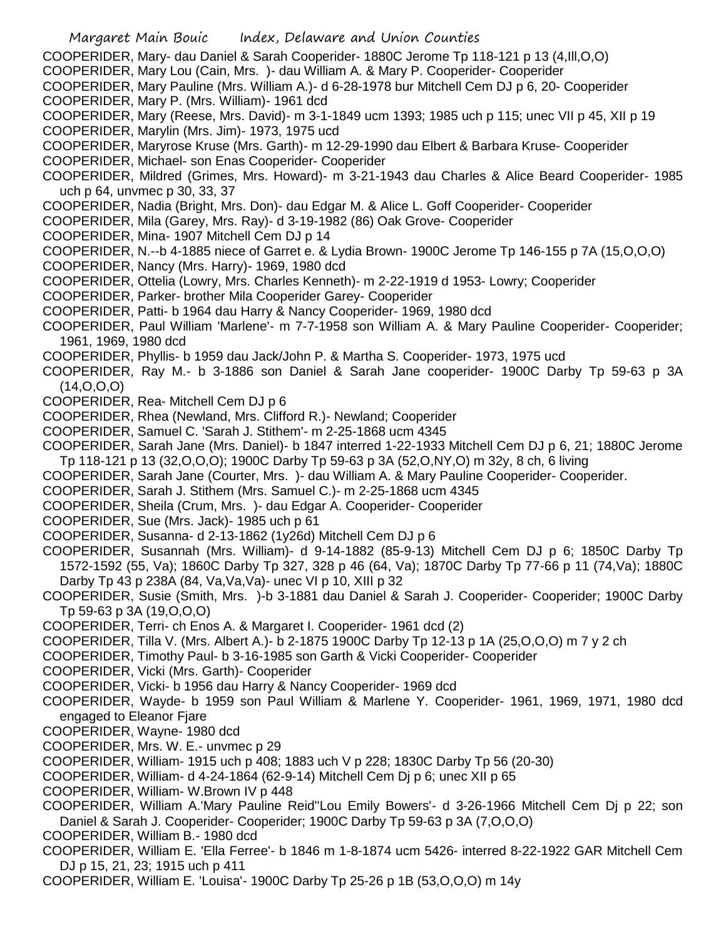- Margaret Main Bouic Index, Delaware and Union Counties COOPERIDER, Mary- dau Daniel & Sarah Cooperider- 1880C Jerome Tp 118-121 p 13 (4,Ill,O,O) COOPERIDER, Mary Lou (Cain, Mrs. )- dau William A. & Mary P. Cooperider- Cooperider COOPERIDER, Mary Pauline (Mrs. William A.)- d 6-28-1978 bur Mitchell Cem DJ p 6, 20- Cooperider COOPERIDER, Mary P. (Mrs. William)- 1961 dcd COOPERIDER, Mary (Reese, Mrs. David)- m 3-1-1849 ucm 1393; 1985 uch p 115; unec VII p 45, XII p 19 COOPERIDER, Marylin (Mrs. Jim)- 1973, 1975 ucd COOPERIDER, Maryrose Kruse (Mrs. Garth)- m 12-29-1990 dau Elbert & Barbara Kruse- Cooperider COOPERIDER, Michael- son Enas Cooperider- Cooperider COOPERIDER, Mildred (Grimes, Mrs. Howard)- m 3-21-1943 dau Charles & Alice Beard Cooperider- 1985 uch p 64, unvmec p 30, 33, 37 COOPERIDER, Nadia (Bright, Mrs. Don)- dau Edgar M. & Alice L. Goff Cooperider- Cooperider COOPERIDER, Mila (Garey, Mrs. Ray)- d 3-19-1982 (86) Oak Grove- Cooperider COOPERIDER, Mina- 1907 Mitchell Cem DJ p 14 COOPERIDER, N.--b 4-1885 niece of Garret e. & Lydia Brown- 1900C Jerome Tp 146-155 p 7A (15,O,O,O) COOPERIDER, Nancy (Mrs. Harry)- 1969, 1980 dcd COOPERIDER, Ottelia (Lowry, Mrs. Charles Kenneth)- m 2-22-1919 d 1953- Lowry; Cooperider COOPERIDER, Parker- brother Mila Cooperider Garey- Cooperider COOPERIDER, Patti- b 1964 dau Harry & Nancy Cooperider- 1969, 1980 dcd COOPERIDER, Paul William 'Marlene'- m 7-7-1958 son William A. & Mary Pauline Cooperider- Cooperider; 1961, 1969, 1980 dcd COOPERIDER, Phyllis- b 1959 dau Jack/John P. & Martha S. Cooperider- 1973, 1975 ucd COOPERIDER, Ray M.- b 3-1886 son Daniel & Sarah Jane cooperider- 1900C Darby Tp 59-63 p 3A (14,O,O,O) COOPERIDER, Rea- Mitchell Cem DJ p 6 COOPERIDER, Rhea (Newland, Mrs. Clifford R.)- Newland; Cooperider COOPERIDER, Samuel C. 'Sarah J. Stithem'- m 2-25-1868 ucm 4345 COOPERIDER, Sarah Jane (Mrs. Daniel)- b 1847 interred 1-22-1933 Mitchell Cem DJ p 6, 21; 1880C Jerome Tp 118-121 p 13 (32,O,O,O); 1900C Darby Tp 59-63 p 3A (52,O,NY,O) m 32y, 8 ch, 6 living COOPERIDER, Sarah Jane (Courter, Mrs. )- dau William A. & Mary Pauline Cooperider- Cooperider. COOPERIDER, Sarah J. Stithem (Mrs. Samuel C.)- m 2-25-1868 ucm 4345 COOPERIDER, Sheila (Crum, Mrs. )- dau Edgar A. Cooperider- Cooperider COOPERIDER, Sue (Mrs. Jack)- 1985 uch p 61 COOPERIDER, Susanna- d 2-13-1862 (1y26d) Mitchell Cem DJ p 6 COOPERIDER, Susannah (Mrs. William)- d 9-14-1882 (85-9-13) Mitchell Cem DJ p 6; 1850C Darby Tp 1572-1592 (55, Va); 1860C Darby Tp 327, 328 p 46 (64, Va); 1870C Darby Tp 77-66 p 11 (74,Va); 1880C Darby Tp 43 p 238A (84, Va,Va,Va)- unec VI p 10, XIII p 32 COOPERIDER, Susie (Smith, Mrs. )-b 3-1881 dau Daniel & Sarah J. Cooperider- Cooperider; 1900C Darby Tp 59-63 p 3A (19,O,O,O) COOPERIDER, Terri- ch Enos A. & Margaret I. Cooperider- 1961 dcd (2) COOPERIDER, Tilla V. (Mrs. Albert A.)- b 2-1875 1900C Darby Tp 12-13 p 1A (25,O,O,O) m 7 y 2 ch COOPERIDER, Timothy Paul- b 3-16-1985 son Garth & Vicki Cooperider- Cooperider COOPERIDER, Vicki (Mrs. Garth)- Cooperider COOPERIDER, Vicki- b 1956 dau Harry & Nancy Cooperider- 1969 dcd COOPERIDER, Wayde- b 1959 son Paul William & Marlene Y. Cooperider- 1961, 1969, 1971, 1980 dcd engaged to Eleanor Fjare COOPERIDER, Wayne- 1980 dcd COOPERIDER, Mrs. W. E.- unvmec p 29 COOPERIDER, William- 1915 uch p 408; 1883 uch V p 228; 1830C Darby Tp 56 (20-30)
- COOPERIDER, William- d 4-24-1864 (62-9-14) Mitchell Cem Dj p 6; unec XII p 65
- COOPERIDER, William- W.Brown IV p 448
- COOPERIDER, William A.'Mary Pauline Reid''Lou Emily Bowers'- d 3-26-1966 Mitchell Cem Dj p 22; son Daniel & Sarah J. Cooperider- Cooperider; 1900C Darby Tp 59-63 p 3A (7,O,O,O)

COOPERIDER, William B.- 1980 dcd

- COOPERIDER, William E. 'Ella Ferree'- b 1846 m 1-8-1874 ucm 5426- interred 8-22-1922 GAR Mitchell Cem DJ p 15, 21, 23; 1915 uch p 411
- COOPERIDER, William E. 'Louisa'- 1900C Darby Tp 25-26 p 1B (53,O,O,O) m 14y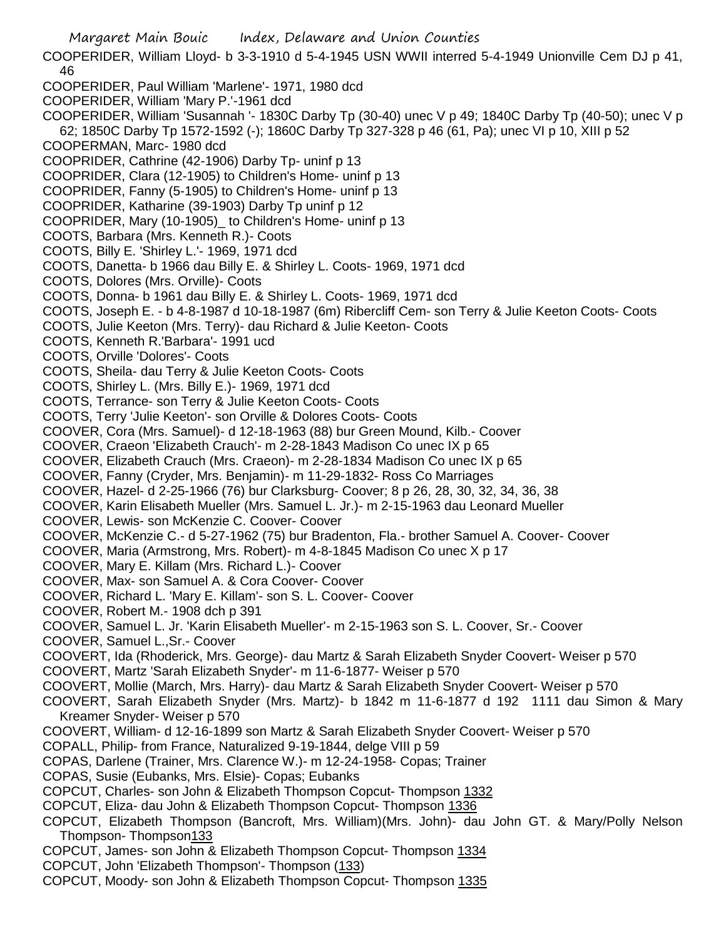Margaret Main Bouic Index, Delaware and Union Counties COOPERIDER, William Lloyd- b 3-3-1910 d 5-4-1945 USN WWII interred 5-4-1949 Unionville Cem DJ p 41, 46 COOPERIDER, Paul William 'Marlene'- 1971, 1980 dcd COOPERIDER, William 'Mary P.'-1961 dcd COOPERIDER, William 'Susannah '- 1830C Darby Tp (30-40) unec V p 49; 1840C Darby Tp (40-50); unec V p 62; 1850C Darby Tp 1572-1592 (-); 1860C Darby Tp 327-328 p 46 (61, Pa); unec VI p 10, XIII p 52 COOPERMAN, Marc- 1980 dcd COOPRIDER, Cathrine (42-1906) Darby Tp- uninf p 13 COOPRIDER, Clara (12-1905) to Children's Home- uninf p 13 COOPRIDER, Fanny (5-1905) to Children's Home- uninf p 13 COOPRIDER, Katharine (39-1903) Darby Tp uninf p 12 COOPRIDER, Mary (10-1905)\_ to Children's Home- uninf p 13 COOTS, Barbara (Mrs. Kenneth R.)- Coots COOTS, Billy E. 'Shirley L.'- 1969, 1971 dcd COOTS, Danetta- b 1966 dau Billy E. & Shirley L. Coots- 1969, 1971 dcd COOTS, Dolores (Mrs. Orville)- Coots COOTS, Donna- b 1961 dau Billy E. & Shirley L. Coots- 1969, 1971 dcd COOTS, Joseph E. - b 4-8-1987 d 10-18-1987 (6m) Ribercliff Cem- son Terry & Julie Keeton Coots- Coots COOTS, Julie Keeton (Mrs. Terry)- dau Richard & Julie Keeton- Coots COOTS, Kenneth R.'Barbara'- 1991 ucd COOTS, Orville 'Dolores'- Coots COOTS, Sheila- dau Terry & Julie Keeton Coots- Coots COOTS, Shirley L. (Mrs. Billy E.)- 1969, 1971 dcd COOTS, Terrance- son Terry & Julie Keeton Coots- Coots COOTS, Terry 'Julie Keeton'- son Orville & Dolores Coots- Coots COOVER, Cora (Mrs. Samuel)- d 12-18-1963 (88) bur Green Mound, Kilb.- Coover COOVER, Craeon 'Elizabeth Crauch'- m 2-28-1843 Madison Co unec IX p 65 COOVER, Elizabeth Crauch (Mrs. Craeon)- m 2-28-1834 Madison Co unec IX p 65 COOVER, Fanny (Cryder, Mrs. Benjamin)- m 11-29-1832- Ross Co Marriages COOVER, Hazel- d 2-25-1966 (76) bur Clarksburg- Coover; 8 p 26, 28, 30, 32, 34, 36, 38 COOVER, Karin Elisabeth Mueller (Mrs. Samuel L. Jr.)- m 2-15-1963 dau Leonard Mueller COOVER, Lewis- son McKenzie C. Coover- Coover COOVER, McKenzie C.- d 5-27-1962 (75) bur Bradenton, Fla.- brother Samuel A. Coover- Coover COOVER, Maria (Armstrong, Mrs. Robert)- m 4-8-1845 Madison Co unec X p 17 COOVER, Mary E. Killam (Mrs. Richard L.)- Coover COOVER, Max- son Samuel A. & Cora Coover- Coover COOVER, Richard L. 'Mary E. Killam'- son S. L. Coover- Coover COOVER, Robert M.- 1908 dch p 391 COOVER, Samuel L. Jr. 'Karin Elisabeth Mueller'- m 2-15-1963 son S. L. Coover, Sr.- Coover COOVER, Samuel L.,Sr.- Coover COOVERT, Ida (Rhoderick, Mrs. George)- dau Martz & Sarah Elizabeth Snyder Coovert- Weiser p 570 COOVERT, Martz 'Sarah Elizabeth Snyder'- m 11-6-1877- Weiser p 570 COOVERT, Mollie (March, Mrs. Harry)- dau Martz & Sarah Elizabeth Snyder Coovert- Weiser p 570 COOVERT, Sarah Elizabeth Snyder (Mrs. Martz)- b 1842 m 11-6-1877 d 192 1111 dau Simon & Mary Kreamer Snyder- Weiser p 570 COOVERT, William- d 12-16-1899 son Martz & Sarah Elizabeth Snyder Coovert- Weiser p 570 COPALL, Philip- from France, Naturalized 9-19-1844, delge VIII p 59 COPAS, Darlene (Trainer, Mrs. Clarence W.)- m 12-24-1958- Copas; Trainer COPAS, Susie (Eubanks, Mrs. Elsie)- Copas; Eubanks COPCUT, Charles- son John & Elizabeth Thompson Copcut- Thompson 1332 COPCUT, Eliza- dau John & Elizabeth Thompson Copcut- Thompson 1336 COPCUT, Elizabeth Thompson (Bancroft, Mrs. William)(Mrs. John)- dau John GT. & Mary/Polly Nelson Thompson- Thompson133 COPCUT, James- son John & Elizabeth Thompson Copcut- Thompson 1334 COPCUT, John 'Elizabeth Thompson'- Thompson (133) COPCUT, Moody- son John & Elizabeth Thompson Copcut- Thompson 1335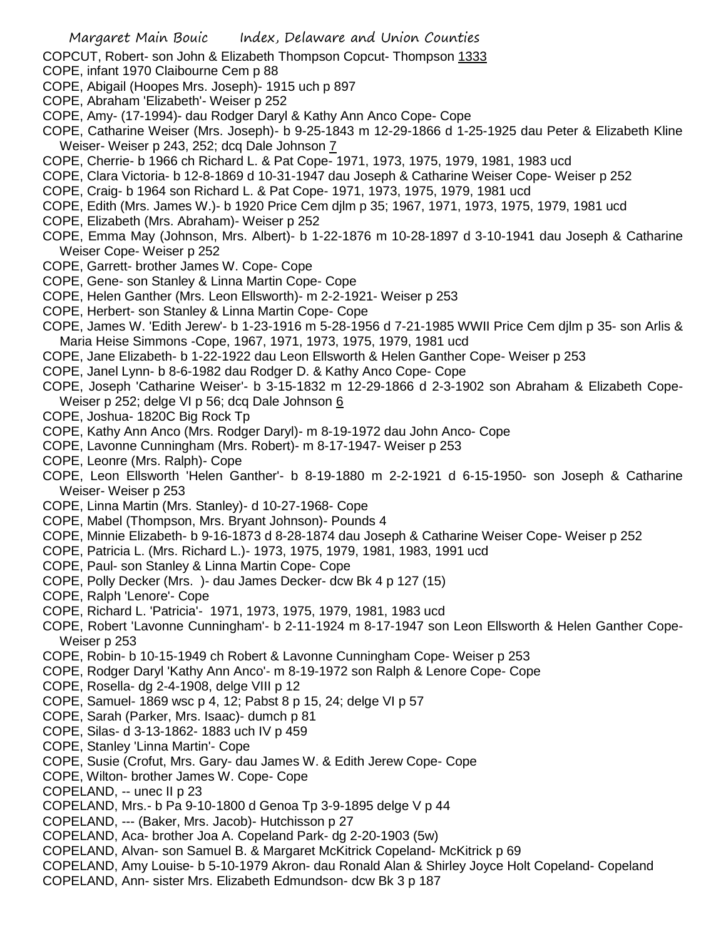COPCUT, Robert- son John & Elizabeth Thompson Copcut- Thompson 1333

- COPE, infant 1970 Claibourne Cem p 88
- COPE, Abigail (Hoopes Mrs. Joseph)- 1915 uch p 897
- COPE, Abraham 'Elizabeth'- Weiser p 252
- COPE, Amy- (17-1994)- dau Rodger Daryl & Kathy Ann Anco Cope- Cope
- COPE, Catharine Weiser (Mrs. Joseph)- b 9-25-1843 m 12-29-1866 d 1-25-1925 dau Peter & Elizabeth Kline Weiser- Weiser p 243, 252; dcq Dale Johnson 7
- COPE, Cherrie- b 1966 ch Richard L. & Pat Cope- 1971, 1973, 1975, 1979, 1981, 1983 ucd
- COPE, Clara Victoria- b 12-8-1869 d 10-31-1947 dau Joseph & Catharine Weiser Cope- Weiser p 252
- COPE, Craig- b 1964 son Richard L. & Pat Cope- 1971, 1973, 1975, 1979, 1981 ucd
- COPE, Edith (Mrs. James W.)- b 1920 Price Cem djlm p 35; 1967, 1971, 1973, 1975, 1979, 1981 ucd
- COPE, Elizabeth (Mrs. Abraham)- Weiser p 252
- COPE, Emma May (Johnson, Mrs. Albert)- b 1-22-1876 m 10-28-1897 d 3-10-1941 dau Joseph & Catharine Weiser Cope- Weiser p 252
- COPE, Garrett- brother James W. Cope- Cope
- COPE, Gene- son Stanley & Linna Martin Cope- Cope
- COPE, Helen Ganther (Mrs. Leon Ellsworth)- m 2-2-1921- Weiser p 253
- COPE, Herbert- son Stanley & Linna Martin Cope- Cope
- COPE, James W. 'Edith Jerew'- b 1-23-1916 m 5-28-1956 d 7-21-1985 WWII Price Cem djlm p 35- son Arlis & Maria Heise Simmons -Cope, 1967, 1971, 1973, 1975, 1979, 1981 ucd
- COPE, Jane Elizabeth- b 1-22-1922 dau Leon Ellsworth & Helen Ganther Cope- Weiser p 253
- COPE, Janel Lynn- b 8-6-1982 dau Rodger D. & Kathy Anco Cope- Cope
- COPE, Joseph 'Catharine Weiser'- b 3-15-1832 m 12-29-1866 d 2-3-1902 son Abraham & Elizabeth Cope-Weiser p 252; delge VI p 56; dcq Dale Johnson 6
- COPE, Joshua- 1820C Big Rock Tp
- COPE, Kathy Ann Anco (Mrs. Rodger Daryl)- m 8-19-1972 dau John Anco- Cope
- COPE, Lavonne Cunningham (Mrs. Robert)- m 8-17-1947- Weiser p 253
- COPE, Leonre (Mrs. Ralph)- Cope
- COPE, Leon Ellsworth 'Helen Ganther'- b 8-19-1880 m 2-2-1921 d 6-15-1950- son Joseph & Catharine Weiser- Weiser p 253
- COPE, Linna Martin (Mrs. Stanley)- d 10-27-1968- Cope
- COPE, Mabel (Thompson, Mrs. Bryant Johnson)- Pounds 4
- COPE, Minnie Elizabeth- b 9-16-1873 d 8-28-1874 dau Joseph & Catharine Weiser Cope- Weiser p 252
- COPE, Patricia L. (Mrs. Richard L.)- 1973, 1975, 1979, 1981, 1983, 1991 ucd
- COPE, Paul- son Stanley & Linna Martin Cope- Cope
- COPE, Polly Decker (Mrs. )- dau James Decker- dcw Bk 4 p 127 (15)
- COPE, Ralph 'Lenore'- Cope
- COPE, Richard L. 'Patricia'- 1971, 1973, 1975, 1979, 1981, 1983 ucd
- COPE, Robert 'Lavonne Cunningham'- b 2-11-1924 m 8-17-1947 son Leon Ellsworth & Helen Ganther Cope-Weiser p 253
- COPE, Robin- b 10-15-1949 ch Robert & Lavonne Cunningham Cope- Weiser p 253
- COPE, Rodger Daryl 'Kathy Ann Anco'- m 8-19-1972 son Ralph & Lenore Cope- Cope
- COPE, Rosella- dg 2-4-1908, delge VIII p 12
- COPE, Samuel- 1869 wsc p 4, 12; Pabst 8 p 15, 24; delge VI p 57
- COPE, Sarah (Parker, Mrs. Isaac)- dumch p 81
- COPE, Silas- d 3-13-1862- 1883 uch IV p 459
- COPE, Stanley 'Linna Martin'- Cope
- COPE, Susie (Crofut, Mrs. Gary- dau James W. & Edith Jerew Cope- Cope
- COPE, Wilton- brother James W. Cope- Cope
- COPELAND, -- unec II p 23
- COPELAND, Mrs.- b Pa 9-10-1800 d Genoa Tp 3-9-1895 delge V p 44
- COPELAND, --- (Baker, Mrs. Jacob)- Hutchisson p 27
- COPELAND, Aca- brother Joa A. Copeland Park- dg 2-20-1903 (5w)
- COPELAND, Alvan- son Samuel B. & Margaret McKitrick Copeland- McKitrick p 69
- COPELAND, Amy Louise- b 5-10-1979 Akron- dau Ronald Alan & Shirley Joyce Holt Copeland- Copeland
- COPELAND, Ann- sister Mrs. Elizabeth Edmundson- dcw Bk 3 p 187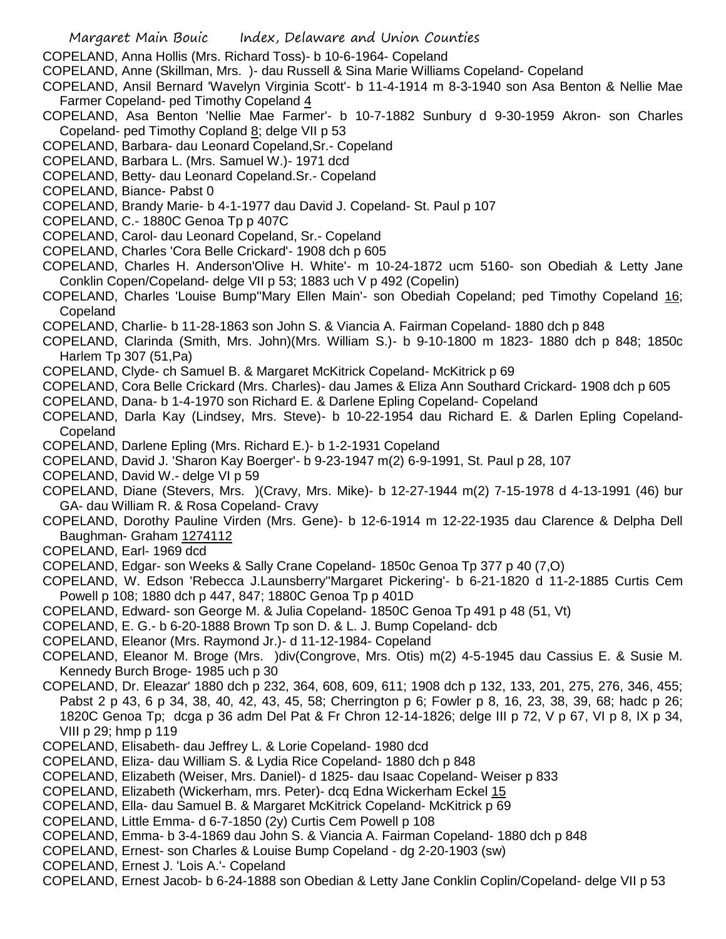COPELAND, Anna Hollis (Mrs. Richard Toss)- b 10-6-1964- Copeland

COPELAND, Anne (Skillman, Mrs. )- dau Russell & Sina Marie Williams Copeland- Copeland

- COPELAND, Ansil Bernard 'Wavelyn Virginia Scott'- b 11-4-1914 m 8-3-1940 son Asa Benton & Nellie Mae Farmer Copeland- ped Timothy Copeland 4
- COPELAND, Asa Benton 'Nellie Mae Farmer'- b 10-7-1882 Sunbury d 9-30-1959 Akron- son Charles Copeland- ped Timothy Copland 8; delge VII p 53
- COPELAND, Barbara- dau Leonard Copeland,Sr.- Copeland
- COPELAND, Barbara L. (Mrs. Samuel W.)- 1971 dcd
- COPELAND, Betty- dau Leonard Copeland.Sr.- Copeland
- COPELAND, Biance- Pabst 0
- COPELAND, Brandy Marie- b 4-1-1977 dau David J. Copeland- St. Paul p 107
- COPELAND, C.- 1880C Genoa Tp p 407C
- COPELAND, Carol- dau Leonard Copeland, Sr.- Copeland
- COPELAND, Charles 'Cora Belle Crickard'- 1908 dch p 605
- COPELAND, Charles H. Anderson'Olive H. White'- m 10-24-1872 ucm 5160- son Obediah & Letty Jane Conklin Copen/Copeland- delge VII p 53; 1883 uch V p 492 (Copelin)
- COPELAND, Charles 'Louise Bump''Mary Ellen Main'- son Obediah Copeland; ped Timothy Copeland 16; **Copeland**
- COPELAND, Charlie- b 11-28-1863 son John S. & Viancia A. Fairman Copeland- 1880 dch p 848
- COPELAND, Clarinda (Smith, Mrs. John)(Mrs. William S.)- b 9-10-1800 m 1823- 1880 dch p 848; 1850c Harlem Tp 307 (51,Pa)
- COPELAND, Clyde- ch Samuel B. & Margaret McKitrick Copeland- McKitrick p 69
- COPELAND, Cora Belle Crickard (Mrs. Charles)- dau James & Eliza Ann Southard Crickard- 1908 dch p 605
- COPELAND, Dana- b 1-4-1970 son Richard E. & Darlene Epling Copeland- Copeland
- COPELAND, Darla Kay (Lindsey, Mrs. Steve)- b 10-22-1954 dau Richard E. & Darlen Epling Copeland-**Copeland**
- COPELAND, Darlene Epling (Mrs. Richard E.)- b 1-2-1931 Copeland
- COPELAND, David J. 'Sharon Kay Boerger'- b 9-23-1947 m(2) 6-9-1991, St. Paul p 28, 107
- COPELAND, David W.- delge VI p 59
- COPELAND, Diane (Stevers, Mrs. )(Cravy, Mrs. Mike)- b 12-27-1944 m(2) 7-15-1978 d 4-13-1991 (46) bur GA- dau William R. & Rosa Copeland- Cravy
- COPELAND, Dorothy Pauline Virden (Mrs. Gene)- b 12-6-1914 m 12-22-1935 dau Clarence & Delpha Dell Baughman- Graham 1274112
- COPELAND, Earl- 1969 dcd
- COPELAND, Edgar- son Weeks & Sally Crane Copeland- 1850c Genoa Tp 377 p 40 (7,O)
- COPELAND, W. Edson 'Rebecca J.Launsberry''Margaret Pickering'- b 6-21-1820 d 11-2-1885 Curtis Cem Powell p 108; 1880 dch p 447, 847; 1880C Genoa Tp p 401D
- COPELAND, Edward- son George M. & Julia Copeland- 1850C Genoa Tp 491 p 48 (51, Vt)
- COPELAND, E. G.- b 6-20-1888 Brown Tp son D. & L. J. Bump Copeland- dcb
- COPELAND, Eleanor (Mrs. Raymond Jr.)- d 11-12-1984- Copeland
- COPELAND, Eleanor M. Broge (Mrs. )div(Congrove, Mrs. Otis) m(2) 4-5-1945 dau Cassius E. & Susie M. Kennedy Burch Broge- 1985 uch p 30
- COPELAND, Dr. Eleazar' 1880 dch p 232, 364, 608, 609, 611; 1908 dch p 132, 133, 201, 275, 276, 346, 455; Pabst 2 p 43, 6 p 34, 38, 40, 42, 43, 45, 58; Cherrington p 6; Fowler p 8, 16, 23, 38, 39, 68; hadc p 26; 1820C Genoa Tp; dcga p 36 adm Del Pat & Fr Chron 12-14-1826; delge III p 72, V p 67, VI p 8, IX p 34, VIII p 29; hmp p 119
- COPELAND, Elisabeth- dau Jeffrey L. & Lorie Copeland- 1980 dcd
- COPELAND, Eliza- dau William S. & Lydia Rice Copeland- 1880 dch p 848
- COPELAND, Elizabeth (Weiser, Mrs. Daniel)- d 1825- dau Isaac Copeland- Weiser p 833
- COPELAND, Elizabeth (Wickerham, mrs. Peter)- dcq Edna Wickerham Eckel 15
- COPELAND, Ella- dau Samuel B. & Margaret McKitrick Copeland- McKitrick p 69
- COPELAND, Little Emma- d 6-7-1850 (2y) Curtis Cem Powell p 108
- COPELAND, Emma- b 3-4-1869 dau John S. & Viancia A. Fairman Copeland- 1880 dch p 848
- COPELAND, Ernest- son Charles & Louise Bump Copeland dg 2-20-1903 (sw)
- COPELAND, Ernest J. 'Lois A.'- Copeland
- COPELAND, Ernest Jacob- b 6-24-1888 son Obedian & Letty Jane Conklin Coplin/Copeland- delge VII p 53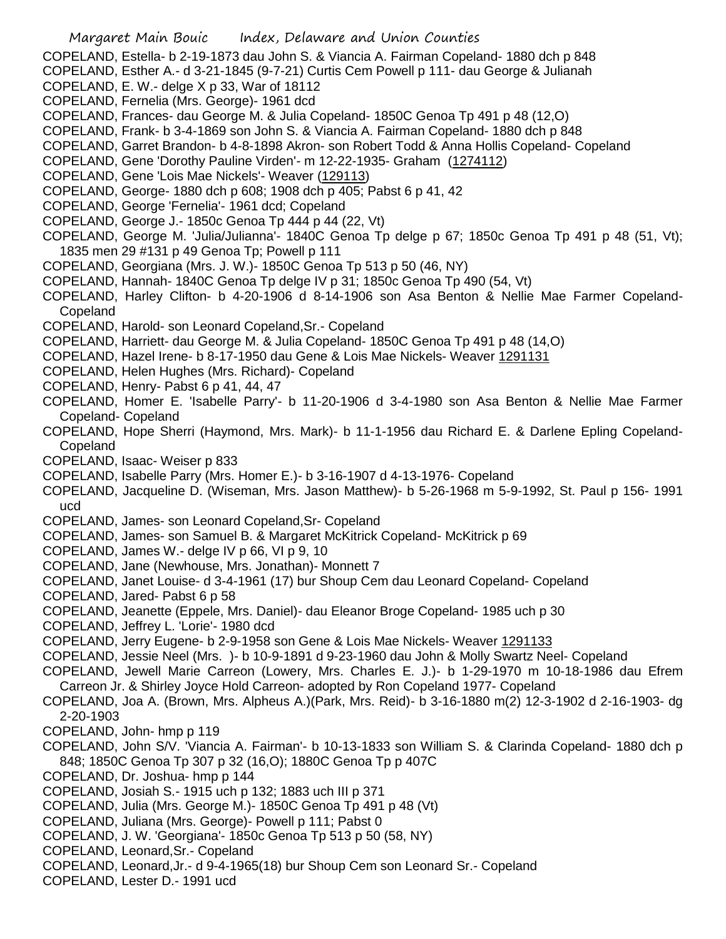- Margaret Main Bouic Index, Delaware and Union Counties COPELAND, Estella- b 2-19-1873 dau John S. & Viancia A. Fairman Copeland- 1880 dch p 848 COPELAND, Esther A.- d 3-21-1845 (9-7-21) Curtis Cem Powell p 111- dau George & Julianah COPELAND, E. W.- delge X p 33, War of 18112 COPELAND, Fernelia (Mrs. George)- 1961 dcd COPELAND, Frances- dau George M. & Julia Copeland- 1850C Genoa Tp 491 p 48 (12,O) COPELAND, Frank- b 3-4-1869 son John S. & Viancia A. Fairman Copeland- 1880 dch p 848 COPELAND, Garret Brandon- b 4-8-1898 Akron- son Robert Todd & Anna Hollis Copeland- Copeland COPELAND, Gene 'Dorothy Pauline Virden'- m 12-22-1935- Graham (1274112) COPELAND, Gene 'Lois Mae Nickels'- Weaver (129113) COPELAND, George- 1880 dch p 608; 1908 dch p 405; Pabst 6 p 41, 42 COPELAND, George 'Fernelia'- 1961 dcd; Copeland COPELAND, George J.- 1850c Genoa Tp 444 p 44 (22, Vt) COPELAND, George M. 'Julia/Julianna'- 1840C Genoa Tp delge p 67; 1850c Genoa Tp 491 p 48 (51, Vt); 1835 men 29 #131 p 49 Genoa Tp; Powell p 111 COPELAND, Georgiana (Mrs. J. W.)- 1850C Genoa Tp 513 p 50 (46, NY) COPELAND, Hannah- 1840C Genoa Tp delge IV p 31; 1850c Genoa Tp 490 (54, Vt) COPELAND, Harley Clifton- b 4-20-1906 d 8-14-1906 son Asa Benton & Nellie Mae Farmer Copeland-**Copeland** COPELAND, Harold- son Leonard Copeland,Sr.- Copeland COPELAND, Harriett- dau George M. & Julia Copeland- 1850C Genoa Tp 491 p 48 (14,O) COPELAND, Hazel Irene- b 8-17-1950 dau Gene & Lois Mae Nickels- Weaver 1291131 COPELAND, Helen Hughes (Mrs. Richard)- Copeland COPELAND, Henry- Pabst 6 p 41, 44, 47 COPELAND, Homer E. 'Isabelle Parry'- b 11-20-1906 d 3-4-1980 son Asa Benton & Nellie Mae Farmer Copeland- Copeland COPELAND, Hope Sherri (Haymond, Mrs. Mark)- b 11-1-1956 dau Richard E. & Darlene Epling Copeland-Copeland COPELAND, Isaac- Weiser p 833 COPELAND, Isabelle Parry (Mrs. Homer E.)- b 3-16-1907 d 4-13-1976- Copeland COPELAND, Jacqueline D. (Wiseman, Mrs. Jason Matthew)- b 5-26-1968 m 5-9-1992, St. Paul p 156- 1991 ucd COPELAND, James- son Leonard Copeland,Sr- Copeland COPELAND, James- son Samuel B. & Margaret McKitrick Copeland- McKitrick p 69 COPELAND, James W.- delge IV p 66, VI p 9, 10 COPELAND, Jane (Newhouse, Mrs. Jonathan)- Monnett 7 COPELAND, Janet Louise- d 3-4-1961 (17) bur Shoup Cem dau Leonard Copeland- Copeland COPELAND, Jared- Pabst 6 p 58 COPELAND, Jeanette (Eppele, Mrs. Daniel)- dau Eleanor Broge Copeland- 1985 uch p 30 COPELAND, Jeffrey L. 'Lorie'- 1980 dcd COPELAND, Jerry Eugene- b 2-9-1958 son Gene & Lois Mae Nickels- Weaver 1291133 COPELAND, Jessie Neel (Mrs. )- b 10-9-1891 d 9-23-1960 dau John & Molly Swartz Neel- Copeland COPELAND, Jewell Marie Carreon (Lowery, Mrs. Charles E. J.)- b 1-29-1970 m 10-18-1986 dau Efrem Carreon Jr. & Shirley Joyce Hold Carreon- adopted by Ron Copeland 1977- Copeland COPELAND, Joa A. (Brown, Mrs. Alpheus A.)(Park, Mrs. Reid)- b 3-16-1880 m(2) 12-3-1902 d 2-16-1903- dg 2-20-1903 COPELAND, John- hmp p 119 COPELAND, John S/V. 'Viancia A. Fairman'- b 10-13-1833 son William S. & Clarinda Copeland- 1880 dch p 848; 1850C Genoa Tp 307 p 32 (16,O); 1880C Genoa Tp p 407C
	- COPELAND, Dr. Joshua- hmp p 144
	- COPELAND, Josiah S.- 1915 uch p 132; 1883 uch III p 371
	- COPELAND, Julia (Mrs. George M.)- 1850C Genoa Tp 491 p 48 (Vt)
	- COPELAND, Juliana (Mrs. George)- Powell p 111; Pabst 0
	- COPELAND, J. W. 'Georgiana'- 1850c Genoa Tp 513 p 50 (58, NY)
	- COPELAND, Leonard,Sr.- Copeland
	- COPELAND, Leonard,Jr.- d 9-4-1965(18) bur Shoup Cem son Leonard Sr.- Copeland
	- COPELAND, Lester D.- 1991 ucd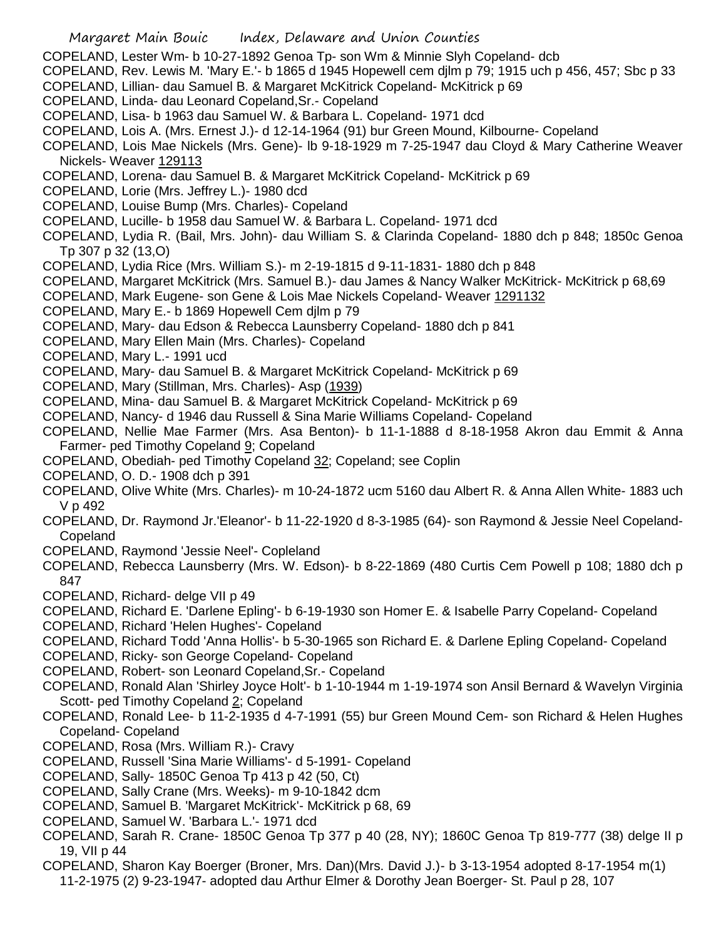- COPELAND, Lester Wm- b 10-27-1892 Genoa Tp- son Wm & Minnie Slyh Copeland- dcb
- COPELAND, Rev. Lewis M. 'Mary E.'- b 1865 d 1945 Hopewell cem djlm p 79; 1915 uch p 456, 457; Sbc p 33
- COPELAND, Lillian- dau Samuel B. & Margaret McKitrick Copeland- McKitrick p 69
- COPELAND, Linda- dau Leonard Copeland,Sr.- Copeland
- COPELAND, Lisa- b 1963 dau Samuel W. & Barbara L. Copeland- 1971 dcd
- COPELAND, Lois A. (Mrs. Ernest J.)- d 12-14-1964 (91) bur Green Mound, Kilbourne- Copeland
- COPELAND, Lois Mae Nickels (Mrs. Gene)- lb 9-18-1929 m 7-25-1947 dau Cloyd & Mary Catherine Weaver Nickels- Weaver 129113
- COPELAND, Lorena- dau Samuel B. & Margaret McKitrick Copeland- McKitrick p 69
- COPELAND, Lorie (Mrs. Jeffrey L.)- 1980 dcd
- COPELAND, Louise Bump (Mrs. Charles)- Copeland
- COPELAND, Lucille- b 1958 dau Samuel W. & Barbara L. Copeland- 1971 dcd
- COPELAND, Lydia R. (Bail, Mrs. John)- dau William S. & Clarinda Copeland- 1880 dch p 848; 1850c Genoa Tp 307 p 32 (13,O)
- COPELAND, Lydia Rice (Mrs. William S.)- m 2-19-1815 d 9-11-1831- 1880 dch p 848
- COPELAND, Margaret McKitrick (Mrs. Samuel B.)- dau James & Nancy Walker McKitrick- McKitrick p 68,69
- COPELAND, Mark Eugene- son Gene & Lois Mae Nickels Copeland- Weaver 1291132
- COPELAND, Mary E.- b 1869 Hopewell Cem djlm p 79
- COPELAND, Mary- dau Edson & Rebecca Launsberry Copeland- 1880 dch p 841
- COPELAND, Mary Ellen Main (Mrs. Charles)- Copeland
- COPELAND, Mary L.- 1991 ucd
- COPELAND, Mary- dau Samuel B. & Margaret McKitrick Copeland- McKitrick p 69
- COPELAND, Mary (Stillman, Mrs. Charles)- Asp (1939)
- COPELAND, Mina- dau Samuel B. & Margaret McKitrick Copeland- McKitrick p 69
- COPELAND, Nancy- d 1946 dau Russell & Sina Marie Williams Copeland- Copeland
- COPELAND, Nellie Mae Farmer (Mrs. Asa Benton)- b 11-1-1888 d 8-18-1958 Akron dau Emmit & Anna Farmer- ped Timothy Copeland 9; Copeland
- COPELAND, Obediah- ped Timothy Copeland 32; Copeland; see Coplin
- COPELAND, O. D.- 1908 dch p 391
- COPELAND, Olive White (Mrs. Charles)- m 10-24-1872 ucm 5160 dau Albert R. & Anna Allen White- 1883 uch V p 492
- COPELAND, Dr. Raymond Jr.'Eleanor'- b 11-22-1920 d 8-3-1985 (64)- son Raymond & Jessie Neel Copeland-Copeland
- COPELAND, Raymond 'Jessie Neel'- Copleland
- COPELAND, Rebecca Launsberry (Mrs. W. Edson)- b 8-22-1869 (480 Curtis Cem Powell p 108; 1880 dch p 847
- COPELAND, Richard- delge VII p 49
- COPELAND, Richard E. 'Darlene Epling'- b 6-19-1930 son Homer E. & Isabelle Parry Copeland- Copeland
- COPELAND, Richard 'Helen Hughes'- Copeland
- COPELAND, Richard Todd 'Anna Hollis'- b 5-30-1965 son Richard E. & Darlene Epling Copeland- Copeland
- COPELAND, Ricky- son George Copeland- Copeland
- COPELAND, Robert- son Leonard Copeland,Sr.- Copeland
- COPELAND, Ronald Alan 'Shirley Joyce Holt'- b 1-10-1944 m 1-19-1974 son Ansil Bernard & Wavelyn Virginia Scott- ped Timothy Copeland 2; Copeland
- COPELAND, Ronald Lee- b 11-2-1935 d 4-7-1991 (55) bur Green Mound Cem- son Richard & Helen Hughes Copeland- Copeland
- COPELAND, Rosa (Mrs. William R.)- Cravy
- COPELAND, Russell 'Sina Marie Williams'- d 5-1991- Copeland
- COPELAND, Sally- 1850C Genoa Tp 413 p 42 (50, Ct)
- COPELAND, Sally Crane (Mrs. Weeks)- m 9-10-1842 dcm
- COPELAND, Samuel B. 'Margaret McKitrick'- McKitrick p 68, 69
- COPELAND, Samuel W. 'Barbara L.'- 1971 dcd
- COPELAND, Sarah R. Crane- 1850C Genoa Tp 377 p 40 (28, NY); 1860C Genoa Tp 819-777 (38) delge II p 19, VII p 44
- COPELAND, Sharon Kay Boerger (Broner, Mrs. Dan)(Mrs. David J.)- b 3-13-1954 adopted 8-17-1954 m(1) 11-2-1975 (2) 9-23-1947- adopted dau Arthur Elmer & Dorothy Jean Boerger- St. Paul p 28, 107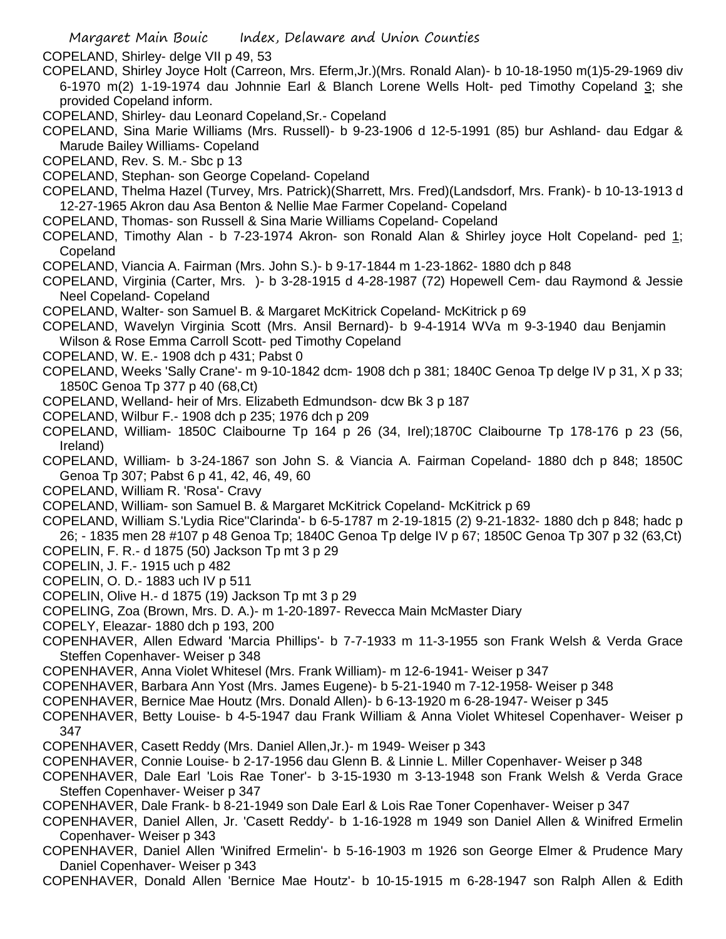- COPELAND, Shirley- delge VII p 49, 53
- COPELAND, Shirley Joyce Holt (Carreon, Mrs. Eferm,Jr.)(Mrs. Ronald Alan)- b 10-18-1950 m(1)5-29-1969 div 6-1970 m(2) 1-19-1974 dau Johnnie Earl & Blanch Lorene Wells Holt- ped Timothy Copeland 3; she provided Copeland inform.
- COPELAND, Shirley- dau Leonard Copeland,Sr.- Copeland
- COPELAND, Sina Marie Williams (Mrs. Russell)- b 9-23-1906 d 12-5-1991 (85) bur Ashland- dau Edgar & Marude Bailey Williams- Copeland
- COPELAND, Rev. S. M.- Sbc p 13
- COPELAND, Stephan- son George Copeland- Copeland
- COPELAND, Thelma Hazel (Turvey, Mrs. Patrick)(Sharrett, Mrs. Fred)(Landsdorf, Mrs. Frank)- b 10-13-1913 d 12-27-1965 Akron dau Asa Benton & Nellie Mae Farmer Copeland- Copeland
- COPELAND, Thomas- son Russell & Sina Marie Williams Copeland- Copeland
- COPELAND, Timothy Alan b 7-23-1974 Akron- son Ronald Alan & Shirley joyce Holt Copeland- ped 1; Copeland
- COPELAND, Viancia A. Fairman (Mrs. John S.)- b 9-17-1844 m 1-23-1862- 1880 dch p 848
- COPELAND, Virginia (Carter, Mrs. )- b 3-28-1915 d 4-28-1987 (72) Hopewell Cem- dau Raymond & Jessie Neel Copeland- Copeland
- COPELAND, Walter- son Samuel B. & Margaret McKitrick Copeland- McKitrick p 69
- COPELAND, Wavelyn Virginia Scott (Mrs. Ansil Bernard)- b 9-4-1914 WVa m 9-3-1940 dau Benjamin Wilson & Rose Emma Carroll Scott- ped Timothy Copeland
- COPELAND, W. E.- 1908 dch p 431; Pabst 0
- COPELAND, Weeks 'Sally Crane'- m 9-10-1842 dcm- 1908 dch p 381; 1840C Genoa Tp delge IV p 31, X p 33; 1850C Genoa Tp 377 p 40 (68,Ct)
- COPELAND, Welland- heir of Mrs. Elizabeth Edmundson- dcw Bk 3 p 187
- COPELAND, Wilbur F.- 1908 dch p 235; 1976 dch p 209
- COPELAND, William- 1850C Claibourne Tp 164 p 26 (34, Irel);1870C Claibourne Tp 178-176 p 23 (56, Ireland)
- COPELAND, William- b 3-24-1867 son John S. & Viancia A. Fairman Copeland- 1880 dch p 848; 1850C Genoa Tp 307; Pabst 6 p 41, 42, 46, 49, 60
- COPELAND, William R. 'Rosa'- Cravy
- COPELAND, William- son Samuel B. & Margaret McKitrick Copeland- McKitrick p 69
- COPELAND, William S.'Lydia Rice''Clarinda'- b 6-5-1787 m 2-19-1815 (2) 9-21-1832- 1880 dch p 848; hadc p 26; - 1835 men 28 #107 p 48 Genoa Tp; 1840C Genoa Tp delge IV p 67; 1850C Genoa Tp 307 p 32 (63,Ct)
- COPELIN, F. R.- d 1875 (50) Jackson Tp mt 3 p 29
- COPELIN, J. F.- 1915 uch p 482
- COPELIN, O. D.- 1883 uch IV p 511
- COPELIN, Olive H.- d 1875 (19) Jackson Tp mt 3 p 29
- COPELING, Zoa (Brown, Mrs. D. A.)- m 1-20-1897- Revecca Main McMaster Diary
- COPELY, Eleazar- 1880 dch p 193, 200
- COPENHAVER, Allen Edward 'Marcia Phillips'- b 7-7-1933 m 11-3-1955 son Frank Welsh & Verda Grace Steffen Copenhaver- Weiser p 348
- COPENHAVER, Anna Violet Whitesel (Mrs. Frank William)- m 12-6-1941- Weiser p 347
- COPENHAVER, Barbara Ann Yost (Mrs. James Eugene)- b 5-21-1940 m 7-12-1958- Weiser p 348
- COPENHAVER, Bernice Mae Houtz (Mrs. Donald Allen)- b 6-13-1920 m 6-28-1947- Weiser p 345
- COPENHAVER, Betty Louise- b 4-5-1947 dau Frank William & Anna Violet Whitesel Copenhaver- Weiser p 347
- COPENHAVER, Casett Reddy (Mrs. Daniel Allen,Jr.)- m 1949- Weiser p 343
- COPENHAVER, Connie Louise- b 2-17-1956 dau Glenn B. & Linnie L. Miller Copenhaver- Weiser p 348
- COPENHAVER, Dale Earl 'Lois Rae Toner'- b 3-15-1930 m 3-13-1948 son Frank Welsh & Verda Grace Steffen Copenhaver- Weiser p 347
- COPENHAVER, Dale Frank- b 8-21-1949 son Dale Earl & Lois Rae Toner Copenhaver- Weiser p 347
- COPENHAVER, Daniel Allen, Jr. 'Casett Reddy'- b 1-16-1928 m 1949 son Daniel Allen & Winifred Ermelin Copenhaver- Weiser p 343
- COPENHAVER, Daniel Allen 'Winifred Ermelin'- b 5-16-1903 m 1926 son George Elmer & Prudence Mary Daniel Copenhaver- Weiser p 343
- COPENHAVER, Donald Allen 'Bernice Mae Houtz'- b 10-15-1915 m 6-28-1947 son Ralph Allen & Edith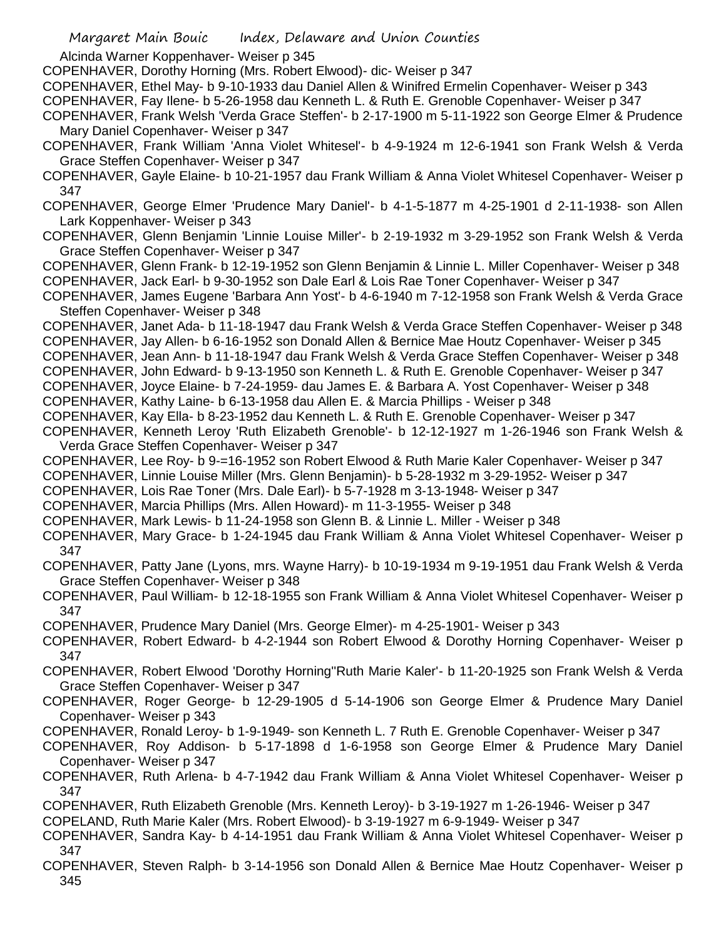Alcinda Warner Koppenhaver- Weiser p 345

COPENHAVER, Dorothy Horning (Mrs. Robert Elwood)- dic- Weiser p 347

COPENHAVER, Ethel May- b 9-10-1933 dau Daniel Allen & Winifred Ermelin Copenhaver- Weiser p 343

COPENHAVER, Fay Ilene- b 5-26-1958 dau Kenneth L. & Ruth E. Grenoble Copenhaver- Weiser p 347

COPENHAVER, Frank Welsh 'Verda Grace Steffen'- b 2-17-1900 m 5-11-1922 son George Elmer & Prudence Mary Daniel Copenhaver- Weiser p 347

COPENHAVER, Frank William 'Anna Violet Whitesel'- b 4-9-1924 m 12-6-1941 son Frank Welsh & Verda Grace Steffen Copenhaver- Weiser p 347

COPENHAVER, Gayle Elaine- b 10-21-1957 dau Frank William & Anna Violet Whitesel Copenhaver- Weiser p 347

COPENHAVER, George Elmer 'Prudence Mary Daniel'- b 4-1-5-1877 m 4-25-1901 d 2-11-1938- son Allen Lark Koppenhaver- Weiser p 343

COPENHAVER, Glenn Benjamin 'Linnie Louise Miller'- b 2-19-1932 m 3-29-1952 son Frank Welsh & Verda Grace Steffen Copenhaver- Weiser p 347

COPENHAVER, Glenn Frank- b 12-19-1952 son Glenn Benjamin & Linnie L. Miller Copenhaver- Weiser p 348 COPENHAVER, Jack Earl- b 9-30-1952 son Dale Earl & Lois Rae Toner Copenhaver- Weiser p 347

COPENHAVER, James Eugene 'Barbara Ann Yost'- b 4-6-1940 m 7-12-1958 son Frank Welsh & Verda Grace Steffen Copenhaver- Weiser p 348

COPENHAVER, Janet Ada- b 11-18-1947 dau Frank Welsh & Verda Grace Steffen Copenhaver- Weiser p 348 COPENHAVER, Jay Allen- b 6-16-1952 son Donald Allen & Bernice Mae Houtz Copenhaver- Weiser p 345

COPENHAVER, Jean Ann- b 11-18-1947 dau Frank Welsh & Verda Grace Steffen Copenhaver- Weiser p 348

COPENHAVER, John Edward- b 9-13-1950 son Kenneth L. & Ruth E. Grenoble Copenhaver- Weiser p 347

COPENHAVER, Joyce Elaine- b 7-24-1959- dau James E. & Barbara A. Yost Copenhaver- Weiser p 348

COPENHAVER, Kathy Laine- b 6-13-1958 dau Allen E. & Marcia Phillips - Weiser p 348

COPENHAVER, Kay Ella- b 8-23-1952 dau Kenneth L. & Ruth E. Grenoble Copenhaver- Weiser p 347

COPENHAVER, Kenneth Leroy 'Ruth Elizabeth Grenoble'- b 12-12-1927 m 1-26-1946 son Frank Welsh & Verda Grace Steffen Copenhaver- Weiser p 347

COPENHAVER, Lee Roy- b 9-=16-1952 son Robert Elwood & Ruth Marie Kaler Copenhaver- Weiser p 347

COPENHAVER, Linnie Louise Miller (Mrs. Glenn Benjamin)- b 5-28-1932 m 3-29-1952- Weiser p 347

COPENHAVER, Lois Rae Toner (Mrs. Dale Earl)- b 5-7-1928 m 3-13-1948- Weiser p 347

COPENHAVER, Marcia Phillips (Mrs. Allen Howard)- m 11-3-1955- Weiser p 348

COPENHAVER, Mark Lewis- b 11-24-1958 son Glenn B. & Linnie L. Miller - Weiser p 348

COPENHAVER, Mary Grace- b 1-24-1945 dau Frank William & Anna Violet Whitesel Copenhaver- Weiser p 347

COPENHAVER, Patty Jane (Lyons, mrs. Wayne Harry)- b 10-19-1934 m 9-19-1951 dau Frank Welsh & Verda Grace Steffen Copenhaver- Weiser p 348

COPENHAVER, Paul William- b 12-18-1955 son Frank William & Anna Violet Whitesel Copenhaver- Weiser p 347

COPENHAVER, Prudence Mary Daniel (Mrs. George Elmer)- m 4-25-1901- Weiser p 343

COPENHAVER, Robert Edward- b 4-2-1944 son Robert Elwood & Dorothy Horning Copenhaver- Weiser p 347

COPENHAVER, Robert Elwood 'Dorothy Horning''Ruth Marie Kaler'- b 11-20-1925 son Frank Welsh & Verda Grace Steffen Copenhaver- Weiser p 347

COPENHAVER, Roger George- b 12-29-1905 d 5-14-1906 son George Elmer & Prudence Mary Daniel Copenhaver- Weiser p 343

COPENHAVER, Ronald Leroy- b 1-9-1949- son Kenneth L. 7 Ruth E. Grenoble Copenhaver- Weiser p 347

COPENHAVER, Roy Addison- b 5-17-1898 d 1-6-1958 son George Elmer & Prudence Mary Daniel Copenhaver- Weiser p 347

COPENHAVER, Ruth Arlena- b 4-7-1942 dau Frank William & Anna Violet Whitesel Copenhaver- Weiser p 347

COPENHAVER, Ruth Elizabeth Grenoble (Mrs. Kenneth Leroy)- b 3-19-1927 m 1-26-1946- Weiser p 347 COPELAND, Ruth Marie Kaler (Mrs. Robert Elwood)- b 3-19-1927 m 6-9-1949- Weiser p 347

COPENHAVER, Sandra Kay- b 4-14-1951 dau Frank William & Anna Violet Whitesel Copenhaver- Weiser p 347

COPENHAVER, Steven Ralph- b 3-14-1956 son Donald Allen & Bernice Mae Houtz Copenhaver- Weiser p 345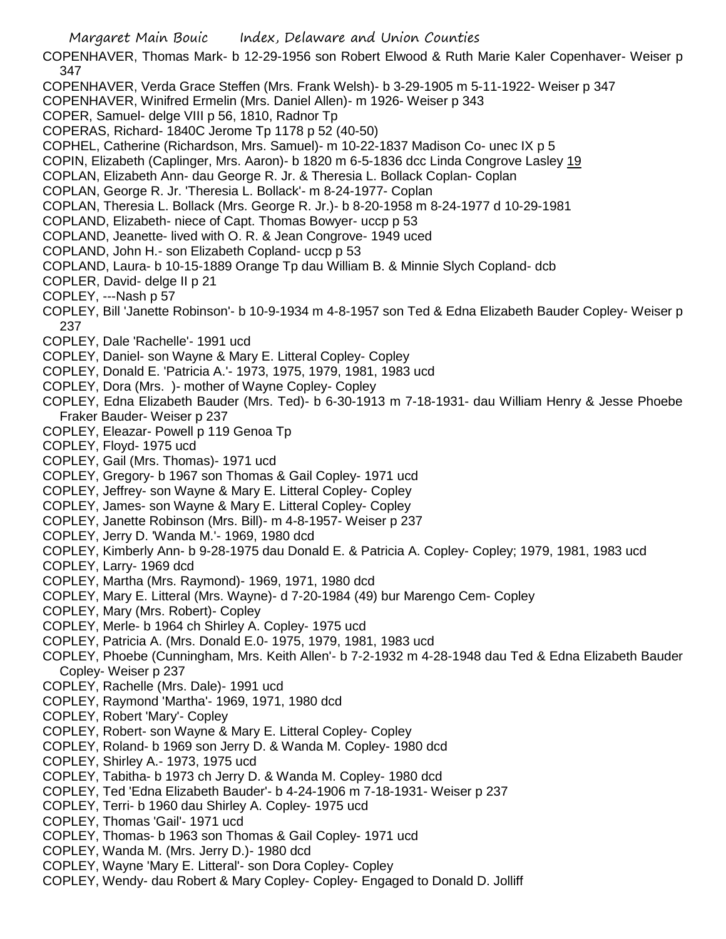- Margaret Main Bouic Index, Delaware and Union Counties COPENHAVER, Thomas Mark- b 12-29-1956 son Robert Elwood & Ruth Marie Kaler Copenhaver- Weiser p 347 COPENHAVER, Verda Grace Steffen (Mrs. Frank Welsh)- b 3-29-1905 m 5-11-1922- Weiser p 347 COPENHAVER, Winifred Ermelin (Mrs. Daniel Allen)- m 1926- Weiser p 343 COPER, Samuel- delge VIII p 56, 1810, Radnor Tp COPERAS, Richard- 1840C Jerome Tp 1178 p 52 (40-50) COPHEL, Catherine (Richardson, Mrs. Samuel)- m 10-22-1837 Madison Co- unec IX p 5 COPIN, Elizabeth (Caplinger, Mrs. Aaron)- b 1820 m 6-5-1836 dcc Linda Congrove Lasley 19 COPLAN, Elizabeth Ann- dau George R. Jr. & Theresia L. Bollack Coplan- Coplan COPLAN, George R. Jr. 'Theresia L. Bollack'- m 8-24-1977- Coplan COPLAN, Theresia L. Bollack (Mrs. George R. Jr.)- b 8-20-1958 m 8-24-1977 d 10-29-1981 COPLAND, Elizabeth- niece of Capt. Thomas Bowyer- uccp p 53 COPLAND, Jeanette- lived with O. R. & Jean Congrove- 1949 uced COPLAND, John H.- son Elizabeth Copland- uccp p 53 COPLAND, Laura- b 10-15-1889 Orange Tp dau William B. & Minnie Slych Copland- dcb COPLER, David- delge II p 21 COPLEY, ---Nash p 57 COPLEY, Bill 'Janette Robinson'- b 10-9-1934 m 4-8-1957 son Ted & Edna Elizabeth Bauder Copley- Weiser p 237 COPLEY, Dale 'Rachelle'- 1991 ucd COPLEY, Daniel- son Wayne & Mary E. Litteral Copley- Copley COPLEY, Donald E. 'Patricia A.'- 1973, 1975, 1979, 1981, 1983 ucd COPLEY, Dora (Mrs. )- mother of Wayne Copley- Copley COPLEY, Edna Elizabeth Bauder (Mrs. Ted)- b 6-30-1913 m 7-18-1931- dau William Henry & Jesse Phoebe Fraker Bauder- Weiser p 237 COPLEY, Eleazar- Powell p 119 Genoa Tp COPLEY, Floyd- 1975 ucd COPLEY, Gail (Mrs. Thomas)- 1971 ucd COPLEY, Gregory- b 1967 son Thomas & Gail Copley- 1971 ucd COPLEY, Jeffrey- son Wayne & Mary E. Litteral Copley- Copley COPLEY, James- son Wayne & Mary E. Litteral Copley- Copley COPLEY, Janette Robinson (Mrs. Bill)- m 4-8-1957- Weiser p 237 COPLEY, Jerry D. 'Wanda M.'- 1969, 1980 dcd COPLEY, Kimberly Ann- b 9-28-1975 dau Donald E. & Patricia A. Copley- Copley; 1979, 1981, 1983 ucd COPLEY, Larry- 1969 dcd COPLEY, Martha (Mrs. Raymond)- 1969, 1971, 1980 dcd COPLEY, Mary E. Litteral (Mrs. Wayne)- d 7-20-1984 (49) bur Marengo Cem- Copley COPLEY, Mary (Mrs. Robert)- Copley COPLEY, Merle- b 1964 ch Shirley A. Copley- 1975 ucd COPLEY, Patricia A. (Mrs. Donald E.0- 1975, 1979, 1981, 1983 ucd COPLEY, Phoebe (Cunningham, Mrs. Keith Allen'- b 7-2-1932 m 4-28-1948 dau Ted & Edna Elizabeth Bauder Copley- Weiser p 237 COPLEY, Rachelle (Mrs. Dale)- 1991 ucd COPLEY, Raymond 'Martha'- 1969, 1971, 1980 dcd COPLEY, Robert 'Mary'- Copley COPLEY, Robert- son Wayne & Mary E. Litteral Copley- Copley COPLEY, Roland- b 1969 son Jerry D. & Wanda M. Copley- 1980 dcd COPLEY, Shirley A.- 1973, 1975 ucd COPLEY, Tabitha- b 1973 ch Jerry D. & Wanda M. Copley- 1980 dcd COPLEY, Ted 'Edna Elizabeth Bauder'- b 4-24-1906 m 7-18-1931- Weiser p 237 COPLEY, Terri- b 1960 dau Shirley A. Copley- 1975 ucd COPLEY, Thomas 'Gail'- 1971 ucd
	- COPLEY, Thomas- b 1963 son Thomas & Gail Copley- 1971 ucd
	- COPLEY, Wanda M. (Mrs. Jerry D.)- 1980 dcd
	- COPLEY, Wayne 'Mary E. Litteral'- son Dora Copley- Copley
	- COPLEY, Wendy- dau Robert & Mary Copley- Copley- Engaged to Donald D. Jolliff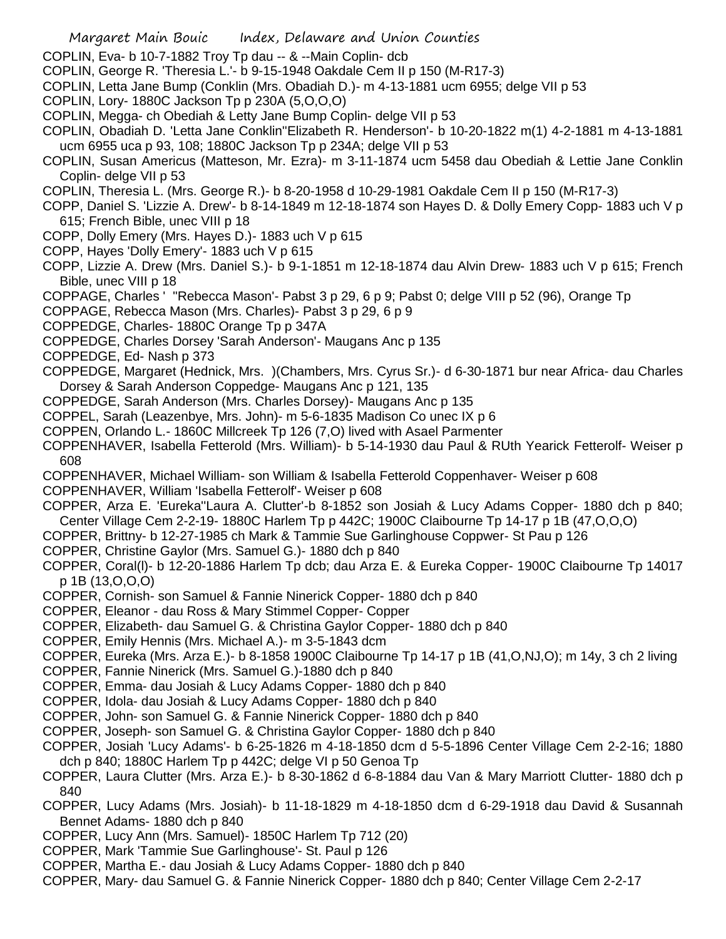- Margaret Main Bouic Index, Delaware and Union Counties
- COPLIN, Eva- b 10-7-1882 Troy Tp dau -- & --Main Coplin- dcb
- COPLIN, George R. 'Theresia L.'- b 9-15-1948 Oakdale Cem II p 150 (M-R17-3)
- COPLIN, Letta Jane Bump (Conklin (Mrs. Obadiah D.)- m 4-13-1881 ucm 6955; delge VII p 53
- COPLIN, Lory- 1880C Jackson Tp p 230A (5,O,O,O)
- COPLIN, Megga- ch Obediah & Letty Jane Bump Coplin- delge VII p 53
- COPLIN, Obadiah D. 'Letta Jane Conklin''Elizabeth R. Henderson'- b 10-20-1822 m(1) 4-2-1881 m 4-13-1881 ucm 6955 uca p 93, 108; 1880C Jackson Tp p 234A; delge VII p 53
- COPLIN, Susan Americus (Matteson, Mr. Ezra)- m 3-11-1874 ucm 5458 dau Obediah & Lettie Jane Conklin Coplin- delge VII p 53
- COPLIN, Theresia L. (Mrs. George R.)- b 8-20-1958 d 10-29-1981 Oakdale Cem II p 150 (M-R17-3)
- COPP, Daniel S. 'Lizzie A. Drew'- b 8-14-1849 m 12-18-1874 son Hayes D. & Dolly Emery Copp- 1883 uch V p 615; French Bible, unec VIII p 18
- COPP, Dolly Emery (Mrs. Hayes D.)- 1883 uch V p 615
- COPP, Hayes 'Dolly Emery'- 1883 uch V p 615
- COPP, Lizzie A. Drew (Mrs. Daniel S.)- b 9-1-1851 m 12-18-1874 dau Alvin Drew- 1883 uch V p 615; French Bible, unec VIII p 18
- COPPAGE, Charles ' ''Rebecca Mason'- Pabst 3 p 29, 6 p 9; Pabst 0; delge VIII p 52 (96), Orange Tp
- COPPAGE, Rebecca Mason (Mrs. Charles)- Pabst 3 p 29, 6 p 9
- COPPEDGE, Charles- 1880C Orange Tp p 347A
- COPPEDGE, Charles Dorsey 'Sarah Anderson'- Maugans Anc p 135
- COPPEDGE, Ed- Nash p 373
- COPPEDGE, Margaret (Hednick, Mrs. )(Chambers, Mrs. Cyrus Sr.)- d 6-30-1871 bur near Africa- dau Charles Dorsey & Sarah Anderson Coppedge- Maugans Anc p 121, 135
- COPPEDGE, Sarah Anderson (Mrs. Charles Dorsey)- Maugans Anc p 135
- COPPEL, Sarah (Leazenbye, Mrs. John)- m 5-6-1835 Madison Co unec IX p 6
- COPPEN, Orlando L.- 1860C Millcreek Tp 126 (7,O) lived with Asael Parmenter
- COPPENHAVER, Isabella Fetterold (Mrs. William)- b 5-14-1930 dau Paul & RUth Yearick Fetterolf- Weiser p 608
- COPPENHAVER, Michael William- son William & Isabella Fetterold Coppenhaver- Weiser p 608
- COPPENHAVER, William 'Isabella Fetterolf'- Weiser p 608
- COPPER, Arza E. 'Eureka''Laura A. Clutter'-b 8-1852 son Josiah & Lucy Adams Copper- 1880 dch p 840; Center Village Cem 2-2-19- 1880C Harlem Tp p 442C; 1900C Claibourne Tp 14-17 p 1B (47,O,O,O)
- COPPER, Brittny- b 12-27-1985 ch Mark & Tammie Sue Garlinghouse Coppwer- St Pau p 126
- COPPER, Christine Gaylor (Mrs. Samuel G.)- 1880 dch p 840
- COPPER, Coral(l)- b 12-20-1886 Harlem Tp dcb; dau Arza E. & Eureka Copper- 1900C Claibourne Tp 14017 p 1B (13,O,O,O)
- COPPER, Cornish- son Samuel & Fannie Ninerick Copper- 1880 dch p 840
- COPPER, Eleanor dau Ross & Mary Stimmel Copper- Copper
- COPPER, Elizabeth- dau Samuel G. & Christina Gaylor Copper- 1880 dch p 840
- COPPER, Emily Hennis (Mrs. Michael A.)- m 3-5-1843 dcm
- COPPER, Eureka (Mrs. Arza E.)- b 8-1858 1900C Claibourne Tp 14-17 p 1B (41,O,NJ,O); m 14y, 3 ch 2 living
- COPPER, Fannie Ninerick (Mrs. Samuel G.)-1880 dch p 840
- COPPER, Emma- dau Josiah & Lucy Adams Copper- 1880 dch p 840
- COPPER, Idola- dau Josiah & Lucy Adams Copper- 1880 dch p 840
- COPPER, John- son Samuel G. & Fannie Ninerick Copper- 1880 dch p 840
- COPPER, Joseph- son Samuel G. & Christina Gaylor Copper- 1880 dch p 840
- COPPER, Josiah 'Lucy Adams'- b 6-25-1826 m 4-18-1850 dcm d 5-5-1896 Center Village Cem 2-2-16; 1880 dch p 840; 1880C Harlem Tp p 442C; delge VI p 50 Genoa Tp
- COPPER, Laura Clutter (Mrs. Arza E.)- b 8-30-1862 d 6-8-1884 dau Van & Mary Marriott Clutter- 1880 dch p 840
- COPPER, Lucy Adams (Mrs. Josiah)- b 11-18-1829 m 4-18-1850 dcm d 6-29-1918 dau David & Susannah Bennet Adams- 1880 dch p 840
- COPPER, Lucy Ann (Mrs. Samuel)- 1850C Harlem Tp 712 (20)
- COPPER, Mark 'Tammie Sue Garlinghouse'- St. Paul p 126
- COPPER, Martha E.- dau Josiah & Lucy Adams Copper- 1880 dch p 840
- COPPER, Mary- dau Samuel G. & Fannie Ninerick Copper- 1880 dch p 840; Center Village Cem 2-2-17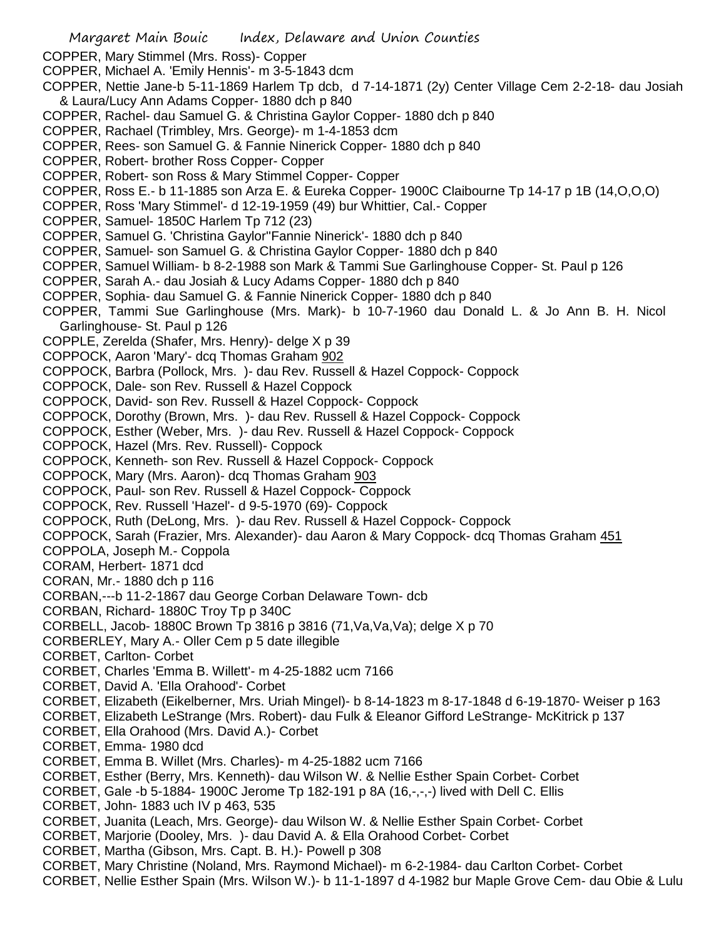Margaret Main Bouic Index, Delaware and Union Counties COPPER, Mary Stimmel (Mrs. Ross)- Copper COPPER, Michael A. 'Emily Hennis'- m 3-5-1843 dcm COPPER, Nettie Jane-b 5-11-1869 Harlem Tp dcb, d 7-14-1871 (2y) Center Village Cem 2-2-18- dau Josiah & Laura/Lucy Ann Adams Copper- 1880 dch p 840 COPPER, Rachel- dau Samuel G. & Christina Gaylor Copper- 1880 dch p 840 COPPER, Rachael (Trimbley, Mrs. George)- m 1-4-1853 dcm COPPER, Rees- son Samuel G. & Fannie Ninerick Copper- 1880 dch p 840 COPPER, Robert- brother Ross Copper- Copper COPPER, Robert- son Ross & Mary Stimmel Copper- Copper COPPER, Ross E.- b 11-1885 son Arza E. & Eureka Copper- 1900C Claibourne Tp 14-17 p 1B (14,O,O,O) COPPER, Ross 'Mary Stimmel'- d 12-19-1959 (49) bur Whittier, Cal.- Copper COPPER, Samuel- 1850C Harlem Tp 712 (23) COPPER, Samuel G. 'Christina Gaylor''Fannie Ninerick'- 1880 dch p 840 COPPER, Samuel- son Samuel G. & Christina Gaylor Copper- 1880 dch p 840 COPPER, Samuel William- b 8-2-1988 son Mark & Tammi Sue Garlinghouse Copper- St. Paul p 126 COPPER, Sarah A.- dau Josiah & Lucy Adams Copper- 1880 dch p 840 COPPER, Sophia- dau Samuel G. & Fannie Ninerick Copper- 1880 dch p 840 COPPER, Tammi Sue Garlinghouse (Mrs. Mark)- b 10-7-1960 dau Donald L. & Jo Ann B. H. Nicol Garlinghouse- St. Paul p 126 COPPLE, Zerelda (Shafer, Mrs. Henry)- delge X p 39 COPPOCK, Aaron 'Mary'- dcq Thomas Graham 902 COPPOCK, Barbra (Pollock, Mrs. )- dau Rev. Russell & Hazel Coppock- Coppock COPPOCK, Dale- son Rev. Russell & Hazel Coppock COPPOCK, David- son Rev. Russell & Hazel Coppock- Coppock COPPOCK, Dorothy (Brown, Mrs. )- dau Rev. Russell & Hazel Coppock- Coppock COPPOCK, Esther (Weber, Mrs. )- dau Rev. Russell & Hazel Coppock- Coppock COPPOCK, Hazel (Mrs. Rev. Russell)- Coppock COPPOCK, Kenneth- son Rev. Russell & Hazel Coppock- Coppock COPPOCK, Mary (Mrs. Aaron)- dcq Thomas Graham 903 COPPOCK, Paul- son Rev. Russell & Hazel Coppock- Coppock COPPOCK, Rev. Russell 'Hazel'- d 9-5-1970 (69)- Coppock COPPOCK, Ruth (DeLong, Mrs. )- dau Rev. Russell & Hazel Coppock- Coppock COPPOCK, Sarah (Frazier, Mrs. Alexander)- dau Aaron & Mary Coppock- dcq Thomas Graham 451 COPPOLA, Joseph M.- Coppola CORAM, Herbert- 1871 dcd CORAN, Mr.- 1880 dch p 116 CORBAN,---b 11-2-1867 dau George Corban Delaware Town- dcb CORBAN, Richard- 1880C Troy Tp p 340C CORBELL, Jacob- 1880C Brown Tp 3816 p 3816 (71, Va, Va, Va); delge X p 70 CORBERLEY, Mary A.- Oller Cem p 5 date illegible CORBET, Carlton- Corbet CORBET, Charles 'Emma B. Willett'- m 4-25-1882 ucm 7166 CORBET, David A. 'Ella Orahood'- Corbet CORBET, Elizabeth (Eikelberner, Mrs. Uriah Mingel)- b 8-14-1823 m 8-17-1848 d 6-19-1870- Weiser p 163 CORBET, Elizabeth LeStrange (Mrs. Robert)- dau Fulk & Eleanor Gifford LeStrange- McKitrick p 137 CORBET, Ella Orahood (Mrs. David A.)- Corbet CORBET, Emma- 1980 dcd CORBET, Emma B. Willet (Mrs. Charles)- m 4-25-1882 ucm 7166 CORBET, Esther (Berry, Mrs. Kenneth)- dau Wilson W. & Nellie Esther Spain Corbet- Corbet CORBET, Gale -b 5-1884- 1900C Jerome Tp 182-191 p 8A (16,-,-,-) lived with Dell C. Ellis CORBET, John- 1883 uch IV p 463, 535 CORBET, Juanita (Leach, Mrs. George)- dau Wilson W. & Nellie Esther Spain Corbet- Corbet CORBET, Marjorie (Dooley, Mrs. )- dau David A. & Ella Orahood Corbet- Corbet CORBET, Martha (Gibson, Mrs. Capt. B. H.)- Powell p 308 CORBET, Mary Christine (Noland, Mrs. Raymond Michael)- m 6-2-1984- dau Carlton Corbet- Corbet CORBET, Nellie Esther Spain (Mrs. Wilson W.)- b 11-1-1897 d 4-1982 bur Maple Grove Cem- dau Obie & Lulu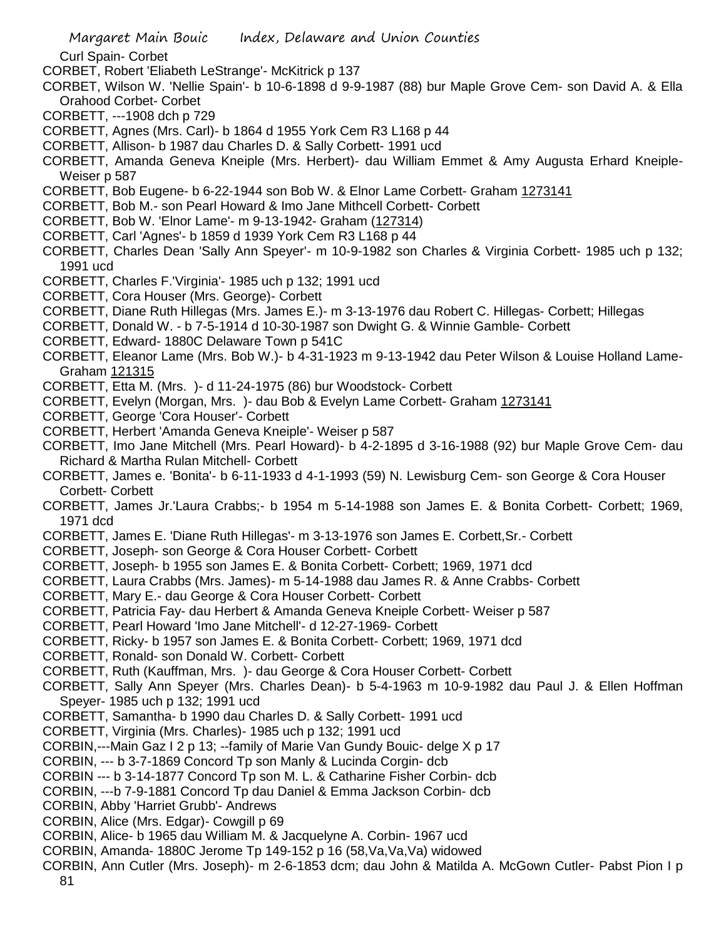Curl Spain- Corbet

- CORBET, Robert 'Eliabeth LeStrange'- McKitrick p 137
- CORBET, Wilson W. 'Nellie Spain'- b 10-6-1898 d 9-9-1987 (88) bur Maple Grove Cem- son David A. & Ella Orahood Corbet- Corbet
- CORBETT, ---1908 dch p 729
- CORBETT, Agnes (Mrs. Carl)- b 1864 d 1955 York Cem R3 L168 p 44
- CORBETT, Allison- b 1987 dau Charles D. & Sally Corbett- 1991 ucd
- CORBETT, Amanda Geneva Kneiple (Mrs. Herbert)- dau William Emmet & Amy Augusta Erhard Kneiple-Weiser p 587
- CORBETT, Bob Eugene- b 6-22-1944 son Bob W. & Elnor Lame Corbett- Graham 1273141
- CORBETT, Bob M.- son Pearl Howard & Imo Jane Mithcell Corbett- Corbett
- CORBETT, Bob W. 'Elnor Lame'- m 9-13-1942- Graham (127314)
- CORBETT, Carl 'Agnes'- b 1859 d 1939 York Cem R3 L168 p 44
- CORBETT, Charles Dean 'Sally Ann Speyer'- m 10-9-1982 son Charles & Virginia Corbett- 1985 uch p 132; 1991 ucd
- CORBETT, Charles F.'Virginia'- 1985 uch p 132; 1991 ucd
- CORBETT, Cora Houser (Mrs. George)- Corbett
- CORBETT, Diane Ruth Hillegas (Mrs. James E.)- m 3-13-1976 dau Robert C. Hillegas- Corbett; Hillegas
- CORBETT, Donald W. b 7-5-1914 d 10-30-1987 son Dwight G. & Winnie Gamble- Corbett
- CORBETT, Edward- 1880C Delaware Town p 541C
- CORBETT, Eleanor Lame (Mrs. Bob W.)- b 4-31-1923 m 9-13-1942 dau Peter Wilson & Louise Holland Lame-Graham 121315
- CORBETT, Etta M. (Mrs. )- d 11-24-1975 (86) bur Woodstock- Corbett
- CORBETT, Evelyn (Morgan, Mrs. )- dau Bob & Evelyn Lame Corbett- Graham 1273141
- CORBETT, George 'Cora Houser'- Corbett
- CORBETT, Herbert 'Amanda Geneva Kneiple'- Weiser p 587
- CORBETT, Imo Jane Mitchell (Mrs. Pearl Howard)- b 4-2-1895 d 3-16-1988 (92) bur Maple Grove Cem- dau Richard & Martha Rulan Mitchell- Corbett
- CORBETT, James e. 'Bonita'- b 6-11-1933 d 4-1-1993 (59) N. Lewisburg Cem- son George & Cora Houser Corbett- Corbett
- CORBETT, James Jr.'Laura Crabbs;- b 1954 m 5-14-1988 son James E. & Bonita Corbett- Corbett; 1969, 1971 dcd
- CORBETT, James E. 'Diane Ruth Hillegas'- m 3-13-1976 son James E. Corbett,Sr.- Corbett
- CORBETT, Joseph- son George & Cora Houser Corbett- Corbett
- CORBETT, Joseph- b 1955 son James E. & Bonita Corbett- Corbett; 1969, 1971 dcd
- CORBETT, Laura Crabbs (Mrs. James)- m 5-14-1988 dau James R. & Anne Crabbs- Corbett
- CORBETT, Mary E.- dau George & Cora Houser Corbett- Corbett
- CORBETT, Patricia Fay- dau Herbert & Amanda Geneva Kneiple Corbett- Weiser p 587
- CORBETT, Pearl Howard 'Imo Jane Mitchell'- d 12-27-1969- Corbett
- CORBETT, Ricky- b 1957 son James E. & Bonita Corbett- Corbett; 1969, 1971 dcd
- CORBETT, Ronald- son Donald W. Corbett- Corbett
- CORBETT, Ruth (Kauffman, Mrs. )- dau George & Cora Houser Corbett- Corbett
- CORBETT, Sally Ann Speyer (Mrs. Charles Dean)- b 5-4-1963 m 10-9-1982 dau Paul J. & Ellen Hoffman Speyer- 1985 uch p 132; 1991 ucd
- CORBETT, Samantha- b 1990 dau Charles D. & Sally Corbett- 1991 ucd
- CORBETT, Virginia (Mrs. Charles)- 1985 uch p 132; 1991 ucd
- CORBIN,---Main Gaz I 2 p 13; --family of Marie Van Gundy Bouic- delge X p 17
- CORBIN, --- b 3-7-1869 Concord Tp son Manly & Lucinda Corgin- dcb
- CORBIN --- b 3-14-1877 Concord Tp son M. L. & Catharine Fisher Corbin- dcb
- CORBIN, ---b 7-9-1881 Concord Tp dau Daniel & Emma Jackson Corbin- dcb
- CORBIN, Abby 'Harriet Grubb'- Andrews
- CORBIN, Alice (Mrs. Edgar)- Cowgill p 69
- CORBIN, Alice- b 1965 dau William M. & Jacquelyne A. Corbin- 1967 ucd
- CORBIN, Amanda- 1880C Jerome Tp 149-152 p 16 (58,Va,Va,Va) widowed
- CORBIN, Ann Cutler (Mrs. Joseph)- m 2-6-1853 dcm; dau John & Matilda A. McGown Cutler- Pabst Pion I p 81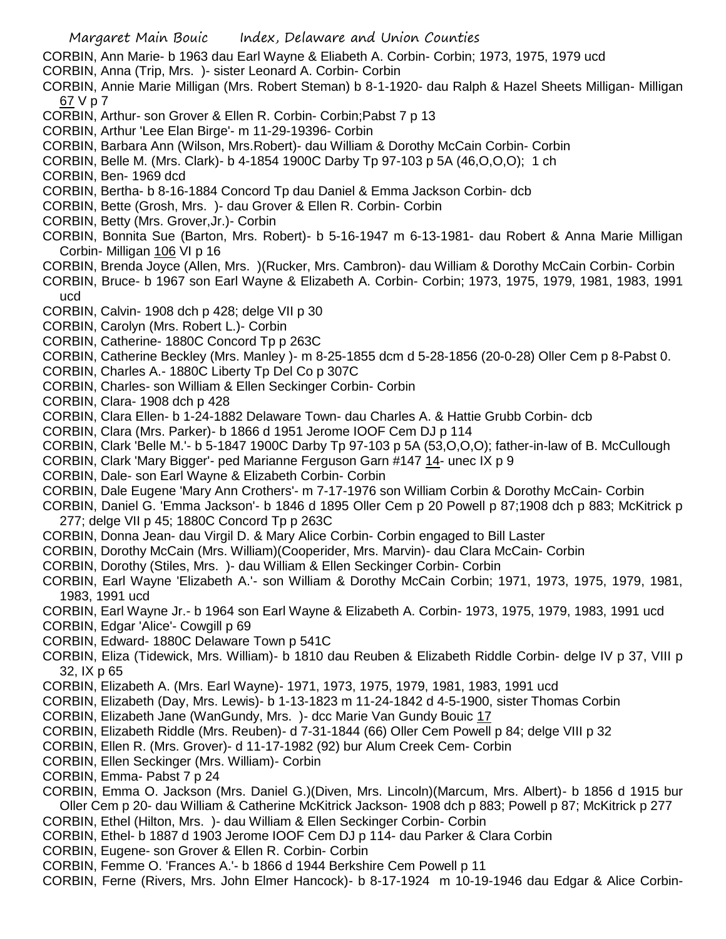CORBIN, Ann Marie- b 1963 dau Earl Wayne & Eliabeth A. Corbin- Corbin; 1973, 1975, 1979 ucd

- CORBIN, Anna (Trip, Mrs. )- sister Leonard A. Corbin- Corbin
- CORBIN, Annie Marie Milligan (Mrs. Robert Steman) b 8-1-1920- dau Ralph & Hazel Sheets Milligan- Milligan 67 V p 7
- CORBIN, Arthur- son Grover & Ellen R. Corbin- Corbin;Pabst 7 p 13
- CORBIN, Arthur 'Lee Elan Birge'- m 11-29-19396- Corbin
- CORBIN, Barbara Ann (Wilson, Mrs.Robert)- dau William & Dorothy McCain Corbin- Corbin
- CORBIN, Belle M. (Mrs. Clark)- b 4-1854 1900C Darby Tp 97-103 p 5A (46,O,O,O); 1 ch
- CORBIN, Ben- 1969 dcd
- CORBIN, Bertha- b 8-16-1884 Concord Tp dau Daniel & Emma Jackson Corbin- dcb
- CORBIN, Bette (Grosh, Mrs. )- dau Grover & Ellen R. Corbin- Corbin
- CORBIN, Betty (Mrs. Grover,Jr.)- Corbin
- CORBIN, Bonnita Sue (Barton, Mrs. Robert)- b 5-16-1947 m 6-13-1981- dau Robert & Anna Marie Milligan Corbin- Milligan 106 VI p 16
- CORBIN, Brenda Joyce (Allen, Mrs. )(Rucker, Mrs. Cambron)- dau William & Dorothy McCain Corbin- Corbin
- CORBIN, Bruce- b 1967 son Earl Wayne & Elizabeth A. Corbin- Corbin; 1973, 1975, 1979, 1981, 1983, 1991 ucd
- CORBIN, Calvin- 1908 dch p 428; delge VII p 30
- CORBIN, Carolyn (Mrs. Robert L.)- Corbin
- CORBIN, Catherine- 1880C Concord Tp p 263C
- CORBIN, Catherine Beckley (Mrs. Manley )- m 8-25-1855 dcm d 5-28-1856 (20-0-28) Oller Cem p 8-Pabst 0.
- CORBIN, Charles A.- 1880C Liberty Tp Del Co p 307C
- CORBIN, Charles- son William & Ellen Seckinger Corbin- Corbin
- CORBIN, Clara- 1908 dch p 428
- CORBIN, Clara Ellen- b 1-24-1882 Delaware Town- dau Charles A. & Hattie Grubb Corbin- dcb
- CORBIN, Clara (Mrs. Parker)- b 1866 d 1951 Jerome IOOF Cem DJ p 114
- CORBIN, Clark 'Belle M.'- b 5-1847 1900C Darby Tp 97-103 p 5A (53,O,O,O); father-in-law of B. McCullough
- CORBIN, Clark 'Mary Bigger'- ped Marianne Ferguson Garn #147 14- unec IX p 9
- CORBIN, Dale- son Earl Wayne & Elizabeth Corbin- Corbin
- CORBIN, Dale Eugene 'Mary Ann Crothers'- m 7-17-1976 son William Corbin & Dorothy McCain- Corbin
- CORBIN, Daniel G. 'Emma Jackson'- b 1846 d 1895 Oller Cem p 20 Powell p 87;1908 dch p 883; McKitrick p 277; delge VII p 45; 1880C Concord Tp p 263C
- CORBIN, Donna Jean- dau Virgil D. & Mary Alice Corbin- Corbin engaged to Bill Laster
- CORBIN, Dorothy McCain (Mrs. William)(Cooperider, Mrs. Marvin)- dau Clara McCain- Corbin
- CORBIN, Dorothy (Stiles, Mrs. )- dau William & Ellen Seckinger Corbin- Corbin
- CORBIN, Earl Wayne 'Elizabeth A.'- son William & Dorothy McCain Corbin; 1971, 1973, 1975, 1979, 1981, 1983, 1991 ucd
- CORBIN, Earl Wayne Jr.- b 1964 son Earl Wayne & Elizabeth A. Corbin- 1973, 1975, 1979, 1983, 1991 ucd
- CORBIN, Edgar 'Alice'- Cowgill p 69
- CORBIN, Edward- 1880C Delaware Town p 541C
- CORBIN, Eliza (Tidewick, Mrs. William)- b 1810 dau Reuben & Elizabeth Riddle Corbin- delge IV p 37, VIII p 32, IX p 65
- CORBIN, Elizabeth A. (Mrs. Earl Wayne)- 1971, 1973, 1975, 1979, 1981, 1983, 1991 ucd
- CORBIN, Elizabeth (Day, Mrs. Lewis)- b 1-13-1823 m 11-24-1842 d 4-5-1900, sister Thomas Corbin
- CORBIN, Elizabeth Jane (WanGundy, Mrs. )- dcc Marie Van Gundy Bouic 17
- CORBIN, Elizabeth Riddle (Mrs. Reuben)- d 7-31-1844 (66) Oller Cem Powell p 84; delge VIII p 32
- CORBIN, Ellen R. (Mrs. Grover)- d 11-17-1982 (92) bur Alum Creek Cem- Corbin
- CORBIN, Ellen Seckinger (Mrs. William)- Corbin
- CORBIN, Emma- Pabst 7 p 24
- CORBIN, Emma O. Jackson (Mrs. Daniel G.)(Diven, Mrs. Lincoln)(Marcum, Mrs. Albert)- b 1856 d 1915 bur Oller Cem p 20- dau William & Catherine McKitrick Jackson- 1908 dch p 883; Powell p 87; McKitrick p 277
- CORBIN, Ethel (Hilton, Mrs. )- dau William & Ellen Seckinger Corbin- Corbin
- CORBIN, Ethel- b 1887 d 1903 Jerome IOOF Cem DJ p 114- dau Parker & Clara Corbin
- CORBIN, Eugene- son Grover & Ellen R. Corbin- Corbin
- CORBIN, Femme O. 'Frances A.'- b 1866 d 1944 Berkshire Cem Powell p 11
- CORBIN, Ferne (Rivers, Mrs. John Elmer Hancock)- b 8-17-1924 m 10-19-1946 dau Edgar & Alice Corbin-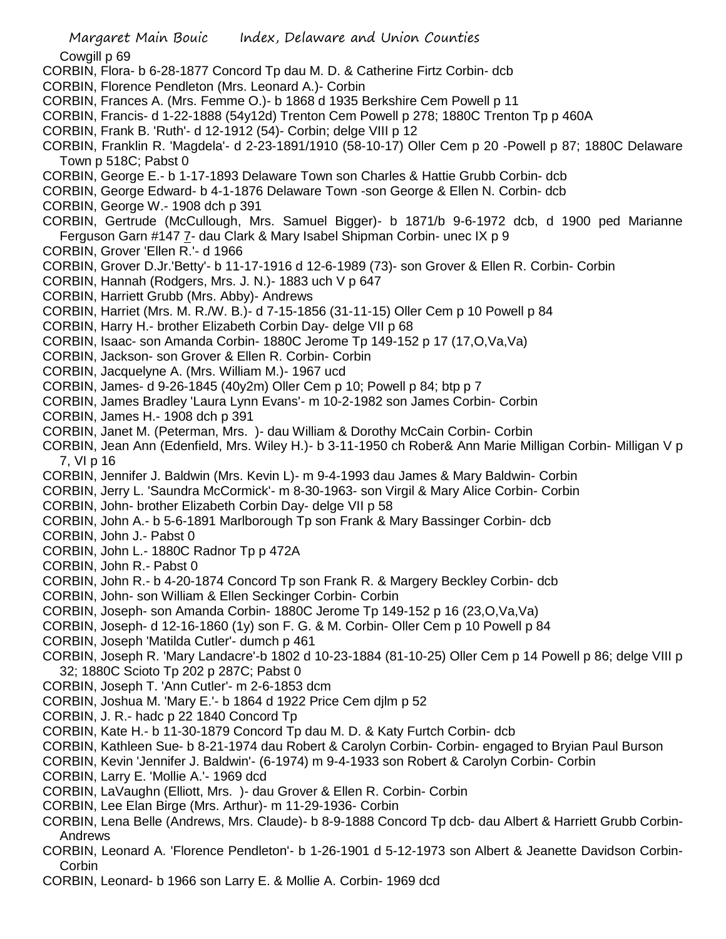Cowgill p 69

- CORBIN, Flora- b 6-28-1877 Concord Tp dau M. D. & Catherine Firtz Corbin- dcb
- CORBIN, Florence Pendleton (Mrs. Leonard A.)- Corbin
- CORBIN, Frances A. (Mrs. Femme O.)- b 1868 d 1935 Berkshire Cem Powell p 11
- CORBIN, Francis- d 1-22-1888 (54y12d) Trenton Cem Powell p 278; 1880C Trenton Tp p 460A
- CORBIN, Frank B. 'Ruth'- d 12-1912 (54)- Corbin; delge VIII p 12
- CORBIN, Franklin R. 'Magdela'- d 2-23-1891/1910 (58-10-17) Oller Cem p 20 -Powell p 87; 1880C Delaware Town p 518C; Pabst 0
- CORBIN, George E.- b 1-17-1893 Delaware Town son Charles & Hattie Grubb Corbin- dcb
- CORBIN, George Edward- b 4-1-1876 Delaware Town -son George & Ellen N. Corbin- dcb
- CORBIN, George W.- 1908 dch p 391
- CORBIN, Gertrude (McCullough, Mrs. Samuel Bigger)- b 1871/b 9-6-1972 dcb, d 1900 ped Marianne Ferguson Garn #147 7- dau Clark & Mary Isabel Shipman Corbin- unec IX p 9
- CORBIN, Grover 'Ellen R.'- d 1966
- CORBIN, Grover D.Jr.'Betty'- b 11-17-1916 d 12-6-1989 (73)- son Grover & Ellen R. Corbin- Corbin
- CORBIN, Hannah (Rodgers, Mrs. J. N.)- 1883 uch V p 647
- CORBIN, Harriett Grubb (Mrs. Abby)- Andrews
- CORBIN, Harriet (Mrs. M. R./W. B.)- d 7-15-1856 (31-11-15) Oller Cem p 10 Powell p 84
- CORBIN, Harry H.- brother Elizabeth Corbin Day- delge VII p 68
- CORBIN, Isaac- son Amanda Corbin- 1880C Jerome Tp 149-152 p 17 (17,O,Va,Va)
- CORBIN, Jackson- son Grover & Ellen R. Corbin- Corbin
- CORBIN, Jacquelyne A. (Mrs. William M.)- 1967 ucd
- CORBIN, James- d 9-26-1845 (40y2m) Oller Cem p 10; Powell p 84; btp p 7
- CORBIN, James Bradley 'Laura Lynn Evans'- m 10-2-1982 son James Corbin- Corbin
- CORBIN, James H.- 1908 dch p 391
- CORBIN, Janet M. (Peterman, Mrs. )- dau William & Dorothy McCain Corbin- Corbin
- CORBIN, Jean Ann (Edenfield, Mrs. Wiley H.)- b 3-11-1950 ch Rober& Ann Marie Milligan Corbin- Milligan V p 7, VI p 16
- CORBIN, Jennifer J. Baldwin (Mrs. Kevin L)- m 9-4-1993 dau James & Mary Baldwin- Corbin
- CORBIN, Jerry L. 'Saundra McCormick'- m 8-30-1963- son Virgil & Mary Alice Corbin- Corbin
- CORBIN, John- brother Elizabeth Corbin Day- delge VII p 58
- CORBIN, John A.- b 5-6-1891 Marlborough Tp son Frank & Mary Bassinger Corbin- dcb
- CORBIN, John J.- Pabst 0
- CORBIN, John L.- 1880C Radnor Tp p 472A
- CORBIN, John R.- Pabst 0
- CORBIN, John R.- b 4-20-1874 Concord Tp son Frank R. & Margery Beckley Corbin- dcb
- CORBIN, John- son William & Ellen Seckinger Corbin- Corbin
- CORBIN, Joseph- son Amanda Corbin- 1880C Jerome Tp 149-152 p 16 (23,O,Va,Va)
- CORBIN, Joseph- d 12-16-1860 (1y) son F. G. & M. Corbin- Oller Cem p 10 Powell p 84
- CORBIN, Joseph 'Matilda Cutler'- dumch p 461
- CORBIN, Joseph R. 'Mary Landacre'-b 1802 d 10-23-1884 (81-10-25) Oller Cem p 14 Powell p 86; delge VIII p 32; 1880C Scioto Tp 202 p 287C; Pabst 0
- CORBIN, Joseph T. 'Ann Cutler'- m 2-6-1853 dcm
- CORBIN, Joshua M. 'Mary E.'- b 1864 d 1922 Price Cem djlm p 52
- CORBIN, J. R.- hadc p 22 1840 Concord Tp
- CORBIN, Kate H.- b 11-30-1879 Concord Tp dau M. D. & Katy Furtch Corbin- dcb
- CORBIN, Kathleen Sue- b 8-21-1974 dau Robert & Carolyn Corbin- Corbin- engaged to Bryian Paul Burson
- CORBIN, Kevin 'Jennifer J. Baldwin'- (6-1974) m 9-4-1933 son Robert & Carolyn Corbin- Corbin
- CORBIN, Larry E. 'Mollie A.'- 1969 dcd
- CORBIN, LaVaughn (Elliott, Mrs. )- dau Grover & Ellen R. Corbin- Corbin
- CORBIN, Lee Elan Birge (Mrs. Arthur)- m 11-29-1936- Corbin
- CORBIN, Lena Belle (Andrews, Mrs. Claude)- b 8-9-1888 Concord Tp dcb- dau Albert & Harriett Grubb Corbin-Andrews
- CORBIN, Leonard A. 'Florence Pendleton'- b 1-26-1901 d 5-12-1973 son Albert & Jeanette Davidson Corbin-Corbin
- CORBIN, Leonard- b 1966 son Larry E. & Mollie A. Corbin- 1969 dcd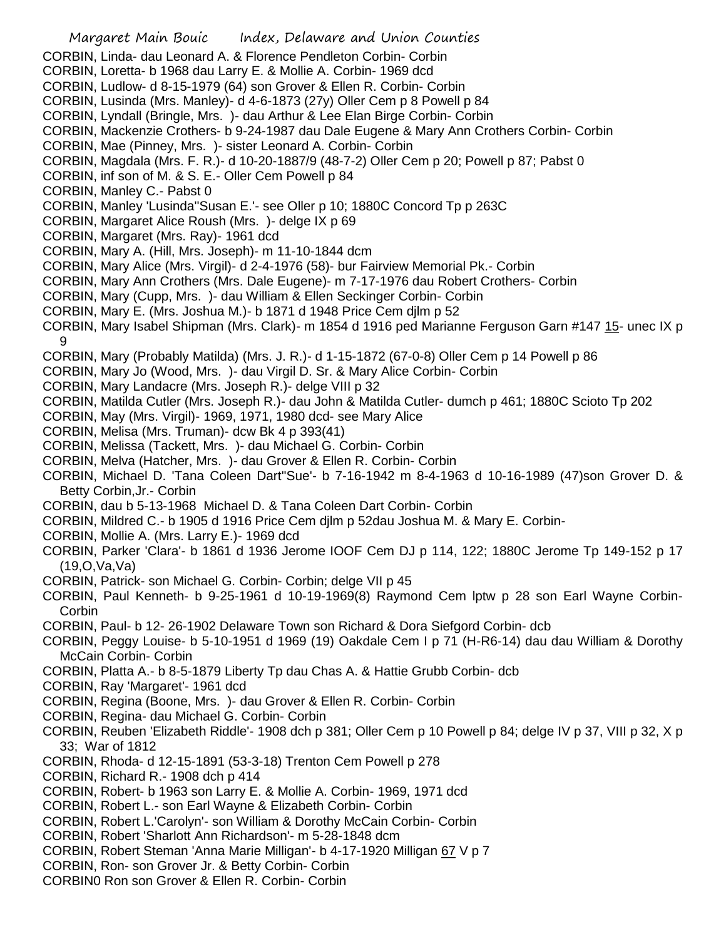- Margaret Main Bouic Index, Delaware and Union Counties CORBIN, Linda- dau Leonard A. & Florence Pendleton Corbin- Corbin CORBIN, Loretta- b 1968 dau Larry E. & Mollie A. Corbin- 1969 dcd CORBIN, Ludlow- d 8-15-1979 (64) son Grover & Ellen R. Corbin- Corbin CORBIN, Lusinda (Mrs. Manley)- d 4-6-1873 (27y) Oller Cem p 8 Powell p 84 CORBIN, Lyndall (Bringle, Mrs. )- dau Arthur & Lee Elan Birge Corbin- Corbin CORBIN, Mackenzie Crothers- b 9-24-1987 dau Dale Eugene & Mary Ann Crothers Corbin- Corbin CORBIN, Mae (Pinney, Mrs. )- sister Leonard A. Corbin- Corbin CORBIN, Magdala (Mrs. F. R.)- d 10-20-1887/9 (48-7-2) Oller Cem p 20; Powell p 87; Pabst 0 CORBIN, inf son of M. & S. E.- Oller Cem Powell p 84 CORBIN, Manley C.- Pabst 0 CORBIN, Manley 'Lusinda''Susan E.'- see Oller p 10; 1880C Concord Tp p 263C CORBIN, Margaret Alice Roush (Mrs. )- delge IX p 69 CORBIN, Margaret (Mrs. Ray)- 1961 dcd CORBIN, Mary A. (Hill, Mrs. Joseph)- m 11-10-1844 dcm CORBIN, Mary Alice (Mrs. Virgil)- d 2-4-1976 (58)- bur Fairview Memorial Pk.- Corbin CORBIN, Mary Ann Crothers (Mrs. Dale Eugene)- m 7-17-1976 dau Robert Crothers- Corbin CORBIN, Mary (Cupp, Mrs. )- dau William & Ellen Seckinger Corbin- Corbin CORBIN, Mary E. (Mrs. Joshua M.)- b 1871 d 1948 Price Cem djlm p 52 CORBIN, Mary Isabel Shipman (Mrs. Clark)- m 1854 d 1916 ped Marianne Ferguson Garn #147 15- unec IX p 9 CORBIN, Mary (Probably Matilda) (Mrs. J. R.)- d 1-15-1872 (67-0-8) Oller Cem p 14 Powell p 86 CORBIN, Mary Jo (Wood, Mrs. )- dau Virgil D. Sr. & Mary Alice Corbin- Corbin CORBIN, Mary Landacre (Mrs. Joseph R.)- delge VIII p 32 CORBIN, Matilda Cutler (Mrs. Joseph R.)- dau John & Matilda Cutler- dumch p 461; 1880C Scioto Tp 202 CORBIN, May (Mrs. Virgil)- 1969, 1971, 1980 dcd- see Mary Alice CORBIN, Melisa (Mrs. Truman)- dcw Bk 4 p 393(41) CORBIN, Melissa (Tackett, Mrs. )- dau Michael G. Corbin- Corbin CORBIN, Melva (Hatcher, Mrs. )- dau Grover & Ellen R. Corbin- Corbin CORBIN, Michael D. 'Tana Coleen Dart''Sue'- b 7-16-1942 m 8-4-1963 d 10-16-1989 (47)son Grover D. & Betty Corbin,Jr.- Corbin CORBIN, dau b 5-13-1968 Michael D. & Tana Coleen Dart Corbin- Corbin CORBIN, Mildred C.- b 1905 d 1916 Price Cem djlm p 52dau Joshua M. & Mary E. Corbin-CORBIN, Mollie A. (Mrs. Larry E.)- 1969 dcd CORBIN, Parker 'Clara'- b 1861 d 1936 Jerome IOOF Cem DJ p 114, 122; 1880C Jerome Tp 149-152 p 17 (19,O,Va,Va) CORBIN, Patrick- son Michael G. Corbin- Corbin; delge VII p 45 CORBIN, Paul Kenneth- b 9-25-1961 d 10-19-1969(8) Raymond Cem lptw p 28 son Earl Wayne Corbin-Corbin CORBIN, Paul- b 12- 26-1902 Delaware Town son Richard & Dora Siefgord Corbin- dcb CORBIN, Peggy Louise- b 5-10-1951 d 1969 (19) Oakdale Cem I p 71 (H-R6-14) dau dau William & Dorothy McCain Corbin- Corbin CORBIN, Platta A.- b 8-5-1879 Liberty Tp dau Chas A. & Hattie Grubb Corbin- dcb CORBIN, Ray 'Margaret'- 1961 dcd CORBIN, Regina (Boone, Mrs. )- dau Grover & Ellen R. Corbin- Corbin CORBIN, Regina- dau Michael G. Corbin- Corbin CORBIN, Reuben 'Elizabeth Riddle'- 1908 dch p 381; Oller Cem p 10 Powell p 84; delge IV p 37, VIII p 32, X p 33; War of 1812 CORBIN, Rhoda- d 12-15-1891 (53-3-18) Trenton Cem Powell p 278 CORBIN, Richard R.- 1908 dch p 414 CORBIN, Robert- b 1963 son Larry E. & Mollie A. Corbin- 1969, 1971 dcd CORBIN, Robert L.- son Earl Wayne & Elizabeth Corbin- Corbin
	- CORBIN, Robert L.'Carolyn'- son William & Dorothy McCain Corbin- Corbin
	- CORBIN, Robert 'Sharlott Ann Richardson'- m 5-28-1848 dcm
	- CORBIN, Robert Steman 'Anna Marie Milligan'- b 4-17-1920 Milligan 67 V p 7
	- CORBIN, Ron- son Grover Jr. & Betty Corbin- Corbin
	- CORBIN0 Ron son Grover & Ellen R. Corbin- Corbin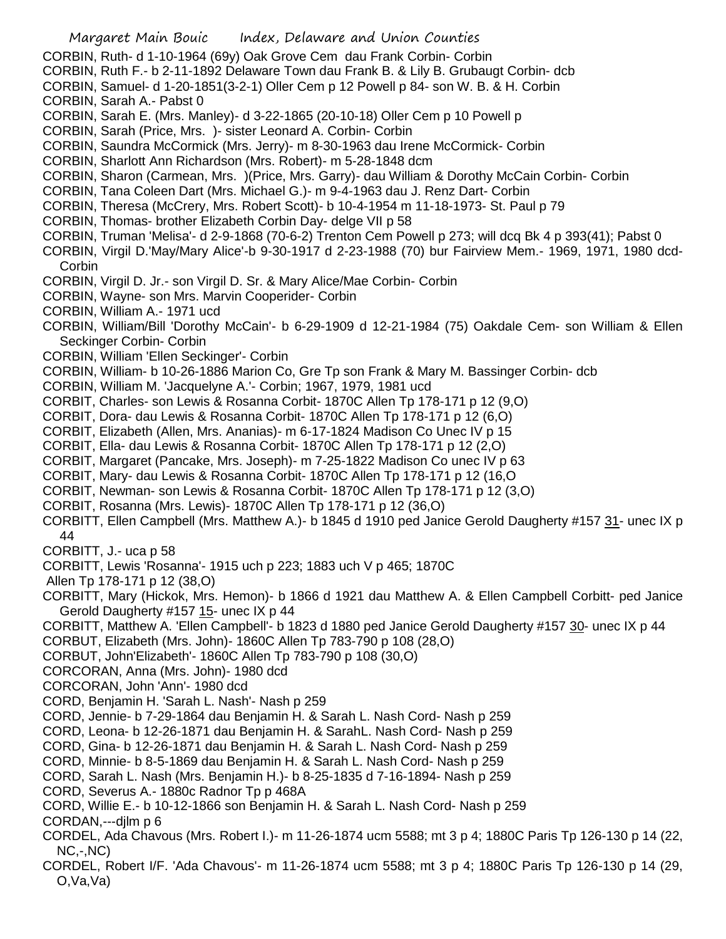- CORBIN, Ruth- d 1-10-1964 (69y) Oak Grove Cem dau Frank Corbin- Corbin
- CORBIN, Ruth F.- b 2-11-1892 Delaware Town dau Frank B. & Lily B. Grubaugt Corbin- dcb
- CORBIN, Samuel- d 1-20-1851(3-2-1) Oller Cem p 12 Powell p 84- son W. B. & H. Corbin

CORBIN, Sarah A.- Pabst 0

- CORBIN, Sarah E. (Mrs. Manley)- d 3-22-1865 (20-10-18) Oller Cem p 10 Powell p
- CORBIN, Sarah (Price, Mrs. )- sister Leonard A. Corbin- Corbin
- CORBIN, Saundra McCormick (Mrs. Jerry)- m 8-30-1963 dau Irene McCormick- Corbin
- CORBIN, Sharlott Ann Richardson (Mrs. Robert)- m 5-28-1848 dcm
- CORBIN, Sharon (Carmean, Mrs. )(Price, Mrs. Garry)- dau William & Dorothy McCain Corbin- Corbin
- CORBIN, Tana Coleen Dart (Mrs. Michael G.)- m 9-4-1963 dau J. Renz Dart- Corbin
- CORBIN, Theresa (McCrery, Mrs. Robert Scott)- b 10-4-1954 m 11-18-1973- St. Paul p 79
- CORBIN, Thomas- brother Elizabeth Corbin Day- delge VII p 58
- CORBIN, Truman 'Melisa'- d 2-9-1868 (70-6-2) Trenton Cem Powell p 273; will dcq Bk 4 p 393(41); Pabst 0
- CORBIN, Virgil D.'May/Mary Alice'-b 9-30-1917 d 2-23-1988 (70) bur Fairview Mem.- 1969, 1971, 1980 dcd-**Corbin**
- CORBIN, Virgil D. Jr.- son Virgil D. Sr. & Mary Alice/Mae Corbin- Corbin
- CORBIN, Wayne- son Mrs. Marvin Cooperider- Corbin
- CORBIN, William A.- 1971 ucd
- CORBIN, William/Bill 'Dorothy McCain'- b 6-29-1909 d 12-21-1984 (75) Oakdale Cem- son William & Ellen Seckinger Corbin- Corbin
- CORBIN, William 'Ellen Seckinger'- Corbin
- CORBIN, William- b 10-26-1886 Marion Co, Gre Tp son Frank & Mary M. Bassinger Corbin- dcb
- CORBIN, William M. 'Jacquelyne A.'- Corbin; 1967, 1979, 1981 ucd
- CORBIT, Charles- son Lewis & Rosanna Corbit- 1870C Allen Tp 178-171 p 12 (9,O)
- CORBIT, Dora- dau Lewis & Rosanna Corbit- 1870C Allen Tp 178-171 p 12 (6,O)
- CORBIT, Elizabeth (Allen, Mrs. Ananias)- m 6-17-1824 Madison Co Unec IV p 15
- CORBIT, Ella- dau Lewis & Rosanna Corbit- 1870C Allen Tp 178-171 p 12 (2,O)
- CORBIT, Margaret (Pancake, Mrs. Joseph)- m 7-25-1822 Madison Co unec IV p 63
- CORBIT, Mary- dau Lewis & Rosanna Corbit- 1870C Allen Tp 178-171 p 12 (16,O
- CORBIT, Newman- son Lewis & Rosanna Corbit- 1870C Allen Tp 178-171 p 12 (3,O)
- CORBIT, Rosanna (Mrs. Lewis)- 1870C Allen Tp 178-171 p 12 (36,O)
- CORBITT, Ellen Campbell (Mrs. Matthew A.)- b 1845 d 1910 ped Janice Gerold Daugherty #157 31- unec IX p 44
- CORBITT, J.- uca p 58
- CORBITT, Lewis 'Rosanna'- 1915 uch p 223; 1883 uch V p 465; 1870C
- Allen Tp 178-171 p 12 (38,O)
- CORBITT, Mary (Hickok, Mrs. Hemon)- b 1866 d 1921 dau Matthew A. & Ellen Campbell Corbitt- ped Janice Gerold Daugherty #157 15- unec IX p 44
- CORBITT, Matthew A. 'Ellen Campbell'- b 1823 d 1880 ped Janice Gerold Daugherty #157 30- unec IX p 44 CORBUT, Elizabeth (Mrs. John)- 1860C Allen Tp 783-790 p 108 (28,O)
- CORBUT, John'Elizabeth'- 1860C Allen Tp 783-790 p 108 (30,O)
- CORCORAN, Anna (Mrs. John)- 1980 dcd
- CORCORAN, John 'Ann'- 1980 dcd
- CORD, Benjamin H. 'Sarah L. Nash'- Nash p 259
- CORD, Jennie- b 7-29-1864 dau Benjamin H. & Sarah L. Nash Cord- Nash p 259
- CORD, Leona- b 12-26-1871 dau Benjamin H. & SarahL. Nash Cord- Nash p 259
- CORD, Gina- b 12-26-1871 dau Benjamin H. & Sarah L. Nash Cord- Nash p 259
- CORD, Minnie- b 8-5-1869 dau Benjamin H. & Sarah L. Nash Cord- Nash p 259
- CORD, Sarah L. Nash (Mrs. Benjamin H.)- b 8-25-1835 d 7-16-1894- Nash p 259
- CORD, Severus A.- 1880c Radnor Tp p 468A
- CORD, Willie E.- b 10-12-1866 son Benjamin H. & Sarah L. Nash Cord- Nash p 259
- CORDAN,---djlm p 6
- CORDEL, Ada Chavous (Mrs. Robert I.)- m 11-26-1874 ucm 5588; mt 3 p 4; 1880C Paris Tp 126-130 p 14 (22, NC,-,NC)
- CORDEL, Robert I/F. 'Ada Chavous'- m 11-26-1874 ucm 5588; mt 3 p 4; 1880C Paris Tp 126-130 p 14 (29, O,Va,Va)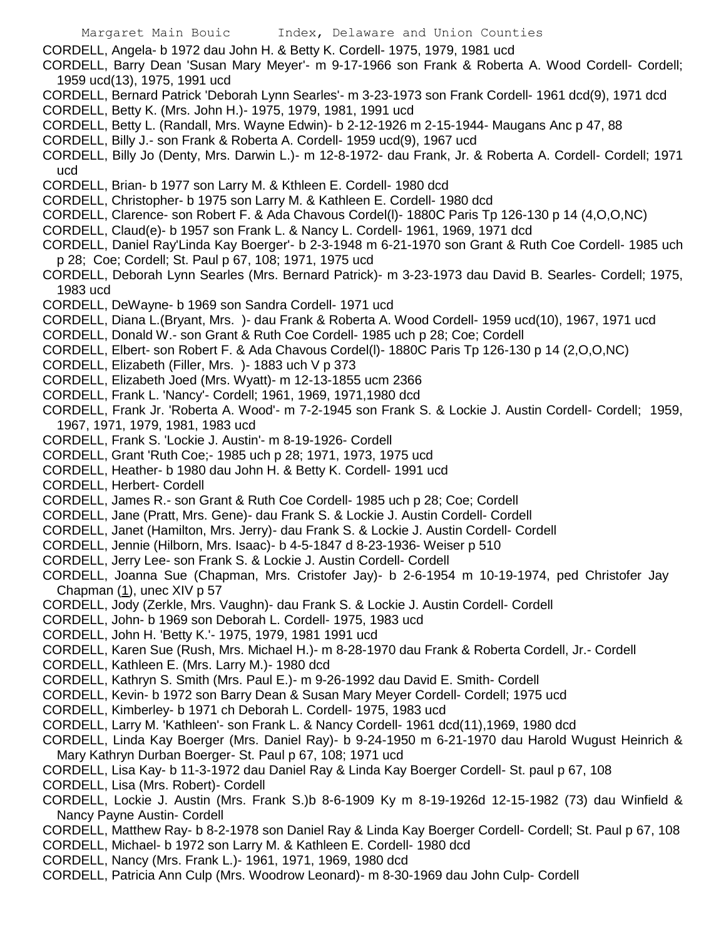CORDELL, Angela- b 1972 dau John H. & Betty K. Cordell- 1975, 1979, 1981 ucd

CORDELL, Barry Dean 'Susan Mary Meyer'- m 9-17-1966 son Frank & Roberta A. Wood Cordell- Cordell; 1959 ucd(13), 1975, 1991 ucd

- CORDELL, Bernard Patrick 'Deborah Lynn Searles'- m 3-23-1973 son Frank Cordell- 1961 dcd(9), 1971 dcd
- CORDELL, Betty K. (Mrs. John H.)- 1975, 1979, 1981, 1991 ucd
- CORDELL, Betty L. (Randall, Mrs. Wayne Edwin)- b 2-12-1926 m 2-15-1944- Maugans Anc p 47, 88

CORDELL, Billy J.- son Frank & Roberta A. Cordell- 1959 ucd(9), 1967 ucd

- CORDELL, Billy Jo (Denty, Mrs. Darwin L.)- m 12-8-1972- dau Frank, Jr. & Roberta A. Cordell- Cordell; 1971 ucd
- CORDELL, Brian- b 1977 son Larry M. & Kthleen E. Cordell- 1980 dcd
- CORDELL, Christopher- b 1975 son Larry M. & Kathleen E. Cordell- 1980 dcd
- CORDELL, Clarence- son Robert F. & Ada Chavous Cordel(l)- 1880C Paris Tp 126-130 p 14 (4,O,O,NC)
- CORDELL, Claud(e)- b 1957 son Frank L. & Nancy L. Cordell- 1961, 1969, 1971 dcd
- CORDELL, Daniel Ray'Linda Kay Boerger'- b 2-3-1948 m 6-21-1970 son Grant & Ruth Coe Cordell- 1985 uch p 28; Coe; Cordell; St. Paul p 67, 108; 1971, 1975 ucd
- CORDELL, Deborah Lynn Searles (Mrs. Bernard Patrick)- m 3-23-1973 dau David B. Searles- Cordell; 1975, 1983 ucd
- CORDELL, DeWayne- b 1969 son Sandra Cordell- 1971 ucd
- CORDELL, Diana L.(Bryant, Mrs. )- dau Frank & Roberta A. Wood Cordell- 1959 ucd(10), 1967, 1971 ucd
- CORDELL, Donald W.- son Grant & Ruth Coe Cordell- 1985 uch p 28; Coe; Cordell
- CORDELL, Elbert- son Robert F. & Ada Chavous Cordel(l)- 1880C Paris Tp 126-130 p 14 (2,O,O,NC)
- CORDELL, Elizabeth (Filler, Mrs. )- 1883 uch V p 373
- CORDELL, Elizabeth Joed (Mrs. Wyatt)- m 12-13-1855 ucm 2366
- CORDELL, Frank L. 'Nancy'- Cordell; 1961, 1969, 1971,1980 dcd

CORDELL, Frank Jr. 'Roberta A. Wood'- m 7-2-1945 son Frank S. & Lockie J. Austin Cordell- Cordell; 1959, 1967, 1971, 1979, 1981, 1983 ucd

- CORDELL, Frank S. 'Lockie J. Austin'- m 8-19-1926- Cordell
- CORDELL, Grant 'Ruth Coe;- 1985 uch p 28; 1971, 1973, 1975 ucd
- CORDELL, Heather- b 1980 dau John H. & Betty K. Cordell- 1991 ucd
- CORDELL, Herbert- Cordell
- CORDELL, James R.- son Grant & Ruth Coe Cordell- 1985 uch p 28; Coe; Cordell
- CORDELL, Jane (Pratt, Mrs. Gene)- dau Frank S. & Lockie J. Austin Cordell- Cordell
- CORDELL, Janet (Hamilton, Mrs. Jerry)- dau Frank S. & Lockie J. Austin Cordell- Cordell
- CORDELL, Jennie (Hilborn, Mrs. Isaac)- b 4-5-1847 d 8-23-1936- Weiser p 510
- CORDELL, Jerry Lee- son Frank S. & Lockie J. Austin Cordell- Cordell
- CORDELL, Joanna Sue (Chapman, Mrs. Cristofer Jay)- b 2-6-1954 m 10-19-1974, ped Christofer Jay Chapman (1), unec XIV p 57
- CORDELL, Jody (Zerkle, Mrs. Vaughn)- dau Frank S. & Lockie J. Austin Cordell- Cordell
- CORDELL, John- b 1969 son Deborah L. Cordell- 1975, 1983 ucd
- CORDELL, John H. 'Betty K.'- 1975, 1979, 1981 1991 ucd
- CORDELL, Karen Sue (Rush, Mrs. Michael H.)- m 8-28-1970 dau Frank & Roberta Cordell, Jr.- Cordell
- CORDELL, Kathleen E. (Mrs. Larry M.)- 1980 dcd
- CORDELL, Kathryn S. Smith (Mrs. Paul E.)- m 9-26-1992 dau David E. Smith- Cordell
- CORDELL, Kevin- b 1972 son Barry Dean & Susan Mary Meyer Cordell- Cordell; 1975 ucd
- CORDELL, Kimberley- b 1971 ch Deborah L. Cordell- 1975, 1983 ucd
- CORDELL, Larry M. 'Kathleen'- son Frank L. & Nancy Cordell- 1961 dcd(11),1969, 1980 dcd
- CORDELL, Linda Kay Boerger (Mrs. Daniel Ray)- b 9-24-1950 m 6-21-1970 dau Harold Wugust Heinrich & Mary Kathryn Durban Boerger- St. Paul p 67, 108; 1971 ucd
- CORDELL, Lisa Kay- b 11-3-1972 dau Daniel Ray & Linda Kay Boerger Cordell- St. paul p 67, 108
- CORDELL, Lisa (Mrs. Robert)- Cordell
- CORDELL, Lockie J. Austin (Mrs. Frank S.)b 8-6-1909 Ky m 8-19-1926d 12-15-1982 (73) dau Winfield & Nancy Payne Austin- Cordell
- CORDELL, Matthew Ray- b 8-2-1978 son Daniel Ray & Linda Kay Boerger Cordell- Cordell; St. Paul p 67, 108
- CORDELL, Michael- b 1972 son Larry M. & Kathleen E. Cordell- 1980 dcd
- CORDELL, Nancy (Mrs. Frank L.)- 1961, 1971, 1969, 1980 dcd
- CORDELL, Patricia Ann Culp (Mrs. Woodrow Leonard)- m 8-30-1969 dau John Culp- Cordell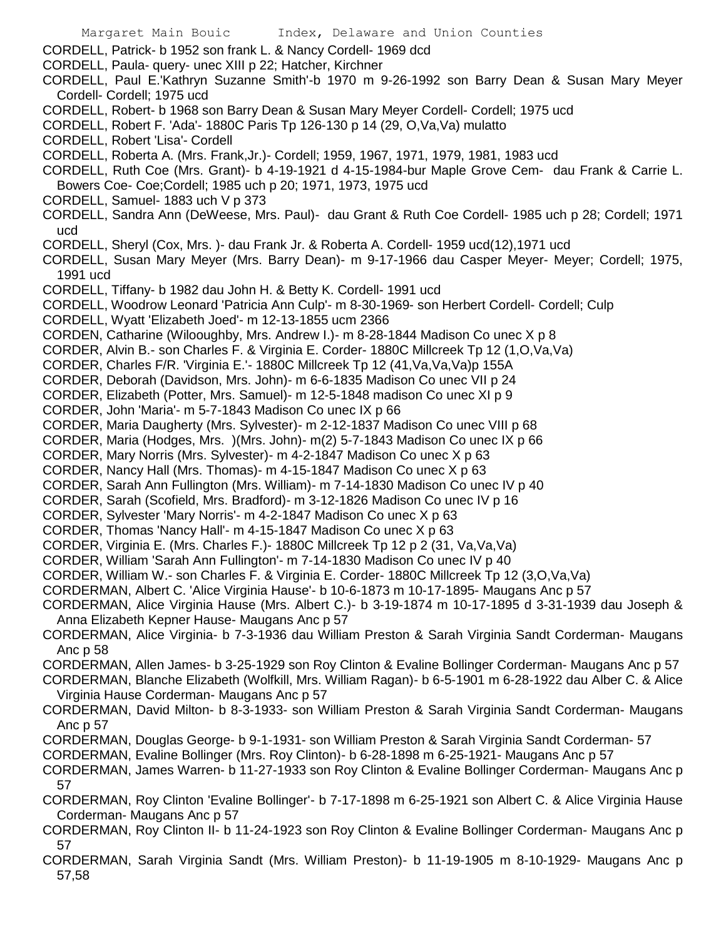CORDELL, Patrick- b 1952 son frank L. & Nancy Cordell- 1969 dcd

- CORDELL, Paula- query- unec XIII p 22; Hatcher, Kirchner
- CORDELL, Paul E.'Kathryn Suzanne Smith'-b 1970 m 9-26-1992 son Barry Dean & Susan Mary Meyer Cordell- Cordell; 1975 ucd
- CORDELL, Robert- b 1968 son Barry Dean & Susan Mary Meyer Cordell- Cordell; 1975 ucd
- CORDELL, Robert F. 'Ada'- 1880C Paris Tp 126-130 p 14 (29, O,Va,Va) mulatto
- CORDELL, Robert 'Lisa'- Cordell
- CORDELL, Roberta A. (Mrs. Frank,Jr.)- Cordell; 1959, 1967, 1971, 1979, 1981, 1983 ucd
- CORDELL, Ruth Coe (Mrs. Grant)- b 4-19-1921 d 4-15-1984-bur Maple Grove Cem- dau Frank & Carrie L. Bowers Coe- Coe;Cordell; 1985 uch p 20; 1971, 1973, 1975 ucd
- CORDELL, Samuel- 1883 uch V p 373
- CORDELL, Sandra Ann (DeWeese, Mrs. Paul)- dau Grant & Ruth Coe Cordell- 1985 uch p 28; Cordell; 1971 ucd
- CORDELL, Sheryl (Cox, Mrs. )- dau Frank Jr. & Roberta A. Cordell- 1959 ucd(12),1971 ucd
- CORDELL, Susan Mary Meyer (Mrs. Barry Dean)- m 9-17-1966 dau Casper Meyer- Meyer; Cordell; 1975, 1991 ucd
- CORDELL, Tiffany- b 1982 dau John H. & Betty K. Cordell- 1991 ucd
- CORDELL, Woodrow Leonard 'Patricia Ann Culp'- m 8-30-1969- son Herbert Cordell- Cordell; Culp
- CORDELL, Wyatt 'Elizabeth Joed'- m 12-13-1855 ucm 2366
- CORDEN, Catharine (Wilooughby, Mrs. Andrew I.)- m 8-28-1844 Madison Co unec X p 8
- CORDER, Alvin B.- son Charles F. & Virginia E. Corder- 1880C Millcreek Tp 12 (1,O,Va,Va)
- CORDER, Charles F/R. 'Virginia E.'- 1880C Millcreek Tp 12 (41,Va,Va,Va)p 155A
- CORDER, Deborah (Davidson, Mrs. John)- m 6-6-1835 Madison Co unec VII p 24
- CORDER, Elizabeth (Potter, Mrs. Samuel)- m 12-5-1848 madison Co unec XI p 9
- CORDER, John 'Maria'- m 5-7-1843 Madison Co unec IX p 66
- CORDER, Maria Daugherty (Mrs. Sylvester)- m 2-12-1837 Madison Co unec VIII p 68
- CORDER, Maria (Hodges, Mrs. )(Mrs. John)- m(2) 5-7-1843 Madison Co unec IX p 66
- CORDER, Mary Norris (Mrs. Sylvester)- m 4-2-1847 Madison Co unec X p 63
- CORDER, Nancy Hall (Mrs. Thomas)- m 4-15-1847 Madison Co unec X p 63
- CORDER, Sarah Ann Fullington (Mrs. William)- m 7-14-1830 Madison Co unec IV p 40
- CORDER, Sarah (Scofield, Mrs. Bradford)- m 3-12-1826 Madison Co unec IV p 16
- CORDER, Sylvester 'Mary Norris'- m 4-2-1847 Madison Co unec X p 63
- CORDER, Thomas 'Nancy Hall'- m 4-15-1847 Madison Co unec X p 63
- CORDER, Virginia E. (Mrs. Charles F.)- 1880C Millcreek Tp 12 p 2 (31, Va,Va,Va)
- CORDER, William 'Sarah Ann Fullington'- m 7-14-1830 Madison Co unec IV p 40
- CORDER, William W.- son Charles F. & Virginia E. Corder- 1880C Millcreek Tp 12 (3,O,Va,Va)
- CORDERMAN, Albert C. 'Alice Virginia Hause'- b 10-6-1873 m 10-17-1895- Maugans Anc p 57
- CORDERMAN, Alice Virginia Hause (Mrs. Albert C.)- b 3-19-1874 m 10-17-1895 d 3-31-1939 dau Joseph & Anna Elizabeth Kepner Hause- Maugans Anc p 57
- CORDERMAN, Alice Virginia- b 7-3-1936 dau William Preston & Sarah Virginia Sandt Corderman- Maugans Anc p 58
- CORDERMAN, Allen James- b 3-25-1929 son Roy Clinton & Evaline Bollinger Corderman- Maugans Anc p 57
- CORDERMAN, Blanche Elizabeth (Wolfkill, Mrs. William Ragan)- b 6-5-1901 m 6-28-1922 dau Alber C. & Alice Virginia Hause Corderman- Maugans Anc p 57
- CORDERMAN, David Milton- b 8-3-1933- son William Preston & Sarah Virginia Sandt Corderman- Maugans Anc p 57
- CORDERMAN, Douglas George- b 9-1-1931- son William Preston & Sarah Virginia Sandt Corderman- 57
- CORDERMAN, Evaline Bollinger (Mrs. Roy Clinton)- b 6-28-1898 m 6-25-1921- Maugans Anc p 57
- CORDERMAN, James Warren- b 11-27-1933 son Roy Clinton & Evaline Bollinger Corderman- Maugans Anc p 57
- CORDERMAN, Roy Clinton 'Evaline Bollinger'- b 7-17-1898 m 6-25-1921 son Albert C. & Alice Virginia Hause Corderman- Maugans Anc p 57
- CORDERMAN, Roy Clinton II- b 11-24-1923 son Roy Clinton & Evaline Bollinger Corderman- Maugans Anc p 57
- CORDERMAN, Sarah Virginia Sandt (Mrs. William Preston)- b 11-19-1905 m 8-10-1929- Maugans Anc p 57,58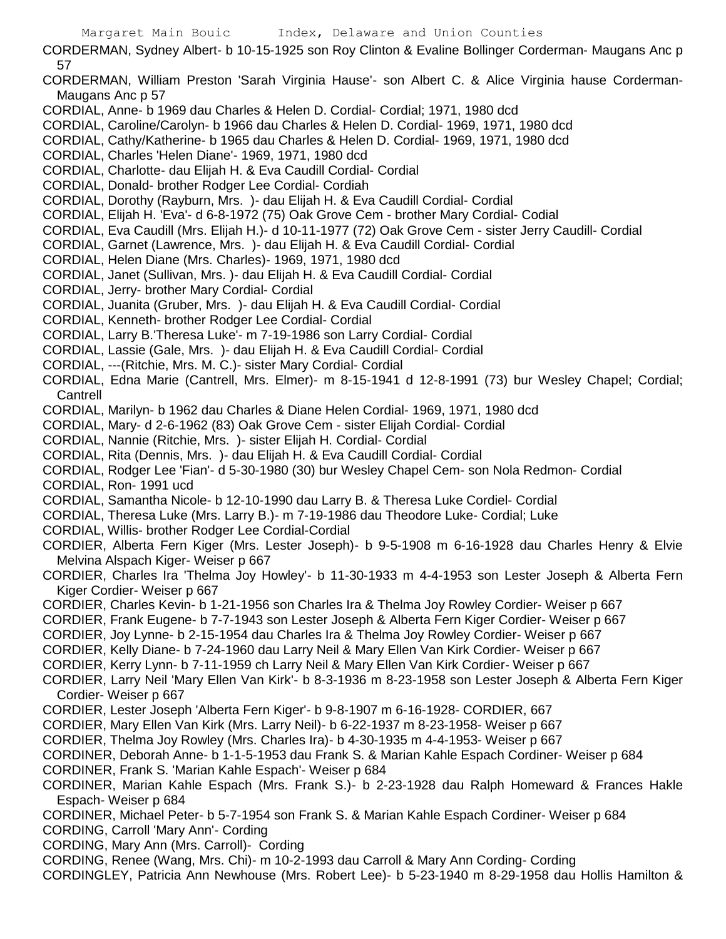CORDERMAN, Sydney Albert- b 10-15-1925 son Roy Clinton & Evaline Bollinger Corderman- Maugans Anc p 57

- CORDERMAN, William Preston 'Sarah Virginia Hause'- son Albert C. & Alice Virginia hause Corderman-Maugans Anc p 57
- CORDIAL, Anne- b 1969 dau Charles & Helen D. Cordial- Cordial; 1971, 1980 dcd
- CORDIAL, Caroline/Carolyn- b 1966 dau Charles & Helen D. Cordial- 1969, 1971, 1980 dcd
- CORDIAL, Cathy/Katherine- b 1965 dau Charles & Helen D. Cordial- 1969, 1971, 1980 dcd
- CORDIAL, Charles 'Helen Diane'- 1969, 1971, 1980 dcd
- CORDIAL, Charlotte- dau Elijah H. & Eva Caudill Cordial- Cordial
- CORDIAL, Donald- brother Rodger Lee Cordial- Cordiah
- CORDIAL, Dorothy (Rayburn, Mrs. )- dau Elijah H. & Eva Caudill Cordial- Cordial
- CORDIAL, Elijah H. 'Eva'- d 6-8-1972 (75) Oak Grove Cem brother Mary Cordial- Codial
- CORDIAL, Eva Caudill (Mrs. Elijah H.)- d 10-11-1977 (72) Oak Grove Cem sister Jerry Caudill- Cordial
- CORDIAL, Garnet (Lawrence, Mrs. )- dau Elijah H. & Eva Caudill Cordial- Cordial
- CORDIAL, Helen Diane (Mrs. Charles)- 1969, 1971, 1980 dcd
- CORDIAL, Janet (Sullivan, Mrs. )- dau Elijah H. & Eva Caudill Cordial- Cordial
- CORDIAL, Jerry- brother Mary Cordial- Cordial
- CORDIAL, Juanita (Gruber, Mrs. )- dau Elijah H. & Eva Caudill Cordial- Cordial
- CORDIAL, Kenneth- brother Rodger Lee Cordial- Cordial
- CORDIAL, Larry B.'Theresa Luke'- m 7-19-1986 son Larry Cordial- Cordial
- CORDIAL, Lassie (Gale, Mrs. )- dau Elijah H. & Eva Caudill Cordial- Cordial
- CORDIAL, ---(Ritchie, Mrs. M. C.)- sister Mary Cordial- Cordial
- CORDIAL, Edna Marie (Cantrell, Mrs. Elmer)- m 8-15-1941 d 12-8-1991 (73) bur Wesley Chapel; Cordial; **Cantrell**
- CORDIAL, Marilyn- b 1962 dau Charles & Diane Helen Cordial- 1969, 1971, 1980 dcd
- CORDIAL, Mary- d 2-6-1962 (83) Oak Grove Cem sister Elijah Cordial- Cordial
- CORDIAL, Nannie (Ritchie, Mrs. )- sister Elijah H. Cordial- Cordial
- CORDIAL, Rita (Dennis, Mrs. )- dau Elijah H. & Eva Caudill Cordial- Cordial
- CORDIAL, Rodger Lee 'Fian'- d 5-30-1980 (30) bur Wesley Chapel Cem- son Nola Redmon- Cordial
- CORDIAL, Ron- 1991 ucd
- CORDIAL, Samantha Nicole- b 12-10-1990 dau Larry B. & Theresa Luke Cordiel- Cordial
- CORDIAL, Theresa Luke (Mrs. Larry B.)- m 7-19-1986 dau Theodore Luke- Cordial; Luke
- CORDIAL, Willis- brother Rodger Lee Cordial-Cordial
- CORDIER, Alberta Fern Kiger (Mrs. Lester Joseph)- b 9-5-1908 m 6-16-1928 dau Charles Henry & Elvie Melvina Alspach Kiger- Weiser p 667
- CORDIER, Charles Ira 'Thelma Joy Howley'- b 11-30-1933 m 4-4-1953 son Lester Joseph & Alberta Fern Kiger Cordier- Weiser p 667
- CORDIER, Charles Kevin- b 1-21-1956 son Charles Ira & Thelma Joy Rowley Cordier- Weiser p 667
- CORDIER, Frank Eugene- b 7-7-1943 son Lester Joseph & Alberta Fern Kiger Cordier- Weiser p 667
- CORDIER, Joy Lynne- b 2-15-1954 dau Charles Ira & Thelma Joy Rowley Cordier- Weiser p 667
- CORDIER, Kelly Diane- b 7-24-1960 dau Larry Neil & Mary Ellen Van Kirk Cordier- Weiser p 667
- CORDIER, Kerry Lynn- b 7-11-1959 ch Larry Neil & Mary Ellen Van Kirk Cordier- Weiser p 667
- CORDIER, Larry Neil 'Mary Ellen Van Kirk'- b 8-3-1936 m 8-23-1958 son Lester Joseph & Alberta Fern Kiger Cordier- Weiser p 667
- CORDIER, Lester Joseph 'Alberta Fern Kiger'- b 9-8-1907 m 6-16-1928- CORDIER, 667
- CORDIER, Mary Ellen Van Kirk (Mrs. Larry Neil)- b 6-22-1937 m 8-23-1958- Weiser p 667
- CORDIER, Thelma Joy Rowley (Mrs. Charles Ira)- b 4-30-1935 m 4-4-1953- Weiser p 667
- CORDINER, Deborah Anne- b 1-1-5-1953 dau Frank S. & Marian Kahle Espach Cordiner- Weiser p 684
- CORDINER, Frank S. 'Marian Kahle Espach'- Weiser p 684
- CORDINER, Marian Kahle Espach (Mrs. Frank S.)- b 2-23-1928 dau Ralph Homeward & Frances Hakle Espach- Weiser p 684
- CORDINER, Michael Peter- b 5-7-1954 son Frank S. & Marian Kahle Espach Cordiner- Weiser p 684
- CORDING, Carroll 'Mary Ann'- Cording
- CORDING, Mary Ann (Mrs. Carroll)- Cording
- CORDING, Renee (Wang, Mrs. Chi)- m 10-2-1993 dau Carroll & Mary Ann Cording- Cording
- CORDINGLEY, Patricia Ann Newhouse (Mrs. Robert Lee)- b 5-23-1940 m 8-29-1958 dau Hollis Hamilton &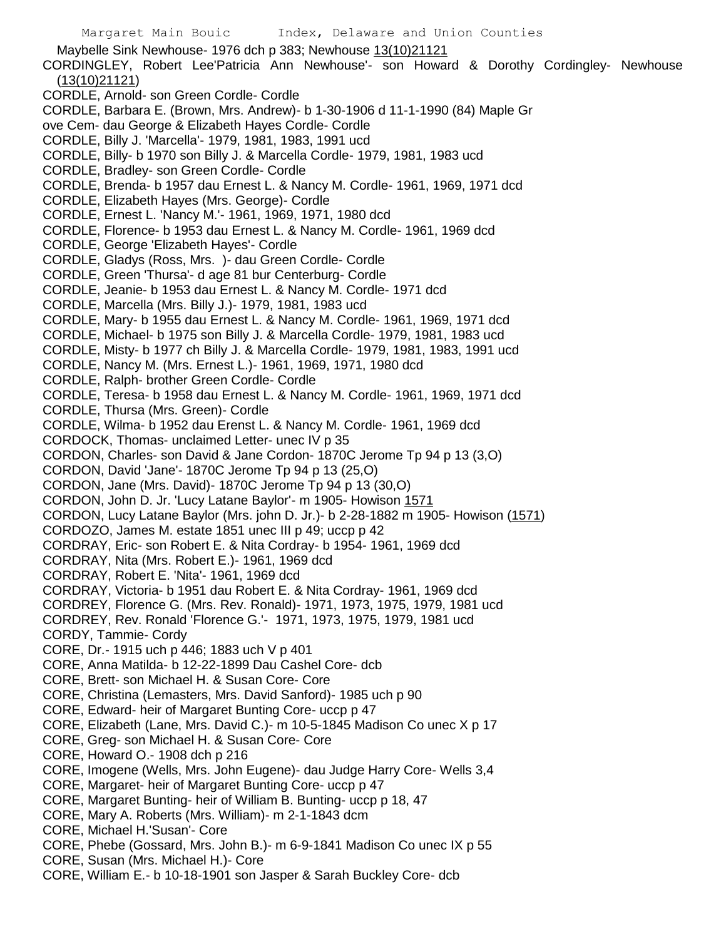Maybelle Sink Newhouse- 1976 dch p 383; Newhouse 13(10)21121 CORDINGLEY, Robert Lee'Patricia Ann Newhouse'- son Howard & Dorothy Cordingley- Newhouse (13(10)21121) CORDLE, Arnold- son Green Cordle- Cordle CORDLE, Barbara E. (Brown, Mrs. Andrew)- b 1-30-1906 d 11-1-1990 (84) Maple Gr ove Cem- dau George & Elizabeth Hayes Cordle- Cordle CORDLE, Billy J. 'Marcella'- 1979, 1981, 1983, 1991 ucd CORDLE, Billy- b 1970 son Billy J. & Marcella Cordle- 1979, 1981, 1983 ucd CORDLE, Bradley- son Green Cordle- Cordle CORDLE, Brenda- b 1957 dau Ernest L. & Nancy M. Cordle- 1961, 1969, 1971 dcd CORDLE, Elizabeth Hayes (Mrs. George)- Cordle CORDLE, Ernest L. 'Nancy M.'- 1961, 1969, 1971, 1980 dcd CORDLE, Florence- b 1953 dau Ernest L. & Nancy M. Cordle- 1961, 1969 dcd CORDLE, George 'Elizabeth Hayes'- Cordle CORDLE, Gladys (Ross, Mrs. )- dau Green Cordle- Cordle CORDLE, Green 'Thursa'- d age 81 bur Centerburg- Cordle CORDLE, Jeanie- b 1953 dau Ernest L. & Nancy M. Cordle- 1971 dcd CORDLE, Marcella (Mrs. Billy J.)- 1979, 1981, 1983 ucd CORDLE, Mary- b 1955 dau Ernest L. & Nancy M. Cordle- 1961, 1969, 1971 dcd CORDLE, Michael- b 1975 son Billy J. & Marcella Cordle- 1979, 1981, 1983 ucd CORDLE, Misty- b 1977 ch Billy J. & Marcella Cordle- 1979, 1981, 1983, 1991 ucd CORDLE, Nancy M. (Mrs. Ernest L.)- 1961, 1969, 1971, 1980 dcd CORDLE, Ralph- brother Green Cordle- Cordle CORDLE, Teresa- b 1958 dau Ernest L. & Nancy M. Cordle- 1961, 1969, 1971 dcd CORDLE, Thursa (Mrs. Green)- Cordle CORDLE, Wilma- b 1952 dau Erenst L. & Nancy M. Cordle- 1961, 1969 dcd CORDOCK, Thomas- unclaimed Letter- unec IV p 35 CORDON, Charles- son David & Jane Cordon- 1870C Jerome Tp 94 p 13 (3,O) CORDON, David 'Jane'- 1870C Jerome Tp 94 p 13 (25,O) CORDON, Jane (Mrs. David)- 1870C Jerome Tp 94 p 13 (30,O) CORDON, John D. Jr. 'Lucy Latane Baylor'- m 1905- Howison 1571 CORDON, Lucy Latane Baylor (Mrs. john D. Jr.)- b 2-28-1882 m 1905- Howison (1571) CORDOZO, James M. estate 1851 unec III p 49; uccp p 42 CORDRAY, Eric- son Robert E. & Nita Cordray- b 1954- 1961, 1969 dcd CORDRAY, Nita (Mrs. Robert E.)- 1961, 1969 dcd CORDRAY, Robert E. 'Nita'- 1961, 1969 dcd CORDRAY, Victoria- b 1951 dau Robert E. & Nita Cordray- 1961, 1969 dcd CORDREY, Florence G. (Mrs. Rev. Ronald)- 1971, 1973, 1975, 1979, 1981 ucd CORDREY, Rev. Ronald 'Florence G.'- 1971, 1973, 1975, 1979, 1981 ucd CORDY, Tammie- Cordy CORE, Dr.- 1915 uch p 446; 1883 uch V p 401 CORE, Anna Matilda- b 12-22-1899 Dau Cashel Core- dcb CORE, Brett- son Michael H. & Susan Core- Core CORE, Christina (Lemasters, Mrs. David Sanford)- 1985 uch p 90 CORE, Edward- heir of Margaret Bunting Core- uccp p 47 CORE, Elizabeth (Lane, Mrs. David C.)- m 10-5-1845 Madison Co unec X p 17 CORE, Greg- son Michael H. & Susan Core- Core CORE, Howard O.- 1908 dch p 216 CORE, Imogene (Wells, Mrs. John Eugene)- dau Judge Harry Core- Wells 3,4 CORE, Margaret- heir of Margaret Bunting Core- uccp p 47 CORE, Margaret Bunting- heir of William B. Bunting- uccp p 18, 47 CORE, Mary A. Roberts (Mrs. William)- m 2-1-1843 dcm CORE, Michael H.'Susan'- Core CORE, Phebe (Gossard, Mrs. John B.)- m 6-9-1841 Madison Co unec IX p 55 CORE, Susan (Mrs. Michael H.)- Core

CORE, William E.- b 10-18-1901 son Jasper & Sarah Buckley Core- dcb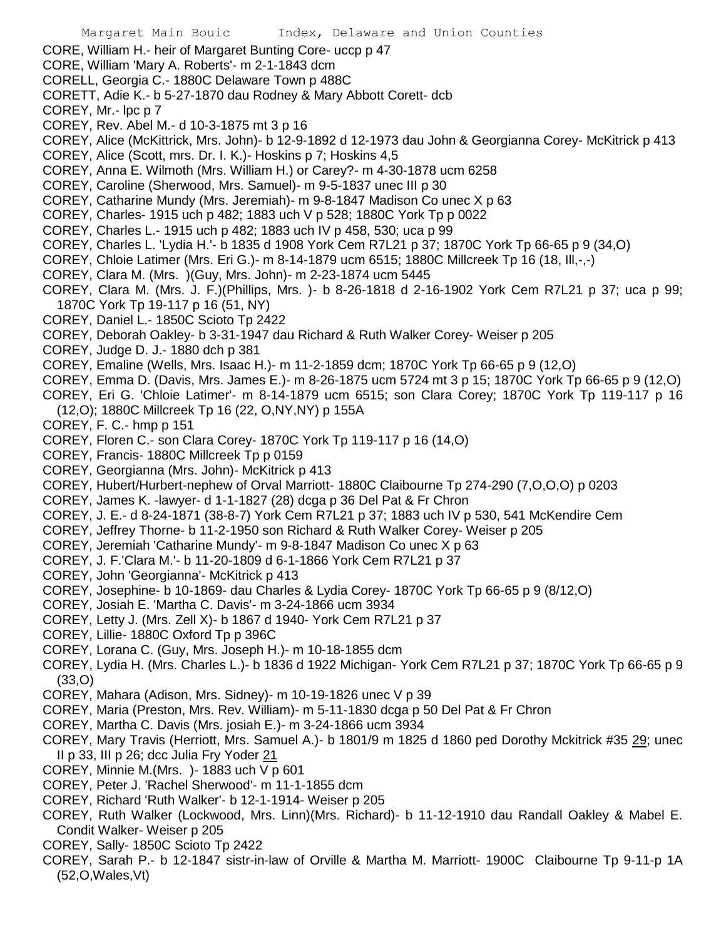- CORE, William H.- heir of Margaret Bunting Core- uccp p 47
- CORE, William 'Mary A. Roberts'- m 2-1-1843 dcm
- CORELL, Georgia C.- 1880C Delaware Town p 488C
- CORETT, Adie K.- b 5-27-1870 dau Rodney & Mary Abbott Corett- dcb
- COREY, Mr.- lpc p 7
- COREY, Rev. Abel M.- d 10-3-1875 mt 3 p 16
- COREY, Alice (McKittrick, Mrs. John)- b 12-9-1892 d 12-1973 dau John & Georgianna Corey- McKitrick p 413
- COREY, Alice (Scott, mrs. Dr. I. K.)- Hoskins p 7; Hoskins 4,5
- COREY, Anna E. Wilmoth (Mrs. William H.) or Carey?- m 4-30-1878 ucm 6258
- COREY, Caroline (Sherwood, Mrs. Samuel)- m 9-5-1837 unec III p 30
- COREY, Catharine Mundy (Mrs. Jeremiah)- m 9-8-1847 Madison Co unec X p 63
- COREY, Charles- 1915 uch p 482; 1883 uch V p 528; 1880C York Tp p 0022
- COREY, Charles L.- 1915 uch p 482; 1883 uch IV p 458, 530; uca p 99
- COREY, Charles L. 'Lydia H.'- b 1835 d 1908 York Cem R7L21 p 37; 1870C York Tp 66-65 p 9 (34,O)
- COREY, Chloie Latimer (Mrs. Eri G.)- m 8-14-1879 ucm 6515; 1880C Millcreek Tp 16 (18, Ill,-,-)
- COREY, Clara M. (Mrs. )(Guy, Mrs. John)- m 2-23-1874 ucm 5445
- COREY, Clara M. (Mrs. J. F.)(Phillips, Mrs. )- b 8-26-1818 d 2-16-1902 York Cem R7L21 p 37; uca p 99; 1870C York Tp 19-117 p 16 (51, NY)
- COREY, Daniel L.- 1850C Scioto Tp 2422
- COREY, Deborah Oakley- b 3-31-1947 dau Richard & Ruth Walker Corey- Weiser p 205
- COREY, Judge D. J.- 1880 dch p 381
- COREY, Emaline (Wells, Mrs. Isaac H.)- m 11-2-1859 dcm; 1870C York Tp 66-65 p 9 (12,O)
- COREY, Emma D. (Davis, Mrs. James E.)- m 8-26-1875 ucm 5724 mt 3 p 15; 1870C York Tp 66-65 p 9 (12,O)
- COREY, Eri G. 'Chloie Latimer'- m 8-14-1879 ucm 6515; son Clara Corey; 1870C York Tp 119-117 p 16 (12,O); 1880C Millcreek Tp 16 (22, O,NY,NY) p 155A
- COREY, F. C.- hmp p 151
- COREY, Floren C.- son Clara Corey- 1870C York Tp 119-117 p 16 (14,O)
- COREY, Francis- 1880C Millcreek Tp p 0159
- COREY, Georgianna (Mrs. John)- McKitrick p 413
- COREY, Hubert/Hurbert-nephew of Orval Marriott- 1880C Claibourne Tp 274-290 (7,O,O,O) p 0203
- COREY, James K. -lawyer- d 1-1-1827 (28) dcga p 36 Del Pat & Fr Chron
- COREY, J. E.- d 8-24-1871 (38-8-7) York Cem R7L21 p 37; 1883 uch IV p 530, 541 McKendire Cem
- COREY, Jeffrey Thorne- b 11-2-1950 son Richard & Ruth Walker Corey- Weiser p 205
- COREY, Jeremiah 'Catharine Mundy'- m 9-8-1847 Madison Co unec X p 63
- COREY, J. F.'Clara M.'- b 11-20-1809 d 6-1-1866 York Cem R7L21 p 37
- COREY, John 'Georgianna'- McKitrick p 413
- COREY, Josephine- b 10-1869- dau Charles & Lydia Corey- 1870C York Tp 66-65 p 9 (8/12,O)
- COREY, Josiah E. 'Martha C. Davis'- m 3-24-1866 ucm 3934
- COREY, Letty J. (Mrs. Zell X)- b 1867 d 1940- York Cem R7L21 p 37
- COREY, Lillie- 1880C Oxford Tp p 396C
- COREY, Lorana C. (Guy, Mrs. Joseph H.)- m 10-18-1855 dcm
- COREY, Lydia H. (Mrs. Charles L.)- b 1836 d 1922 Michigan- York Cem R7L21 p 37; 1870C York Tp 66-65 p 9 (33,O)
- COREY, Mahara (Adison, Mrs. Sidney)- m 10-19-1826 unec V p 39
- COREY, Maria (Preston, Mrs. Rev. William)- m 5-11-1830 dcga p 50 Del Pat & Fr Chron
- COREY, Martha C. Davis (Mrs. josiah E.)- m 3-24-1866 ucm 3934
- COREY, Mary Travis (Herriott, Mrs. Samuel A.)- b 1801/9 m 1825 d 1860 ped Dorothy Mckitrick #35 29; unec II p 33, III p 26; dcc Julia Fry Yoder 21
- COREY, Minnie M.(Mrs. )- 1883 uch V p 601
- COREY, Peter J. 'Rachel Sherwood'- m 11-1-1855 dcm
- COREY, Richard 'Ruth Walker'- b 12-1-1914- Weiser p 205
- COREY, Ruth Walker (Lockwood, Mrs. Linn)(Mrs. Richard)- b 11-12-1910 dau Randall Oakley & Mabel E. Condit Walker- Weiser p 205
- COREY, Sally- 1850C Scioto Tp 2422
- COREY, Sarah P.- b 12-1847 sistr-in-law of Orville & Martha M. Marriott- 1900C Claibourne Tp 9-11-p 1A (52,O,Wales,Vt)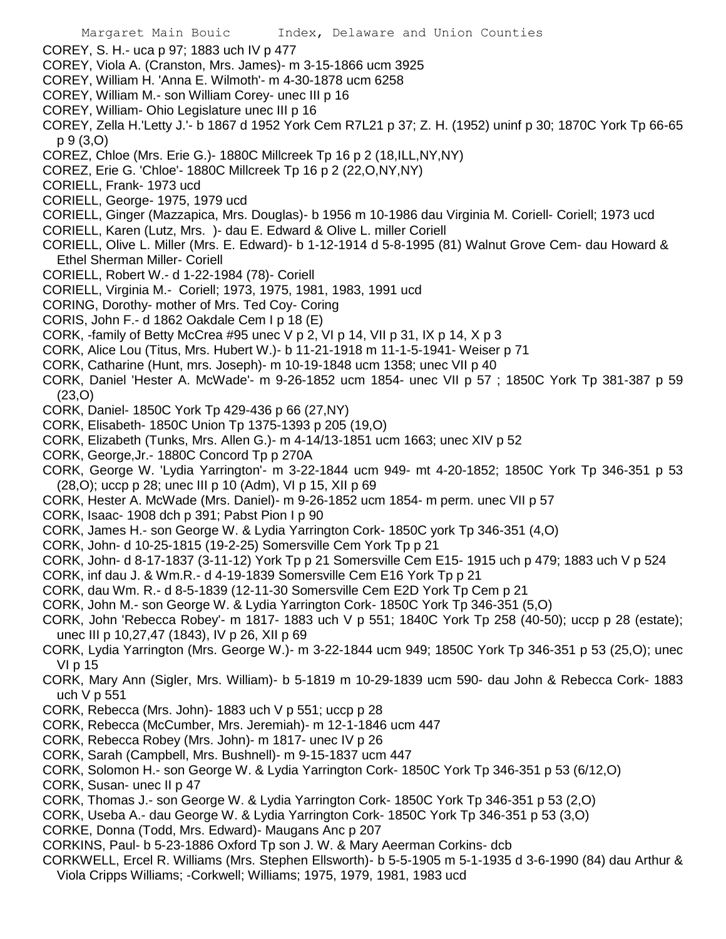- COREY, S. H.- uca p 97; 1883 uch IV p 477
- COREY, Viola A. (Cranston, Mrs. James)- m 3-15-1866 ucm 3925
- COREY, William H. 'Anna E. Wilmoth'- m 4-30-1878 ucm 6258
- COREY, William M.- son William Corey- unec III p 16
- COREY, William- Ohio Legislature unec III p 16
- COREY, Zella H.'Letty J.'- b 1867 d 1952 York Cem R7L21 p 37; Z. H. (1952) uninf p 30; 1870C York Tp 66-65 p 9 (3,O)
- COREZ, Chloe (Mrs. Erie G.)- 1880C Millcreek Tp 16 p 2 (18,ILL,NY,NY)
- COREZ, Erie G. 'Chloe'- 1880C Millcreek Tp 16 p 2 (22,O,NY,NY)
- CORIELL, Frank- 1973 ucd
- CORIELL, George- 1975, 1979 ucd
- CORIELL, Ginger (Mazzapica, Mrs. Douglas)- b 1956 m 10-1986 dau Virginia M. Coriell- Coriell; 1973 ucd
- CORIELL, Karen (Lutz, Mrs. )- dau E. Edward & Olive L. miller Coriell
- CORIELL, Olive L. Miller (Mrs. E. Edward)- b 1-12-1914 d 5-8-1995 (81) Walnut Grove Cem- dau Howard & Ethel Sherman Miller- Coriell
- CORIELL, Robert W.- d 1-22-1984 (78)- Coriell
- CORIELL, Virginia M.- Coriell; 1973, 1975, 1981, 1983, 1991 ucd
- CORING, Dorothy- mother of Mrs. Ted Coy- Coring
- CORIS, John F.- d 1862 Oakdale Cem I p 18 (E)
- CORK, -family of Betty McCrea #95 unec V p 2, VI p 14, VII p 31, IX p 14, X p 3
- CORK, Alice Lou (Titus, Mrs. Hubert W.)- b 11-21-1918 m 11-1-5-1941- Weiser p 71
- CORK, Catharine (Hunt, mrs. Joseph)- m 10-19-1848 ucm 1358; unec VII p 40
- CORK, Daniel 'Hester A. McWade'- m 9-26-1852 ucm 1854- unec VII p 57 ; 1850C York Tp 381-387 p 59 (23,O)
- CORK, Daniel- 1850C York Tp 429-436 p 66 (27,NY)
- CORK, Elisabeth- 1850C Union Tp 1375-1393 p 205 (19,O)
- CORK, Elizabeth (Tunks, Mrs. Allen G.)- m 4-14/13-1851 ucm 1663; unec XIV p 52
- CORK, George,Jr.- 1880C Concord Tp p 270A
- CORK, George W. 'Lydia Yarrington'- m 3-22-1844 ucm 949- mt 4-20-1852; 1850C York Tp 346-351 p 53 (28,O); uccp p 28; unec III p 10 (Adm), VI p 15, XII p 69
- CORK, Hester A. McWade (Mrs. Daniel)- m 9-26-1852 ucm 1854- m perm. unec VII p 57
- CORK, Isaac- 1908 dch p 391; Pabst Pion I p 90
- CORK, James H.- son George W. & Lydia Yarrington Cork- 1850C york Tp 346-351 (4,O)
- CORK, John- d 10-25-1815 (19-2-25) Somersville Cem York Tp p 21
- CORK, John- d 8-17-1837 (3-11-12) York Tp p 21 Somersville Cem E15- 1915 uch p 479; 1883 uch V p 524
- CORK, inf dau J. & Wm.R.- d 4-19-1839 Somersville Cem E16 York Tp p 21
- CORK, dau Wm. R.- d 8-5-1839 (12-11-30 Somersville Cem E2D York Tp Cem p 21
- CORK, John M.- son George W. & Lydia Yarrington Cork- 1850C York Tp 346-351 (5,O)
- CORK, John 'Rebecca Robey'- m 1817- 1883 uch V p 551; 1840C York Tp 258 (40-50); uccp p 28 (estate); unec III p 10,27,47 (1843), IV p 26, XII p 69
- CORK, Lydia Yarrington (Mrs. George W.)- m 3-22-1844 ucm 949; 1850C York Tp 346-351 p 53 (25,O); unec VI p 15
- CORK, Mary Ann (Sigler, Mrs. William)- b 5-1819 m 10-29-1839 ucm 590- dau John & Rebecca Cork- 1883 uch V p 551
- CORK, Rebecca (Mrs. John)- 1883 uch V p 551; uccp p 28
- CORK, Rebecca (McCumber, Mrs. Jeremiah)- m 12-1-1846 ucm 447
- CORK, Rebecca Robey (Mrs. John)- m 1817- unec IV p 26
- CORK, Sarah (Campbell, Mrs. Bushnell)- m 9-15-1837 ucm 447
- CORK, Solomon H.- son George W. & Lydia Yarrington Cork- 1850C York Tp 346-351 p 53 (6/12,O)
- CORK, Susan- unec II p 47
- CORK, Thomas J.- son George W. & Lydia Yarrington Cork- 1850C York Tp 346-351 p 53 (2,O)
- CORK, Useba A.- dau George W. & Lydia Yarrington Cork- 1850C York Tp 346-351 p 53 (3,O)
- CORKE, Donna (Todd, Mrs. Edward)- Maugans Anc p 207
- CORKINS, Paul- b 5-23-1886 Oxford Tp son J. W. & Mary Aeerman Corkins- dcb
- CORKWELL, Ercel R. Williams (Mrs. Stephen Ellsworth)- b 5-5-1905 m 5-1-1935 d 3-6-1990 (84) dau Arthur & Viola Cripps Williams; -Corkwell; Williams; 1975, 1979, 1981, 1983 ucd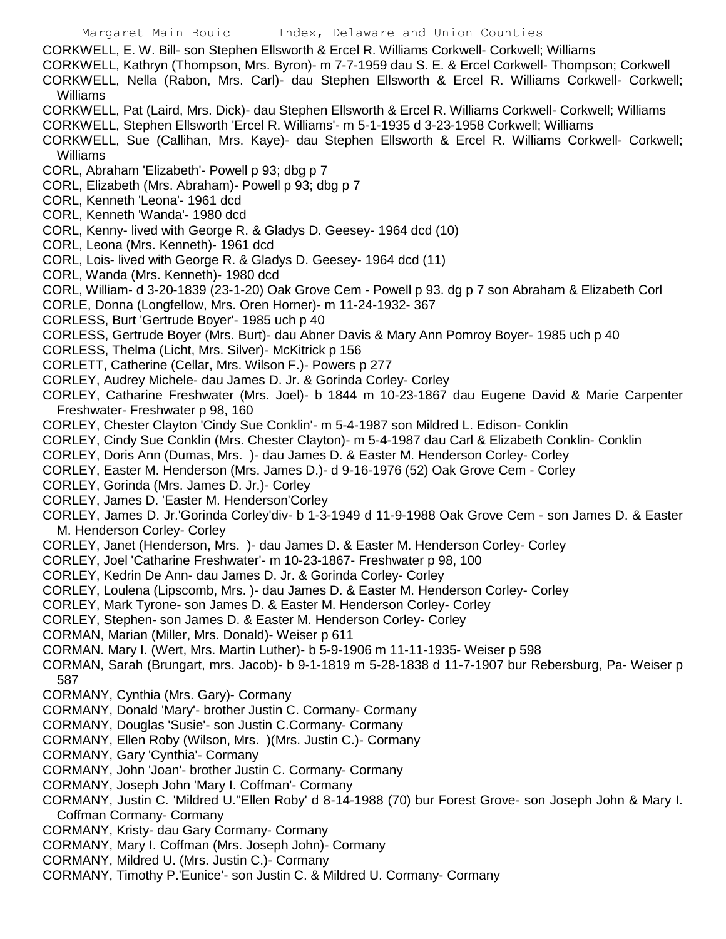CORKWELL, E. W. Bill- son Stephen Ellsworth & Ercel R. Williams Corkwell- Corkwell; Williams

CORKWELL, Kathryn (Thompson, Mrs. Byron)- m 7-7-1959 dau S. E. & Ercel Corkwell- Thompson; Corkwell CORKWELL, Nella (Rabon, Mrs. Carl)- dau Stephen Ellsworth & Ercel R. Williams Corkwell- Corkwell; Williams

- CORKWELL, Pat (Laird, Mrs. Dick)- dau Stephen Ellsworth & Ercel R. Williams Corkwell- Corkwell; Williams
- CORKWELL, Stephen Ellsworth 'Ercel R. Williams'- m 5-1-1935 d 3-23-1958 Corkwell; Williams

CORKWELL, Sue (Callihan, Mrs. Kaye)- dau Stephen Ellsworth & Ercel R. Williams Corkwell- Corkwell; Williams

- CORL, Abraham 'Elizabeth'- Powell p 93; dbg p 7
- CORL, Elizabeth (Mrs. Abraham)- Powell p 93; dbg p 7
- CORL, Kenneth 'Leona'- 1961 dcd
- CORL, Kenneth 'Wanda'- 1980 dcd
- CORL, Kenny- lived with George R. & Gladys D. Geesey- 1964 dcd (10)
- CORL, Leona (Mrs. Kenneth)- 1961 dcd
- CORL, Lois- lived with George R. & Gladys D. Geesey- 1964 dcd (11)
- CORL, Wanda (Mrs. Kenneth)- 1980 dcd
- CORL, William- d 3-20-1839 (23-1-20) Oak Grove Cem Powell p 93. dg p 7 son Abraham & Elizabeth Corl
- CORLE, Donna (Longfellow, Mrs. Oren Horner)- m 11-24-1932- 367
- CORLESS, Burt 'Gertrude Boyer'- 1985 uch p 40
- CORLESS, Gertrude Boyer (Mrs. Burt)- dau Abner Davis & Mary Ann Pomroy Boyer- 1985 uch p 40
- CORLESS, Thelma (Licht, Mrs. Silver)- McKitrick p 156
- CORLETT, Catherine (Cellar, Mrs. Wilson F.)- Powers p 277
- CORLEY, Audrey Michele- dau James D. Jr. & Gorinda Corley- Corley
- CORLEY, Catharine Freshwater (Mrs. Joel)- b 1844 m 10-23-1867 dau Eugene David & Marie Carpenter Freshwater- Freshwater p 98, 160
- CORLEY, Chester Clayton 'Cindy Sue Conklin'- m 5-4-1987 son Mildred L. Edison- Conklin
- CORLEY, Cindy Sue Conklin (Mrs. Chester Clayton)- m 5-4-1987 dau Carl & Elizabeth Conklin- Conklin
- CORLEY, Doris Ann (Dumas, Mrs. )- dau James D. & Easter M. Henderson Corley- Corley
- CORLEY, Easter M. Henderson (Mrs. James D.)- d 9-16-1976 (52) Oak Grove Cem Corley
- CORLEY, Gorinda (Mrs. James D. Jr.)- Corley
- CORLEY, James D. 'Easter M. Henderson'Corley
- CORLEY, James D. Jr.'Gorinda Corley'div- b 1-3-1949 d 11-9-1988 Oak Grove Cem son James D. & Easter M. Henderson Corley- Corley
- CORLEY, Janet (Henderson, Mrs. )- dau James D. & Easter M. Henderson Corley- Corley
- CORLEY, Joel 'Catharine Freshwater'- m 10-23-1867- Freshwater p 98, 100
- CORLEY, Kedrin De Ann- dau James D. Jr. & Gorinda Corley- Corley
- CORLEY, Loulena (Lipscomb, Mrs. )- dau James D. & Easter M. Henderson Corley- Corley
- CORLEY, Mark Tyrone- son James D. & Easter M. Henderson Corley- Corley
- CORLEY, Stephen- son James D. & Easter M. Henderson Corley- Corley
- CORMAN, Marian (Miller, Mrs. Donald)- Weiser p 611
- CORMAN. Mary I. (Wert, Mrs. Martin Luther)- b 5-9-1906 m 11-11-1935- Weiser p 598
- CORMAN, Sarah (Brungart, mrs. Jacob)- b 9-1-1819 m 5-28-1838 d 11-7-1907 bur Rebersburg, Pa- Weiser p 587
- CORMANY, Cynthia (Mrs. Gary)- Cormany
- CORMANY, Donald 'Mary'- brother Justin C. Cormany- Cormany
- CORMANY, Douglas 'Susie'- son Justin C.Cormany- Cormany
- CORMANY, Ellen Roby (Wilson, Mrs. )(Mrs. Justin C.)- Cormany
- CORMANY, Gary 'Cynthia'- Cormany
- CORMANY, John 'Joan'- brother Justin C. Cormany- Cormany
- CORMANY, Joseph John 'Mary I. Coffman'- Cormany
- CORMANY, Justin C. 'Mildred U.''Ellen Roby' d 8-14-1988 (70) bur Forest Grove- son Joseph John & Mary I. Coffman Cormany- Cormany
- CORMANY, Kristy- dau Gary Cormany- Cormany
- CORMANY, Mary I. Coffman (Mrs. Joseph John)- Cormany
- CORMANY, Mildred U. (Mrs. Justin C.)- Cormany
- CORMANY, Timothy P.'Eunice'- son Justin C. & Mildred U. Cormany- Cormany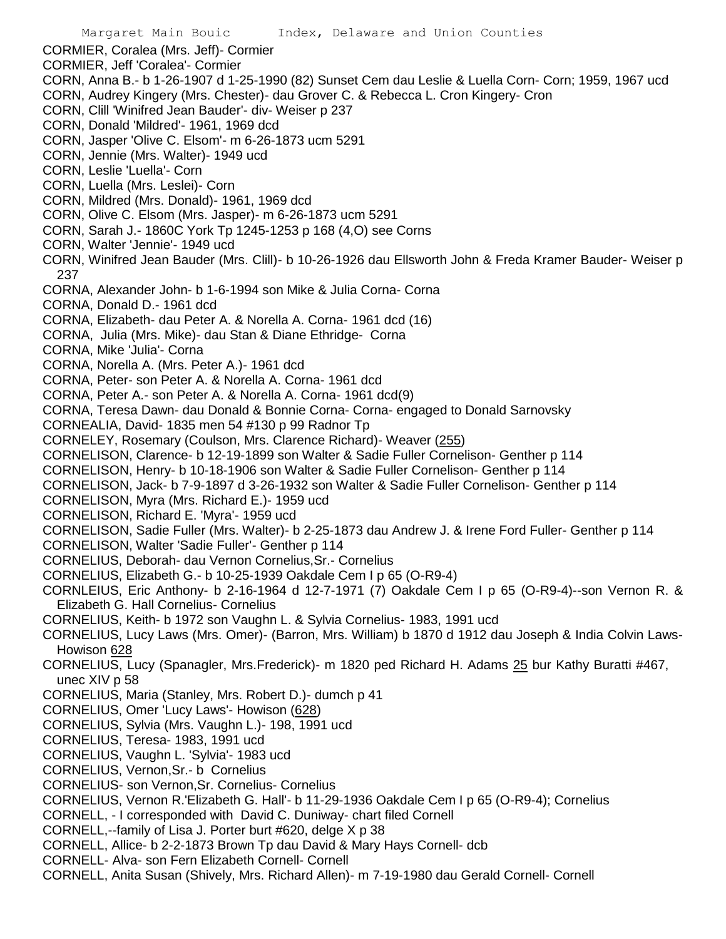CORMIER, Coralea (Mrs. Jeff)- Cormier

- CORMIER, Jeff 'Coralea'- Cormier
- CORN, Anna B.- b 1-26-1907 d 1-25-1990 (82) Sunset Cem dau Leslie & Luella Corn- Corn; 1959, 1967 ucd
- CORN, Audrey Kingery (Mrs. Chester)- dau Grover C. & Rebecca L. Cron Kingery- Cron
- CORN, Clill 'Winifred Jean Bauder'- div- Weiser p 237
- CORN, Donald 'Mildred'- 1961, 1969 dcd
- CORN, Jasper 'Olive C. Elsom'- m 6-26-1873 ucm 5291
- CORN, Jennie (Mrs. Walter)- 1949 ucd
- CORN, Leslie 'Luella'- Corn
- CORN, Luella (Mrs. Leslei)- Corn
- CORN, Mildred (Mrs. Donald)- 1961, 1969 dcd
- CORN, Olive C. Elsom (Mrs. Jasper)- m 6-26-1873 ucm 5291
- CORN, Sarah J.- 1860C York Tp 1245-1253 p 168 (4,O) see Corns
- CORN, Walter 'Jennie'- 1949 ucd
- CORN, Winifred Jean Bauder (Mrs. Clill)- b 10-26-1926 dau Ellsworth John & Freda Kramer Bauder- Weiser p 237
- CORNA, Alexander John- b 1-6-1994 son Mike & Julia Corna- Corna
- CORNA, Donald D.- 1961 dcd
- CORNA, Elizabeth- dau Peter A. & Norella A. Corna- 1961 dcd (16)
- CORNA, Julia (Mrs. Mike)- dau Stan & Diane Ethridge- Corna
- CORNA, Mike 'Julia'- Corna
- CORNA, Norella A. (Mrs. Peter A.)- 1961 dcd
- CORNA, Peter- son Peter A. & Norella A. Corna- 1961 dcd
- CORNA, Peter A.- son Peter A. & Norella A. Corna- 1961 dcd(9)
- CORNA, Teresa Dawn- dau Donald & Bonnie Corna- Corna- engaged to Donald Sarnovsky
- CORNEALIA, David- 1835 men 54 #130 p 99 Radnor Tp
- CORNELEY, Rosemary (Coulson, Mrs. Clarence Richard)- Weaver (255)
- CORNELISON, Clarence- b 12-19-1899 son Walter & Sadie Fuller Cornelison- Genther p 114
- CORNELISON, Henry- b 10-18-1906 son Walter & Sadie Fuller Cornelison- Genther p 114
- CORNELISON, Jack- b 7-9-1897 d 3-26-1932 son Walter & Sadie Fuller Cornelison- Genther p 114
- CORNELISON, Myra (Mrs. Richard E.)- 1959 ucd
- CORNELISON, Richard E. 'Myra'- 1959 ucd
- CORNELISON, Sadie Fuller (Mrs. Walter)- b 2-25-1873 dau Andrew J. & Irene Ford Fuller- Genther p 114
- CORNELISON, Walter 'Sadie Fuller'- Genther p 114
- CORNELIUS, Deborah- dau Vernon Cornelius,Sr.- Cornelius
- CORNELIUS, Elizabeth G.- b 10-25-1939 Oakdale Cem I p 65 (O-R9-4)
- CORNLEIUS, Eric Anthony- b 2-16-1964 d 12-7-1971 (7) Oakdale Cem I p 65 (O-R9-4)--son Vernon R. & Elizabeth G. Hall Cornelius- Cornelius
- CORNELIUS, Keith- b 1972 son Vaughn L. & Sylvia Cornelius- 1983, 1991 ucd
- CORNELIUS, Lucy Laws (Mrs. Omer)- (Barron, Mrs. William) b 1870 d 1912 dau Joseph & India Colvin Laws-Howison 628
- CORNELIUS, Lucy (Spanagler, Mrs.Frederick)- m 1820 ped Richard H. Adams 25 bur Kathy Buratti #467, unec XIV p 58
- CORNELIUS, Maria (Stanley, Mrs. Robert D.)- dumch p 41
- CORNELIUS, Omer 'Lucy Laws'- Howison (628)
- CORNELIUS, Sylvia (Mrs. Vaughn L.)- 198, 1991 ucd
- CORNELIUS, Teresa- 1983, 1991 ucd
- CORNELIUS, Vaughn L. 'Sylvia'- 1983 ucd
- CORNELIUS, Vernon,Sr.- b Cornelius
- CORNELIUS- son Vernon,Sr. Cornelius- Cornelius
- CORNELIUS, Vernon R.'Elizabeth G. Hall'- b 11-29-1936 Oakdale Cem I p 65 (O-R9-4); Cornelius
- CORNELL, I corresponded with David C. Duniway- chart filed Cornell
- CORNELL,--family of Lisa J. Porter burt #620, delge X p 38
- CORNELL, Allice- b 2-2-1873 Brown Tp dau David & Mary Hays Cornell- dcb
- CORNELL- Alva- son Fern Elizabeth Cornell- Cornell
- CORNELL, Anita Susan (Shively, Mrs. Richard Allen)- m 7-19-1980 dau Gerald Cornell- Cornell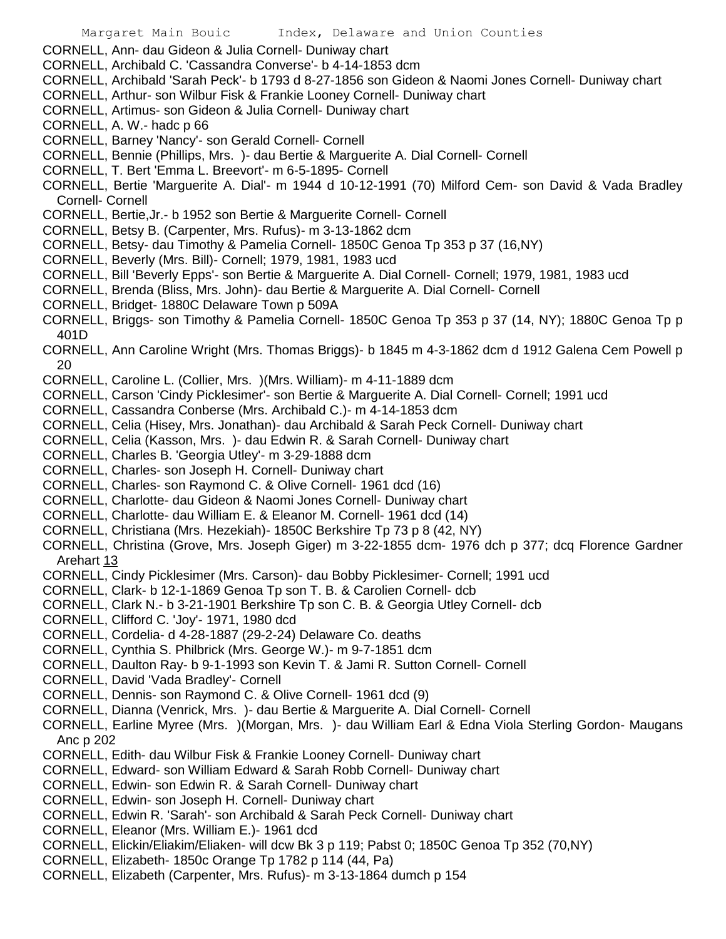CORNELL, Ann- dau Gideon & Julia Cornell- Duniway chart

- CORNELL, Archibald C. 'Cassandra Converse'- b 4-14-1853 dcm
- CORNELL, Archibald 'Sarah Peck'- b 1793 d 8-27-1856 son Gideon & Naomi Jones Cornell- Duniway chart
- CORNELL, Arthur- son Wilbur Fisk & Frankie Looney Cornell- Duniway chart
- CORNELL, Artimus- son Gideon & Julia Cornell- Duniway chart
- CORNELL, A. W.- hadc p 66
- CORNELL, Barney 'Nancy'- son Gerald Cornell- Cornell
- CORNELL, Bennie (Phillips, Mrs. )- dau Bertie & Marguerite A. Dial Cornell- Cornell
- CORNELL, T. Bert 'Emma L. Breevort'- m 6-5-1895- Cornell
- CORNELL, Bertie 'Marguerite A. Dial'- m 1944 d 10-12-1991 (70) Milford Cem- son David & Vada Bradley Cornell- Cornell
- CORNELL, Bertie,Jr.- b 1952 son Bertie & Marguerite Cornell- Cornell
- CORNELL, Betsy B. (Carpenter, Mrs. Rufus)- m 3-13-1862 dcm
- CORNELL, Betsy- dau Timothy & Pamelia Cornell- 1850C Genoa Tp 353 p 37 (16,NY)
- CORNELL, Beverly (Mrs. Bill)- Cornell; 1979, 1981, 1983 ucd
- CORNELL, Bill 'Beverly Epps'- son Bertie & Marguerite A. Dial Cornell- Cornell; 1979, 1981, 1983 ucd
- CORNELL, Brenda (Bliss, Mrs. John)- dau Bertie & Marguerite A. Dial Cornell- Cornell
- CORNELL, Bridget- 1880C Delaware Town p 509A
- CORNELL, Briggs- son Timothy & Pamelia Cornell- 1850C Genoa Tp 353 p 37 (14, NY); 1880C Genoa Tp p 401D
- CORNELL, Ann Caroline Wright (Mrs. Thomas Briggs)- b 1845 m 4-3-1862 dcm d 1912 Galena Cem Powell p 20
- CORNELL, Caroline L. (Collier, Mrs. )(Mrs. William)- m 4-11-1889 dcm
- CORNELL, Carson 'Cindy Picklesimer'- son Bertie & Marguerite A. Dial Cornell- Cornell; 1991 ucd
- CORNELL, Cassandra Conberse (Mrs. Archibald C.)- m 4-14-1853 dcm
- CORNELL, Celia (Hisey, Mrs. Jonathan)- dau Archibald & Sarah Peck Cornell- Duniway chart
- CORNELL, Celia (Kasson, Mrs. )- dau Edwin R. & Sarah Cornell- Duniway chart
- CORNELL, Charles B. 'Georgia Utley'- m 3-29-1888 dcm
- CORNELL, Charles- son Joseph H. Cornell- Duniway chart
- CORNELL, Charles- son Raymond C. & Olive Cornell- 1961 dcd (16)
- CORNELL, Charlotte- dau Gideon & Naomi Jones Cornell- Duniway chart
- CORNELL, Charlotte- dau William E. & Eleanor M. Cornell- 1961 dcd (14)
- CORNELL, Christiana (Mrs. Hezekiah)- 1850C Berkshire Tp 73 p 8 (42, NY)
- CORNELL, Christina (Grove, Mrs. Joseph Giger) m 3-22-1855 dcm- 1976 dch p 377; dcq Florence Gardner Arehart 13
- CORNELL, Cindy Picklesimer (Mrs. Carson)- dau Bobby Picklesimer- Cornell; 1991 ucd
- CORNELL, Clark- b 12-1-1869 Genoa Tp son T. B. & Carolien Cornell- dcb
- CORNELL, Clark N.- b 3-21-1901 Berkshire Tp son C. B. & Georgia Utley Cornell- dcb
- CORNELL, Clifford C. 'Joy'- 1971, 1980 dcd
- CORNELL, Cordelia- d 4-28-1887 (29-2-24) Delaware Co. deaths
- CORNELL, Cynthia S. Philbrick (Mrs. George W.)- m 9-7-1851 dcm
- CORNELL, Daulton Ray- b 9-1-1993 son Kevin T. & Jami R. Sutton Cornell- Cornell
- CORNELL, David 'Vada Bradley'- Cornell
- CORNELL, Dennis- son Raymond C. & Olive Cornell- 1961 dcd (9)
- CORNELL, Dianna (Venrick, Mrs. )- dau Bertie & Marguerite A. Dial Cornell- Cornell
- CORNELL, Earline Myree (Mrs. )(Morgan, Mrs. )- dau William Earl & Edna Viola Sterling Gordon- Maugans Anc p 202
- CORNELL, Edith- dau Wilbur Fisk & Frankie Looney Cornell- Duniway chart
- CORNELL, Edward- son William Edward & Sarah Robb Cornell- Duniway chart
- CORNELL, Edwin- son Edwin R. & Sarah Cornell- Duniway chart
- CORNELL, Edwin- son Joseph H. Cornell- Duniway chart
- CORNELL, Edwin R. 'Sarah'- son Archibald & Sarah Peck Cornell- Duniway chart
- CORNELL, Eleanor (Mrs. William E.)- 1961 dcd
- CORNELL, Elickin/Eliakim/Eliaken- will dcw Bk 3 p 119; Pabst 0; 1850C Genoa Tp 352 (70,NY)
- CORNELL, Elizabeth- 1850c Orange Tp 1782 p 114 (44, Pa)
- CORNELL, Elizabeth (Carpenter, Mrs. Rufus)- m 3-13-1864 dumch p 154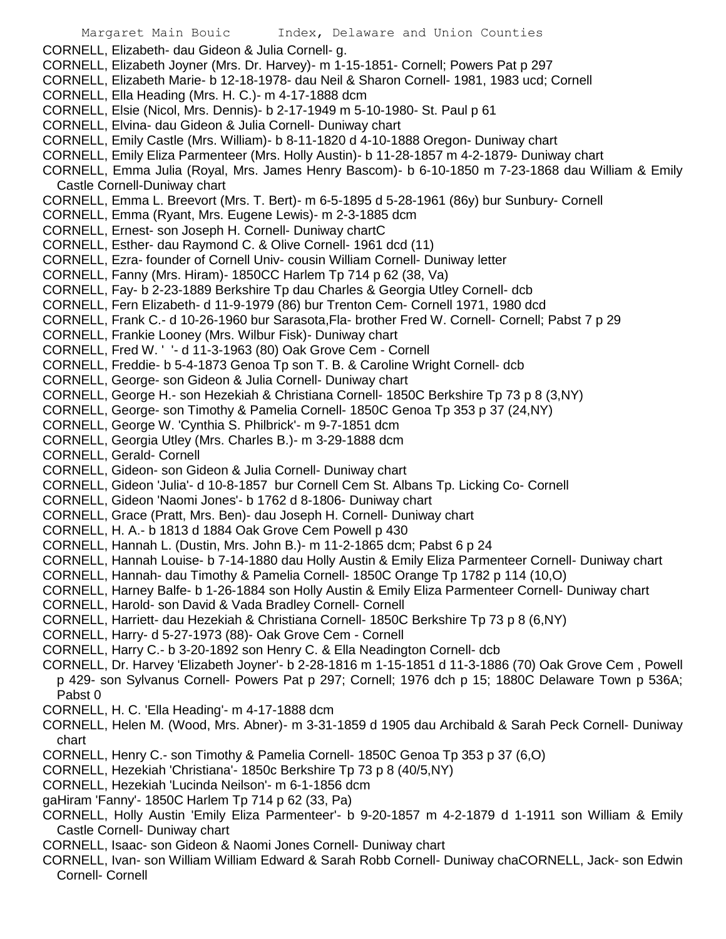- CORNELL, Elizabeth- dau Gideon & Julia Cornell- g.
- CORNELL, Elizabeth Joyner (Mrs. Dr. Harvey)- m 1-15-1851- Cornell; Powers Pat p 297
- CORNELL, Elizabeth Marie- b 12-18-1978- dau Neil & Sharon Cornell- 1981, 1983 ucd; Cornell
- CORNELL, Ella Heading (Mrs. H. C.)- m 4-17-1888 dcm
- CORNELL, Elsie (Nicol, Mrs. Dennis)- b 2-17-1949 m 5-10-1980- St. Paul p 61
- CORNELL, Elvina- dau Gideon & Julia Cornell- Duniway chart
- CORNELL, Emily Castle (Mrs. William)- b 8-11-1820 d 4-10-1888 Oregon- Duniway chart
- CORNELL, Emily Eliza Parmenteer (Mrs. Holly Austin)- b 11-28-1857 m 4-2-1879- Duniway chart
- CORNELL, Emma Julia (Royal, Mrs. James Henry Bascom)- b 6-10-1850 m 7-23-1868 dau William & Emily Castle Cornell-Duniway chart
- CORNELL, Emma L. Breevort (Mrs. T. Bert)- m 6-5-1895 d 5-28-1961 (86y) bur Sunbury- Cornell
- CORNELL, Emma (Ryant, Mrs. Eugene Lewis)- m 2-3-1885 dcm
- CORNELL, Ernest- son Joseph H. Cornell- Duniway chartC
- CORNELL, Esther- dau Raymond C. & Olive Cornell- 1961 dcd (11)
- CORNELL, Ezra- founder of Cornell Univ- cousin William Cornell- Duniway letter
- CORNELL, Fanny (Mrs. Hiram)- 1850CC Harlem Tp 714 p 62 (38, Va)
- CORNELL, Fay- b 2-23-1889 Berkshire Tp dau Charles & Georgia Utley Cornell- dcb
- CORNELL, Fern Elizabeth- d 11-9-1979 (86) bur Trenton Cem- Cornell 1971, 1980 dcd
- CORNELL, Frank C.- d 10-26-1960 bur Sarasota,Fla- brother Fred W. Cornell- Cornell; Pabst 7 p 29
- CORNELL, Frankie Looney (Mrs. Wilbur Fisk)- Duniway chart
- CORNELL, Fred W. ' '- d 11-3-1963 (80) Oak Grove Cem Cornell
- CORNELL, Freddie- b 5-4-1873 Genoa Tp son T. B. & Caroline Wright Cornell- dcb
- CORNELL, George- son Gideon & Julia Cornell- Duniway chart
- CORNELL, George H.- son Hezekiah & Christiana Cornell- 1850C Berkshire Tp 73 p 8 (3,NY)
- CORNELL, George- son Timothy & Pamelia Cornell- 1850C Genoa Tp 353 p 37 (24,NY)
- CORNELL, George W. 'Cynthia S. Philbrick'- m 9-7-1851 dcm
- CORNELL, Georgia Utley (Mrs. Charles B.)- m 3-29-1888 dcm
- CORNELL, Gerald- Cornell
- CORNELL, Gideon- son Gideon & Julia Cornell- Duniway chart
- CORNELL, Gideon 'Julia'- d 10-8-1857 bur Cornell Cem St. Albans Tp. Licking Co- Cornell
- CORNELL, Gideon 'Naomi Jones'- b 1762 d 8-1806- Duniway chart
- CORNELL, Grace (Pratt, Mrs. Ben)- dau Joseph H. Cornell- Duniway chart
- CORNELL, H. A.- b 1813 d 1884 Oak Grove Cem Powell p 430
- CORNELL, Hannah L. (Dustin, Mrs. John B.)- m 11-2-1865 dcm; Pabst 6 p 24
- CORNELL, Hannah Louise- b 7-14-1880 dau Holly Austin & Emily Eliza Parmenteer Cornell- Duniway chart
- CORNELL, Hannah- dau Timothy & Pamelia Cornell- 1850C Orange Tp 1782 p 114 (10,O)
- CORNELL, Harney Balfe- b 1-26-1884 son Holly Austin & Emily Eliza Parmenteer Cornell- Duniway chart
- CORNELL, Harold- son David & Vada Bradley Cornell- Cornell
- CORNELL, Harriett- dau Hezekiah & Christiana Cornell- 1850C Berkshire Tp 73 p 8 (6,NY)
- CORNELL, Harry- d 5-27-1973 (88)- Oak Grove Cem Cornell
- CORNELL, Harry C.- b 3-20-1892 son Henry C. & Ella Neadington Cornell- dcb
- CORNELL, Dr. Harvey 'Elizabeth Joyner'- b 2-28-1816 m 1-15-1851 d 11-3-1886 (70) Oak Grove Cem , Powell p 429- son Sylvanus Cornell- Powers Pat p 297; Cornell; 1976 dch p 15; 1880C Delaware Town p 536A; Pabst 0
- CORNELL, H. C. 'Ella Heading'- m 4-17-1888 dcm
- CORNELL, Helen M. (Wood, Mrs. Abner)- m 3-31-1859 d 1905 dau Archibald & Sarah Peck Cornell- Duniway chart
- CORNELL, Henry C.- son Timothy & Pamelia Cornell- 1850C Genoa Tp 353 p 37 (6,O)
- CORNELL, Hezekiah 'Christiana'- 1850c Berkshire Tp 73 p 8 (40/5,NY)
- CORNELL, Hezekiah 'Lucinda Neilson'- m 6-1-1856 dcm
- gaHiram 'Fanny'- 1850C Harlem Tp 714 p 62 (33, Pa)
- CORNELL, Holly Austin 'Emily Eliza Parmenteer'- b 9-20-1857 m 4-2-1879 d 1-1911 son William & Emily Castle Cornell- Duniway chart
- CORNELL, Isaac- son Gideon & Naomi Jones Cornell- Duniway chart
- CORNELL, Ivan- son William William Edward & Sarah Robb Cornell- Duniway chaCORNELL, Jack- son Edwin Cornell- Cornell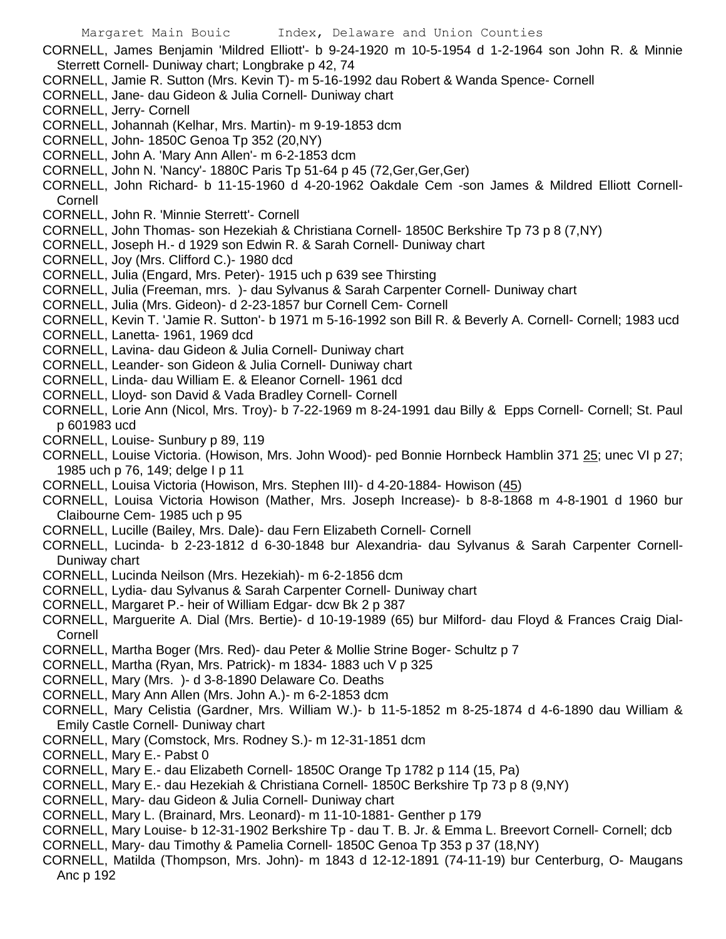CORNELL, James Benjamin 'Mildred Elliott'- b 9-24-1920 m 10-5-1954 d 1-2-1964 son John R. & Minnie Sterrett Cornell- Duniway chart; Longbrake p 42, 74

- CORNELL, Jamie R. Sutton (Mrs. Kevin T)- m 5-16-1992 dau Robert & Wanda Spence- Cornell
- CORNELL, Jane- dau Gideon & Julia Cornell- Duniway chart
- CORNELL, Jerry- Cornell
- CORNELL, Johannah (Kelhar, Mrs. Martin)- m 9-19-1853 dcm
- CORNELL, John- 1850C Genoa Tp 352 (20,NY)
- CORNELL, John A. 'Mary Ann Allen'- m 6-2-1853 dcm
- CORNELL, John N. 'Nancy'- 1880C Paris Tp 51-64 p 45 (72,Ger,Ger,Ger)
- CORNELL, John Richard- b 11-15-1960 d 4-20-1962 Oakdale Cem -son James & Mildred Elliott Cornell-Cornell
- CORNELL, John R. 'Minnie Sterrett'- Cornell
- CORNELL, John Thomas- son Hezekiah & Christiana Cornell- 1850C Berkshire Tp 73 p 8 (7,NY)
- CORNELL, Joseph H.- d 1929 son Edwin R. & Sarah Cornell- Duniway chart
- CORNELL, Joy (Mrs. Clifford C.)- 1980 dcd
- CORNELL, Julia (Engard, Mrs. Peter)- 1915 uch p 639 see Thirsting
- CORNELL, Julia (Freeman, mrs. )- dau Sylvanus & Sarah Carpenter Cornell- Duniway chart
- CORNELL, Julia (Mrs. Gideon)- d 2-23-1857 bur Cornell Cem- Cornell
- CORNELL, Kevin T. 'Jamie R. Sutton'- b 1971 m 5-16-1992 son Bill R. & Beverly A. Cornell- Cornell; 1983 ucd
- CORNELL, Lanetta- 1961, 1969 dcd
- CORNELL, Lavina- dau Gideon & Julia Cornell- Duniway chart
- CORNELL, Leander- son Gideon & Julia Cornell- Duniway chart
- CORNELL, Linda- dau William E. & Eleanor Cornell- 1961 dcd
- CORNELL, Lloyd- son David & Vada Bradley Cornell- Cornell
- CORNELL, Lorie Ann (Nicol, Mrs. Troy)- b 7-22-1969 m 8-24-1991 dau Billy & Epps Cornell- Cornell; St. Paul p 601983 ucd
- CORNELL, Louise- Sunbury p 89, 119
- CORNELL, Louise Victoria. (Howison, Mrs. John Wood)- ped Bonnie Hornbeck Hamblin 371 25; unec VI p 27; 1985 uch p 76, 149; delge I p 11
- CORNELL, Louisa Victoria (Howison, Mrs. Stephen III)- d 4-20-1884- Howison (45)
- CORNELL, Louisa Victoria Howison (Mather, Mrs. Joseph Increase)- b 8-8-1868 m 4-8-1901 d 1960 bur Claibourne Cem- 1985 uch p 95
- CORNELL, Lucille (Bailey, Mrs. Dale)- dau Fern Elizabeth Cornell- Cornell
- CORNELL, Lucinda- b 2-23-1812 d 6-30-1848 bur Alexandria- dau Sylvanus & Sarah Carpenter Cornell-Duniway chart
- CORNELL, Lucinda Neilson (Mrs. Hezekiah)- m 6-2-1856 dcm
- CORNELL, Lydia- dau Sylvanus & Sarah Carpenter Cornell- Duniway chart
- CORNELL, Margaret P.- heir of William Edgar- dcw Bk 2 p 387
- CORNELL, Marguerite A. Dial (Mrs. Bertie)- d 10-19-1989 (65) bur Milford- dau Floyd & Frances Craig Dial-**Cornell**
- CORNELL, Martha Boger (Mrs. Red)- dau Peter & Mollie Strine Boger- Schultz p 7
- CORNELL, Martha (Ryan, Mrs. Patrick)- m 1834- 1883 uch V p 325
- CORNELL, Mary (Mrs. )- d 3-8-1890 Delaware Co. Deaths
- CORNELL, Mary Ann Allen (Mrs. John A.)- m 6-2-1853 dcm
- CORNELL, Mary Celistia (Gardner, Mrs. William W.)- b 11-5-1852 m 8-25-1874 d 4-6-1890 dau William & Emily Castle Cornell- Duniway chart
- CORNELL, Mary (Comstock, Mrs. Rodney S.)- m 12-31-1851 dcm
- CORNELL, Mary E.- Pabst 0
- CORNELL, Mary E.- dau Elizabeth Cornell- 1850C Orange Tp 1782 p 114 (15, Pa)
- CORNELL, Mary E.- dau Hezekiah & Christiana Cornell- 1850C Berkshire Tp 73 p 8 (9,NY)
- CORNELL, Mary- dau Gideon & Julia Cornell- Duniway chart
- CORNELL, Mary L. (Brainard, Mrs. Leonard)- m 11-10-1881- Genther p 179
- CORNELL, Mary Louise- b 12-31-1902 Berkshire Tp dau T. B. Jr. & Emma L. Breevort Cornell- Cornell; dcb
- CORNELL, Mary- dau Timothy & Pamelia Cornell- 1850C Genoa Tp 353 p 37 (18,NY)
- CORNELL, Matilda (Thompson, Mrs. John)- m 1843 d 12-12-1891 (74-11-19) bur Centerburg, O- Maugans Anc p 192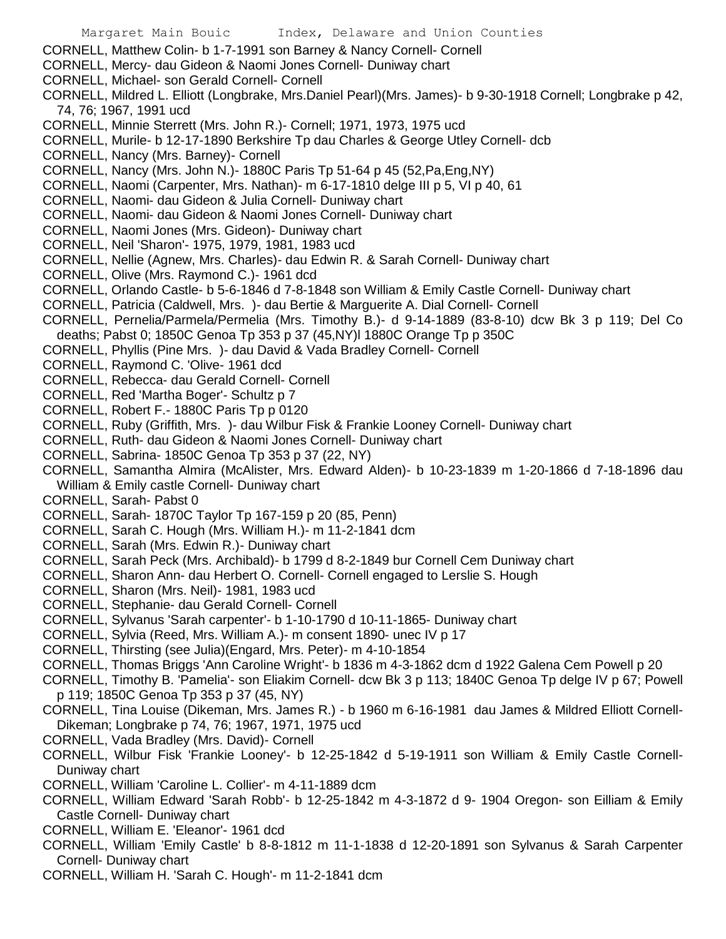CORNELL, Matthew Colin- b 1-7-1991 son Barney & Nancy Cornell- Cornell

- CORNELL, Mercy- dau Gideon & Naomi Jones Cornell- Duniway chart
- CORNELL, Michael- son Gerald Cornell- Cornell
- CORNELL, Mildred L. Elliott (Longbrake, Mrs.Daniel Pearl)(Mrs. James)- b 9-30-1918 Cornell; Longbrake p 42, 74, 76; 1967, 1991 ucd
- CORNELL, Minnie Sterrett (Mrs. John R.)- Cornell; 1971, 1973, 1975 ucd
- CORNELL, Murile- b 12-17-1890 Berkshire Tp dau Charles & George Utley Cornell- dcb
- CORNELL, Nancy (Mrs. Barney)- Cornell
- CORNELL, Nancy (Mrs. John N.)- 1880C Paris Tp 51-64 p 45 (52,Pa,Eng,NY)
- CORNELL, Naomi (Carpenter, Mrs. Nathan)- m 6-17-1810 delge III p 5, VI p 40, 61
- CORNELL, Naomi- dau Gideon & Julia Cornell- Duniway chart
- CORNELL, Naomi- dau Gideon & Naomi Jones Cornell- Duniway chart
- CORNELL, Naomi Jones (Mrs. Gideon)- Duniway chart
- CORNELL, Neil 'Sharon'- 1975, 1979, 1981, 1983 ucd
- CORNELL, Nellie (Agnew, Mrs. Charles)- dau Edwin R. & Sarah Cornell- Duniway chart
- CORNELL, Olive (Mrs. Raymond C.)- 1961 dcd
- CORNELL, Orlando Castle- b 5-6-1846 d 7-8-1848 son William & Emily Castle Cornell- Duniway chart
- CORNELL, Patricia (Caldwell, Mrs. )- dau Bertie & Marguerite A. Dial Cornell- Cornell
- CORNELL, Pernelia/Parmela/Permelia (Mrs. Timothy B.)- d 9-14-1889 (83-8-10) dcw Bk 3 p 119; Del Co deaths; Pabst 0; 1850C Genoa Tp 353 p 37 (45,NY)l 1880C Orange Tp p 350C
- CORNELL, Phyllis (Pine Mrs. )- dau David & Vada Bradley Cornell- Cornell
- CORNELL, Raymond C. 'Olive- 1961 dcd
- CORNELL, Rebecca- dau Gerald Cornell- Cornell
- CORNELL, Red 'Martha Boger'- Schultz p 7
- CORNELL, Robert F.- 1880C Paris Tp p 0120
- CORNELL, Ruby (Griffith, Mrs. )- dau Wilbur Fisk & Frankie Looney Cornell- Duniway chart
- CORNELL, Ruth- dau Gideon & Naomi Jones Cornell- Duniway chart
- CORNELL, Sabrina- 1850C Genoa Tp 353 p 37 (22, NY)
- CORNELL, Samantha Almira (McAlister, Mrs. Edward Alden)- b 10-23-1839 m 1-20-1866 d 7-18-1896 dau William & Emily castle Cornell- Duniway chart
- CORNELL, Sarah- Pabst 0
- CORNELL, Sarah- 1870C Taylor Tp 167-159 p 20 (85, Penn)
- CORNELL, Sarah C. Hough (Mrs. William H.)- m 11-2-1841 dcm
- CORNELL, Sarah (Mrs. Edwin R.)- Duniway chart
- CORNELL, Sarah Peck (Mrs. Archibald)- b 1799 d 8-2-1849 bur Cornell Cem Duniway chart
- CORNELL, Sharon Ann- dau Herbert O. Cornell- Cornell engaged to Lerslie S. Hough
- CORNELL, Sharon (Mrs. Neil)- 1981, 1983 ucd
- CORNELL, Stephanie- dau Gerald Cornell- Cornell
- CORNELL, Sylvanus 'Sarah carpenter'- b 1-10-1790 d 10-11-1865- Duniway chart
- CORNELL, Sylvia (Reed, Mrs. William A.)- m consent 1890- unec IV p 17
- CORNELL, Thirsting (see Julia)(Engard, Mrs. Peter)- m 4-10-1854
- CORNELL, Thomas Briggs 'Ann Caroline Wright'- b 1836 m 4-3-1862 dcm d 1922 Galena Cem Powell p 20
- CORNELL, Timothy B. 'Pamelia'- son Eliakim Cornell- dcw Bk 3 p 113; 1840C Genoa Tp delge IV p 67; Powell p 119; 1850C Genoa Tp 353 p 37 (45, NY)
- CORNELL, Tina Louise (Dikeman, Mrs. James R.) b 1960 m 6-16-1981 dau James & Mildred Elliott Cornell-Dikeman; Longbrake p 74, 76; 1967, 1971, 1975 ucd
- CORNELL, Vada Bradley (Mrs. David)- Cornell
- CORNELL, Wilbur Fisk 'Frankie Looney'- b 12-25-1842 d 5-19-1911 son William & Emily Castle Cornell-Duniway chart
- CORNELL, William 'Caroline L. Collier'- m 4-11-1889 dcm
- CORNELL, William Edward 'Sarah Robb'- b 12-25-1842 m 4-3-1872 d 9- 1904 Oregon- son Eilliam & Emily Castle Cornell- Duniway chart
- CORNELL, William E. 'Eleanor'- 1961 dcd
- CORNELL, William 'Emily Castle' b 8-8-1812 m 11-1-1838 d 12-20-1891 son Sylvanus & Sarah Carpenter Cornell- Duniway chart
- CORNELL, William H. 'Sarah C. Hough'- m 11-2-1841 dcm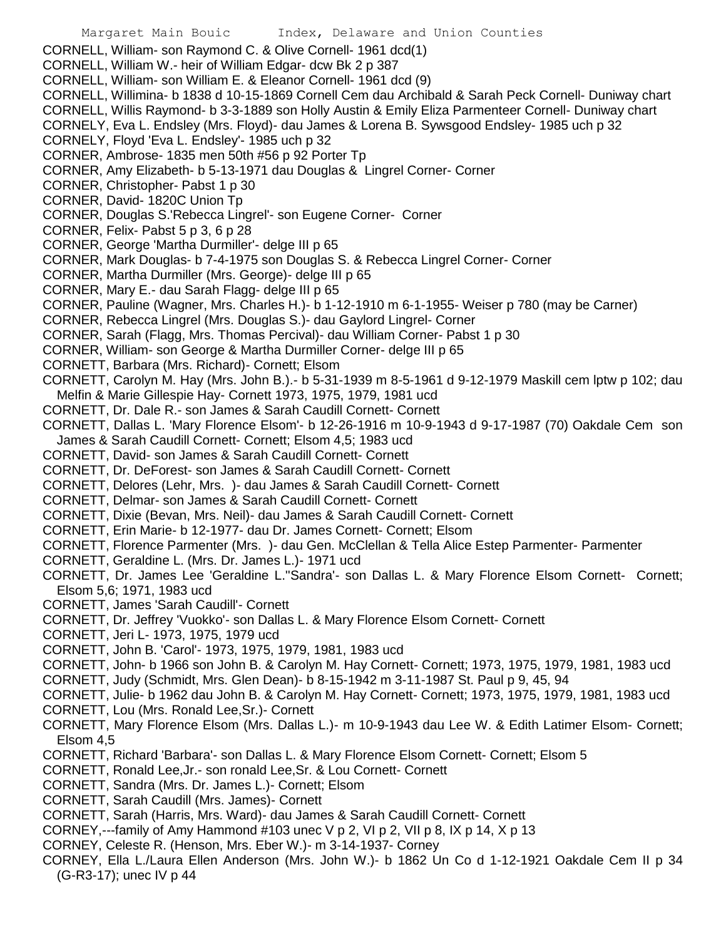CORNELL, William- son Raymond C. & Olive Cornell- 1961 dcd(1)

- CORNELL, William W.- heir of William Edgar- dcw Bk 2 p 387
- CORNELL, William- son William E. & Eleanor Cornell- 1961 dcd (9)
- CORNELL, Willimina- b 1838 d 10-15-1869 Cornell Cem dau Archibald & Sarah Peck Cornell- Duniway chart
- CORNELL, Willis Raymond- b 3-3-1889 son Holly Austin & Emily Eliza Parmenteer Cornell- Duniway chart

CORNELY, Eva L. Endsley (Mrs. Floyd)- dau James & Lorena B. Sywsgood Endsley- 1985 uch p 32 CORNELY, Floyd 'Eva L. Endsley'- 1985 uch p 32

- CORNER, Ambrose- 1835 men 50th #56 p 92 Porter Tp
- CORNER, Amy Elizabeth- b 5-13-1971 dau Douglas & Lingrel Corner- Corner
- CORNER, Christopher- Pabst 1 p 30
- CORNER, David- 1820C Union Tp
- CORNER, Douglas S.'Rebecca Lingrel'- son Eugene Corner- Corner
- CORNER, Felix- Pabst 5 p 3, 6 p 28
- CORNER, George 'Martha Durmiller'- delge III p 65
- CORNER, Mark Douglas- b 7-4-1975 son Douglas S. & Rebecca Lingrel Corner- Corner
- CORNER, Martha Durmiller (Mrs. George)- delge III p 65
- CORNER, Mary E.- dau Sarah Flagg- delge III p 65
- CORNER, Pauline (Wagner, Mrs. Charles H.)- b 1-12-1910 m 6-1-1955- Weiser p 780 (may be Carner)
- CORNER, Rebecca Lingrel (Mrs. Douglas S.)- dau Gaylord Lingrel- Corner
- CORNER, Sarah (Flagg, Mrs. Thomas Percival)- dau William Corner- Pabst 1 p 30
- CORNER, William- son George & Martha Durmiller Corner- delge III p 65
- CORNETT, Barbara (Mrs. Richard)- Cornett; Elsom
- CORNETT, Carolyn M. Hay (Mrs. John B.).- b 5-31-1939 m 8-5-1961 d 9-12-1979 Maskill cem lptw p 102; dau Melfin & Marie Gillespie Hay- Cornett 1973, 1975, 1979, 1981 ucd
- CORNETT, Dr. Dale R.- son James & Sarah Caudill Cornett- Cornett
- CORNETT, Dallas L. 'Mary Florence Elsom'- b 12-26-1916 m 10-9-1943 d 9-17-1987 (70) Oakdale Cem son James & Sarah Caudill Cornett- Cornett; Elsom 4,5; 1983 ucd
- CORNETT, David- son James & Sarah Caudill Cornett- Cornett
- CORNETT, Dr. DeForest- son James & Sarah Caudill Cornett- Cornett
- CORNETT, Delores (Lehr, Mrs. )- dau James & Sarah Caudill Cornett- Cornett
- CORNETT, Delmar- son James & Sarah Caudill Cornett- Cornett
- CORNETT, Dixie (Bevan, Mrs. Neil)- dau James & Sarah Caudill Cornett- Cornett
- CORNETT, Erin Marie- b 12-1977- dau Dr. James Cornett- Cornett; Elsom
- CORNETT, Florence Parmenter (Mrs. )- dau Gen. McClellan & Tella Alice Estep Parmenter- Parmenter
- CORNETT, Geraldine L. (Mrs. Dr. James L.)- 1971 ucd
- CORNETT, Dr. James Lee 'Geraldine L.''Sandra'- son Dallas L. & Mary Florence Elsom Cornett- Cornett; Elsom 5,6; 1971, 1983 ucd
- CORNETT, James 'Sarah Caudill'- Cornett
- CORNETT, Dr. Jeffrey 'Vuokko'- son Dallas L. & Mary Florence Elsom Cornett- Cornett
- CORNETT, Jeri L- 1973, 1975, 1979 ucd
- CORNETT, John B. 'Carol'- 1973, 1975, 1979, 1981, 1983 ucd
- CORNETT, John- b 1966 son John B. & Carolyn M. Hay Cornett- Cornett; 1973, 1975, 1979, 1981, 1983 ucd
- CORNETT, Judy (Schmidt, Mrs. Glen Dean)- b 8-15-1942 m 3-11-1987 St. Paul p 9, 45, 94
- CORNETT, Julie- b 1962 dau John B. & Carolyn M. Hay Cornett- Cornett; 1973, 1975, 1979, 1981, 1983 ucd
- CORNETT, Lou (Mrs. Ronald Lee,Sr.)- Cornett
- CORNETT, Mary Florence Elsom (Mrs. Dallas L.)- m 10-9-1943 dau Lee W. & Edith Latimer Elsom- Cornett; Elsom 4,5
- CORNETT, Richard 'Barbara'- son Dallas L. & Mary Florence Elsom Cornett- Cornett; Elsom 5
- CORNETT, Ronald Lee,Jr.- son ronald Lee,Sr. & Lou Cornett- Cornett
- CORNETT, Sandra (Mrs. Dr. James L.)- Cornett; Elsom
- CORNETT, Sarah Caudill (Mrs. James)- Cornett
- CORNETT, Sarah (Harris, Mrs. Ward)- dau James & Sarah Caudill Cornett- Cornett
- CORNEY,---family of Amy Hammond  $#103$  unec V p 2, VI p 2, VII p 8, IX p 14, X p 13
- CORNEY, Celeste R. (Henson, Mrs. Eber W.)- m 3-14-1937- Corney
- CORNEY, Ella L./Laura Ellen Anderson (Mrs. John W.)- b 1862 Un Co d 1-12-1921 Oakdale Cem II p 34 (G-R3-17); unec IV p 44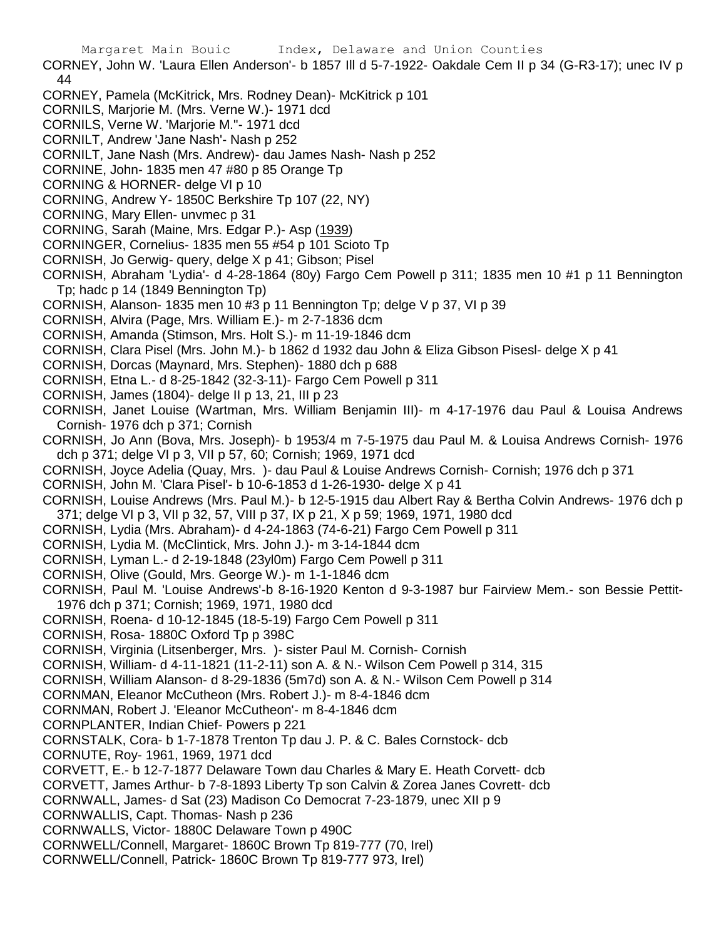- CORNEY, John W. 'Laura Ellen Anderson'- b 1857 Ill d 5-7-1922- Oakdale Cem II p 34 (G-R3-17); unec IV p 44
- CORNEY, Pamela (McKitrick, Mrs. Rodney Dean)- McKitrick p 101
- CORNILS, Marjorie M. (Mrs. Verne W.)- 1971 dcd
- CORNILS, Verne W. 'Marjorie M."- 1971 dcd
- CORNILT, Andrew 'Jane Nash'- Nash p 252
- CORNILT, Jane Nash (Mrs. Andrew)- dau James Nash- Nash p 252
- CORNINE, John- 1835 men 47 #80 p 85 Orange Tp
- CORNING & HORNER- delge VI p 10
- CORNING, Andrew Y- 1850C Berkshire Tp 107 (22, NY)
- CORNING, Mary Ellen- unvmec p 31
- CORNING, Sarah (Maine, Mrs. Edgar P.)- Asp (1939)
- CORNINGER, Cornelius- 1835 men 55 #54 p 101 Scioto Tp
- CORNISH, Jo Gerwig- query, delge X p 41; Gibson; Pisel
- CORNISH, Abraham 'Lydia'- d 4-28-1864 (80y) Fargo Cem Powell p 311; 1835 men 10 #1 p 11 Bennington Tp; hadc p 14 (1849 Bennington Tp)
- CORNISH, Alanson- 1835 men 10 #3 p 11 Bennington Tp; delge V p 37, VI p 39
- CORNISH, Alvira (Page, Mrs. William E.)- m 2-7-1836 dcm
- CORNISH, Amanda (Stimson, Mrs. Holt S.)- m 11-19-1846 dcm
- CORNISH, Clara Pisel (Mrs. John M.)- b 1862 d 1932 dau John & Eliza Gibson Pisesl- delge X p 41
- CORNISH, Dorcas (Maynard, Mrs. Stephen)- 1880 dch p 688
- CORNISH, Etna L.- d 8-25-1842 (32-3-11)- Fargo Cem Powell p 311
- CORNISH, James (1804)- delge II p 13, 21, III p 23
- CORNISH, Janet Louise (Wartman, Mrs. William Benjamin III)- m 4-17-1976 dau Paul & Louisa Andrews Cornish- 1976 dch p 371; Cornish
- CORNISH, Jo Ann (Bova, Mrs. Joseph)- b 1953/4 m 7-5-1975 dau Paul M. & Louisa Andrews Cornish- 1976 dch p 371; delge VI p 3, VII p 57, 60; Cornish; 1969, 1971 dcd
- CORNISH, Joyce Adelia (Quay, Mrs. )- dau Paul & Louise Andrews Cornish- Cornish; 1976 dch p 371
- CORNISH, John M. 'Clara Pisel'- b 10-6-1853 d 1-26-1930- delge X p 41
- CORNISH, Louise Andrews (Mrs. Paul M.)- b 12-5-1915 dau Albert Ray & Bertha Colvin Andrews- 1976 dch p 371; delge VI p 3, VII p 32, 57, VIII p 37, IX p 21, X p 59; 1969, 1971, 1980 dcd
- CORNISH, Lydia (Mrs. Abraham)- d 4-24-1863 (74-6-21) Fargo Cem Powell p 311
- CORNISH, Lydia M. (McClintick, Mrs. John J.)- m 3-14-1844 dcm
- CORNISH, Lyman L.- d 2-19-1848 (23yl0m) Fargo Cem Powell p 311
- CORNISH, Olive (Gould, Mrs. George W.)- m 1-1-1846 dcm
- CORNISH, Paul M. 'Louise Andrews'-b 8-16-1920 Kenton d 9-3-1987 bur Fairview Mem.- son Bessie Pettit-1976 dch p 371; Cornish; 1969, 1971, 1980 dcd
- CORNISH, Roena- d 10-12-1845 (18-5-19) Fargo Cem Powell p 311
- CORNISH, Rosa- 1880C Oxford Tp p 398C
- CORNISH, Virginia (Litsenberger, Mrs. )- sister Paul M. Cornish- Cornish
- CORNISH, William- d 4-11-1821 (11-2-11) son A. & N.- Wilson Cem Powell p 314, 315
- CORNISH, William Alanson- d 8-29-1836 (5m7d) son A. & N.- Wilson Cem Powell p 314
- CORNMAN, Eleanor McCutheon (Mrs. Robert J.)- m 8-4-1846 dcm
- CORNMAN, Robert J. 'Eleanor McCutheon'- m 8-4-1846 dcm
- CORNPLANTER, Indian Chief- Powers p 221
- CORNSTALK, Cora- b 1-7-1878 Trenton Tp dau J. P. & C. Bales Cornstock- dcb
- CORNUTE, Roy- 1961, 1969, 1971 dcd
- CORVETT, E.- b 12-7-1877 Delaware Town dau Charles & Mary E. Heath Corvett- dcb
- CORVETT, James Arthur- b 7-8-1893 Liberty Tp son Calvin & Zorea Janes Covrett- dcb
- CORNWALL, James- d Sat (23) Madison Co Democrat 7-23-1879, unec XII p 9
- CORNWALLIS, Capt. Thomas- Nash p 236
- CORNWALLS, Victor- 1880C Delaware Town p 490C
- CORNWELL/Connell, Margaret- 1860C Brown Tp 819-777 (70, Irel)
- CORNWELL/Connell, Patrick- 1860C Brown Tp 819-777 973, Irel)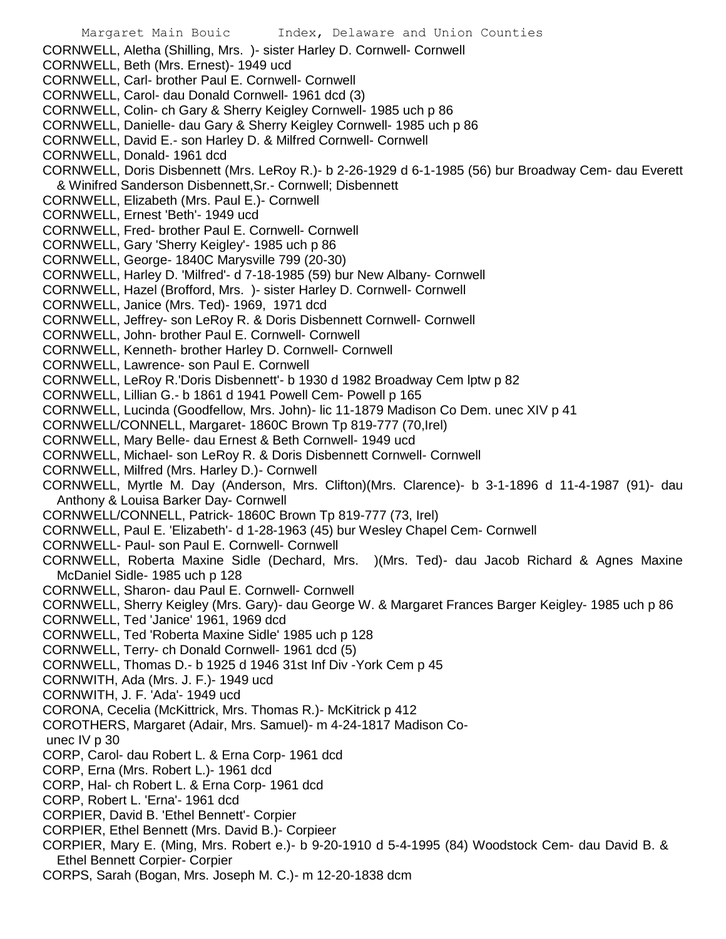CORNWELL, Aletha (Shilling, Mrs. )- sister Harley D. Cornwell- Cornwell CORNWELL, Beth (Mrs. Ernest)- 1949 ucd CORNWELL, Carl- brother Paul E. Cornwell- Cornwell CORNWELL, Carol- dau Donald Cornwell- 1961 dcd (3) CORNWELL, Colin- ch Gary & Sherry Keigley Cornwell- 1985 uch p 86 CORNWELL, Danielle- dau Gary & Sherry Keigley Cornwell- 1985 uch p 86 CORNWELL, David E.- son Harley D. & Milfred Cornwell- Cornwell CORNWELL, Donald- 1961 dcd CORNWELL, Doris Disbennett (Mrs. LeRoy R.)- b 2-26-1929 d 6-1-1985 (56) bur Broadway Cem- dau Everett & Winifred Sanderson Disbennett,Sr.- Cornwell; Disbennett CORNWELL, Elizabeth (Mrs. Paul E.)- Cornwell CORNWELL, Ernest 'Beth'- 1949 ucd CORNWELL, Fred- brother Paul E. Cornwell- Cornwell CORNWELL, Gary 'Sherry Keigley'- 1985 uch p 86 CORNWELL, George- 1840C Marysville 799 (20-30) CORNWELL, Harley D. 'Milfred'- d 7-18-1985 (59) bur New Albany- Cornwell CORNWELL, Hazel (Brofford, Mrs. )- sister Harley D. Cornwell- Cornwell CORNWELL, Janice (Mrs. Ted)- 1969, 1971 dcd CORNWELL, Jeffrey- son LeRoy R. & Doris Disbennett Cornwell- Cornwell CORNWELL, John- brother Paul E. Cornwell- Cornwell CORNWELL, Kenneth- brother Harley D. Cornwell- Cornwell CORNWELL, Lawrence- son Paul E. Cornwell CORNWELL, LeRoy R.'Doris Disbennett'- b 1930 d 1982 Broadway Cem lptw p 82 CORNWELL, Lillian G.- b 1861 d 1941 Powell Cem- Powell p 165 CORNWELL, Lucinda (Goodfellow, Mrs. John)- lic 11-1879 Madison Co Dem. unec XIV p 41 CORNWELL/CONNELL, Margaret- 1860C Brown Tp 819-777 (70,Irel) CORNWELL, Mary Belle- dau Ernest & Beth Cornwell- 1949 ucd CORNWELL, Michael- son LeRoy R. & Doris Disbennett Cornwell- Cornwell CORNWELL, Milfred (Mrs. Harley D.)- Cornwell CORNWELL, Myrtle M. Day (Anderson, Mrs. Clifton)(Mrs. Clarence)- b 3-1-1896 d 11-4-1987 (91)- dau Anthony & Louisa Barker Day- Cornwell CORNWELL/CONNELL, Patrick- 1860C Brown Tp 819-777 (73, Irel) CORNWELL, Paul E. 'Elizabeth'- d 1-28-1963 (45) bur Wesley Chapel Cem- Cornwell CORNWELL- Paul- son Paul E. Cornwell- Cornwell CORNWELL, Roberta Maxine Sidle (Dechard, Mrs. )(Mrs. Ted)- dau Jacob Richard & Agnes Maxine McDaniel Sidle- 1985 uch p 128 CORNWELL, Sharon- dau Paul E. Cornwell- Cornwell CORNWELL, Sherry Keigley (Mrs. Gary)- dau George W. & Margaret Frances Barger Keigley- 1985 uch p 86 CORNWELL, Ted 'Janice' 1961, 1969 dcd CORNWELL, Ted 'Roberta Maxine Sidle' 1985 uch p 128 CORNWELL, Terry- ch Donald Cornwell- 1961 dcd (5) CORNWELL, Thomas D.- b 1925 d 1946 31st Inf Div -York Cem p 45 CORNWITH, Ada (Mrs. J. F.)- 1949 ucd CORNWITH, J. F. 'Ada'- 1949 ucd CORONA, Cecelia (McKittrick, Mrs. Thomas R.)- McKitrick p 412 COROTHERS, Margaret (Adair, Mrs. Samuel)- m 4-24-1817 Madison Counec IV p 30 CORP, Carol- dau Robert L. & Erna Corp- 1961 dcd CORP, Erna (Mrs. Robert L.)- 1961 dcd CORP, Hal- ch Robert L. & Erna Corp- 1961 dcd CORP, Robert L. 'Erna'- 1961 dcd CORPIER, David B. 'Ethel Bennett'- Corpier CORPIER, Ethel Bennett (Mrs. David B.)- Corpieer CORPIER, Mary E. (Ming, Mrs. Robert e.)- b 9-20-1910 d 5-4-1995 (84) Woodstock Cem- dau David B. & Ethel Bennett Corpier- Corpier CORPS, Sarah (Bogan, Mrs. Joseph M. C.)- m 12-20-1838 dcm

Margaret Main Bouic Index, Delaware and Union Counties